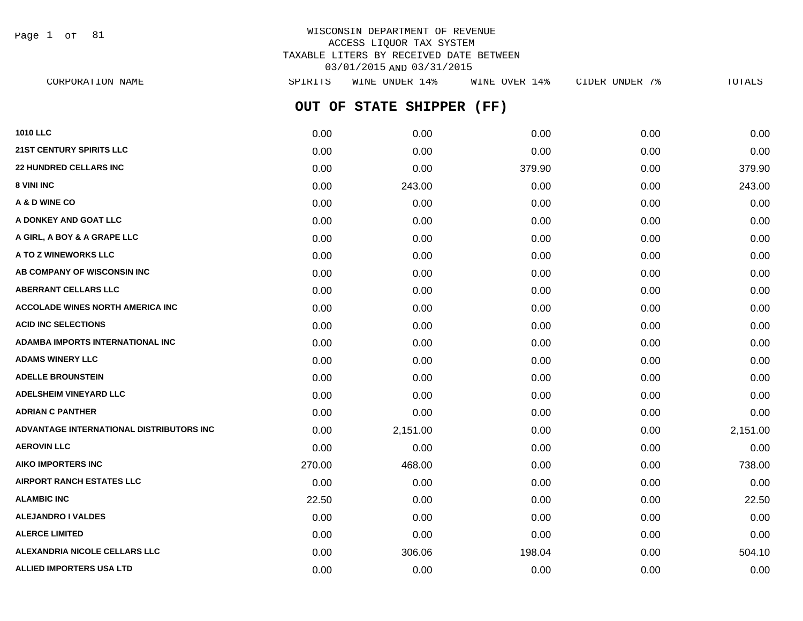Page 1 of 81

## WISCONSIN DEPARTMENT OF REVENUE ACCESS LIQUOR TAX SYSTEM TAXABLE LITERS BY RECEIVED DATE BETWEEN 03/01/2015 AND 03/31/2015

**OUT OF STATE SHIPPER (FF) 1010 LLC** 0.00 0.00 0.00 0.00 0.00 **21ST CENTURY SPIRITS LLC** 0.00 0.00 0.00 0.00 0.00 **22 HUNDRED CELLARS INC** 0.00 0.00 379.90 0.00 379.90 **8 VINI INC** 0.00 243.00 0.00 243.00 0.00 0.00 0.00 0.00 0.00 0.00 243.00 **A & D WINE CO** 0.00 0.00 0.00 0.00 0.00 **A DONKEY AND GOAT LLC** 0.00 0.00 0.00 0.00 0.00 **A GIRL, A BOY & A GRAPE LLC** 0.00 0.00 0.00 0.00 0.00 **A TO Z WINEWORKS LLC** 0.00 0.00 0.00 0.00 0.00 **AB COMPANY OF WISCONSIN INC** 0.00 0.00 0.00 0.00 0.00 **ABERRANT CELLARS LLC** 0.00 0.00 0.00 0.00 0.00 **ACCOLADE WINES NORTH AMERICA INC**  $0.00$   $0.00$   $0.00$   $0.00$   $0.00$   $0.00$   $0.00$   $0.00$   $0.00$   $0.00$   $0.00$   $0.00$   $0.00$   $0.00$   $0.00$   $0.00$   $0.00$   $0.00$   $0.00$   $0.00$   $0.00$   $0.00$   $0.00$   $0.00$   $0.00$   $0.00$   $0.00$ **ACID INC SELECTIONS** 0.00 0.00 0.00 0.00 0.00 **ADAMBA IMPORTS INTERNATIONAL INC** 0.00 0.00 0.00 0.00 0.00 **ADAMS WINERY LLC** 0.00 0.00 0.00 0.00 0.00 **ADELLE BROUNSTEIN** 0.00 0.00 0.00 0.00 0.00 **ADELSHEIM VINEYARD LLC** 0.00 0.00 0.00 0.00 0.00 **ADRIAN C PANTHER** 0.00 0.00 0.00 0.00 0.00 **ADVANTAGE INTERNATIONAL DISTRIBUTORS INC** 0.00 2,151.00 0.00 0.00 2,151.00 **AEROVIN LLC** 0.00 0.00 0.00 0.00 0.00 **AIKO IMPORTERS INC** 270.00 468.00 0.00 0.00 738.00 **AIRPORT RANCH ESTATES LLC** 0.00 0.00 0.00 0.00 0.00 **ALAMBIC INC** 22.50 0.00 0.00 0.00 22.50 **ALEJANDRO I VALDES** 0.00 0.00 0.00 0.00 0.00 **ALERCE LIMITED** 0.00 0.00 0.00 0.00 0.00 **ALEXANDRIA NICOLE CELLARS LLC** 0.00 306.06 198.04 0.00 504.10 CORPORATION NAME SPIRITS WINE UNDER 14% WINE OVER 14% CIDER UNDER 7% TOTALS

**ALLIED IMPORTERS USA LTD** 0.00 0.00 0.00 0.00 0.00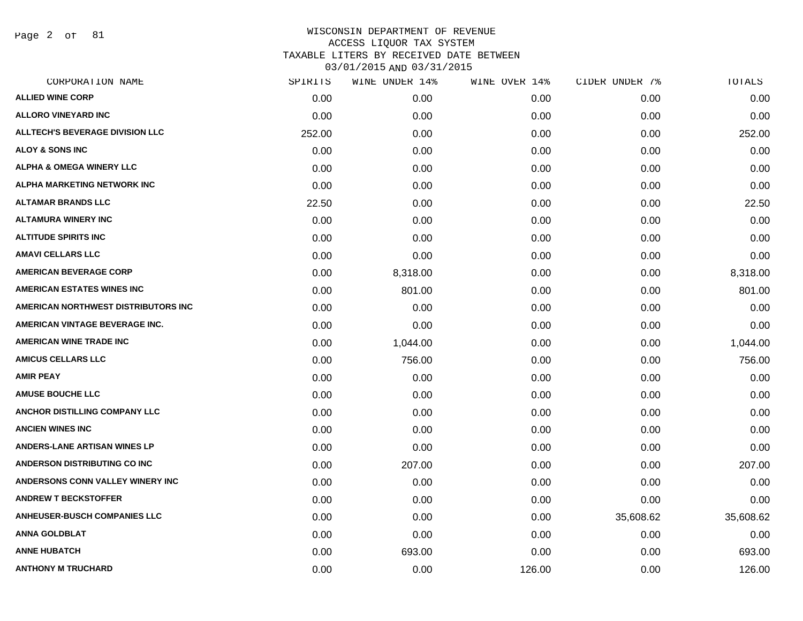Page 2 of 81

| 0.00<br>0.00<br>252.00 | 0.00<br>0.00 | 0.00<br>0.00 | 0.00      | 0.00      |
|------------------------|--------------|--------------|-----------|-----------|
|                        |              |              |           |           |
|                        |              |              | 0.00      | 0.00      |
|                        |              | 0.00         | 0.00      | 252.00    |
| 0.00                   | 0.00         | 0.00         | 0.00      | 0.00      |
| 0.00                   | 0.00         | 0.00         | 0.00      | 0.00      |
| 0.00                   | 0.00         | 0.00         | 0.00      | 0.00      |
| 22.50                  | 0.00         | 0.00         | 0.00      | 22.50     |
| 0.00                   | 0.00         | 0.00         | 0.00      | 0.00      |
| 0.00                   | 0.00         | 0.00         | 0.00      | 0.00      |
| 0.00                   | 0.00         | 0.00         | 0.00      | 0.00      |
| 0.00                   | 8,318.00     | 0.00         | 0.00      | 8,318.00  |
| 0.00                   | 801.00       | 0.00         | 0.00      | 801.00    |
| 0.00                   | 0.00         | 0.00         | 0.00      | 0.00      |
| 0.00                   | 0.00         | 0.00         | 0.00      | 0.00      |
| 0.00                   | 1,044.00     | 0.00         | 0.00      | 1,044.00  |
| 0.00                   | 756.00       | 0.00         | 0.00      | 756.00    |
| 0.00                   | 0.00         | 0.00         | 0.00      | 0.00      |
| 0.00                   | 0.00         | 0.00         | 0.00      | 0.00      |
| 0.00                   | 0.00         | 0.00         | 0.00      | 0.00      |
| 0.00                   | 0.00         | 0.00         | 0.00      | 0.00      |
| 0.00                   | 0.00         | 0.00         | 0.00      | 0.00      |
| 0.00                   | 207.00       | 0.00         | 0.00      | 207.00    |
| 0.00                   | 0.00         | 0.00         | 0.00      | 0.00      |
| 0.00                   | 0.00         | 0.00         | 0.00      | 0.00      |
| 0.00                   | 0.00         | 0.00         | 35,608.62 | 35,608.62 |
| 0.00                   | 0.00         | 0.00         | 0.00      | 0.00      |
| 0.00                   | 693.00       | 0.00         | 0.00      | 693.00    |
| 0.00                   | 0.00         | 126.00       | 0.00      | 126.00    |
|                        |              | 0.00         |           |           |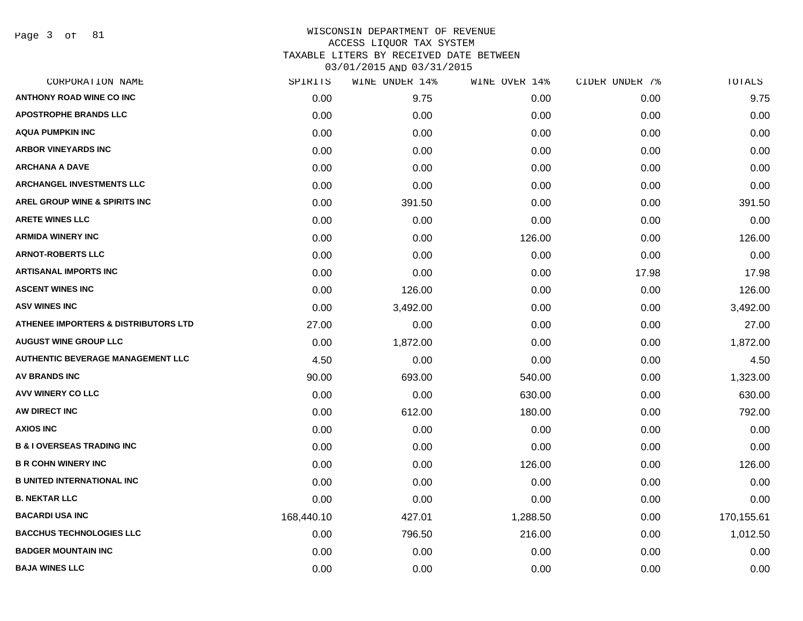Page 3 of 81

### WISCONSIN DEPARTMENT OF REVENUE ACCESS LIQUOR TAX SYSTEM TAXABLE LITERS BY RECEIVED DATE BETWEEN

| CORPORATION NAME                                | SPIRITS    | WINE UNDER 14% | WINE OVER 14% | CIDER UNDER 7% | TOTALS     |
|-------------------------------------------------|------------|----------------|---------------|----------------|------------|
| <b>ANTHONY ROAD WINE CO INC</b>                 | 0.00       | 9.75           | 0.00          | 0.00           | 9.75       |
| <b>APOSTROPHE BRANDS LLC</b>                    | 0.00       | 0.00           | 0.00          | 0.00           | 0.00       |
| <b>AQUA PUMPKIN INC</b>                         | 0.00       | 0.00           | 0.00          | 0.00           | 0.00       |
| <b>ARBOR VINEYARDS INC</b>                      | 0.00       | 0.00           | 0.00          | 0.00           | 0.00       |
| <b>ARCHANA A DAVE</b>                           | 0.00       | 0.00           | 0.00          | 0.00           | 0.00       |
| <b>ARCHANGEL INVESTMENTS LLC</b>                | 0.00       | 0.00           | 0.00          | 0.00           | 0.00       |
| AREL GROUP WINE & SPIRITS INC                   | 0.00       | 391.50         | 0.00          | 0.00           | 391.50     |
| <b>ARETE WINES LLC</b>                          | 0.00       | 0.00           | 0.00          | 0.00           | 0.00       |
| <b>ARMIDA WINERY INC</b>                        | 0.00       | 0.00           | 126.00        | 0.00           | 126.00     |
| <b>ARNOT-ROBERTS LLC</b>                        | 0.00       | 0.00           | 0.00          | 0.00           | 0.00       |
| <b>ARTISANAL IMPORTS INC</b>                    | 0.00       | 0.00           | 0.00          | 17.98          | 17.98      |
| <b>ASCENT WINES INC</b>                         | 0.00       | 126.00         | 0.00          | 0.00           | 126.00     |
| <b>ASV WINES INC</b>                            | 0.00       | 3,492.00       | 0.00          | 0.00           | 3,492.00   |
| <b>ATHENEE IMPORTERS &amp; DISTRIBUTORS LTD</b> | 27.00      | 0.00           | 0.00          | 0.00           | 27.00      |
| <b>AUGUST WINE GROUP LLC</b>                    | 0.00       | 1,872.00       | 0.00          | 0.00           | 1,872.00   |
| <b>AUTHENTIC BEVERAGE MANAGEMENT LLC</b>        | 4.50       | 0.00           | 0.00          | 0.00           | 4.50       |
| <b>AV BRANDS INC</b>                            | 90.00      | 693.00         | 540.00        | 0.00           | 1,323.00   |
| <b>AVV WINERY CO LLC</b>                        | 0.00       | 0.00           | 630.00        | 0.00           | 630.00     |
| AW DIRECT INC                                   | 0.00       | 612.00         | 180.00        | 0.00           | 792.00     |
| <b>AXIOS INC</b>                                | 0.00       | 0.00           | 0.00          | 0.00           | 0.00       |
| <b>B &amp; I OVERSEAS TRADING INC</b>           | 0.00       | 0.00           | 0.00          | 0.00           | 0.00       |
| <b>B R COHN WINERY INC</b>                      | 0.00       | 0.00           | 126.00        | 0.00           | 126.00     |
| <b>B UNITED INTERNATIONAL INC</b>               | 0.00       | 0.00           | 0.00          | 0.00           | 0.00       |
| <b>B. NEKTAR LLC</b>                            | 0.00       | 0.00           | 0.00          | 0.00           | 0.00       |
| <b>BACARDI USA INC</b>                          | 168,440.10 | 427.01         | 1,288.50      | 0.00           | 170,155.61 |
| <b>BACCHUS TECHNOLOGIES LLC</b>                 | 0.00       | 796.50         | 216.00        | 0.00           | 1,012.50   |
| <b>BADGER MOUNTAIN INC</b>                      | 0.00       | 0.00           | 0.00          | 0.00           | 0.00       |
| <b>BAJA WINES LLC</b>                           | 0.00       | 0.00           | 0.00          | 0.00           | 0.00       |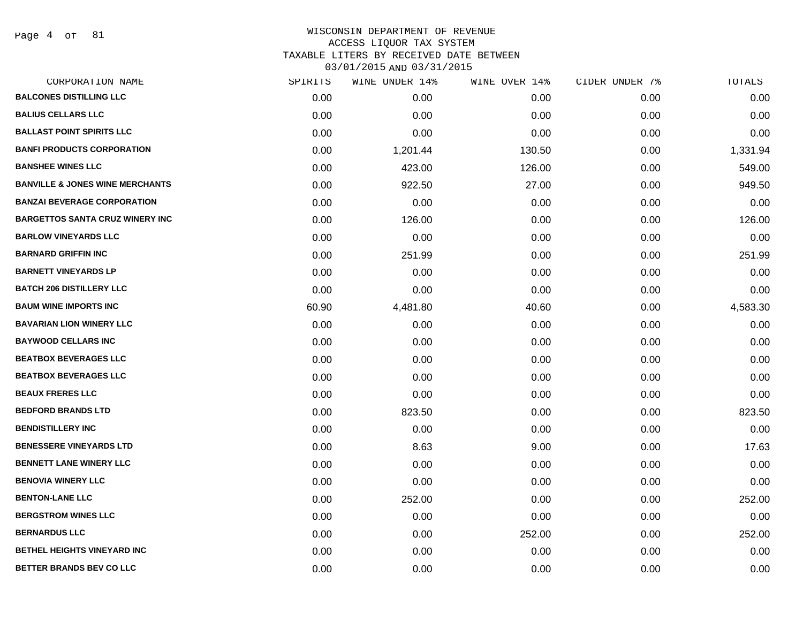Page 4 of 81

| CORPORATION NAME                           | SPIRITS | WINE UNDER 14% | WINE OVER 14% | CIDER UNDER 7% | TOTALS   |
|--------------------------------------------|---------|----------------|---------------|----------------|----------|
| <b>BALCONES DISTILLING LLC</b>             | 0.00    | 0.00           | 0.00          | 0.00           | 0.00     |
| <b>BALIUS CELLARS LLC</b>                  | 0.00    | 0.00           | 0.00          | 0.00           | 0.00     |
| <b>BALLAST POINT SPIRITS LLC</b>           | 0.00    | 0.00           | 0.00          | 0.00           | 0.00     |
| <b>BANFI PRODUCTS CORPORATION</b>          | 0.00    | 1,201.44       | 130.50        | 0.00           | 1,331.94 |
| <b>BANSHEE WINES LLC</b>                   | 0.00    | 423.00         | 126.00        | 0.00           | 549.00   |
| <b>BANVILLE &amp; JONES WINE MERCHANTS</b> | 0.00    | 922.50         | 27.00         | 0.00           | 949.50   |
| <b>BANZAI BEVERAGE CORPORATION</b>         | 0.00    | 0.00           | 0.00          | 0.00           | 0.00     |
| <b>BARGETTOS SANTA CRUZ WINERY INC</b>     | 0.00    | 126.00         | 0.00          | 0.00           | 126.00   |
| <b>BARLOW VINEYARDS LLC</b>                | 0.00    | 0.00           | 0.00          | 0.00           | 0.00     |
| <b>BARNARD GRIFFIN INC</b>                 | 0.00    | 251.99         | 0.00          | 0.00           | 251.99   |
| <b>BARNETT VINEYARDS LP</b>                | 0.00    | 0.00           | 0.00          | 0.00           | 0.00     |
| <b>BATCH 206 DISTILLERY LLC</b>            | 0.00    | 0.00           | 0.00          | 0.00           | 0.00     |
| <b>BAUM WINE IMPORTS INC</b>               | 60.90   | 4,481.80       | 40.60         | 0.00           | 4,583.30 |
| <b>BAVARIAN LION WINERY LLC</b>            | 0.00    | 0.00           | 0.00          | 0.00           | 0.00     |
| <b>BAYWOOD CELLARS INC</b>                 | 0.00    | 0.00           | 0.00          | 0.00           | 0.00     |
| <b>BEATBOX BEVERAGES LLC</b>               | 0.00    | 0.00           | 0.00          | 0.00           | 0.00     |
| <b>BEATBOX BEVERAGES LLC</b>               | 0.00    | 0.00           | 0.00          | 0.00           | 0.00     |
| <b>BEAUX FRERES LLC</b>                    | 0.00    | 0.00           | 0.00          | 0.00           | 0.00     |
| <b>BEDFORD BRANDS LTD</b>                  | 0.00    | 823.50         | 0.00          | 0.00           | 823.50   |
| <b>BENDISTILLERY INC</b>                   | 0.00    | 0.00           | 0.00          | 0.00           | 0.00     |
| <b>BENESSERE VINEYARDS LTD</b>             | 0.00    | 8.63           | 9.00          | 0.00           | 17.63    |
| BENNETT LANE WINERY LLC                    | 0.00    | 0.00           | 0.00          | 0.00           | 0.00     |
| <b>BENOVIA WINERY LLC</b>                  | 0.00    | 0.00           | 0.00          | 0.00           | 0.00     |
| <b>BENTON-LANE LLC</b>                     | 0.00    | 252.00         | 0.00          | 0.00           | 252.00   |
| <b>BERGSTROM WINES LLC</b>                 | 0.00    | 0.00           | 0.00          | 0.00           | 0.00     |
| <b>BERNARDUS LLC</b>                       | 0.00    | 0.00           | 252.00        | 0.00           | 252.00   |
| BETHEL HEIGHTS VINEYARD INC                | 0.00    | 0.00           | 0.00          | 0.00           | 0.00     |
| <b>BETTER BRANDS BEV CO LLC</b>            | 0.00    | 0.00           | 0.00          | 0.00           | 0.00     |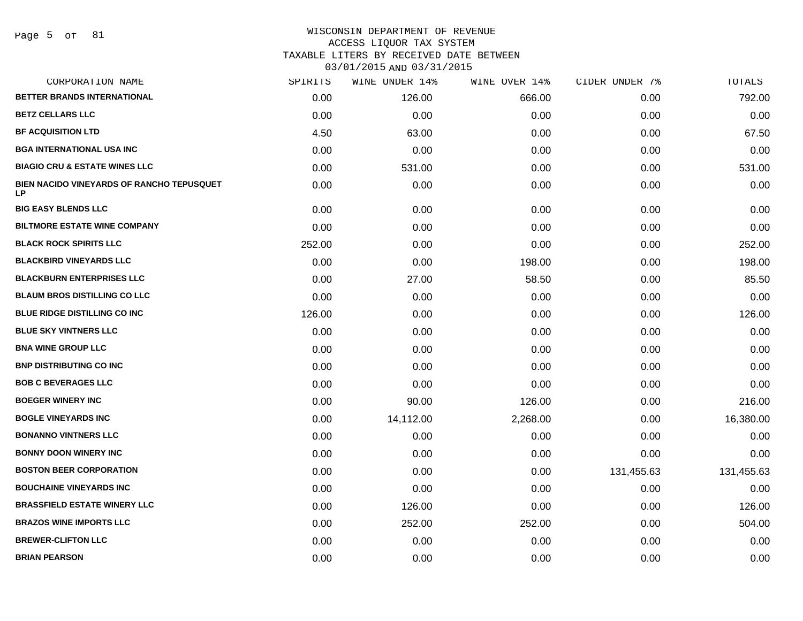#### WISCONSIN DEPARTMENT OF REVENUE ACCESS LIQUOR TAX SYSTEM

TAXABLE LITERS BY RECEIVED DATE BETWEEN

| CORPORATION NAME                                 | SPIRITS | WINE UNDER 14% | WINE OVER 14% | CIDER UNDER 7% | TOTALS     |
|--------------------------------------------------|---------|----------------|---------------|----------------|------------|
| BETTER BRANDS INTERNATIONAL                      | 0.00    | 126.00         | 666.00        | 0.00           | 792.00     |
| <b>BETZ CELLARS LLC</b>                          | 0.00    | 0.00           | 0.00          | 0.00           | 0.00       |
| <b>BF ACQUISITION LTD</b>                        | 4.50    | 63.00          | 0.00          | 0.00           | 67.50      |
| <b>BGA INTERNATIONAL USA INC</b>                 | 0.00    | 0.00           | 0.00          | 0.00           | 0.00       |
| <b>BIAGIO CRU &amp; ESTATE WINES LLC</b>         | 0.00    | 531.00         | 0.00          | 0.00           | 531.00     |
| BIEN NACIDO VINEYARDS OF RANCHO TEPUSQUET<br>LP. | 0.00    | 0.00           | 0.00          | 0.00           | 0.00       |
| <b>BIG EASY BLENDS LLC</b>                       | 0.00    | 0.00           | 0.00          | 0.00           | 0.00       |
| <b>BILTMORE ESTATE WINE COMPANY</b>              | 0.00    | 0.00           | 0.00          | 0.00           | 0.00       |
| <b>BLACK ROCK SPIRITS LLC</b>                    | 252.00  | 0.00           | 0.00          | 0.00           | 252.00     |
| <b>BLACKBIRD VINEYARDS LLC</b>                   | 0.00    | 0.00           | 198.00        | 0.00           | 198.00     |
| <b>BLACKBURN ENTERPRISES LLC</b>                 | 0.00    | 27.00          | 58.50         | 0.00           | 85.50      |
| <b>BLAUM BROS DISTILLING CO LLC</b>              | 0.00    | 0.00           | 0.00          | 0.00           | 0.00       |
| <b>BLUE RIDGE DISTILLING CO INC</b>              | 126.00  | 0.00           | 0.00          | 0.00           | 126.00     |
| <b>BLUE SKY VINTNERS LLC</b>                     | 0.00    | 0.00           | 0.00          | 0.00           | 0.00       |
| <b>BNA WINE GROUP LLC</b>                        | 0.00    | 0.00           | 0.00          | 0.00           | 0.00       |
| <b>BNP DISTRIBUTING CO INC</b>                   | 0.00    | 0.00           | 0.00          | 0.00           | 0.00       |
| <b>BOB C BEVERAGES LLC</b>                       | 0.00    | 0.00           | 0.00          | 0.00           | 0.00       |
| <b>BOEGER WINERY INC</b>                         | 0.00    | 90.00          | 126.00        | 0.00           | 216.00     |
| <b>BOGLE VINEYARDS INC</b>                       | 0.00    | 14,112.00      | 2,268.00      | 0.00           | 16,380.00  |
| <b>BONANNO VINTNERS LLC</b>                      | 0.00    | 0.00           | 0.00          | 0.00           | 0.00       |
| <b>BONNY DOON WINERY INC</b>                     | 0.00    | 0.00           | 0.00          | 0.00           | 0.00       |
| <b>BOSTON BEER CORPORATION</b>                   | 0.00    | 0.00           | 0.00          | 131,455.63     | 131,455.63 |
| <b>BOUCHAINE VINEYARDS INC</b>                   | 0.00    | 0.00           | 0.00          | 0.00           | 0.00       |
| <b>BRASSFIELD ESTATE WINERY LLC</b>              | 0.00    | 126.00         | 0.00          | 0.00           | 126.00     |
| <b>BRAZOS WINE IMPORTS LLC</b>                   | 0.00    | 252.00         | 252.00        | 0.00           | 504.00     |
| <b>BREWER-CLIFTON LLC</b>                        | 0.00    | 0.00           | 0.00          | 0.00           | 0.00       |
| <b>BRIAN PEARSON</b>                             | 0.00    | 0.00           | 0.00          | 0.00           | 0.00       |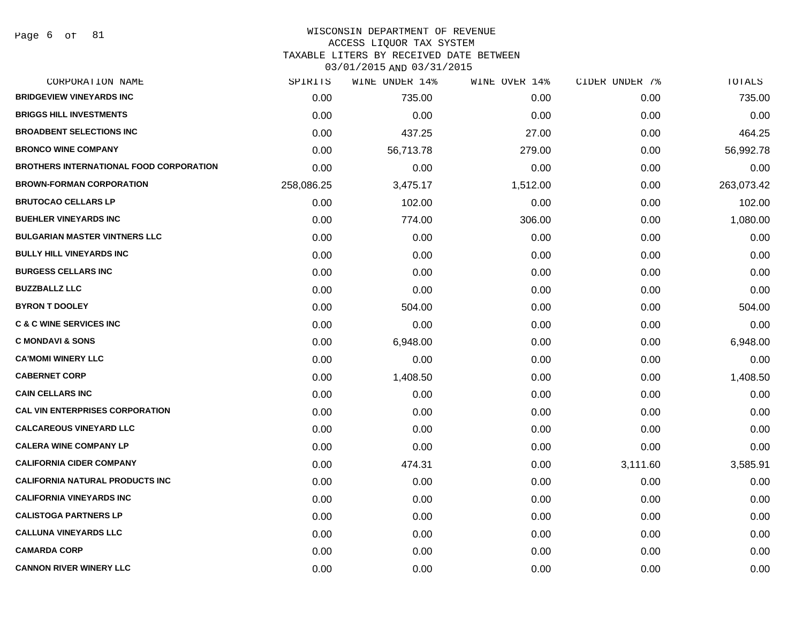## WISCONSIN DEPARTMENT OF REVENUE

#### ACCESS LIQUOR TAX SYSTEM

TAXABLE LITERS BY RECEIVED DATE BETWEEN

| CORPORATION NAME                               | SPIRITS    | WINE UNDER 14% | WINE OVER 14% | CIDER UNDER 7% | TOTALS     |
|------------------------------------------------|------------|----------------|---------------|----------------|------------|
| <b>BRIDGEVIEW VINEYARDS INC</b>                | 0.00       | 735.00         | 0.00          | 0.00           | 735.00     |
| <b>BRIGGS HILL INVESTMENTS</b>                 | 0.00       | 0.00           | 0.00          | 0.00           | 0.00       |
| <b>BROADBENT SELECTIONS INC</b>                | 0.00       | 437.25         | 27.00         | 0.00           | 464.25     |
| <b>BRONCO WINE COMPANY</b>                     | 0.00       | 56,713.78      | 279.00        | 0.00           | 56,992.78  |
| <b>BROTHERS INTERNATIONAL FOOD CORPORATION</b> | 0.00       | 0.00           | 0.00          | 0.00           | 0.00       |
| <b>BROWN-FORMAN CORPORATION</b>                | 258,086.25 | 3,475.17       | 1,512.00      | 0.00           | 263,073.42 |
| <b>BRUTOCAO CELLARS LP</b>                     | 0.00       | 102.00         | 0.00          | 0.00           | 102.00     |
| <b>BUEHLER VINEYARDS INC</b>                   | 0.00       | 774.00         | 306.00        | 0.00           | 1,080.00   |
| <b>BULGARIAN MASTER VINTNERS LLC</b>           | 0.00       | 0.00           | 0.00          | 0.00           | 0.00       |
| <b>BULLY HILL VINEYARDS INC</b>                | 0.00       | 0.00           | 0.00          | 0.00           | 0.00       |
| <b>BURGESS CELLARS INC</b>                     | 0.00       | 0.00           | 0.00          | 0.00           | 0.00       |
| <b>BUZZBALLZ LLC</b>                           | 0.00       | 0.00           | 0.00          | 0.00           | 0.00       |
| <b>BYRON T DOOLEY</b>                          | 0.00       | 504.00         | 0.00          | 0.00           | 504.00     |
| <b>C &amp; C WINE SERVICES INC</b>             | 0.00       | 0.00           | 0.00          | 0.00           | 0.00       |
| <b>C MONDAVI &amp; SONS</b>                    | 0.00       | 6,948.00       | 0.00          | 0.00           | 6,948.00   |
| <b>CA'MOMI WINERY LLC</b>                      | 0.00       | 0.00           | 0.00          | 0.00           | 0.00       |
| <b>CABERNET CORP</b>                           | 0.00       | 1,408.50       | 0.00          | 0.00           | 1,408.50   |
| <b>CAIN CELLARS INC</b>                        | 0.00       | 0.00           | 0.00          | 0.00           | 0.00       |
| <b>CAL VIN ENTERPRISES CORPORATION</b>         | 0.00       | 0.00           | 0.00          | 0.00           | 0.00       |
| <b>CALCAREOUS VINEYARD LLC</b>                 | 0.00       | 0.00           | 0.00          | 0.00           | 0.00       |
| <b>CALERA WINE COMPANY LP</b>                  | 0.00       | 0.00           | 0.00          | 0.00           | 0.00       |
| <b>CALIFORNIA CIDER COMPANY</b>                | 0.00       | 474.31         | 0.00          | 3,111.60       | 3,585.91   |
| <b>CALIFORNIA NATURAL PRODUCTS INC</b>         | 0.00       | 0.00           | 0.00          | 0.00           | 0.00       |
| <b>CALIFORNIA VINEYARDS INC</b>                | 0.00       | 0.00           | 0.00          | 0.00           | 0.00       |
| <b>CALISTOGA PARTNERS LP</b>                   | 0.00       | 0.00           | 0.00          | 0.00           | 0.00       |
| <b>CALLUNA VINEYARDS LLC</b>                   | 0.00       | 0.00           | 0.00          | 0.00           | 0.00       |
| <b>CAMARDA CORP</b>                            | 0.00       | 0.00           | 0.00          | 0.00           | 0.00       |
| <b>CANNON RIVER WINERY LLC</b>                 | 0.00       | 0.00           | 0.00          | 0.00           | 0.00       |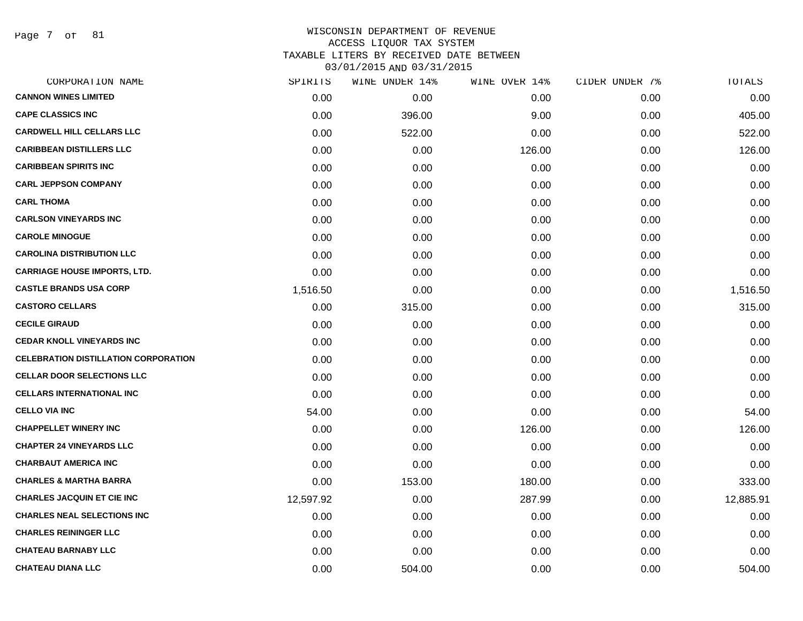Page 7 of 81

| SPIRITS   | WINE UNDER 14% | WINE OVER 14% | CIDER UNDER 7% | TOTALS    |
|-----------|----------------|---------------|----------------|-----------|
| 0.00      | 0.00           | 0.00          | 0.00           | 0.00      |
| 0.00      | 396.00         | 9.00          | 0.00           | 405.00    |
| 0.00      | 522.00         | 0.00          | 0.00           | 522.00    |
| 0.00      | 0.00           | 126.00        | 0.00           | 126.00    |
| 0.00      | 0.00           | 0.00          | 0.00           | 0.00      |
| 0.00      | 0.00           | 0.00          | 0.00           | 0.00      |
| 0.00      | 0.00           | 0.00          | 0.00           | 0.00      |
| 0.00      | 0.00           | 0.00          | 0.00           | 0.00      |
| 0.00      | 0.00           | 0.00          | 0.00           | 0.00      |
| 0.00      | 0.00           | 0.00          | 0.00           | 0.00      |
| 0.00      | 0.00           | 0.00          | 0.00           | 0.00      |
| 1,516.50  | 0.00           | 0.00          | 0.00           | 1,516.50  |
| 0.00      | 315.00         | 0.00          | 0.00           | 315.00    |
| 0.00      | 0.00           | 0.00          | 0.00           | 0.00      |
| 0.00      | 0.00           | 0.00          | 0.00           | 0.00      |
| 0.00      | 0.00           | 0.00          | 0.00           | 0.00      |
| 0.00      | 0.00           | 0.00          | 0.00           | 0.00      |
| 0.00      | 0.00           | 0.00          | 0.00           | 0.00      |
| 54.00     | 0.00           | 0.00          | 0.00           | 54.00     |
| 0.00      | 0.00           | 126.00        | 0.00           | 126.00    |
| 0.00      | 0.00           | 0.00          | 0.00           | 0.00      |
| 0.00      | 0.00           | 0.00          | 0.00           | 0.00      |
| 0.00      | 153.00         | 180.00        | 0.00           | 333.00    |
| 12,597.92 | 0.00           | 287.99        | 0.00           | 12,885.91 |
| 0.00      | 0.00           | 0.00          | 0.00           | 0.00      |
| 0.00      | 0.00           | 0.00          | 0.00           | 0.00      |
| 0.00      | 0.00           | 0.00          | 0.00           | 0.00      |
| 0.00      | 504.00         | 0.00          | 0.00           | 504.00    |
|           |                |               |                |           |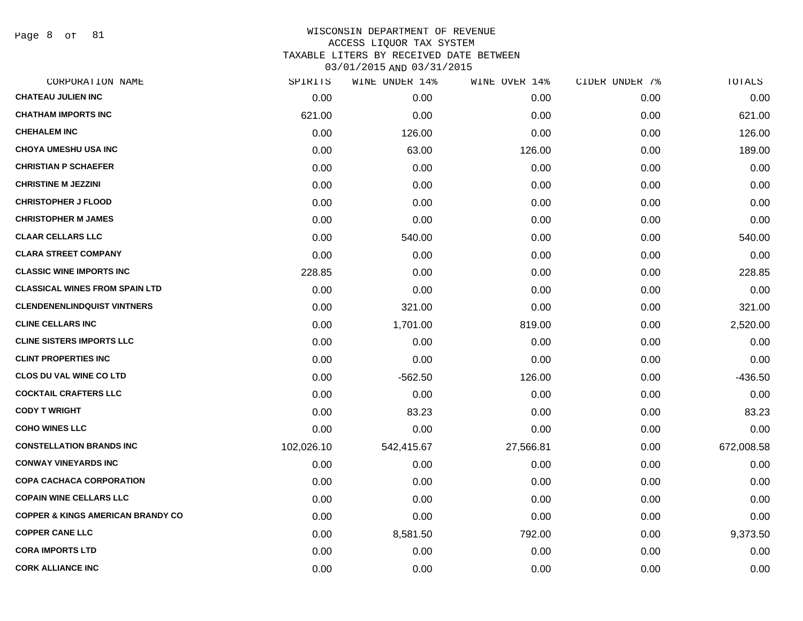Page 8 of 81

| SPIRITS    | WINE UNDER 14% | WINE OVER 14% | CIDER UNDER 7% | TOTALS     |
|------------|----------------|---------------|----------------|------------|
| 0.00       | 0.00           | 0.00          | 0.00           | 0.00       |
| 621.00     | 0.00           | 0.00          | 0.00           | 621.00     |
| 0.00       | 126.00         | 0.00          | 0.00           | 126.00     |
| 0.00       | 63.00          | 126.00        | 0.00           | 189.00     |
| 0.00       | 0.00           | 0.00          | 0.00           | 0.00       |
| 0.00       | 0.00           | 0.00          | 0.00           | 0.00       |
| 0.00       | 0.00           | 0.00          | 0.00           | 0.00       |
| 0.00       | 0.00           | 0.00          | 0.00           | 0.00       |
| 0.00       | 540.00         | 0.00          | 0.00           | 540.00     |
| 0.00       | 0.00           | 0.00          | 0.00           | 0.00       |
| 228.85     | 0.00           | 0.00          | 0.00           | 228.85     |
| 0.00       | 0.00           | 0.00          | 0.00           | 0.00       |
| 0.00       | 321.00         | 0.00          | 0.00           | 321.00     |
| 0.00       | 1,701.00       | 819.00        | 0.00           | 2,520.00   |
| 0.00       | 0.00           | 0.00          | 0.00           | 0.00       |
| 0.00       | 0.00           | 0.00          | 0.00           | 0.00       |
| 0.00       | $-562.50$      | 126.00        | 0.00           | $-436.50$  |
| 0.00       | 0.00           | 0.00          | 0.00           | 0.00       |
| 0.00       | 83.23          | 0.00          | 0.00           | 83.23      |
| 0.00       | 0.00           | 0.00          | 0.00           | 0.00       |
| 102,026.10 | 542,415.67     | 27,566.81     | 0.00           | 672,008.58 |
| 0.00       | 0.00           | 0.00          | 0.00           | 0.00       |
| 0.00       | 0.00           | 0.00          | 0.00           | 0.00       |
| 0.00       | 0.00           | 0.00          | 0.00           | 0.00       |
| 0.00       | 0.00           | 0.00          | 0.00           | 0.00       |
| 0.00       | 8,581.50       | 792.00        | 0.00           | 9,373.50   |
| 0.00       | 0.00           | 0.00          | 0.00           | 0.00       |
| 0.00       | 0.00           | 0.00          | 0.00           | 0.00       |
|            |                |               |                |            |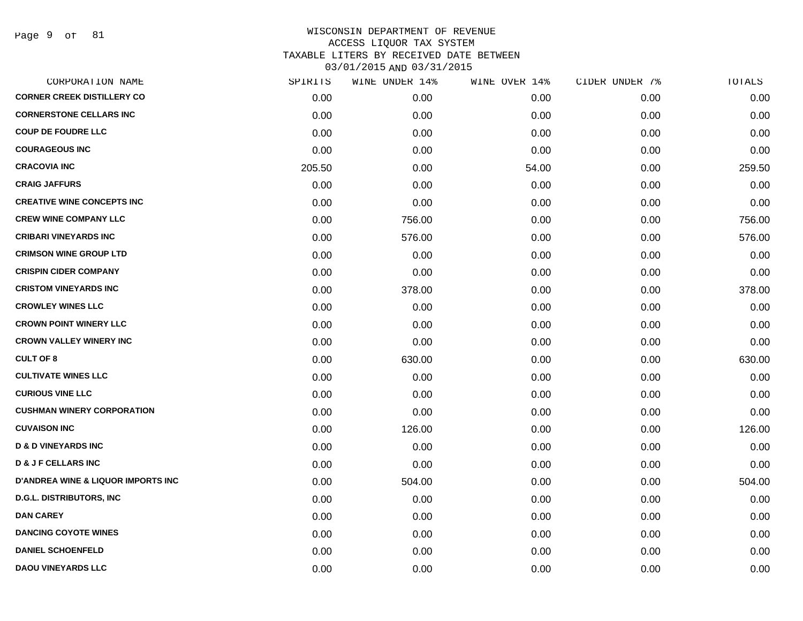Page 9 of 81

| CORPORATION NAME                               | SPIRITS | WINE UNDER 14% | WINE OVER 14% | CIDER UNDER 7% | TOTALS |
|------------------------------------------------|---------|----------------|---------------|----------------|--------|
| <b>CORNER CREEK DISTILLERY CO</b>              | 0.00    | 0.00           | 0.00          | 0.00           | 0.00   |
| <b>CORNERSTONE CELLARS INC</b>                 | 0.00    | 0.00           | 0.00          | 0.00           | 0.00   |
| <b>COUP DE FOUDRE LLC</b>                      | 0.00    | 0.00           | 0.00          | 0.00           | 0.00   |
| <b>COURAGEOUS INC</b>                          | 0.00    | 0.00           | 0.00          | 0.00           | 0.00   |
| <b>CRACOVIA INC</b>                            | 205.50  | 0.00           | 54.00         | 0.00           | 259.50 |
| <b>CRAIG JAFFURS</b>                           | 0.00    | 0.00           | 0.00          | 0.00           | 0.00   |
| <b>CREATIVE WINE CONCEPTS INC</b>              | 0.00    | 0.00           | 0.00          | 0.00           | 0.00   |
| <b>CREW WINE COMPANY LLC</b>                   | 0.00    | 756.00         | 0.00          | 0.00           | 756.00 |
| <b>CRIBARI VINEYARDS INC</b>                   | 0.00    | 576.00         | 0.00          | 0.00           | 576.00 |
| <b>CRIMSON WINE GROUP LTD</b>                  | 0.00    | 0.00           | 0.00          | 0.00           | 0.00   |
| <b>CRISPIN CIDER COMPANY</b>                   | 0.00    | 0.00           | 0.00          | 0.00           | 0.00   |
| <b>CRISTOM VINEYARDS INC</b>                   | 0.00    | 378.00         | 0.00          | 0.00           | 378.00 |
| <b>CROWLEY WINES LLC</b>                       | 0.00    | 0.00           | 0.00          | 0.00           | 0.00   |
| <b>CROWN POINT WINERY LLC</b>                  | 0.00    | 0.00           | 0.00          | 0.00           | 0.00   |
| <b>CROWN VALLEY WINERY INC</b>                 | 0.00    | 0.00           | 0.00          | 0.00           | 0.00   |
| <b>CULT OF 8</b>                               | 0.00    | 630.00         | 0.00          | 0.00           | 630.00 |
| <b>CULTIVATE WINES LLC</b>                     | 0.00    | 0.00           | 0.00          | 0.00           | 0.00   |
| <b>CURIOUS VINE LLC</b>                        | 0.00    | 0.00           | 0.00          | 0.00           | 0.00   |
| <b>CUSHMAN WINERY CORPORATION</b>              | 0.00    | 0.00           | 0.00          | 0.00           | 0.00   |
| <b>CUVAISON INC</b>                            | 0.00    | 126.00         | 0.00          | 0.00           | 126.00 |
| <b>D &amp; D VINEYARDS INC</b>                 | 0.00    | 0.00           | 0.00          | 0.00           | 0.00   |
| <b>D &amp; J F CELLARS INC</b>                 | 0.00    | 0.00           | 0.00          | 0.00           | 0.00   |
| <b>D'ANDREA WINE &amp; LIQUOR IMPORTS INC.</b> | 0.00    | 504.00         | 0.00          | 0.00           | 504.00 |
| <b>D.G.L. DISTRIBUTORS, INC</b>                | 0.00    | 0.00           | 0.00          | 0.00           | 0.00   |
| <b>DAN CAREY</b>                               | 0.00    | 0.00           | 0.00          | 0.00           | 0.00   |
| <b>DANCING COYOTE WINES</b>                    | 0.00    | 0.00           | 0.00          | 0.00           | 0.00   |
| <b>DANIEL SCHOENFELD</b>                       | 0.00    | 0.00           | 0.00          | 0.00           | 0.00   |
| <b>DAOU VINEYARDS LLC</b>                      | 0.00    | 0.00           | 0.00          | 0.00           | 0.00   |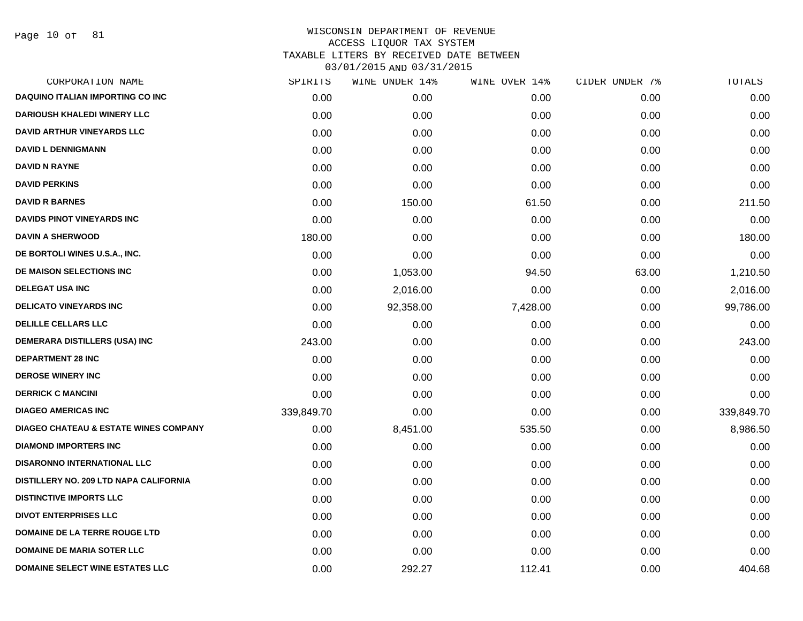Page 10 of 81

| CORPORATION NAME                                 | SPIRITS    | WINE UNDER 14% | WINE OVER 14% | CIDER UNDER 7% | TOTALS     |
|--------------------------------------------------|------------|----------------|---------------|----------------|------------|
| <b>DAQUINO ITALIAN IMPORTING CO INC</b>          | 0.00       | 0.00           | 0.00          | 0.00           | 0.00       |
| <b>DARIOUSH KHALEDI WINERY LLC</b>               | 0.00       | 0.00           | 0.00          | 0.00           | 0.00       |
| <b>DAVID ARTHUR VINEYARDS LLC</b>                | 0.00       | 0.00           | 0.00          | 0.00           | 0.00       |
| <b>DAVID L DENNIGMANN</b>                        | 0.00       | 0.00           | 0.00          | 0.00           | 0.00       |
| <b>DAVID N RAYNE</b>                             | 0.00       | 0.00           | 0.00          | 0.00           | 0.00       |
| <b>DAVID PERKINS</b>                             | 0.00       | 0.00           | 0.00          | 0.00           | 0.00       |
| <b>DAVID R BARNES</b>                            | 0.00       | 150.00         | 61.50         | 0.00           | 211.50     |
| DAVIDS PINOT VINEYARDS INC                       | 0.00       | 0.00           | 0.00          | 0.00           | 0.00       |
| <b>DAVIN A SHERWOOD</b>                          | 180.00     | 0.00           | 0.00          | 0.00           | 180.00     |
| DE BORTOLI WINES U.S.A., INC.                    | 0.00       | 0.00           | 0.00          | 0.00           | 0.00       |
| DE MAISON SELECTIONS INC                         | 0.00       | 1,053.00       | 94.50         | 63.00          | 1,210.50   |
| <b>DELEGAT USA INC</b>                           | 0.00       | 2,016.00       | 0.00          | 0.00           | 2,016.00   |
| <b>DELICATO VINEYARDS INC</b>                    | 0.00       | 92,358.00      | 7,428.00      | 0.00           | 99,786.00  |
| <b>DELILLE CELLARS LLC</b>                       | 0.00       | 0.00           | 0.00          | 0.00           | 0.00       |
| <b>DEMERARA DISTILLERS (USA) INC</b>             | 243.00     | 0.00           | 0.00          | 0.00           | 243.00     |
| <b>DEPARTMENT 28 INC</b>                         | 0.00       | 0.00           | 0.00          | 0.00           | 0.00       |
| <b>DEROSE WINERY INC</b>                         | 0.00       | 0.00           | 0.00          | 0.00           | 0.00       |
| <b>DERRICK C MANCINI</b>                         | 0.00       | 0.00           | 0.00          | 0.00           | 0.00       |
| <b>DIAGEO AMERICAS INC</b>                       | 339,849.70 | 0.00           | 0.00          | 0.00           | 339,849.70 |
| <b>DIAGEO CHATEAU &amp; ESTATE WINES COMPANY</b> | 0.00       | 8,451.00       | 535.50        | 0.00           | 8,986.50   |
| <b>DIAMOND IMPORTERS INC</b>                     | 0.00       | 0.00           | 0.00          | 0.00           | 0.00       |
| <b>DISARONNO INTERNATIONAL LLC</b>               | 0.00       | 0.00           | 0.00          | 0.00           | 0.00       |
| DISTILLERY NO. 209 LTD NAPA CALIFORNIA           | 0.00       | 0.00           | 0.00          | 0.00           | 0.00       |
| <b>DISTINCTIVE IMPORTS LLC</b>                   | 0.00       | 0.00           | 0.00          | 0.00           | 0.00       |
| <b>DIVOT ENTERPRISES LLC</b>                     | 0.00       | 0.00           | 0.00          | 0.00           | 0.00       |
| <b>DOMAINE DE LA TERRE ROUGE LTD</b>             | 0.00       | 0.00           | 0.00          | 0.00           | 0.00       |
| <b>DOMAINE DE MARIA SOTER LLC</b>                | 0.00       | 0.00           | 0.00          | 0.00           | 0.00       |
| <b>DOMAINE SELECT WINE ESTATES LLC</b>           | 0.00       | 292.27         | 112.41        | 0.00           | 404.68     |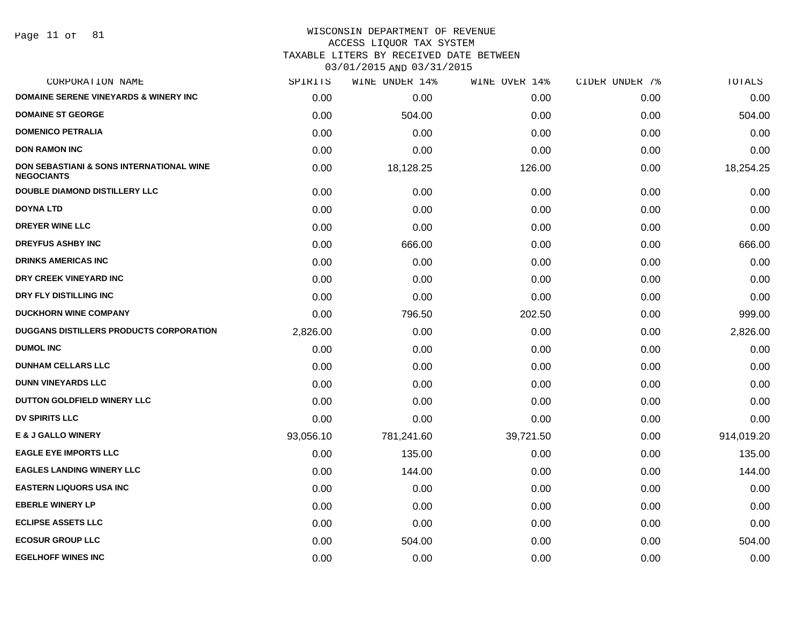Page 11 of 81

# WISCONSIN DEPARTMENT OF REVENUE

ACCESS LIQUOR TAX SYSTEM

TAXABLE LITERS BY RECEIVED DATE BETWEEN

| CORPORATION NAME                                                         | SPIRITS   | WINE UNDER 14% | WINE OVER 14% | CIDER UNDER 7% | TOTALS     |
|--------------------------------------------------------------------------|-----------|----------------|---------------|----------------|------------|
| <b>DOMAINE SERENE VINEYARDS &amp; WINERY INC</b>                         | 0.00      | 0.00           | 0.00          | 0.00           | 0.00       |
| <b>DOMAINE ST GEORGE</b>                                                 | 0.00      | 504.00         | 0.00          | 0.00           | 504.00     |
| <b>DOMENICO PETRALIA</b>                                                 | 0.00      | 0.00           | 0.00          | 0.00           | 0.00       |
| <b>DON RAMON INC</b>                                                     | 0.00      | 0.00           | 0.00          | 0.00           | 0.00       |
| <b>DON SEBASTIANI &amp; SONS INTERNATIONAL WINE</b><br><b>NEGOCIANTS</b> | 0.00      | 18,128.25      | 126.00        | 0.00           | 18,254.25  |
| <b>DOUBLE DIAMOND DISTILLERY LLC</b>                                     | 0.00      | 0.00           | 0.00          | 0.00           | 0.00       |
| <b>DOYNA LTD</b>                                                         | 0.00      | 0.00           | 0.00          | 0.00           | 0.00       |
| <b>DREYER WINE LLC</b>                                                   | 0.00      | 0.00           | 0.00          | 0.00           | 0.00       |
| <b>DREYFUS ASHBY INC</b>                                                 | 0.00      | 666.00         | 0.00          | 0.00           | 666.00     |
| <b>DRINKS AMERICAS INC</b>                                               | 0.00      | 0.00           | 0.00          | 0.00           | 0.00       |
| DRY CREEK VINEYARD INC                                                   | 0.00      | 0.00           | 0.00          | 0.00           | 0.00       |
| DRY FLY DISTILLING INC                                                   | 0.00      | 0.00           | 0.00          | 0.00           | 0.00       |
| <b>DUCKHORN WINE COMPANY</b>                                             | 0.00      | 796.50         | 202.50        | 0.00           | 999.00     |
| DUGGANS DISTILLERS PRODUCTS CORPORATION                                  | 2,826.00  | 0.00           | 0.00          | 0.00           | 2,826.00   |
| <b>DUMOL INC</b>                                                         | 0.00      | 0.00           | 0.00          | 0.00           | 0.00       |
| <b>DUNHAM CELLARS LLC</b>                                                | 0.00      | 0.00           | 0.00          | 0.00           | 0.00       |
| <b>DUNN VINEYARDS LLC</b>                                                | 0.00      | 0.00           | 0.00          | 0.00           | 0.00       |
| DUTTON GOLDFIELD WINERY LLC                                              | 0.00      | 0.00           | 0.00          | 0.00           | 0.00       |
| <b>DV SPIRITS LLC</b>                                                    | 0.00      | 0.00           | 0.00          | 0.00           | 0.00       |
| <b>E &amp; J GALLO WINERY</b>                                            | 93,056.10 | 781,241.60     | 39,721.50     | 0.00           | 914,019.20 |
| <b>EAGLE EYE IMPORTS LLC</b>                                             | 0.00      | 135.00         | 0.00          | 0.00           | 135.00     |
| <b>EAGLES LANDING WINERY LLC</b>                                         | 0.00      | 144.00         | 0.00          | 0.00           | 144.00     |
| <b>EASTERN LIQUORS USA INC</b>                                           | 0.00      | 0.00           | 0.00          | 0.00           | 0.00       |
| <b>EBERLE WINERY LP</b>                                                  | 0.00      | 0.00           | 0.00          | 0.00           | 0.00       |
| <b>ECLIPSE ASSETS LLC</b>                                                | 0.00      | 0.00           | 0.00          | 0.00           | 0.00       |
| <b>ECOSUR GROUP LLC</b>                                                  | 0.00      | 504.00         | 0.00          | 0.00           | 504.00     |
| <b>EGELHOFF WINES INC</b>                                                | 0.00      | 0.00           | 0.00          | 0.00           | 0.00       |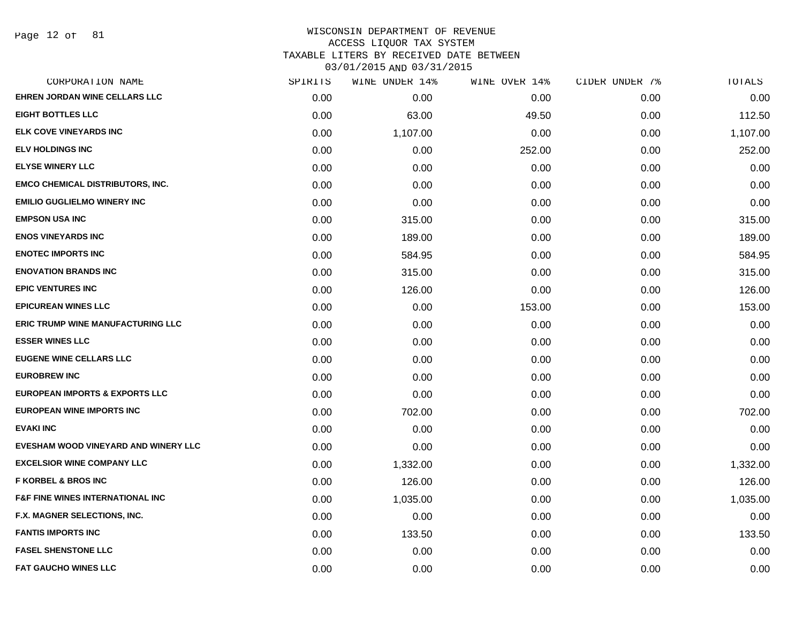Page 12 of 81

#### WISCONSIN DEPARTMENT OF REVENUE ACCESS LIQUOR TAX SYSTEM TAXABLE LITERS BY RECEIVED DATE BETWEEN

| CORPORATION NAME                             | SPIRITS | WINE UNDER 14% | WINE OVER 14% | CIDER UNDER 7% | TOTALS   |
|----------------------------------------------|---------|----------------|---------------|----------------|----------|
| <b>EHREN JORDAN WINE CELLARS LLC</b>         | 0.00    | 0.00           | 0.00          | 0.00           | 0.00     |
| <b>EIGHT BOTTLES LLC</b>                     | 0.00    | 63.00          | 49.50         | 0.00           | 112.50   |
| ELK COVE VINEYARDS INC                       | 0.00    | 1,107.00       | 0.00          | 0.00           | 1,107.00 |
| <b>ELV HOLDINGS INC</b>                      | 0.00    | 0.00           | 252.00        | 0.00           | 252.00   |
| <b>ELYSE WINERY LLC</b>                      | 0.00    | 0.00           | 0.00          | 0.00           | 0.00     |
| <b>EMCO CHEMICAL DISTRIBUTORS, INC.</b>      | 0.00    | 0.00           | 0.00          | 0.00           | 0.00     |
| <b>EMILIO GUGLIELMO WINERY INC</b>           | 0.00    | 0.00           | 0.00          | 0.00           | 0.00     |
| <b>EMPSON USA INC</b>                        | 0.00    | 315.00         | 0.00          | 0.00           | 315.00   |
| <b>ENOS VINEYARDS INC</b>                    | 0.00    | 189.00         | 0.00          | 0.00           | 189.00   |
| <b>ENOTEC IMPORTS INC</b>                    | 0.00    | 584.95         | 0.00          | 0.00           | 584.95   |
| <b>ENOVATION BRANDS INC</b>                  | 0.00    | 315.00         | 0.00          | 0.00           | 315.00   |
| <b>EPIC VENTURES INC</b>                     | 0.00    | 126.00         | 0.00          | 0.00           | 126.00   |
| <b>EPICUREAN WINES LLC</b>                   | 0.00    | 0.00           | 153.00        | 0.00           | 153.00   |
| <b>ERIC TRUMP WINE MANUFACTURING LLC</b>     | 0.00    | 0.00           | 0.00          | 0.00           | 0.00     |
| <b>ESSER WINES LLC</b>                       | 0.00    | 0.00           | 0.00          | 0.00           | 0.00     |
| <b>EUGENE WINE CELLARS LLC</b>               | 0.00    | 0.00           | 0.00          | 0.00           | 0.00     |
| <b>EUROBREW INC</b>                          | 0.00    | 0.00           | 0.00          | 0.00           | 0.00     |
| <b>EUROPEAN IMPORTS &amp; EXPORTS LLC</b>    | 0.00    | 0.00           | 0.00          | 0.00           | 0.00     |
| <b>EUROPEAN WINE IMPORTS INC</b>             | 0.00    | 702.00         | 0.00          | 0.00           | 702.00   |
| <b>EVAKI INC</b>                             | 0.00    | 0.00           | 0.00          | 0.00           | 0.00     |
| EVESHAM WOOD VINEYARD AND WINERY LLC         | 0.00    | 0.00           | 0.00          | 0.00           | 0.00     |
| <b>EXCELSIOR WINE COMPANY LLC</b>            | 0.00    | 1,332.00       | 0.00          | 0.00           | 1,332.00 |
| <b>F KORBEL &amp; BROS INC</b>               | 0.00    | 126.00         | 0.00          | 0.00           | 126.00   |
| <b>F&amp;F FINE WINES INTERNATIONAL INC.</b> | 0.00    | 1,035.00       | 0.00          | 0.00           | 1,035.00 |
| F.X. MAGNER SELECTIONS, INC.                 | 0.00    | 0.00           | 0.00          | 0.00           | 0.00     |
| <b>FANTIS IMPORTS INC</b>                    | 0.00    | 133.50         | 0.00          | 0.00           | 133.50   |
| <b>FASEL SHENSTONE LLC</b>                   | 0.00    | 0.00           | 0.00          | 0.00           | 0.00     |
| <b>FAT GAUCHO WINES LLC</b>                  | 0.00    | 0.00           | 0.00          | 0.00           | 0.00     |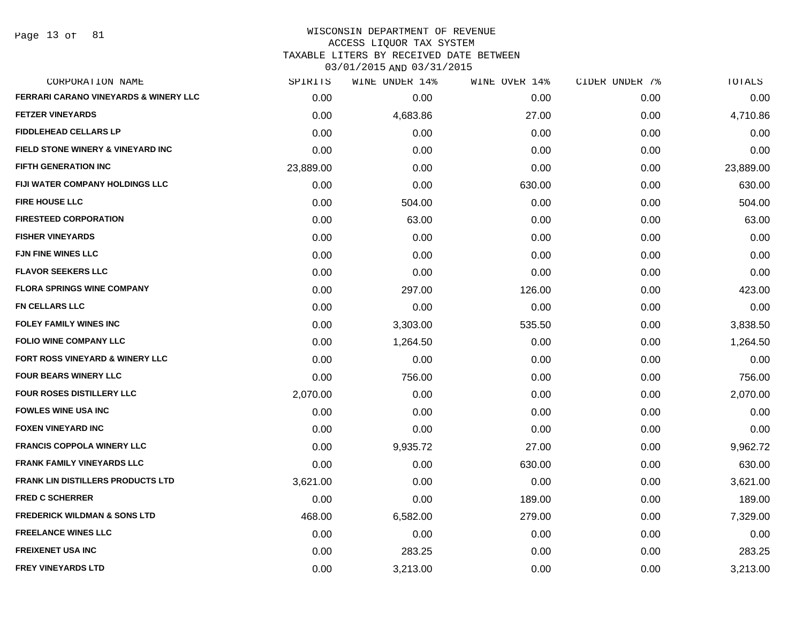Page 13 of 81

#### WISCONSIN DEPARTMENT OF REVENUE ACCESS LIQUOR TAX SYSTEM

TAXABLE LITERS BY RECEIVED DATE BETWEEN

| CORPORATION NAME                                 | SPIRITS   | WINE UNDER 14% | WINE OVER 14% | CIDER UNDER 7% | TOTALS    |
|--------------------------------------------------|-----------|----------------|---------------|----------------|-----------|
| <b>FERRARI CARANO VINEYARDS &amp; WINERY LLC</b> | 0.00      | 0.00           | 0.00          | 0.00           | 0.00      |
| <b>FETZER VINEYARDS</b>                          | 0.00      | 4,683.86       | 27.00         | 0.00           | 4,710.86  |
| <b>FIDDLEHEAD CELLARS LP</b>                     | 0.00      | 0.00           | 0.00          | 0.00           | 0.00      |
| FIELD STONE WINERY & VINEYARD INC                | 0.00      | 0.00           | 0.00          | 0.00           | 0.00      |
| <b>FIFTH GENERATION INC</b>                      | 23,889.00 | 0.00           | 0.00          | 0.00           | 23,889.00 |
| FIJI WATER COMPANY HOLDINGS LLC                  | 0.00      | 0.00           | 630.00        | 0.00           | 630.00    |
| <b>FIRE HOUSE LLC</b>                            | 0.00      | 504.00         | 0.00          | 0.00           | 504.00    |
| <b>FIRESTEED CORPORATION</b>                     | 0.00      | 63.00          | 0.00          | 0.00           | 63.00     |
| <b>FISHER VINEYARDS</b>                          | 0.00      | 0.00           | 0.00          | 0.00           | 0.00      |
| <b>FJN FINE WINES LLC</b>                        | 0.00      | 0.00           | 0.00          | 0.00           | 0.00      |
| <b>FLAVOR SEEKERS LLC</b>                        | 0.00      | 0.00           | 0.00          | 0.00           | 0.00      |
| <b>FLORA SPRINGS WINE COMPANY</b>                | 0.00      | 297.00         | 126.00        | 0.00           | 423.00    |
| <b>FN CELLARS LLC</b>                            | 0.00      | 0.00           | 0.00          | 0.00           | 0.00      |
| <b>FOLEY FAMILY WINES INC</b>                    | 0.00      | 3,303.00       | 535.50        | 0.00           | 3,838.50  |
| <b>FOLIO WINE COMPANY LLC</b>                    | 0.00      | 1,264.50       | 0.00          | 0.00           | 1,264.50  |
| FORT ROSS VINEYARD & WINERY LLC                  | 0.00      | 0.00           | 0.00          | 0.00           | 0.00      |
| <b>FOUR BEARS WINERY LLC</b>                     | 0.00      | 756.00         | 0.00          | 0.00           | 756.00    |
| FOUR ROSES DISTILLERY LLC                        | 2,070.00  | 0.00           | 0.00          | 0.00           | 2,070.00  |
| <b>FOWLES WINE USA INC</b>                       | 0.00      | 0.00           | 0.00          | 0.00           | 0.00      |
| <b>FOXEN VINEYARD INC</b>                        | 0.00      | 0.00           | 0.00          | 0.00           | 0.00      |
| <b>FRANCIS COPPOLA WINERY LLC</b>                | 0.00      | 9,935.72       | 27.00         | 0.00           | 9,962.72  |
| <b>FRANK FAMILY VINEYARDS LLC</b>                | 0.00      | 0.00           | 630.00        | 0.00           | 630.00    |
| <b>FRANK LIN DISTILLERS PRODUCTS LTD</b>         | 3,621.00  | 0.00           | 0.00          | 0.00           | 3,621.00  |
| <b>FRED C SCHERRER</b>                           | 0.00      | 0.00           | 189.00        | 0.00           | 189.00    |
| <b>FREDERICK WILDMAN &amp; SONS LTD</b>          | 468.00    | 6,582.00       | 279.00        | 0.00           | 7,329.00  |
| <b>FREELANCE WINES LLC</b>                       | 0.00      | 0.00           | 0.00          | 0.00           | 0.00      |
| <b>FREIXENET USA INC</b>                         | 0.00      | 283.25         | 0.00          | 0.00           | 283.25    |
| <b>FREY VINEYARDS LTD</b>                        | 0.00      | 3,213.00       | 0.00          | 0.00           | 3,213.00  |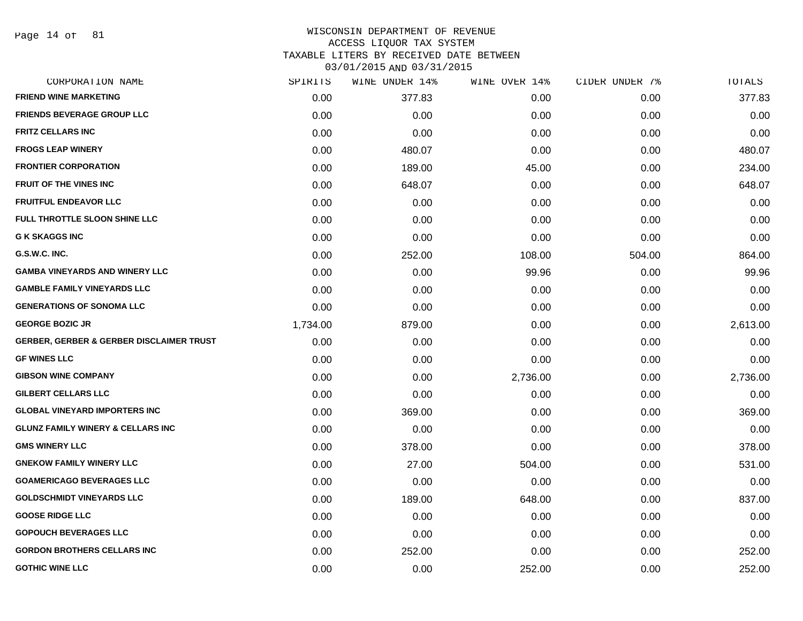Page 14 of 81

# WISCONSIN DEPARTMENT OF REVENUE ACCESS LIQUOR TAX SYSTEM TAXABLE LITERS BY RECEIVED DATE BETWEEN

| CORPORATION NAME                                    | SPIRITS  | WINE UNDER 14% | WINE OVER 14% | CIDER UNDER 7% | TOTALS   |
|-----------------------------------------------------|----------|----------------|---------------|----------------|----------|
| <b>FRIEND WINE MARKETING</b>                        | 0.00     | 377.83         | 0.00          | 0.00           | 377.83   |
| <b>FRIENDS BEVERAGE GROUP LLC</b>                   | 0.00     | 0.00           | 0.00          | 0.00           | 0.00     |
| <b>FRITZ CELLARS INC</b>                            | 0.00     | 0.00           | 0.00          | 0.00           | 0.00     |
| <b>FROGS LEAP WINERY</b>                            | 0.00     | 480.07         | 0.00          | 0.00           | 480.07   |
| <b>FRONTIER CORPORATION</b>                         | 0.00     | 189.00         | 45.00         | 0.00           | 234.00   |
| <b>FRUIT OF THE VINES INC</b>                       | 0.00     | 648.07         | 0.00          | 0.00           | 648.07   |
| <b>FRUITFUL ENDEAVOR LLC</b>                        | 0.00     | 0.00           | 0.00          | 0.00           | 0.00     |
| FULL THROTTLE SLOON SHINE LLC                       | 0.00     | 0.00           | 0.00          | 0.00           | 0.00     |
| <b>G K SKAGGS INC</b>                               | 0.00     | 0.00           | 0.00          | 0.00           | 0.00     |
| G.S.W.C. INC.                                       | 0.00     | 252.00         | 108.00        | 504.00         | 864.00   |
| <b>GAMBA VINEYARDS AND WINERY LLC</b>               | 0.00     | 0.00           | 99.96         | 0.00           | 99.96    |
| <b>GAMBLE FAMILY VINEYARDS LLC</b>                  | 0.00     | 0.00           | 0.00          | 0.00           | 0.00     |
| <b>GENERATIONS OF SONOMA LLC</b>                    | 0.00     | 0.00           | 0.00          | 0.00           | 0.00     |
| <b>GEORGE BOZIC JR</b>                              | 1,734.00 | 879.00         | 0.00          | 0.00           | 2,613.00 |
| <b>GERBER, GERBER &amp; GERBER DISCLAIMER TRUST</b> | 0.00     | 0.00           | 0.00          | 0.00           | 0.00     |
| <b>GF WINES LLC</b>                                 | 0.00     | 0.00           | 0.00          | 0.00           | 0.00     |
| <b>GIBSON WINE COMPANY</b>                          | 0.00     | 0.00           | 2,736.00      | 0.00           | 2,736.00 |
| <b>GILBERT CELLARS LLC</b>                          | 0.00     | 0.00           | 0.00          | 0.00           | 0.00     |
| <b>GLOBAL VINEYARD IMPORTERS INC</b>                | 0.00     | 369.00         | 0.00          | 0.00           | 369.00   |
| <b>GLUNZ FAMILY WINERY &amp; CELLARS INC</b>        | 0.00     | 0.00           | 0.00          | 0.00           | 0.00     |
| <b>GMS WINERY LLC</b>                               | 0.00     | 378.00         | 0.00          | 0.00           | 378.00   |
| <b>GNEKOW FAMILY WINERY LLC</b>                     | 0.00     | 27.00          | 504.00        | 0.00           | 531.00   |
| <b>GOAMERICAGO BEVERAGES LLC</b>                    | 0.00     | 0.00           | 0.00          | 0.00           | 0.00     |
| <b>GOLDSCHMIDT VINEYARDS LLC</b>                    | 0.00     | 189.00         | 648.00        | 0.00           | 837.00   |
| <b>GOOSE RIDGE LLC</b>                              | 0.00     | 0.00           | 0.00          | 0.00           | 0.00     |
| <b>GOPOUCH BEVERAGES LLC</b>                        | 0.00     | 0.00           | 0.00          | 0.00           | 0.00     |
| <b>GORDON BROTHERS CELLARS INC</b>                  | 0.00     | 252.00         | 0.00          | 0.00           | 252.00   |
| <b>GOTHIC WINE LLC</b>                              | 0.00     | 0.00           | 252.00        | 0.00           | 252.00   |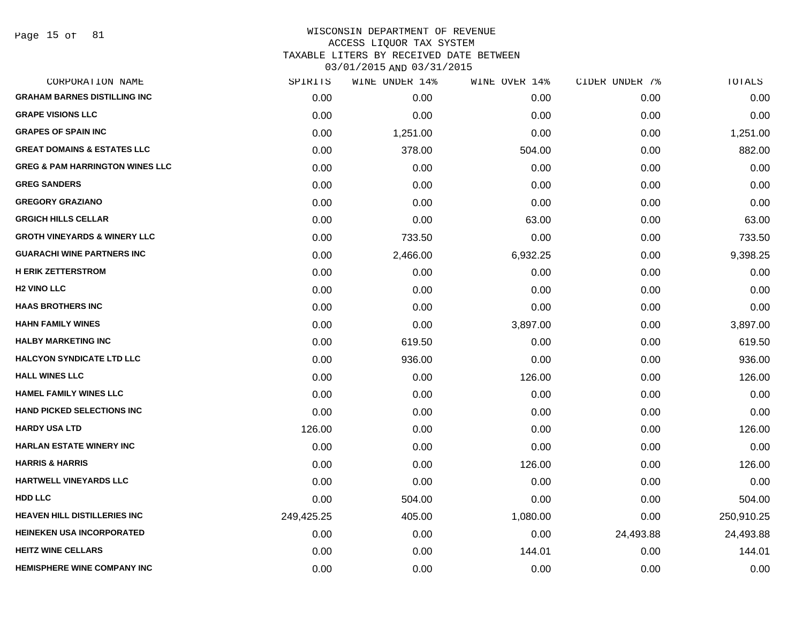#### WISCONSIN DEPARTMENT OF REVENUE ACCESS LIQUOR TAX SYSTEM

TAXABLE LITERS BY RECEIVED DATE BETWEEN

| CORPORATION NAME                           | SPIRITS    | WINE UNDER 14% | WINE OVER 14% | CIDER UNDER 7% | TOTALS     |
|--------------------------------------------|------------|----------------|---------------|----------------|------------|
| <b>GRAHAM BARNES DISTILLING INC</b>        | 0.00       | 0.00           | 0.00          | 0.00           | 0.00       |
| <b>GRAPE VISIONS LLC</b>                   | 0.00       | 0.00           | 0.00          | 0.00           | 0.00       |
| <b>GRAPES OF SPAIN INC</b>                 | 0.00       | 1,251.00       | 0.00          | 0.00           | 1,251.00   |
| <b>GREAT DOMAINS &amp; ESTATES LLC</b>     | 0.00       | 378.00         | 504.00        | 0.00           | 882.00     |
| <b>GREG &amp; PAM HARRINGTON WINES LLC</b> | 0.00       | 0.00           | 0.00          | 0.00           | 0.00       |
| <b>GREG SANDERS</b>                        | 0.00       | 0.00           | 0.00          | 0.00           | 0.00       |
| <b>GREGORY GRAZIANO</b>                    | 0.00       | 0.00           | 0.00          | 0.00           | 0.00       |
| <b>GRGICH HILLS CELLAR</b>                 | 0.00       | 0.00           | 63.00         | 0.00           | 63.00      |
| <b>GROTH VINEYARDS &amp; WINERY LLC</b>    | 0.00       | 733.50         | 0.00          | 0.00           | 733.50     |
| <b>GUARACHI WINE PARTNERS INC</b>          | 0.00       | 2,466.00       | 6,932.25      | 0.00           | 9,398.25   |
| <b>H ERIK ZETTERSTROM</b>                  | 0.00       | 0.00           | 0.00          | 0.00           | 0.00       |
| <b>H2 VINO LLC</b>                         | 0.00       | 0.00           | 0.00          | 0.00           | 0.00       |
| <b>HAAS BROTHERS INC</b>                   | 0.00       | 0.00           | 0.00          | 0.00           | 0.00       |
| <b>HAHN FAMILY WINES</b>                   | 0.00       | 0.00           | 3,897.00      | 0.00           | 3,897.00   |
| <b>HALBY MARKETING INC</b>                 | 0.00       | 619.50         | 0.00          | 0.00           | 619.50     |
| <b>HALCYON SYNDICATE LTD LLC</b>           | 0.00       | 936.00         | 0.00          | 0.00           | 936.00     |
| <b>HALL WINES LLC</b>                      | 0.00       | 0.00           | 126.00        | 0.00           | 126.00     |
| <b>HAMEL FAMILY WINES LLC</b>              | 0.00       | 0.00           | 0.00          | 0.00           | 0.00       |
| <b>HAND PICKED SELECTIONS INC</b>          | 0.00       | 0.00           | 0.00          | 0.00           | 0.00       |
| <b>HARDY USA LTD</b>                       | 126.00     | 0.00           | 0.00          | 0.00           | 126.00     |
| <b>HARLAN ESTATE WINERY INC</b>            | 0.00       | 0.00           | 0.00          | 0.00           | 0.00       |
| <b>HARRIS &amp; HARRIS</b>                 | 0.00       | 0.00           | 126.00        | 0.00           | 126.00     |
| <b>HARTWELL VINEYARDS LLC</b>              | 0.00       | 0.00           | 0.00          | 0.00           | 0.00       |
| <b>HDD LLC</b>                             | 0.00       | 504.00         | 0.00          | 0.00           | 504.00     |
| <b>HEAVEN HILL DISTILLERIES INC</b>        | 249,425.25 | 405.00         | 1,080.00      | 0.00           | 250,910.25 |
| <b>HEINEKEN USA INCORPORATED</b>           | 0.00       | 0.00           | 0.00          | 24,493.88      | 24,493.88  |
| <b>HEITZ WINE CELLARS</b>                  | 0.00       | 0.00           | 144.01        | 0.00           | 144.01     |
| <b>HEMISPHERE WINE COMPANY INC</b>         | 0.00       | 0.00           | 0.00          | 0.00           | 0.00       |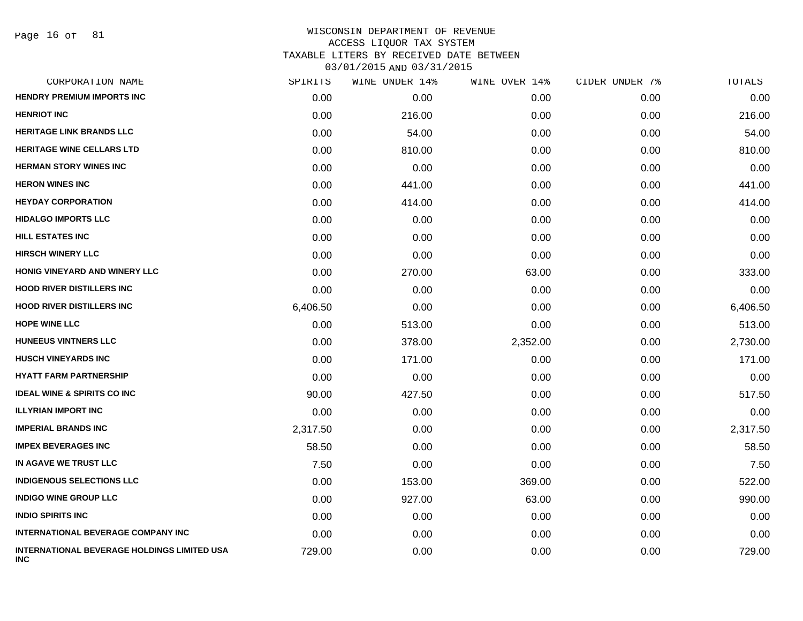| CORPORATION NAME                                                 | SPIRITS  | WINE UNDER 14% | WINE OVER 14% | CIDER UNDER 7% | TOTALS   |
|------------------------------------------------------------------|----------|----------------|---------------|----------------|----------|
| <b>HENDRY PREMIUM IMPORTS INC</b>                                | 0.00     | 0.00           | 0.00          | 0.00           | 0.00     |
| <b>HENRIOT INC</b>                                               | 0.00     | 216.00         | 0.00          | 0.00           | 216.00   |
| <b>HERITAGE LINK BRANDS LLC</b>                                  | 0.00     | 54.00          | 0.00          | 0.00           | 54.00    |
| <b>HERITAGE WINE CELLARS LTD</b>                                 | 0.00     | 810.00         | 0.00          | 0.00           | 810.00   |
| <b>HERMAN STORY WINES INC</b>                                    | 0.00     | 0.00           | 0.00          | 0.00           | 0.00     |
| <b>HERON WINES INC</b>                                           | 0.00     | 441.00         | 0.00          | 0.00           | 441.00   |
| <b>HEYDAY CORPORATION</b>                                        | 0.00     | 414.00         | 0.00          | 0.00           | 414.00   |
| <b>HIDALGO IMPORTS LLC</b>                                       | 0.00     | 0.00           | 0.00          | 0.00           | 0.00     |
| <b>HILL ESTATES INC</b>                                          | 0.00     | 0.00           | 0.00          | 0.00           | 0.00     |
| <b>HIRSCH WINERY LLC</b>                                         | 0.00     | 0.00           | 0.00          | 0.00           | 0.00     |
| HONIG VINEYARD AND WINERY LLC                                    | 0.00     | 270.00         | 63.00         | 0.00           | 333.00   |
| <b>HOOD RIVER DISTILLERS INC</b>                                 | 0.00     | 0.00           | 0.00          | 0.00           | 0.00     |
| <b>HOOD RIVER DISTILLERS INC</b>                                 | 6,406.50 | 0.00           | 0.00          | 0.00           | 6,406.50 |
| <b>HOPE WINE LLC</b>                                             | 0.00     | 513.00         | 0.00          | 0.00           | 513.00   |
| <b>HUNEEUS VINTNERS LLC</b>                                      | 0.00     | 378.00         | 2,352.00      | 0.00           | 2,730.00 |
| <b>HUSCH VINEYARDS INC</b>                                       | 0.00     | 171.00         | 0.00          | 0.00           | 171.00   |
| <b>HYATT FARM PARTNERSHIP</b>                                    | 0.00     | 0.00           | 0.00          | 0.00           | 0.00     |
| <b>IDEAL WINE &amp; SPIRITS CO INC</b>                           | 90.00    | 427.50         | 0.00          | 0.00           | 517.50   |
| <b>ILLYRIAN IMPORT INC</b>                                       | 0.00     | 0.00           | 0.00          | 0.00           | 0.00     |
| <b>IMPERIAL BRANDS INC</b>                                       | 2,317.50 | 0.00           | 0.00          | 0.00           | 2,317.50 |
| <b>IMPEX BEVERAGES INC</b>                                       | 58.50    | 0.00           | 0.00          | 0.00           | 58.50    |
| IN AGAVE WE TRUST LLC                                            | 7.50     | 0.00           | 0.00          | 0.00           | 7.50     |
| <b>INDIGENOUS SELECTIONS LLC</b>                                 | 0.00     | 153.00         | 369.00        | 0.00           | 522.00   |
| <b>INDIGO WINE GROUP LLC</b>                                     | 0.00     | 927.00         | 63.00         | 0.00           | 990.00   |
| <b>INDIO SPIRITS INC</b>                                         | 0.00     | 0.00           | 0.00          | 0.00           | 0.00     |
| <b>INTERNATIONAL BEVERAGE COMPANY INC</b>                        | 0.00     | 0.00           | 0.00          | 0.00           | 0.00     |
| <b>INTERNATIONAL BEVERAGE HOLDINGS LIMITED USA</b><br><b>INC</b> | 729.00   | 0.00           | 0.00          | 0.00           | 729.00   |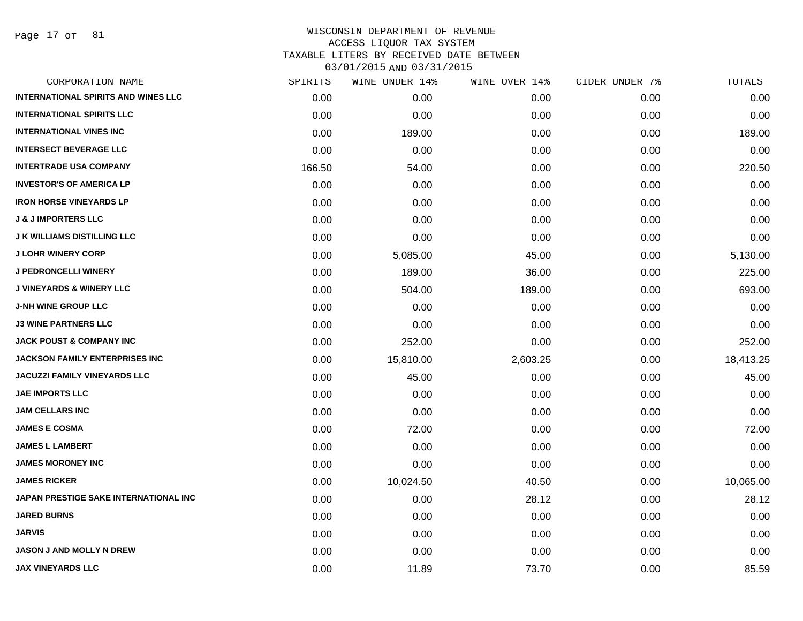Page 17 of 81

| CORPORATION NAME                           | SPIRITS | WINE UNDER 14% | WINE OVER 14% | CIDER UNDER 7% | TOTALS    |
|--------------------------------------------|---------|----------------|---------------|----------------|-----------|
| <b>INTERNATIONAL SPIRITS AND WINES LLC</b> | 0.00    | 0.00           | 0.00          | 0.00           | 0.00      |
| <b>INTERNATIONAL SPIRITS LLC</b>           | 0.00    | 0.00           | 0.00          | 0.00           | 0.00      |
| <b>INTERNATIONAL VINES INC</b>             | 0.00    | 189.00         | 0.00          | 0.00           | 189.00    |
| <b>INTERSECT BEVERAGE LLC</b>              | 0.00    | 0.00           | 0.00          | 0.00           | 0.00      |
| <b>INTERTRADE USA COMPANY</b>              | 166.50  | 54.00          | 0.00          | 0.00           | 220.50    |
| <b>INVESTOR'S OF AMERICA LP</b>            | 0.00    | 0.00           | 0.00          | 0.00           | 0.00      |
| <b>IRON HORSE VINEYARDS LP</b>             | 0.00    | 0.00           | 0.00          | 0.00           | 0.00      |
| <b>J &amp; J IMPORTERS LLC</b>             | 0.00    | 0.00           | 0.00          | 0.00           | 0.00      |
| <b>J K WILLIAMS DISTILLING LLC</b>         | 0.00    | 0.00           | 0.00          | 0.00           | 0.00      |
| <b>J LOHR WINERY CORP</b>                  | 0.00    | 5,085.00       | 45.00         | 0.00           | 5,130.00  |
| <b>J PEDRONCELLI WINERY</b>                | 0.00    | 189.00         | 36.00         | 0.00           | 225.00    |
| <b>J VINEYARDS &amp; WINERY LLC</b>        | 0.00    | 504.00         | 189.00        | 0.00           | 693.00    |
| <b>J-NH WINE GROUP LLC</b>                 | 0.00    | 0.00           | 0.00          | 0.00           | 0.00      |
| <b>J3 WINE PARTNERS LLC</b>                | 0.00    | 0.00           | 0.00          | 0.00           | 0.00      |
| <b>JACK POUST &amp; COMPANY INC</b>        | 0.00    | 252.00         | 0.00          | 0.00           | 252.00    |
| JACKSON FAMILY ENTERPRISES INC             | 0.00    | 15,810.00      | 2,603.25      | 0.00           | 18,413.25 |
| <b>JACUZZI FAMILY VINEYARDS LLC</b>        | 0.00    | 45.00          | 0.00          | 0.00           | 45.00     |
| <b>JAE IMPORTS LLC</b>                     | 0.00    | 0.00           | 0.00          | 0.00           | 0.00      |
| <b>JAM CELLARS INC</b>                     | 0.00    | 0.00           | 0.00          | 0.00           | 0.00      |
| <b>JAMES E COSMA</b>                       | 0.00    | 72.00          | 0.00          | 0.00           | 72.00     |
| <b>JAMES L LAMBERT</b>                     | 0.00    | 0.00           | 0.00          | 0.00           | 0.00      |
| <b>JAMES MORONEY INC</b>                   | 0.00    | 0.00           | 0.00          | 0.00           | 0.00      |
| <b>JAMES RICKER</b>                        | 0.00    | 10,024.50      | 40.50         | 0.00           | 10,065.00 |
| JAPAN PRESTIGE SAKE INTERNATIONAL INC      | 0.00    | 0.00           | 28.12         | 0.00           | 28.12     |
| <b>JARED BURNS</b>                         | 0.00    | 0.00           | 0.00          | 0.00           | 0.00      |
| <b>JARVIS</b>                              | 0.00    | 0.00           | 0.00          | 0.00           | 0.00      |
| JASON J AND MOLLY N DREW                   | 0.00    | 0.00           | 0.00          | 0.00           | 0.00      |
| <b>JAX VINEYARDS LLC</b>                   | 0.00    | 11.89          | 73.70         | 0.00           | 85.59     |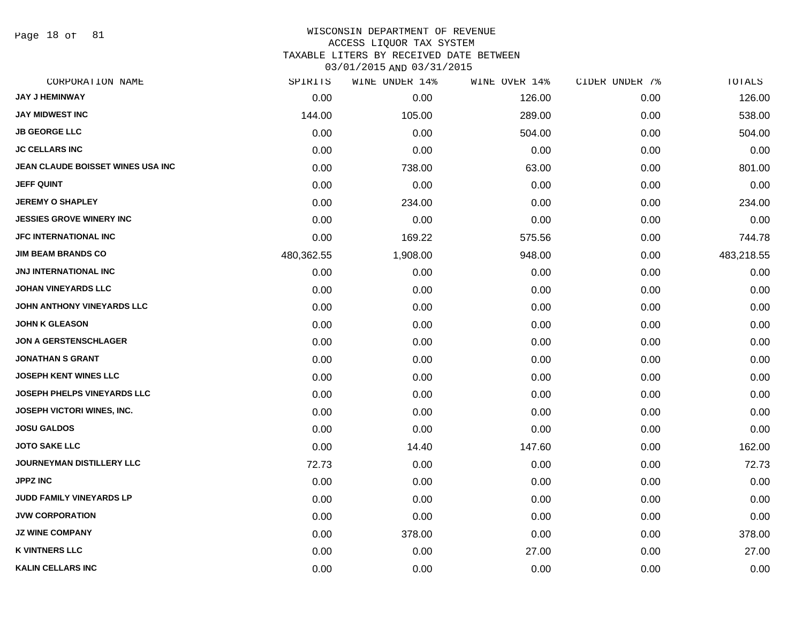Page 18 of 81

#### WISCONSIN DEPARTMENT OF REVENUE ACCESS LIQUOR TAX SYSTEM

TAXABLE LITERS BY RECEIVED DATE BETWEEN

| CORPORATION NAME                  | SPIRITS    | WINE UNDER 14% | WINE OVER 14% | CIDER UNDER 7% | TOTALS     |
|-----------------------------------|------------|----------------|---------------|----------------|------------|
| <b>JAY J HEMINWAY</b>             | 0.00       | 0.00           | 126.00        | 0.00           | 126.00     |
| <b>JAY MIDWEST INC</b>            | 144.00     | 105.00         | 289.00        | 0.00           | 538.00     |
| <b>JB GEORGE LLC</b>              | 0.00       | 0.00           | 504.00        | 0.00           | 504.00     |
| <b>JC CELLARS INC</b>             | 0.00       | 0.00           | 0.00          | 0.00           | 0.00       |
| JEAN CLAUDE BOISSET WINES USA INC | 0.00       | 738.00         | 63.00         | 0.00           | 801.00     |
| <b>JEFF QUINT</b>                 | 0.00       | 0.00           | 0.00          | 0.00           | 0.00       |
| <b>JEREMY O SHAPLEY</b>           | 0.00       | 234.00         | 0.00          | 0.00           | 234.00     |
| JESSIES GROVE WINERY INC          | 0.00       | 0.00           | 0.00          | 0.00           | 0.00       |
| <b>JFC INTERNATIONAL INC</b>      | 0.00       | 169.22         | 575.56        | 0.00           | 744.78     |
| <b>JIM BEAM BRANDS CO</b>         | 480,362.55 | 1,908.00       | 948.00        | 0.00           | 483,218.55 |
| <b>JNJ INTERNATIONAL INC</b>      | 0.00       | 0.00           | 0.00          | 0.00           | 0.00       |
| <b>JOHAN VINEYARDS LLC</b>        | 0.00       | 0.00           | 0.00          | 0.00           | 0.00       |
| JOHN ANTHONY VINEYARDS LLC        | 0.00       | 0.00           | 0.00          | 0.00           | 0.00       |
| <b>JOHN K GLEASON</b>             | 0.00       | 0.00           | 0.00          | 0.00           | 0.00       |
| <b>JON A GERSTENSCHLAGER</b>      | 0.00       | 0.00           | 0.00          | 0.00           | 0.00       |
| <b>JONATHAN S GRANT</b>           | 0.00       | 0.00           | 0.00          | 0.00           | 0.00       |
| <b>JOSEPH KENT WINES LLC</b>      | 0.00       | 0.00           | 0.00          | 0.00           | 0.00       |
| JOSEPH PHELPS VINEYARDS LLC       | 0.00       | 0.00           | 0.00          | 0.00           | 0.00       |
| JOSEPH VICTORI WINES, INC.        | 0.00       | 0.00           | 0.00          | 0.00           | 0.00       |
| <b>JOSU GALDOS</b>                | 0.00       | 0.00           | 0.00          | 0.00           | 0.00       |
| <b>JOTO SAKE LLC</b>              | 0.00       | 14.40          | 147.60        | 0.00           | 162.00     |
| JOURNEYMAN DISTILLERY LLC         | 72.73      | 0.00           | 0.00          | 0.00           | 72.73      |
| <b>JPPZ INC</b>                   | 0.00       | 0.00           | 0.00          | 0.00           | 0.00       |
| JUDD FAMILY VINEYARDS LP          | 0.00       | 0.00           | 0.00          | 0.00           | 0.00       |
| <b>JVW CORPORATION</b>            | 0.00       | 0.00           | 0.00          | 0.00           | 0.00       |
| <b>JZ WINE COMPANY</b>            | 0.00       | 378.00         | 0.00          | 0.00           | 378.00     |
| <b>K VINTNERS LLC</b>             | 0.00       | 0.00           | 27.00         | 0.00           | 27.00      |
| <b>KALIN CELLARS INC</b>          | 0.00       | 0.00           | 0.00          | 0.00           | 0.00       |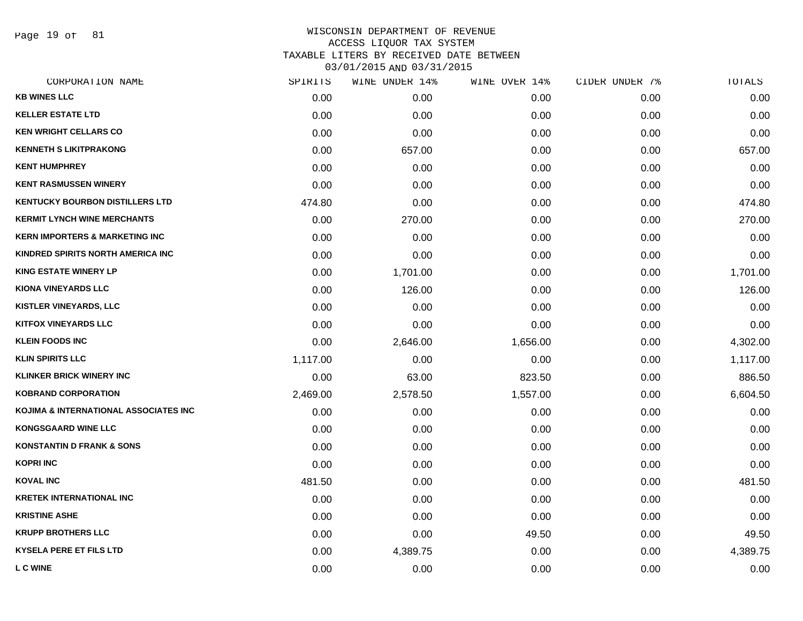Page 19 of 81

| CORPORATION NAME                          | SPIRITS  | WINE UNDER 14% | WINE OVER 14% | CIDER UNDER 7% | TOTALS   |
|-------------------------------------------|----------|----------------|---------------|----------------|----------|
| <b>KB WINES LLC</b>                       | 0.00     | 0.00           | 0.00          | 0.00           | 0.00     |
| <b>KELLER ESTATE LTD</b>                  | 0.00     | 0.00           | 0.00          | 0.00           | 0.00     |
| <b>KEN WRIGHT CELLARS CO</b>              | 0.00     | 0.00           | 0.00          | 0.00           | 0.00     |
| <b>KENNETH S LIKITPRAKONG</b>             | 0.00     | 657.00         | 0.00          | 0.00           | 657.00   |
| <b>KENT HUMPHREY</b>                      | 0.00     | 0.00           | 0.00          | 0.00           | 0.00     |
| <b>KENT RASMUSSEN WINERY</b>              | 0.00     | 0.00           | 0.00          | 0.00           | 0.00     |
| <b>KENTUCKY BOURBON DISTILLERS LTD</b>    | 474.80   | 0.00           | 0.00          | 0.00           | 474.80   |
| <b>KERMIT LYNCH WINE MERCHANTS</b>        | 0.00     | 270.00         | 0.00          | 0.00           | 270.00   |
| <b>KERN IMPORTERS &amp; MARKETING INC</b> | 0.00     | 0.00           | 0.00          | 0.00           | 0.00     |
| KINDRED SPIRITS NORTH AMERICA INC         | 0.00     | 0.00           | 0.00          | 0.00           | 0.00     |
| <b>KING ESTATE WINERY LP</b>              | 0.00     | 1,701.00       | 0.00          | 0.00           | 1,701.00 |
| <b>KIONA VINEYARDS LLC</b>                | 0.00     | 126.00         | 0.00          | 0.00           | 126.00   |
| <b>KISTLER VINEYARDS, LLC</b>             | 0.00     | 0.00           | 0.00          | 0.00           | 0.00     |
| <b>KITFOX VINEYARDS LLC</b>               | 0.00     | 0.00           | 0.00          | 0.00           | 0.00     |
| <b>KLEIN FOODS INC</b>                    | 0.00     | 2,646.00       | 1,656.00      | 0.00           | 4,302.00 |
| <b>KLIN SPIRITS LLC</b>                   | 1,117.00 | 0.00           | 0.00          | 0.00           | 1,117.00 |
| <b>KLINKER BRICK WINERY INC</b>           | 0.00     | 63.00          | 823.50        | 0.00           | 886.50   |
| <b>KOBRAND CORPORATION</b>                | 2,469.00 | 2,578.50       | 1,557.00      | 0.00           | 6,604.50 |
| KOJIMA & INTERNATIONAL ASSOCIATES INC     | 0.00     | 0.00           | 0.00          | 0.00           | 0.00     |
| <b>KONGSGAARD WINE LLC</b>                | 0.00     | 0.00           | 0.00          | 0.00           | 0.00     |
| <b>KONSTANTIN D FRANK &amp; SONS</b>      | 0.00     | 0.00           | 0.00          | 0.00           | 0.00     |
| <b>KOPRI INC</b>                          | 0.00     | 0.00           | 0.00          | 0.00           | 0.00     |
| <b>KOVAL INC</b>                          | 481.50   | 0.00           | 0.00          | 0.00           | 481.50   |
| <b>KRETEK INTERNATIONAL INC</b>           | 0.00     | 0.00           | 0.00          | 0.00           | 0.00     |
| <b>KRISTINE ASHE</b>                      | 0.00     | 0.00           | 0.00          | 0.00           | 0.00     |
| <b>KRUPP BROTHERS LLC</b>                 | 0.00     | 0.00           | 49.50         | 0.00           | 49.50    |
| <b>KYSELA PERE ET FILS LTD</b>            | 0.00     | 4,389.75       | 0.00          | 0.00           | 4,389.75 |
| <b>L C WINE</b>                           | 0.00     | 0.00           | 0.00          | 0.00           | 0.00     |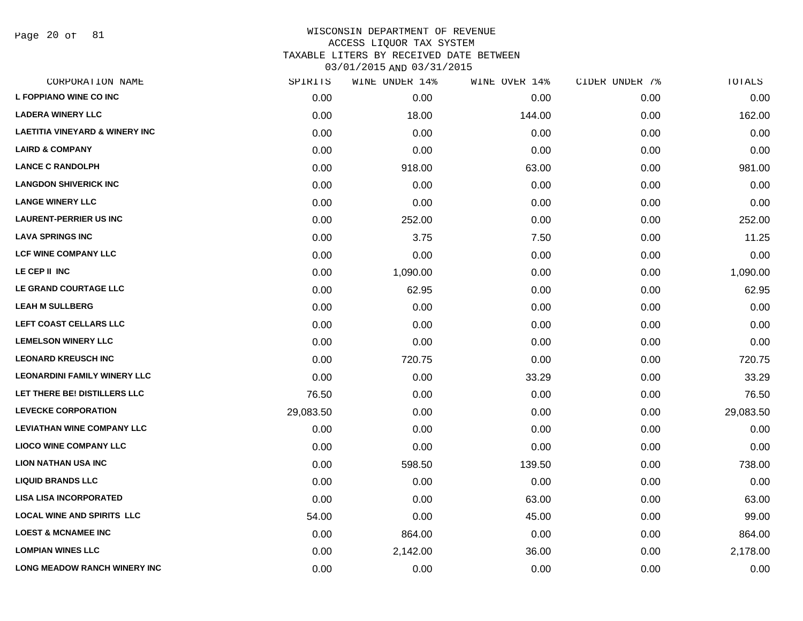Page 20 of 81

| SPIRITS   | WINE UNDER 14% | WINE OVER 14% | CIDER UNDER 7% | TOTALS    |
|-----------|----------------|---------------|----------------|-----------|
| 0.00      | 0.00           | 0.00          | 0.00           | 0.00      |
| 0.00      | 18.00          | 144.00        | 0.00           | 162.00    |
| 0.00      | 0.00           | 0.00          | 0.00           | 0.00      |
| 0.00      | 0.00           | 0.00          | 0.00           | 0.00      |
| 0.00      | 918.00         | 63.00         | 0.00           | 981.00    |
| 0.00      | 0.00           | 0.00          | 0.00           | 0.00      |
| 0.00      | 0.00           | 0.00          | 0.00           | 0.00      |
| 0.00      | 252.00         | 0.00          | 0.00           | 252.00    |
| 0.00      | 3.75           | 7.50          | 0.00           | 11.25     |
| 0.00      | 0.00           | 0.00          | 0.00           | 0.00      |
| 0.00      | 1,090.00       | 0.00          | 0.00           | 1,090.00  |
| 0.00      | 62.95          | 0.00          | 0.00           | 62.95     |
| 0.00      | 0.00           | 0.00          | 0.00           | 0.00      |
| 0.00      | 0.00           | 0.00          | 0.00           | 0.00      |
| 0.00      | 0.00           | 0.00          | 0.00           | 0.00      |
| 0.00      | 720.75         | 0.00          | 0.00           | 720.75    |
| 0.00      | 0.00           | 33.29         | 0.00           | 33.29     |
| 76.50     | 0.00           | 0.00          | 0.00           | 76.50     |
| 29,083.50 | 0.00           | 0.00          | 0.00           | 29,083.50 |
| 0.00      | 0.00           | 0.00          | 0.00           | 0.00      |
| 0.00      | 0.00           | 0.00          | 0.00           | 0.00      |
| 0.00      | 598.50         | 139.50        | 0.00           | 738.00    |
| 0.00      | 0.00           | 0.00          | 0.00           | 0.00      |
| 0.00      | 0.00           | 63.00         | 0.00           | 63.00     |
| 54.00     | 0.00           | 45.00         | 0.00           | 99.00     |
| 0.00      | 864.00         | 0.00          | 0.00           | 864.00    |
| 0.00      | 2,142.00       | 36.00         | 0.00           | 2,178.00  |
| 0.00      | 0.00           | 0.00          | 0.00           | 0.00      |
|           |                |               |                |           |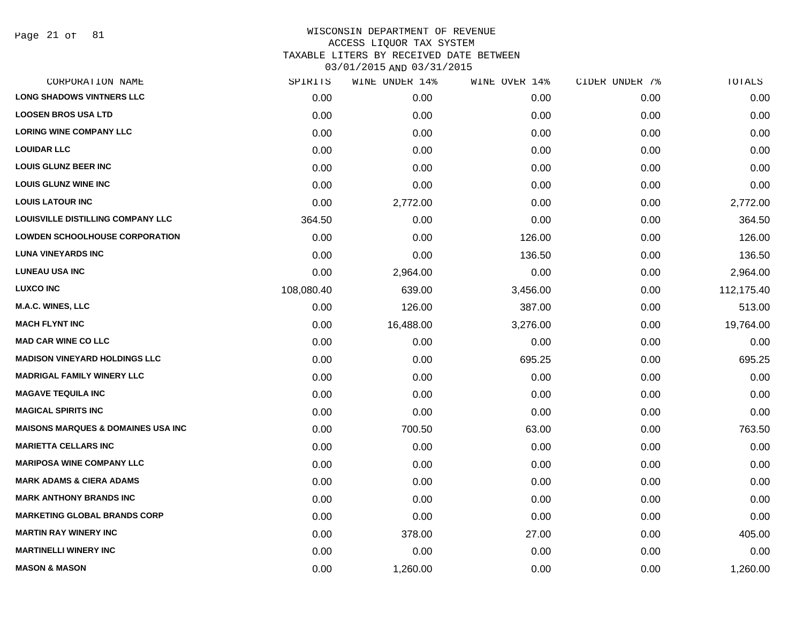Page 21 of 81

## WISCONSIN DEPARTMENT OF REVENUE ACCESS LIQUOR TAX SYSTEM TAXABLE LITERS BY RECEIVED DATE BETWEEN

| CORPORATION NAME                              | SPIRITS    | WINE UNDER 14% | WINE OVER 14% | CIDER UNDER 7% | TOTALS     |
|-----------------------------------------------|------------|----------------|---------------|----------------|------------|
| <b>LONG SHADOWS VINTNERS LLC</b>              | 0.00       | 0.00           | 0.00          | 0.00           | 0.00       |
| <b>LOOSEN BROS USA LTD</b>                    | 0.00       | 0.00           | 0.00          | 0.00           | 0.00       |
| <b>LORING WINE COMPANY LLC</b>                | 0.00       | 0.00           | 0.00          | 0.00           | 0.00       |
| <b>LOUIDAR LLC</b>                            | 0.00       | 0.00           | 0.00          | 0.00           | 0.00       |
| <b>LOUIS GLUNZ BEER INC</b>                   | 0.00       | 0.00           | 0.00          | 0.00           | 0.00       |
| <b>LOUIS GLUNZ WINE INC</b>                   | 0.00       | 0.00           | 0.00          | 0.00           | 0.00       |
| <b>LOUIS LATOUR INC</b>                       | 0.00       | 2,772.00       | 0.00          | 0.00           | 2,772.00   |
| <b>LOUISVILLE DISTILLING COMPANY LLC</b>      | 364.50     | 0.00           | 0.00          | 0.00           | 364.50     |
| <b>LOWDEN SCHOOLHOUSE CORPORATION</b>         | 0.00       | 0.00           | 126.00        | 0.00           | 126.00     |
| <b>LUNA VINEYARDS INC</b>                     | 0.00       | 0.00           | 136.50        | 0.00           | 136.50     |
| <b>LUNEAU USA INC</b>                         | 0.00       | 2,964.00       | 0.00          | 0.00           | 2,964.00   |
| <b>LUXCO INC</b>                              | 108,080.40 | 639.00         | 3,456.00      | 0.00           | 112,175.40 |
| <b>M.A.C. WINES, LLC</b>                      | 0.00       | 126.00         | 387.00        | 0.00           | 513.00     |
| <b>MACH FLYNT INC</b>                         | 0.00       | 16,488.00      | 3,276.00      | 0.00           | 19,764.00  |
| <b>MAD CAR WINE CO LLC</b>                    | 0.00       | 0.00           | 0.00          | 0.00           | 0.00       |
| <b>MADISON VINEYARD HOLDINGS LLC</b>          | 0.00       | 0.00           | 695.25        | 0.00           | 695.25     |
| <b>MADRIGAL FAMILY WINERY LLC</b>             | 0.00       | 0.00           | 0.00          | 0.00           | 0.00       |
| <b>MAGAVE TEQUILA INC</b>                     | 0.00       | 0.00           | 0.00          | 0.00           | 0.00       |
| <b>MAGICAL SPIRITS INC</b>                    | 0.00       | 0.00           | 0.00          | 0.00           | 0.00       |
| <b>MAISONS MARQUES &amp; DOMAINES USA INC</b> | 0.00       | 700.50         | 63.00         | 0.00           | 763.50     |
| <b>MARIETTA CELLARS INC</b>                   | 0.00       | 0.00           | 0.00          | 0.00           | 0.00       |
| <b>MARIPOSA WINE COMPANY LLC</b>              | 0.00       | 0.00           | 0.00          | 0.00           | 0.00       |
| <b>MARK ADAMS &amp; CIERA ADAMS</b>           | 0.00       | 0.00           | 0.00          | 0.00           | 0.00       |
| <b>MARK ANTHONY BRANDS INC</b>                | 0.00       | 0.00           | 0.00          | 0.00           | 0.00       |
| <b>MARKETING GLOBAL BRANDS CORP</b>           | 0.00       | 0.00           | 0.00          | 0.00           | 0.00       |
| <b>MARTIN RAY WINERY INC</b>                  | 0.00       | 378.00         | 27.00         | 0.00           | 405.00     |
| <b>MARTINELLI WINERY INC</b>                  | 0.00       | 0.00           | 0.00          | 0.00           | 0.00       |
| <b>MASON &amp; MASON</b>                      | 0.00       | 1,260.00       | 0.00          | 0.00           | 1,260.00   |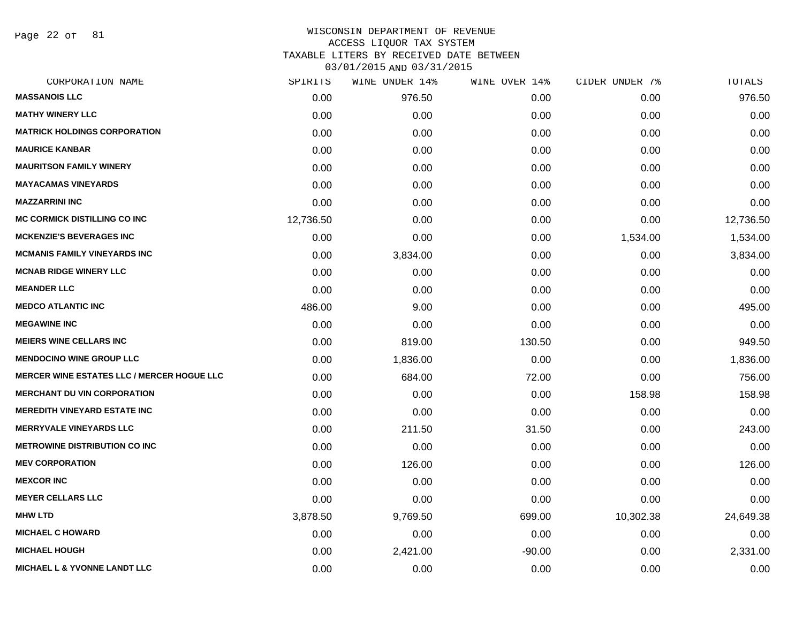Page 22 of 81

| CORPORATION NAME                                  | SPIRITS   | WINE UNDER 14% | WINE OVER 14% | CIDER UNDER 7% | TOTALS    |
|---------------------------------------------------|-----------|----------------|---------------|----------------|-----------|
| <b>MASSANOIS LLC</b>                              | 0.00      | 976.50         | 0.00          | 0.00           | 976.50    |
| <b>MATHY WINERY LLC</b>                           | 0.00      | 0.00           | 0.00          | 0.00           | 0.00      |
| <b>MATRICK HOLDINGS CORPORATION</b>               | 0.00      | 0.00           | 0.00          | 0.00           | 0.00      |
| <b>MAURICE KANBAR</b>                             | 0.00      | 0.00           | 0.00          | 0.00           | 0.00      |
| <b>MAURITSON FAMILY WINERY</b>                    | 0.00      | 0.00           | 0.00          | 0.00           | 0.00      |
| <b>MAYACAMAS VINEYARDS</b>                        | 0.00      | 0.00           | 0.00          | 0.00           | 0.00      |
| <b>MAZZARRINI INC</b>                             | 0.00      | 0.00           | 0.00          | 0.00           | 0.00      |
| <b>MC CORMICK DISTILLING CO INC</b>               | 12,736.50 | 0.00           | 0.00          | 0.00           | 12,736.50 |
| <b>MCKENZIE'S BEVERAGES INC</b>                   | 0.00      | 0.00           | 0.00          | 1,534.00       | 1,534.00  |
| <b>MCMANIS FAMILY VINEYARDS INC</b>               | 0.00      | 3,834.00       | 0.00          | 0.00           | 3,834.00  |
| <b>MCNAB RIDGE WINERY LLC</b>                     | 0.00      | 0.00           | 0.00          | 0.00           | 0.00      |
| <b>MEANDER LLC</b>                                | 0.00      | 0.00           | 0.00          | 0.00           | 0.00      |
| <b>MEDCO ATLANTIC INC</b>                         | 486.00    | 9.00           | 0.00          | 0.00           | 495.00    |
| <b>MEGAWINE INC</b>                               | 0.00      | 0.00           | 0.00          | 0.00           | 0.00      |
| <b>MEIERS WINE CELLARS INC</b>                    | 0.00      | 819.00         | 130.50        | 0.00           | 949.50    |
| <b>MENDOCINO WINE GROUP LLC</b>                   | 0.00      | 1,836.00       | 0.00          | 0.00           | 1,836.00  |
| <b>MERCER WINE ESTATES LLC / MERCER HOGUE LLC</b> | 0.00      | 684.00         | 72.00         | 0.00           | 756.00    |
| <b>MERCHANT DU VIN CORPORATION</b>                | 0.00      | 0.00           | 0.00          | 158.98         | 158.98    |
| <b>MEREDITH VINEYARD ESTATE INC</b>               | 0.00      | 0.00           | 0.00          | 0.00           | 0.00      |
| <b>MERRYVALE VINEYARDS LLC</b>                    | 0.00      | 211.50         | 31.50         | 0.00           | 243.00    |
| <b>METROWINE DISTRIBUTION CO INC</b>              | 0.00      | 0.00           | 0.00          | 0.00           | 0.00      |
| <b>MEV CORPORATION</b>                            | 0.00      | 126.00         | 0.00          | 0.00           | 126.00    |
| <b>MEXCOR INC</b>                                 | 0.00      | 0.00           | 0.00          | 0.00           | 0.00      |
| <b>MEYER CELLARS LLC</b>                          | 0.00      | 0.00           | 0.00          | 0.00           | 0.00      |
| <b>MHW LTD</b>                                    | 3,878.50  | 9,769.50       | 699.00        | 10,302.38      | 24,649.38 |
| <b>MICHAEL C HOWARD</b>                           | 0.00      | 0.00           | 0.00          | 0.00           | 0.00      |
| <b>MICHAEL HOUGH</b>                              | 0.00      | 2,421.00       | $-90.00$      | 0.00           | 2,331.00  |
| <b>MICHAEL L &amp; YVONNE LANDT LLC</b>           | 0.00      | 0.00           | 0.00          | 0.00           | 0.00      |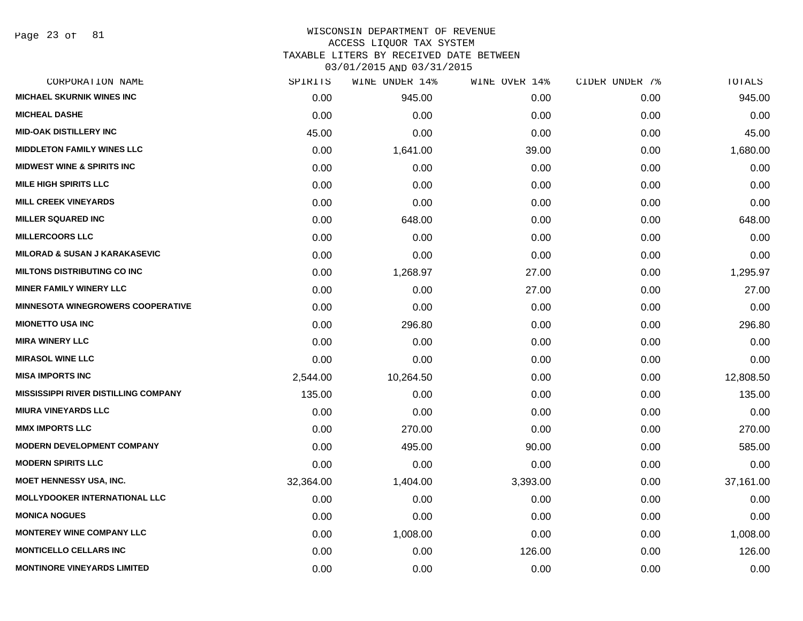Page 23 of 81

# WISCONSIN DEPARTMENT OF REVENUE ACCESS LIQUOR TAX SYSTEM

TAXABLE LITERS BY RECEIVED DATE BETWEEN

| CORPORATION NAME                            | SPIRITS   | WINE UNDER 14% | WINE OVER 14% | CIDER UNDER 7% | TOTALS    |
|---------------------------------------------|-----------|----------------|---------------|----------------|-----------|
| <b>MICHAEL SKURNIK WINES INC</b>            | 0.00      | 945.00         | 0.00          | 0.00           | 945.00    |
| <b>MICHEAL DASHE</b>                        | 0.00      | 0.00           | 0.00          | 0.00           | 0.00      |
| <b>MID-OAK DISTILLERY INC</b>               | 45.00     | 0.00           | 0.00          | 0.00           | 45.00     |
| <b>MIDDLETON FAMILY WINES LLC</b>           | 0.00      | 1,641.00       | 39.00         | 0.00           | 1,680.00  |
| <b>MIDWEST WINE &amp; SPIRITS INC</b>       | 0.00      | 0.00           | 0.00          | 0.00           | 0.00      |
| <b>MILE HIGH SPIRITS LLC</b>                | 0.00      | 0.00           | 0.00          | 0.00           | 0.00      |
| <b>MILL CREEK VINEYARDS</b>                 | 0.00      | 0.00           | 0.00          | 0.00           | 0.00      |
| <b>MILLER SQUARED INC</b>                   | 0.00      | 648.00         | 0.00          | 0.00           | 648.00    |
| <b>MILLERCOORS LLC</b>                      | 0.00      | 0.00           | 0.00          | 0.00           | 0.00      |
| <b>MILORAD &amp; SUSAN J KARAKASEVIC</b>    | 0.00      | 0.00           | 0.00          | 0.00           | 0.00      |
| <b>MILTONS DISTRIBUTING CO INC</b>          | 0.00      | 1,268.97       | 27.00         | 0.00           | 1,295.97  |
| <b>MINER FAMILY WINERY LLC</b>              | 0.00      | 0.00           | 27.00         | 0.00           | 27.00     |
| <b>MINNESOTA WINEGROWERS COOPERATIVE</b>    | 0.00      | 0.00           | 0.00          | 0.00           | 0.00      |
| <b>MIONETTO USA INC</b>                     | 0.00      | 296.80         | 0.00          | 0.00           | 296.80    |
| <b>MIRA WINERY LLC</b>                      | 0.00      | 0.00           | 0.00          | 0.00           | 0.00      |
| <b>MIRASOL WINE LLC</b>                     | 0.00      | 0.00           | 0.00          | 0.00           | 0.00      |
| <b>MISA IMPORTS INC</b>                     | 2,544.00  | 10,264.50      | 0.00          | 0.00           | 12,808.50 |
| <b>MISSISSIPPI RIVER DISTILLING COMPANY</b> | 135.00    | 0.00           | 0.00          | 0.00           | 135.00    |
| <b>MIURA VINEYARDS LLC</b>                  | 0.00      | 0.00           | 0.00          | 0.00           | 0.00      |
| <b>MMX IMPORTS LLC</b>                      | 0.00      | 270.00         | 0.00          | 0.00           | 270.00    |
| <b>MODERN DEVELOPMENT COMPANY</b>           | 0.00      | 495.00         | 90.00         | 0.00           | 585.00    |
| <b>MODERN SPIRITS LLC</b>                   | 0.00      | 0.00           | 0.00          | 0.00           | 0.00      |
| <b>MOET HENNESSY USA, INC.</b>              | 32,364.00 | 1,404.00       | 3,393.00      | 0.00           | 37,161.00 |
| <b>MOLLYDOOKER INTERNATIONAL LLC</b>        | 0.00      | 0.00           | 0.00          | 0.00           | 0.00      |
| <b>MONICA NOGUES</b>                        | 0.00      | 0.00           | 0.00          | 0.00           | 0.00      |
| <b>MONTEREY WINE COMPANY LLC</b>            | 0.00      | 1,008.00       | 0.00          | 0.00           | 1,008.00  |
| <b>MONTICELLO CELLARS INC</b>               | 0.00      | 0.00           | 126.00        | 0.00           | 126.00    |
| <b>MONTINORE VINEYARDS LIMITED</b>          | 0.00      | 0.00           | 0.00          | 0.00           | 0.00      |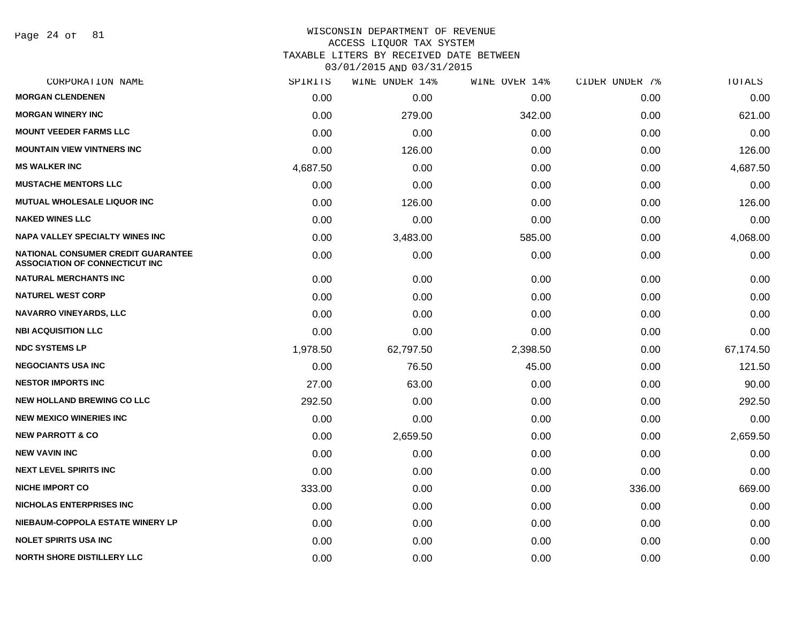Page 24 of 81

#### WISCONSIN DEPARTMENT OF REVENUE ACCESS LIQUOR TAX SYSTEM TAXABLE LITERS BY RECEIVED DATE BETWEEN

| CORPORATION NAME                                                            | SPIRITS  | WINE UNDER 14% | WINE OVER 14% | CIDER UNDER 7% | TOTALS    |
|-----------------------------------------------------------------------------|----------|----------------|---------------|----------------|-----------|
| <b>MORGAN CLENDENEN</b>                                                     | 0.00     | 0.00           | 0.00          | 0.00           | 0.00      |
| <b>MORGAN WINERY INC</b>                                                    | 0.00     | 279.00         | 342.00        | 0.00           | 621.00    |
| <b>MOUNT VEEDER FARMS LLC</b>                                               | 0.00     | 0.00           | 0.00          | 0.00           | 0.00      |
| <b>MOUNTAIN VIEW VINTNERS INC</b>                                           | 0.00     | 126.00         | 0.00          | 0.00           | 126.00    |
| <b>MS WALKER INC</b>                                                        | 4,687.50 | 0.00           | 0.00          | 0.00           | 4,687.50  |
| <b>MUSTACHE MENTORS LLC</b>                                                 | 0.00     | 0.00           | 0.00          | 0.00           | 0.00      |
| <b>MUTUAL WHOLESALE LIQUOR INC</b>                                          | 0.00     | 126.00         | 0.00          | 0.00           | 126.00    |
| <b>NAKED WINES LLC</b>                                                      | 0.00     | 0.00           | 0.00          | 0.00           | 0.00      |
| <b>NAPA VALLEY SPECIALTY WINES INC</b>                                      | 0.00     | 3,483.00       | 585.00        | 0.00           | 4,068.00  |
| NATIONAL CONSUMER CREDIT GUARANTEE<br><b>ASSOCIATION OF CONNECTICUT INC</b> | 0.00     | 0.00           | 0.00          | 0.00           | 0.00      |
| <b>NATURAL MERCHANTS INC</b>                                                | 0.00     | 0.00           | 0.00          | 0.00           | 0.00      |
| <b>NATUREL WEST CORP</b>                                                    | 0.00     | 0.00           | 0.00          | 0.00           | 0.00      |
| <b>NAVARRO VINEYARDS, LLC</b>                                               | 0.00     | 0.00           | 0.00          | 0.00           | 0.00      |
| <b>NBI ACQUISITION LLC</b>                                                  | 0.00     | 0.00           | 0.00          | 0.00           | 0.00      |
| <b>NDC SYSTEMS LP</b>                                                       | 1,978.50 | 62,797.50      | 2,398.50      | 0.00           | 67,174.50 |
| <b>NEGOCIANTS USA INC</b>                                                   | 0.00     | 76.50          | 45.00         | 0.00           | 121.50    |
| <b>NESTOR IMPORTS INC</b>                                                   | 27.00    | 63.00          | 0.00          | 0.00           | 90.00     |
| <b>NEW HOLLAND BREWING CO LLC</b>                                           | 292.50   | 0.00           | 0.00          | 0.00           | 292.50    |
| <b>NEW MEXICO WINERIES INC.</b>                                             | 0.00     | 0.00           | 0.00          | 0.00           | 0.00      |
| <b>NEW PARROTT &amp; CO</b>                                                 | 0.00     | 2,659.50       | 0.00          | 0.00           | 2,659.50  |
| <b>NEW VAVIN INC</b>                                                        | 0.00     | 0.00           | 0.00          | 0.00           | 0.00      |
| <b>NEXT LEVEL SPIRITS INC</b>                                               | 0.00     | 0.00           | 0.00          | 0.00           | 0.00      |
| <b>NICHE IMPORT CO</b>                                                      | 333.00   | 0.00           | 0.00          | 336.00         | 669.00    |
| <b>NICHOLAS ENTERPRISES INC</b>                                             | 0.00     | 0.00           | 0.00          | 0.00           | 0.00      |
| NIEBAUM-COPPOLA ESTATE WINERY LP                                            | 0.00     | 0.00           | 0.00          | 0.00           | 0.00      |
| <b>NOLET SPIRITS USA INC</b>                                                | 0.00     | 0.00           | 0.00          | 0.00           | 0.00      |
| <b>NORTH SHORE DISTILLERY LLC</b>                                           | 0.00     | 0.00           | 0.00          | 0.00           | 0.00      |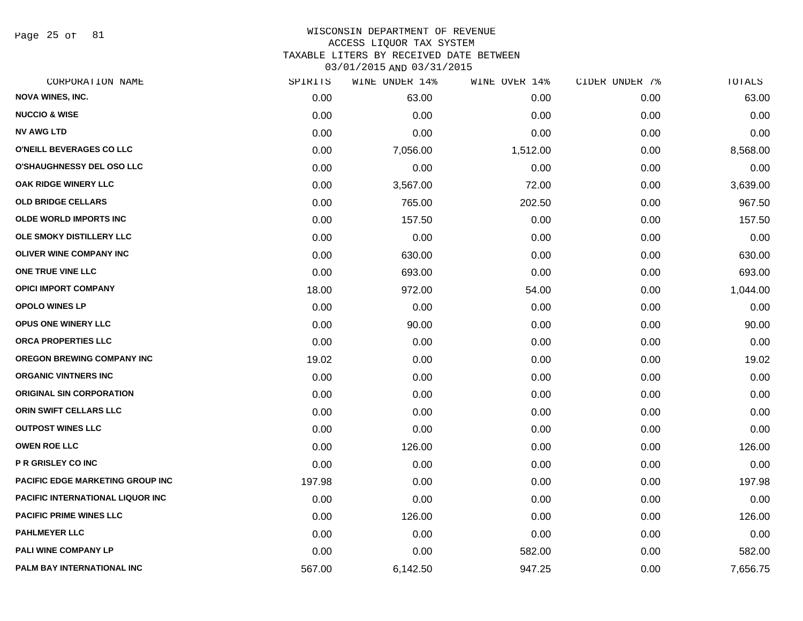Page 25 of 81

#### WISCONSIN DEPARTMENT OF REVENUE ACCESS LIQUOR TAX SYSTEM TAXABLE LITERS BY RECEIVED DATE BETWEEN

| CORPORATION NAME                        | SPIRITS | WINE UNDER 14% | WINE OVER 14% | CIDER UNDER 7% | TOTALS   |
|-----------------------------------------|---------|----------------|---------------|----------------|----------|
| <b>NOVA WINES, INC.</b>                 | 0.00    | 63.00          | 0.00          | 0.00           | 63.00    |
| <b>NUCCIO &amp; WISE</b>                | 0.00    | 0.00           | 0.00          | 0.00           | 0.00     |
| <b>NV AWG LTD</b>                       | 0.00    | 0.00           | 0.00          | 0.00           | 0.00     |
| <b>O'NEILL BEVERAGES CO LLC</b>         | 0.00    | 7,056.00       | 1,512.00      | 0.00           | 8,568.00 |
| <b>O'SHAUGHNESSY DEL OSO LLC</b>        | 0.00    | 0.00           | 0.00          | 0.00           | 0.00     |
| OAK RIDGE WINERY LLC                    | 0.00    | 3,567.00       | 72.00         | 0.00           | 3,639.00 |
| <b>OLD BRIDGE CELLARS</b>               | 0.00    | 765.00         | 202.50        | 0.00           | 967.50   |
| <b>OLDE WORLD IMPORTS INC</b>           | 0.00    | 157.50         | 0.00          | 0.00           | 157.50   |
| OLE SMOKY DISTILLERY LLC                | 0.00    | 0.00           | 0.00          | 0.00           | 0.00     |
| <b>OLIVER WINE COMPANY INC</b>          | 0.00    | 630.00         | 0.00          | 0.00           | 630.00   |
| ONE TRUE VINE LLC                       | 0.00    | 693.00         | 0.00          | 0.00           | 693.00   |
| <b>OPICI IMPORT COMPANY</b>             | 18.00   | 972.00         | 54.00         | 0.00           | 1,044.00 |
| <b>OPOLO WINES LP</b>                   | 0.00    | 0.00           | 0.00          | 0.00           | 0.00     |
| <b>OPUS ONE WINERY LLC</b>              | 0.00    | 90.00          | 0.00          | 0.00           | 90.00    |
| ORCA PROPERTIES LLC                     | 0.00    | 0.00           | 0.00          | 0.00           | 0.00     |
| <b>OREGON BREWING COMPANY INC</b>       | 19.02   | 0.00           | 0.00          | 0.00           | 19.02    |
| ORGANIC VINTNERS INC                    | 0.00    | 0.00           | 0.00          | 0.00           | 0.00     |
| <b>ORIGINAL SIN CORPORATION</b>         | 0.00    | 0.00           | 0.00          | 0.00           | 0.00     |
| <b>ORIN SWIFT CELLARS LLC</b>           | 0.00    | 0.00           | 0.00          | 0.00           | 0.00     |
| <b>OUTPOST WINES LLC</b>                | 0.00    | 0.00           | 0.00          | 0.00           | 0.00     |
| <b>OWEN ROE LLC</b>                     | 0.00    | 126.00         | 0.00          | 0.00           | 126.00   |
| P R GRISLEY CO INC                      | 0.00    | 0.00           | 0.00          | 0.00           | 0.00     |
| <b>PACIFIC EDGE MARKETING GROUP INC</b> | 197.98  | 0.00           | 0.00          | 0.00           | 197.98   |
| <b>PACIFIC INTERNATIONAL LIQUOR INC</b> | 0.00    | 0.00           | 0.00          | 0.00           | 0.00     |
| <b>PACIFIC PRIME WINES LLC</b>          | 0.00    | 126.00         | 0.00          | 0.00           | 126.00   |
| <b>PAHLMEYER LLC</b>                    | 0.00    | 0.00           | 0.00          | 0.00           | 0.00     |
| PALI WINE COMPANY LP                    | 0.00    | 0.00           | 582.00        | 0.00           | 582.00   |
| PALM BAY INTERNATIONAL INC              | 567.00  | 6,142.50       | 947.25        | 0.00           | 7,656.75 |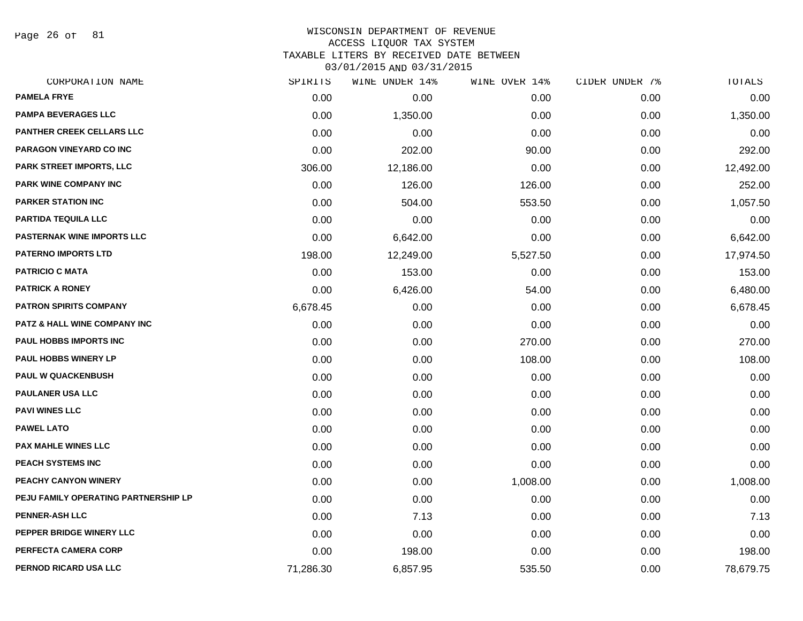Page 26 of 81

| CORPORATION NAME                        | SPIRITS   | WINE UNDER 14% | WINE OVER 14% | CIDER UNDER 7% | TOTALS    |
|-----------------------------------------|-----------|----------------|---------------|----------------|-----------|
| <b>PAMELA FRYE</b>                      | 0.00      | 0.00           | 0.00          | 0.00           | 0.00      |
| <b>PAMPA BEVERAGES LLC</b>              | 0.00      | 1,350.00       | 0.00          | 0.00           | 1,350.00  |
| <b>PANTHER CREEK CELLARS LLC</b>        | 0.00      | 0.00           | 0.00          | 0.00           | 0.00      |
| PARAGON VINEYARD CO INC                 | 0.00      | 202.00         | 90.00         | 0.00           | 292.00    |
| PARK STREET IMPORTS, LLC                | 306.00    | 12,186.00      | 0.00          | 0.00           | 12,492.00 |
| PARK WINE COMPANY INC                   | 0.00      | 126.00         | 126.00        | 0.00           | 252.00    |
| <b>PARKER STATION INC</b>               | 0.00      | 504.00         | 553.50        | 0.00           | 1,057.50  |
| PARTIDA TEQUILA LLC                     | 0.00      | 0.00           | 0.00          | 0.00           | 0.00      |
| PASTERNAK WINE IMPORTS LLC              | 0.00      | 6,642.00       | 0.00          | 0.00           | 6,642.00  |
| <b>PATERNO IMPORTS LTD</b>              | 198.00    | 12,249.00      | 5,527.50      | 0.00           | 17,974.50 |
| <b>PATRICIO C MATA</b>                  | 0.00      | 153.00         | 0.00          | 0.00           | 153.00    |
| <b>PATRICK A RONEY</b>                  | 0.00      | 6,426.00       | 54.00         | 0.00           | 6,480.00  |
| <b>PATRON SPIRITS COMPANY</b>           | 6,678.45  | 0.00           | 0.00          | 0.00           | 6,678.45  |
| <b>PATZ &amp; HALL WINE COMPANY INC</b> | 0.00      | 0.00           | 0.00          | 0.00           | 0.00      |
| <b>PAUL HOBBS IMPORTS INC</b>           | 0.00      | 0.00           | 270.00        | 0.00           | 270.00    |
| <b>PAUL HOBBS WINERY LP</b>             | 0.00      | 0.00           | 108.00        | 0.00           | 108.00    |
| <b>PAUL W QUACKENBUSH</b>               | 0.00      | 0.00           | 0.00          | 0.00           | 0.00      |
| <b>PAULANER USA LLC</b>                 | 0.00      | 0.00           | 0.00          | 0.00           | 0.00      |
| <b>PAVI WINES LLC</b>                   | 0.00      | 0.00           | 0.00          | 0.00           | 0.00      |
| <b>PAWEL LATO</b>                       | 0.00      | 0.00           | 0.00          | 0.00           | 0.00      |
| <b>PAX MAHLE WINES LLC</b>              | 0.00      | 0.00           | 0.00          | 0.00           | 0.00      |
| PEACH SYSTEMS INC                       | 0.00      | 0.00           | 0.00          | 0.00           | 0.00      |
| PEACHY CANYON WINERY                    | 0.00      | 0.00           | 1,008.00      | 0.00           | 1,008.00  |
| PEJU FAMILY OPERATING PARTNERSHIP LP    | 0.00      | 0.00           | 0.00          | 0.00           | 0.00      |
| <b>PENNER-ASH LLC</b>                   | 0.00      | 7.13           | 0.00          | 0.00           | 7.13      |
| PEPPER BRIDGE WINERY LLC                | 0.00      | 0.00           | 0.00          | 0.00           | 0.00      |
| PERFECTA CAMERA CORP                    | 0.00      | 198.00         | 0.00          | 0.00           | 198.00    |
| PERNOD RICARD USA LLC                   | 71,286.30 | 6,857.95       | 535.50        | 0.00           | 78,679.75 |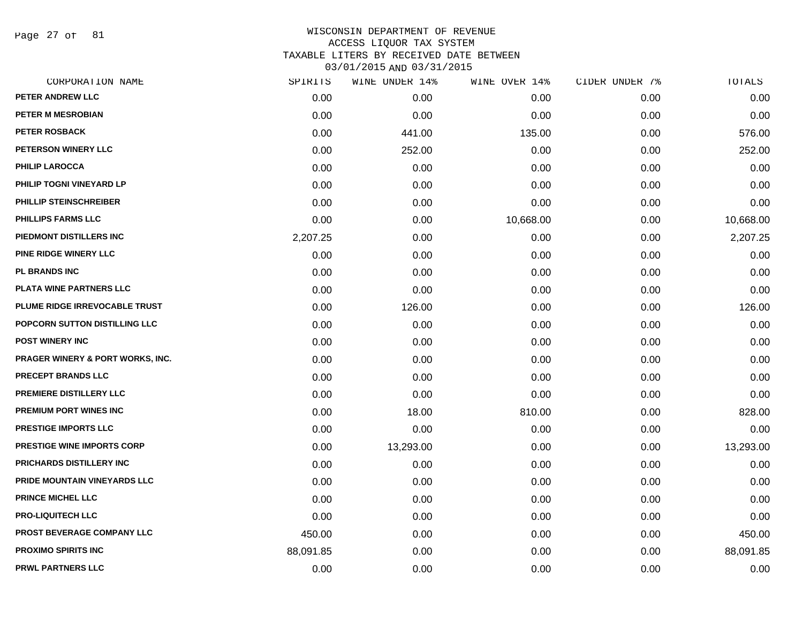Page 27 of 81

| SPIRITS   | WINE UNDER 14% | WINE OVER 14% | CIDER UNDER 7% | TOTALS    |
|-----------|----------------|---------------|----------------|-----------|
| 0.00      | 0.00           | 0.00          | 0.00           | 0.00      |
| 0.00      | 0.00           | 0.00          | 0.00           | 0.00      |
| 0.00      | 441.00         | 135.00        | 0.00           | 576.00    |
| 0.00      | 252.00         | 0.00          | 0.00           | 252.00    |
| 0.00      | 0.00           | 0.00          | 0.00           | 0.00      |
| 0.00      | 0.00           | 0.00          | 0.00           | 0.00      |
| 0.00      | 0.00           | 0.00          | 0.00           | 0.00      |
| 0.00      | 0.00           | 10,668.00     | 0.00           | 10,668.00 |
| 2,207.25  | 0.00           | 0.00          | 0.00           | 2,207.25  |
| 0.00      | 0.00           | 0.00          | 0.00           | 0.00      |
| 0.00      | 0.00           | 0.00          | 0.00           | 0.00      |
| 0.00      | 0.00           | 0.00          | 0.00           | 0.00      |
| 0.00      | 126.00         | 0.00          | 0.00           | 126.00    |
| 0.00      | 0.00           | 0.00          | 0.00           | 0.00      |
| 0.00      | 0.00           | 0.00          | 0.00           | 0.00      |
| 0.00      | 0.00           | 0.00          | 0.00           | 0.00      |
| 0.00      | 0.00           | 0.00          | 0.00           | 0.00      |
| 0.00      | 0.00           | 0.00          | 0.00           | 0.00      |
| 0.00      | 18.00          | 810.00        | 0.00           | 828.00    |
| 0.00      | 0.00           | 0.00          | 0.00           | 0.00      |
| 0.00      | 13,293.00      | 0.00          | 0.00           | 13,293.00 |
| 0.00      | 0.00           | 0.00          | 0.00           | 0.00      |
| 0.00      | 0.00           | 0.00          | 0.00           | 0.00      |
| 0.00      | 0.00           | 0.00          | 0.00           | 0.00      |
| 0.00      | 0.00           | 0.00          | 0.00           | 0.00      |
| 450.00    | 0.00           | 0.00          | 0.00           | 450.00    |
| 88,091.85 | 0.00           | 0.00          | 0.00           | 88,091.85 |
| 0.00      | 0.00           | 0.00          | 0.00           | 0.00      |
|           |                |               |                |           |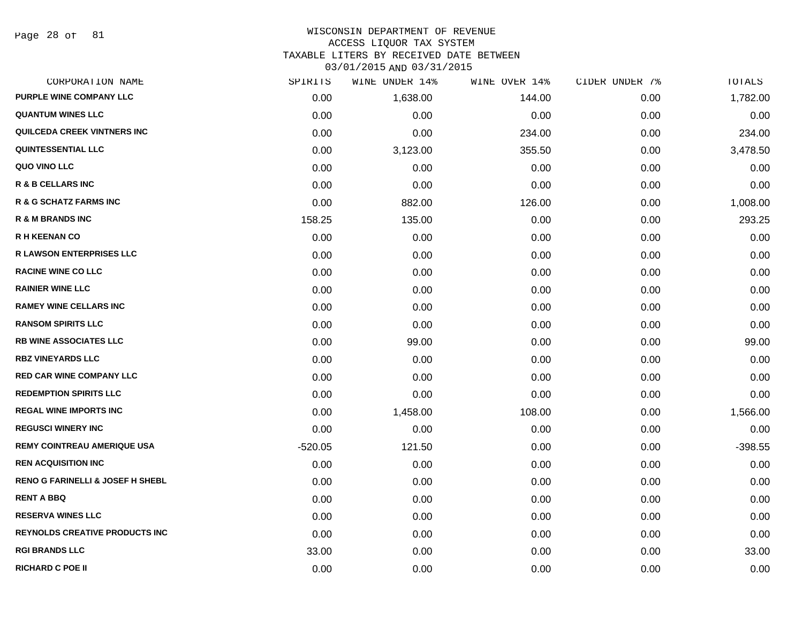Page 28 of 81

## WISCONSIN DEPARTMENT OF REVENUE ACCESS LIQUOR TAX SYSTEM

TAXABLE LITERS BY RECEIVED DATE BETWEEN

| CORPORATION NAME                            | SPIRITS   | WINE UNDER 14% | WINE OVER 14% | CIDER UNDER 7% | TOTALS    |
|---------------------------------------------|-----------|----------------|---------------|----------------|-----------|
| PURPLE WINE COMPANY LLC                     | 0.00      | 1,638.00       | 144.00        | 0.00           | 1,782.00  |
| <b>QUANTUM WINES LLC</b>                    | 0.00      | 0.00           | 0.00          | 0.00           | 0.00      |
| QUILCEDA CREEK VINTNERS INC                 | 0.00      | 0.00           | 234.00        | 0.00           | 234.00    |
| <b>QUINTESSENTIAL LLC</b>                   | 0.00      | 3,123.00       | 355.50        | 0.00           | 3,478.50  |
| QUO VINO LLC                                | 0.00      | 0.00           | 0.00          | 0.00           | 0.00      |
| <b>R &amp; B CELLARS INC</b>                | 0.00      | 0.00           | 0.00          | 0.00           | 0.00      |
| R & G SCHATZ FARMS INC                      | 0.00      | 882.00         | 126.00        | 0.00           | 1,008.00  |
| <b>R &amp; M BRANDS INC</b>                 | 158.25    | 135.00         | 0.00          | 0.00           | 293.25    |
| <b>R H KEENAN CO</b>                        | 0.00      | 0.00           | 0.00          | 0.00           | 0.00      |
| <b>R LAWSON ENTERPRISES LLC</b>             | 0.00      | 0.00           | 0.00          | 0.00           | 0.00      |
| <b>RACINE WINE CO LLC</b>                   | 0.00      | 0.00           | 0.00          | 0.00           | 0.00      |
| <b>RAINIER WINE LLC</b>                     | 0.00      | 0.00           | 0.00          | 0.00           | 0.00      |
| <b>RAMEY WINE CELLARS INC</b>               | 0.00      | 0.00           | 0.00          | 0.00           | 0.00      |
| <b>RANSOM SPIRITS LLC</b>                   | 0.00      | 0.00           | 0.00          | 0.00           | 0.00      |
| <b>RB WINE ASSOCIATES LLC</b>               | 0.00      | 99.00          | 0.00          | 0.00           | 99.00     |
| <b>RBZ VINEYARDS LLC</b>                    | 0.00      | 0.00           | 0.00          | 0.00           | 0.00      |
| <b>RED CAR WINE COMPANY LLC</b>             | 0.00      | 0.00           | 0.00          | 0.00           | 0.00      |
| <b>REDEMPTION SPIRITS LLC</b>               | 0.00      | 0.00           | 0.00          | 0.00           | 0.00      |
| <b>REGAL WINE IMPORTS INC</b>               | 0.00      | 1,458.00       | 108.00        | 0.00           | 1,566.00  |
| <b>REGUSCI WINERY INC</b>                   | 0.00      | 0.00           | 0.00          | 0.00           | 0.00      |
| <b>REMY COINTREAU AMERIQUE USA</b>          | $-520.05$ | 121.50         | 0.00          | 0.00           | $-398.55$ |
| <b>REN ACQUISITION INC</b>                  | 0.00      | 0.00           | 0.00          | 0.00           | 0.00      |
| <b>RENO G FARINELLI &amp; JOSEF H SHEBL</b> | 0.00      | 0.00           | 0.00          | 0.00           | 0.00      |
| <b>RENT A BBQ</b>                           | 0.00      | 0.00           | 0.00          | 0.00           | 0.00      |
| <b>RESERVA WINES LLC</b>                    | 0.00      | 0.00           | 0.00          | 0.00           | 0.00      |
| <b>REYNOLDS CREATIVE PRODUCTS INC.</b>      | 0.00      | 0.00           | 0.00          | 0.00           | 0.00      |
| <b>RGI BRANDS LLC</b>                       | 33.00     | 0.00           | 0.00          | 0.00           | 33.00     |
| <b>RICHARD C POE II</b>                     | 0.00      | 0.00           | 0.00          | 0.00           | 0.00      |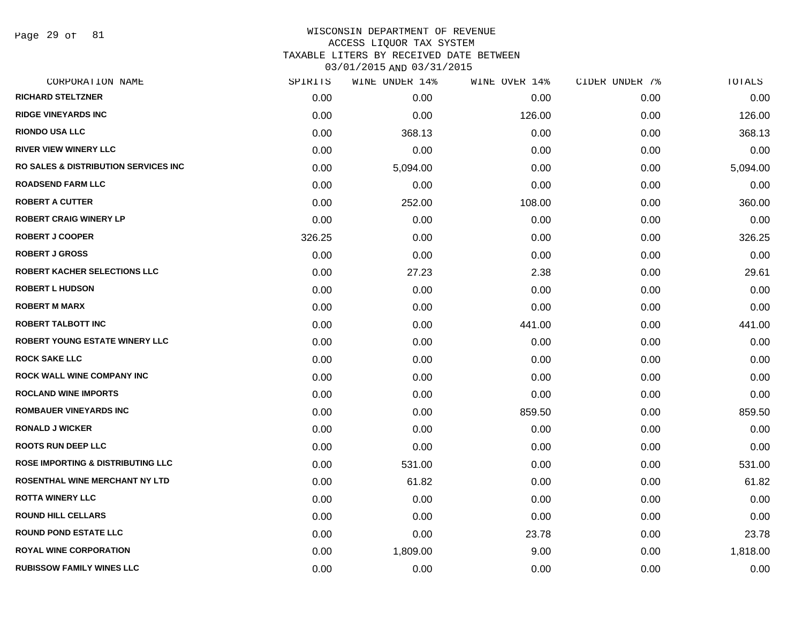Page 29 of 81

#### WISCONSIN DEPARTMENT OF REVENUE ACCESS LIQUOR TAX SYSTEM

TAXABLE LITERS BY RECEIVED DATE BETWEEN

| CORPORATION NAME                                 | SPIRITS | WINE UNDER 14% | WINE OVER 14% | CIDER UNDER 7% | TOTALS   |
|--------------------------------------------------|---------|----------------|---------------|----------------|----------|
| <b>RICHARD STELTZNER</b>                         | 0.00    | 0.00           | 0.00          | 0.00           | 0.00     |
| <b>RIDGE VINEYARDS INC</b>                       | 0.00    | 0.00           | 126.00        | 0.00           | 126.00   |
| <b>RIONDO USA LLC</b>                            | 0.00    | 368.13         | 0.00          | 0.00           | 368.13   |
| <b>RIVER VIEW WINERY LLC</b>                     | 0.00    | 0.00           | 0.00          | 0.00           | 0.00     |
| <b>RO SALES &amp; DISTRIBUTION SERVICES INC.</b> | 0.00    | 5,094.00       | 0.00          | 0.00           | 5,094.00 |
| <b>ROADSEND FARM LLC</b>                         | 0.00    | 0.00           | 0.00          | 0.00           | 0.00     |
| <b>ROBERT A CUTTER</b>                           | 0.00    | 252.00         | 108.00        | 0.00           | 360.00   |
| <b>ROBERT CRAIG WINERY LP</b>                    | 0.00    | 0.00           | 0.00          | 0.00           | 0.00     |
| <b>ROBERT J COOPER</b>                           | 326.25  | 0.00           | 0.00          | 0.00           | 326.25   |
| <b>ROBERT J GROSS</b>                            | 0.00    | 0.00           | 0.00          | 0.00           | 0.00     |
| <b>ROBERT KACHER SELECTIONS LLC</b>              | 0.00    | 27.23          | 2.38          | 0.00           | 29.61    |
| <b>ROBERT L HUDSON</b>                           | 0.00    | 0.00           | 0.00          | 0.00           | 0.00     |
| <b>ROBERT M MARX</b>                             | 0.00    | 0.00           | 0.00          | 0.00           | 0.00     |
| <b>ROBERT TALBOTT INC</b>                        | 0.00    | 0.00           | 441.00        | 0.00           | 441.00   |
| <b>ROBERT YOUNG ESTATE WINERY LLC</b>            | 0.00    | 0.00           | 0.00          | 0.00           | 0.00     |
| <b>ROCK SAKE LLC</b>                             | 0.00    | 0.00           | 0.00          | 0.00           | 0.00     |
| <b>ROCK WALL WINE COMPANY INC</b>                | 0.00    | 0.00           | 0.00          | 0.00           | 0.00     |
| <b>ROCLAND WINE IMPORTS</b>                      | 0.00    | 0.00           | 0.00          | 0.00           | 0.00     |
| <b>ROMBAUER VINEYARDS INC</b>                    | 0.00    | 0.00           | 859.50        | 0.00           | 859.50   |
| <b>RONALD J WICKER</b>                           | 0.00    | 0.00           | 0.00          | 0.00           | 0.00     |
| <b>ROOTS RUN DEEP LLC</b>                        | 0.00    | 0.00           | 0.00          | 0.00           | 0.00     |
| <b>ROSE IMPORTING &amp; DISTRIBUTING LLC</b>     | 0.00    | 531.00         | 0.00          | 0.00           | 531.00   |
| ROSENTHAL WINE MERCHANT NY LTD                   | 0.00    | 61.82          | 0.00          | 0.00           | 61.82    |
| <b>ROTTA WINERY LLC</b>                          | 0.00    | 0.00           | 0.00          | 0.00           | 0.00     |
| <b>ROUND HILL CELLARS</b>                        | 0.00    | 0.00           | 0.00          | 0.00           | 0.00     |
| <b>ROUND POND ESTATE LLC</b>                     | 0.00    | 0.00           | 23.78         | 0.00           | 23.78    |
| <b>ROYAL WINE CORPORATION</b>                    | 0.00    | 1,809.00       | 9.00          | 0.00           | 1,818.00 |
| <b>RUBISSOW FAMILY WINES LLC</b>                 | 0.00    | 0.00           | 0.00          | 0.00           | 0.00     |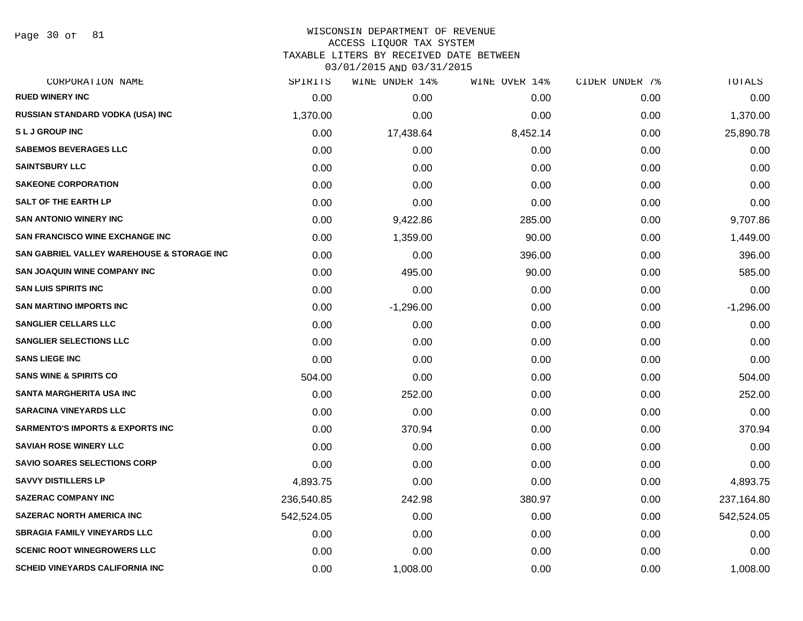Page 30 of 81

#### WISCONSIN DEPARTMENT OF REVENUE ACCESS LIQUOR TAX SYSTEM

TAXABLE LITERS BY RECEIVED DATE BETWEEN

| CORPORATION NAME                                      | SPIRITS    | WINE UNDER 14% | WINE OVER 14% | CIDER UNDER 7% | <b>TOTALS</b> |
|-------------------------------------------------------|------------|----------------|---------------|----------------|---------------|
| <b>RUED WINERY INC</b>                                | 0.00       | 0.00           | 0.00          | 0.00           | 0.00          |
| RUSSIAN STANDARD VODKA (USA) INC                      | 1,370.00   | 0.00           | 0.00          | 0.00           | 1,370.00      |
| <b>SLJGROUPINC</b>                                    | 0.00       | 17,438.64      | 8,452.14      | 0.00           | 25,890.78     |
| <b>SABEMOS BEVERAGES LLC</b>                          | 0.00       | 0.00           | 0.00          | 0.00           | 0.00          |
| <b>SAINTSBURY LLC</b>                                 | 0.00       | 0.00           | 0.00          | 0.00           | 0.00          |
| <b>SAKEONE CORPORATION</b>                            | 0.00       | 0.00           | 0.00          | 0.00           | 0.00          |
| <b>SALT OF THE EARTH LP</b>                           | 0.00       | 0.00           | 0.00          | 0.00           | 0.00          |
| <b>SAN ANTONIO WINERY INC</b>                         | 0.00       | 9,422.86       | 285.00        | 0.00           | 9,707.86      |
| <b>SAN FRANCISCO WINE EXCHANGE INC</b>                | 0.00       | 1,359.00       | 90.00         | 0.00           | 1,449.00      |
| <b>SAN GABRIEL VALLEY WAREHOUSE &amp; STORAGE INC</b> | 0.00       | 0.00           | 396.00        | 0.00           | 396.00        |
| <b>SAN JOAQUIN WINE COMPANY INC</b>                   | 0.00       | 495.00         | 90.00         | 0.00           | 585.00        |
| <b>SAN LUIS SPIRITS INC</b>                           | 0.00       | 0.00           | 0.00          | 0.00           | 0.00          |
| <b>SAN MARTINO IMPORTS INC</b>                        | 0.00       | $-1,296.00$    | 0.00          | 0.00           | $-1,296.00$   |
| <b>SANGLIER CELLARS LLC</b>                           | 0.00       | 0.00           | 0.00          | 0.00           | 0.00          |
| <b>SANGLIER SELECTIONS LLC</b>                        | 0.00       | 0.00           | 0.00          | 0.00           | 0.00          |
| <b>SANS LIEGE INC</b>                                 | 0.00       | 0.00           | 0.00          | 0.00           | 0.00          |
| <b>SANS WINE &amp; SPIRITS CO</b>                     | 504.00     | 0.00           | 0.00          | 0.00           | 504.00        |
| <b>SANTA MARGHERITA USA INC</b>                       | 0.00       | 252.00         | 0.00          | 0.00           | 252.00        |
| <b>SARACINA VINEYARDS LLC</b>                         | 0.00       | 0.00           | 0.00          | 0.00           | 0.00          |
| <b>SARMENTO'S IMPORTS &amp; EXPORTS INC</b>           | 0.00       | 370.94         | 0.00          | 0.00           | 370.94        |
| <b>SAVIAH ROSE WINERY LLC</b>                         | 0.00       | 0.00           | 0.00          | 0.00           | 0.00          |
| <b>SAVIO SOARES SELECTIONS CORP</b>                   | 0.00       | 0.00           | 0.00          | 0.00           | 0.00          |
| <b>SAVVY DISTILLERS LP</b>                            | 4,893.75   | 0.00           | 0.00          | 0.00           | 4,893.75      |
| <b>SAZERAC COMPANY INC</b>                            | 236,540.85 | 242.98         | 380.97        | 0.00           | 237,164.80    |
| <b>SAZERAC NORTH AMERICA INC</b>                      | 542,524.05 | 0.00           | 0.00          | 0.00           | 542,524.05    |
| <b>SBRAGIA FAMILY VINEYARDS LLC</b>                   | 0.00       | 0.00           | 0.00          | 0.00           | 0.00          |
| <b>SCENIC ROOT WINEGROWERS LLC</b>                    | 0.00       | 0.00           | 0.00          | 0.00           | 0.00          |
| <b>SCHEID VINEYARDS CALIFORNIA INC</b>                | 0.00       | 1,008.00       | 0.00          | 0.00           | 1,008.00      |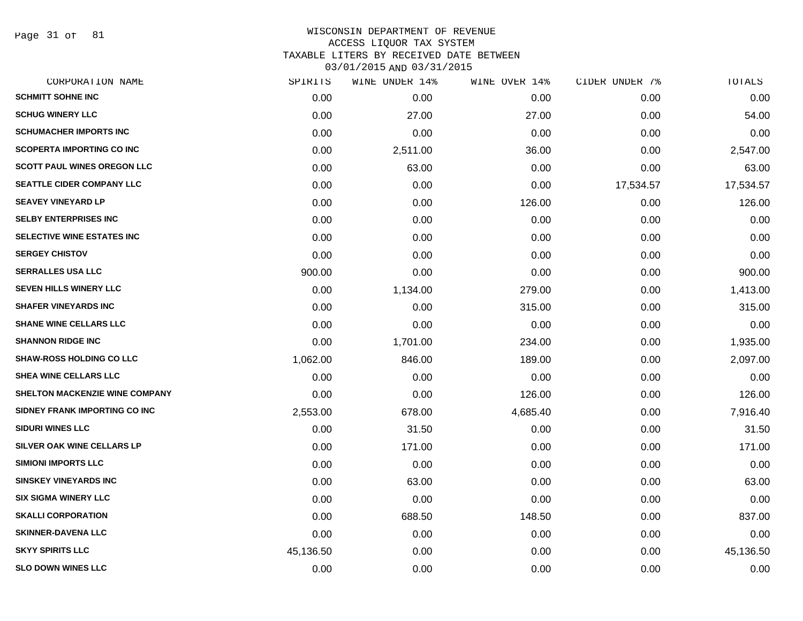Page 31 of 81

| SPIRITS   | WINE UNDER 14% | WINE OVER 14% | CIDER UNDER 7% | TOTALS    |
|-----------|----------------|---------------|----------------|-----------|
| 0.00      | 0.00           | 0.00          | 0.00           | 0.00      |
| 0.00      | 27.00          | 27.00         | 0.00           | 54.00     |
| 0.00      | 0.00           | 0.00          | 0.00           | 0.00      |
| 0.00      | 2,511.00       | 36.00         | 0.00           | 2,547.00  |
| 0.00      | 63.00          | 0.00          | 0.00           | 63.00     |
| 0.00      | 0.00           | 0.00          | 17,534.57      | 17,534.57 |
| 0.00      | 0.00           | 126.00        | 0.00           | 126.00    |
| 0.00      | 0.00           | 0.00          | 0.00           | 0.00      |
| 0.00      | 0.00           | 0.00          | 0.00           | 0.00      |
| 0.00      | 0.00           | 0.00          | 0.00           | 0.00      |
| 900.00    | 0.00           | 0.00          | 0.00           | 900.00    |
| 0.00      | 1,134.00       | 279.00        | 0.00           | 1,413.00  |
| 0.00      | 0.00           | 315.00        | 0.00           | 315.00    |
| 0.00      | 0.00           | 0.00          | 0.00           | 0.00      |
| 0.00      | 1,701.00       | 234.00        | 0.00           | 1,935.00  |
| 1,062.00  | 846.00         | 189.00        | 0.00           | 2,097.00  |
| 0.00      | 0.00           | 0.00          | 0.00           | 0.00      |
| 0.00      | 0.00           | 126.00        | 0.00           | 126.00    |
| 2,553.00  | 678.00         | 4,685.40      | 0.00           | 7,916.40  |
| 0.00      | 31.50          | 0.00          | 0.00           | 31.50     |
| 0.00      | 171.00         | 0.00          | 0.00           | 171.00    |
| 0.00      | 0.00           | 0.00          | 0.00           | 0.00      |
| 0.00      | 63.00          | 0.00          | 0.00           | 63.00     |
| 0.00      | 0.00           | 0.00          | 0.00           | 0.00      |
| 0.00      | 688.50         | 148.50        | 0.00           | 837.00    |
| 0.00      | 0.00           | 0.00          | 0.00           | 0.00      |
| 45,136.50 | 0.00           | 0.00          | 0.00           | 45,136.50 |
| 0.00      | 0.00           | 0.00          | 0.00           | 0.00      |
|           |                |               |                |           |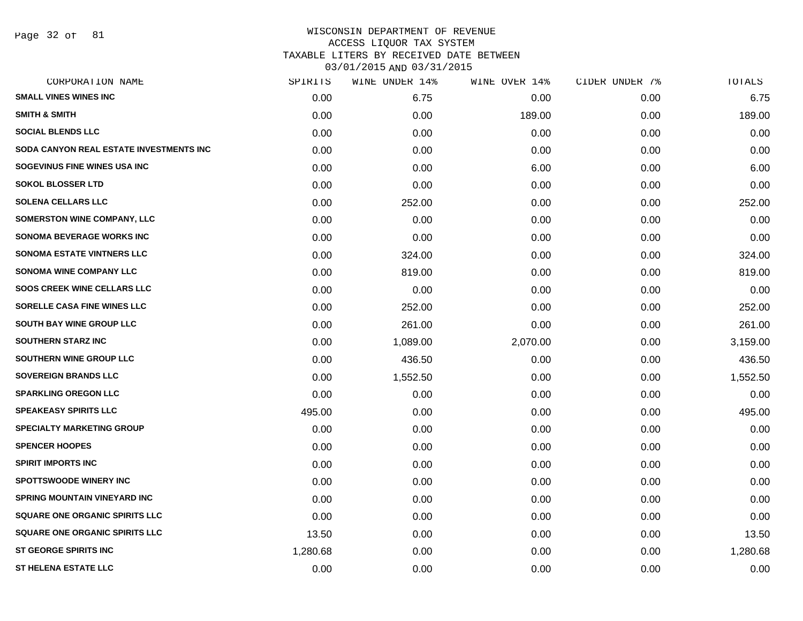Page 32 of 81

# WISCONSIN DEPARTMENT OF REVENUE ACCESS LIQUOR TAX SYSTEM TAXABLE LITERS BY RECEIVED DATE BETWEEN

| CORPORATION NAME                                | SPIRITS  | WINE UNDER 14% | WINE OVER 14% | CIDER UNDER 7% | TOTALS   |
|-------------------------------------------------|----------|----------------|---------------|----------------|----------|
| <b>SMALL VINES WINES INC</b>                    | 0.00     | 6.75           | 0.00          | 0.00           | 6.75     |
| <b>SMITH &amp; SMITH</b>                        | 0.00     | 0.00           | 189.00        | 0.00           | 189.00   |
| <b>SOCIAL BLENDS LLC</b>                        | 0.00     | 0.00           | 0.00          | 0.00           | 0.00     |
| <b>SODA CANYON REAL ESTATE INVESTMENTS INC.</b> | 0.00     | 0.00           | 0.00          | 0.00           | 0.00     |
| SOGEVINUS FINE WINES USA INC                    | 0.00     | 0.00           | 6.00          | 0.00           | 6.00     |
| <b>SOKOL BLOSSER LTD</b>                        | 0.00     | 0.00           | 0.00          | 0.00           | 0.00     |
| <b>SOLENA CELLARS LLC</b>                       | 0.00     | 252.00         | 0.00          | 0.00           | 252.00   |
| <b>SOMERSTON WINE COMPANY, LLC</b>              | 0.00     | 0.00           | 0.00          | 0.00           | 0.00     |
| <b>SONOMA BEVERAGE WORKS INC</b>                | 0.00     | 0.00           | 0.00          | 0.00           | 0.00     |
| <b>SONOMA ESTATE VINTNERS LLC</b>               | 0.00     | 324.00         | 0.00          | 0.00           | 324.00   |
| <b>SONOMA WINE COMPANY LLC</b>                  | 0.00     | 819.00         | 0.00          | 0.00           | 819.00   |
| <b>SOOS CREEK WINE CELLARS LLC</b>              | 0.00     | 0.00           | 0.00          | 0.00           | 0.00     |
| SORELLE CASA FINE WINES LLC                     | 0.00     | 252.00         | 0.00          | 0.00           | 252.00   |
| <b>SOUTH BAY WINE GROUP LLC</b>                 | 0.00     | 261.00         | 0.00          | 0.00           | 261.00   |
| <b>SOUTHERN STARZ INC</b>                       | 0.00     | 1,089.00       | 2,070.00      | 0.00           | 3,159.00 |
| SOUTHERN WINE GROUP LLC                         | 0.00     | 436.50         | 0.00          | 0.00           | 436.50   |
| <b>SOVEREIGN BRANDS LLC</b>                     | 0.00     | 1,552.50       | 0.00          | 0.00           | 1,552.50 |
| <b>SPARKLING OREGON LLC</b>                     | 0.00     | 0.00           | 0.00          | 0.00           | 0.00     |
| <b>SPEAKEASY SPIRITS LLC</b>                    | 495.00   | 0.00           | 0.00          | 0.00           | 495.00   |
| <b>SPECIALTY MARKETING GROUP</b>                | 0.00     | 0.00           | 0.00          | 0.00           | 0.00     |
| <b>SPENCER HOOPES</b>                           | 0.00     | 0.00           | 0.00          | 0.00           | 0.00     |
| <b>SPIRIT IMPORTS INC</b>                       | 0.00     | 0.00           | 0.00          | 0.00           | 0.00     |
| <b>SPOTTSWOODE WINERY INC</b>                   | 0.00     | 0.00           | 0.00          | 0.00           | 0.00     |
| <b>SPRING MOUNTAIN VINEYARD INC</b>             | 0.00     | 0.00           | 0.00          | 0.00           | 0.00     |
| <b>SQUARE ONE ORGANIC SPIRITS LLC</b>           | 0.00     | 0.00           | 0.00          | 0.00           | 0.00     |
| <b>SQUARE ONE ORGANIC SPIRITS LLC</b>           | 13.50    | 0.00           | 0.00          | 0.00           | 13.50    |
| <b>ST GEORGE SPIRITS INC</b>                    | 1,280.68 | 0.00           | 0.00          | 0.00           | 1,280.68 |
| <b>ST HELENA ESTATE LLC</b>                     | 0.00     | 0.00           | 0.00          | 0.00           | 0.00     |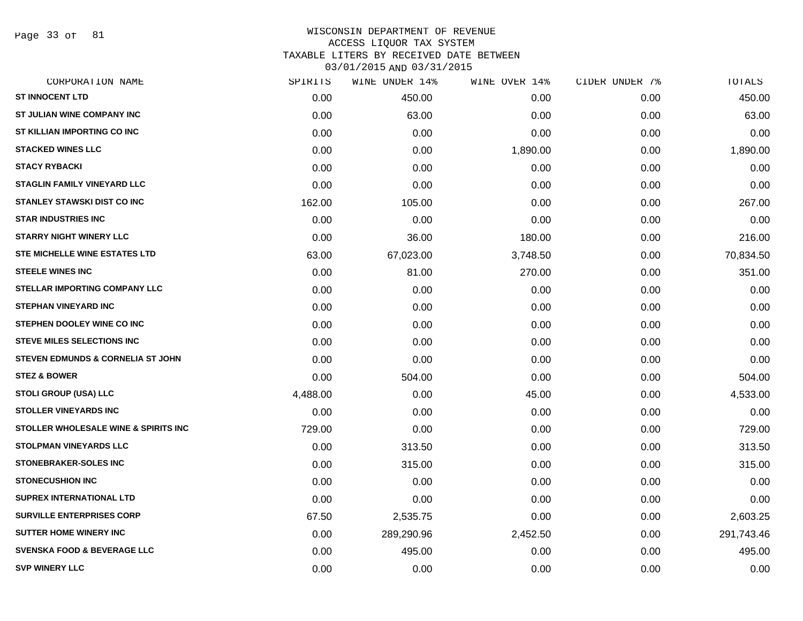Page 33 of 81

| CORPORATION NAME                                | SPIRITS  | WINE UNDER 14% | WINE OVER 14% | CIDER UNDER 7% | TOTALS     |
|-------------------------------------------------|----------|----------------|---------------|----------------|------------|
| <b>ST INNOCENT LTD</b>                          | 0.00     | 450.00         | 0.00          | 0.00           | 450.00     |
| <b>ST JULIAN WINE COMPANY INC</b>               | 0.00     | 63.00          | 0.00          | 0.00           | 63.00      |
| ST KILLIAN IMPORTING CO INC                     | 0.00     | 0.00           | 0.00          | 0.00           | 0.00       |
| <b>STACKED WINES LLC</b>                        | 0.00     | 0.00           | 1,890.00      | 0.00           | 1,890.00   |
| <b>STACY RYBACKI</b>                            | 0.00     | 0.00           | 0.00          | 0.00           | 0.00       |
| <b>STAGLIN FAMILY VINEYARD LLC</b>              | 0.00     | 0.00           | 0.00          | 0.00           | 0.00       |
| <b>STANLEY STAWSKI DIST CO INC</b>              | 162.00   | 105.00         | 0.00          | 0.00           | 267.00     |
| <b>STAR INDUSTRIES INC</b>                      | 0.00     | 0.00           | 0.00          | 0.00           | 0.00       |
| <b>STARRY NIGHT WINERY LLC</b>                  | 0.00     | 36.00          | 180.00        | 0.00           | 216.00     |
| <b>STE MICHELLE WINE ESTATES LTD</b>            | 63.00    | 67,023.00      | 3,748.50      | 0.00           | 70,834.50  |
| <b>STEELE WINES INC</b>                         | 0.00     | 81.00          | 270.00        | 0.00           | 351.00     |
| STELLAR IMPORTING COMPANY LLC                   | 0.00     | 0.00           | 0.00          | 0.00           | 0.00       |
| STEPHAN VINEYARD INC                            | 0.00     | 0.00           | 0.00          | 0.00           | 0.00       |
| STEPHEN DOOLEY WINE CO INC                      | 0.00     | 0.00           | 0.00          | 0.00           | 0.00       |
| <b>STEVE MILES SELECTIONS INC</b>               | 0.00     | 0.00           | 0.00          | 0.00           | 0.00       |
| STEVEN EDMUNDS & CORNELIA ST JOHN               | 0.00     | 0.00           | 0.00          | 0.00           | 0.00       |
| <b>STEZ &amp; BOWER</b>                         | 0.00     | 504.00         | 0.00          | 0.00           | 504.00     |
| <b>STOLI GROUP (USA) LLC</b>                    | 4,488.00 | 0.00           | 45.00         | 0.00           | 4,533.00   |
| <b>STOLLER VINEYARDS INC</b>                    | 0.00     | 0.00           | 0.00          | 0.00           | 0.00       |
| <b>STOLLER WHOLESALE WINE &amp; SPIRITS INC</b> | 729.00   | 0.00           | 0.00          | 0.00           | 729.00     |
| <b>STOLPMAN VINEYARDS LLC</b>                   | 0.00     | 313.50         | 0.00          | 0.00           | 313.50     |
| <b>STONEBRAKER-SOLES INC</b>                    | 0.00     | 315.00         | 0.00          | 0.00           | 315.00     |
| <b>STONECUSHION INC</b>                         | 0.00     | 0.00           | 0.00          | 0.00           | 0.00       |
| <b>SUPREX INTERNATIONAL LTD</b>                 | 0.00     | 0.00           | 0.00          | 0.00           | 0.00       |
| <b>SURVILLE ENTERPRISES CORP</b>                | 67.50    | 2,535.75       | 0.00          | 0.00           | 2,603.25   |
| <b>SUTTER HOME WINERY INC</b>                   | 0.00     | 289,290.96     | 2,452.50      | 0.00           | 291,743.46 |
| <b>SVENSKA FOOD &amp; BEVERAGE LLC</b>          | 0.00     | 495.00         | 0.00          | 0.00           | 495.00     |
| <b>SVP WINERY LLC</b>                           | 0.00     | 0.00           | 0.00          | 0.00           | 0.00       |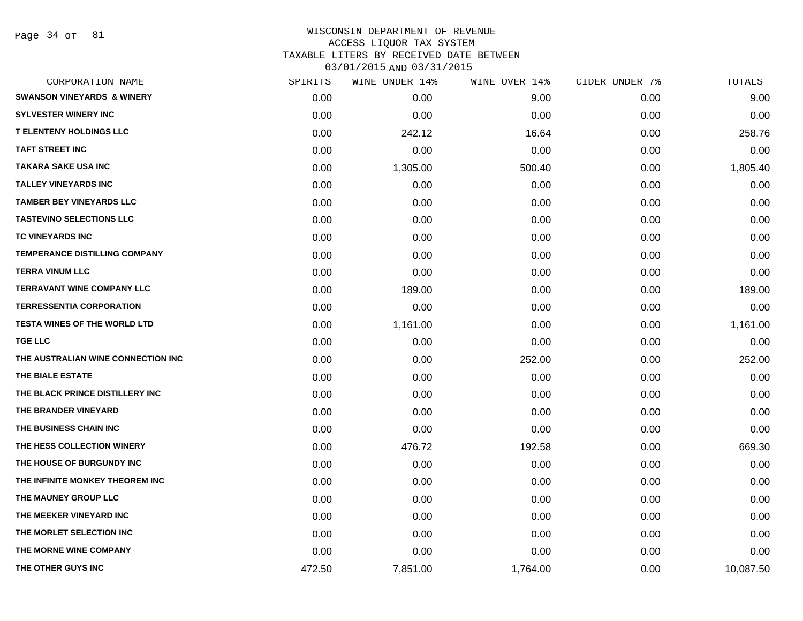Page 34 of 81

| CORPORATION NAME                      | SPIRITS | WINE UNDER 14% | WINE OVER 14% | CIDER UNDER 7% | TOTALS    |
|---------------------------------------|---------|----------------|---------------|----------------|-----------|
| <b>SWANSON VINEYARDS &amp; WINERY</b> | 0.00    | 0.00           | 9.00          | 0.00           | 9.00      |
| <b>SYLVESTER WINERY INC</b>           | 0.00    | 0.00           | 0.00          | 0.00           | 0.00      |
| <b>T ELENTENY HOLDINGS LLC</b>        | 0.00    | 242.12         | 16.64         | 0.00           | 258.76    |
| <b>TAFT STREET INC</b>                | 0.00    | 0.00           | 0.00          | 0.00           | 0.00      |
| <b>TAKARA SAKE USA INC</b>            | 0.00    | 1,305.00       | 500.40        | 0.00           | 1,805.40  |
| <b>TALLEY VINEYARDS INC</b>           | 0.00    | 0.00           | 0.00          | 0.00           | 0.00      |
| <b>TAMBER BEY VINEYARDS LLC</b>       | 0.00    | 0.00           | 0.00          | 0.00           | 0.00      |
| <b>TASTEVINO SELECTIONS LLC</b>       | 0.00    | 0.00           | 0.00          | 0.00           | 0.00      |
| TC VINEYARDS INC                      | 0.00    | 0.00           | 0.00          | 0.00           | 0.00      |
| <b>TEMPERANCE DISTILLING COMPANY</b>  | 0.00    | 0.00           | 0.00          | 0.00           | 0.00      |
| <b>TERRA VINUM LLC</b>                | 0.00    | 0.00           | 0.00          | 0.00           | 0.00      |
| <b>TERRAVANT WINE COMPANY LLC</b>     | 0.00    | 189.00         | 0.00          | 0.00           | 189.00    |
| <b>TERRESSENTIA CORPORATION</b>       | 0.00    | 0.00           | 0.00          | 0.00           | 0.00      |
| <b>TESTA WINES OF THE WORLD LTD</b>   | 0.00    | 1,161.00       | 0.00          | 0.00           | 1,161.00  |
| <b>TGE LLC</b>                        | 0.00    | 0.00           | 0.00          | 0.00           | 0.00      |
| THE AUSTRALIAN WINE CONNECTION INC    | 0.00    | 0.00           | 252.00        | 0.00           | 252.00    |
| THE BIALE ESTATE                      | 0.00    | 0.00           | 0.00          | 0.00           | 0.00      |
| THE BLACK PRINCE DISTILLERY INC       | 0.00    | 0.00           | 0.00          | 0.00           | 0.00      |
| THE BRANDER VINEYARD                  | 0.00    | 0.00           | 0.00          | 0.00           | 0.00      |
| THE BUSINESS CHAIN INC                | 0.00    | 0.00           | 0.00          | 0.00           | 0.00      |
| THE HESS COLLECTION WINERY            | 0.00    | 476.72         | 192.58        | 0.00           | 669.30    |
| THE HOUSE OF BURGUNDY INC             | 0.00    | 0.00           | 0.00          | 0.00           | 0.00      |
| THE INFINITE MONKEY THEOREM INC       | 0.00    | 0.00           | 0.00          | 0.00           | 0.00      |
| THE MAUNEY GROUP LLC                  | 0.00    | 0.00           | 0.00          | 0.00           | 0.00      |
| THE MEEKER VINEYARD INC               | 0.00    | 0.00           | 0.00          | 0.00           | 0.00      |
| THE MORLET SELECTION INC              | 0.00    | 0.00           | 0.00          | 0.00           | 0.00      |
| THE MORNE WINE COMPANY                | 0.00    | 0.00           | 0.00          | 0.00           | 0.00      |
| THE OTHER GUYS INC                    | 472.50  | 7,851.00       | 1,764.00      | 0.00           | 10,087.50 |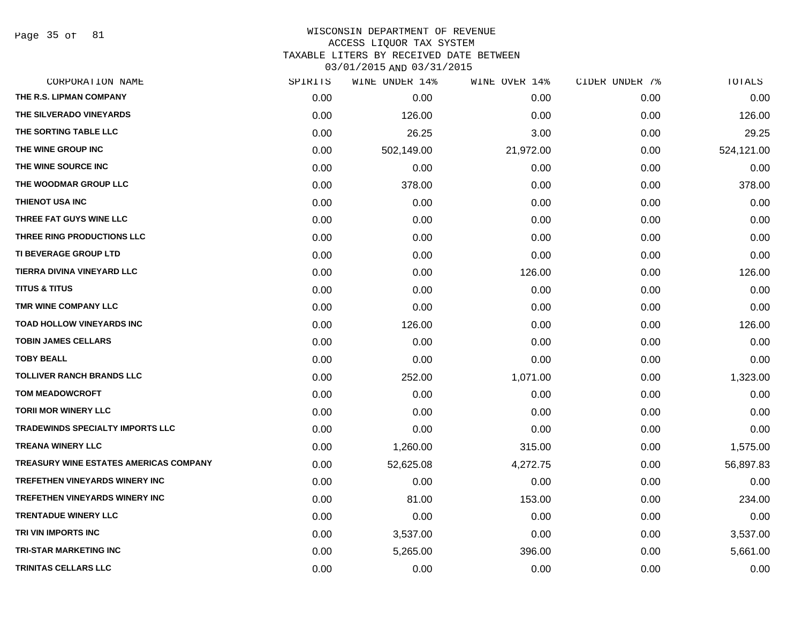Page 35 of 81

#### WISCONSIN DEPARTMENT OF REVENUE ACCESS LIQUOR TAX SYSTEM

TAXABLE LITERS BY RECEIVED DATE BETWEEN

| CORPORATION NAME                       | SPIRITS | WINE UNDER 14% | WINE OVER 14% | CIDER UNDER 7% | TOTALS     |
|----------------------------------------|---------|----------------|---------------|----------------|------------|
| THE R.S. LIPMAN COMPANY                | 0.00    | 0.00           | 0.00          | 0.00           | 0.00       |
| THE SILVERADO VINEYARDS                | 0.00    | 126.00         | 0.00          | 0.00           | 126.00     |
| THE SORTING TABLE LLC                  | 0.00    | 26.25          | 3.00          | 0.00           | 29.25      |
| THE WINE GROUP INC                     | 0.00    | 502,149.00     | 21,972.00     | 0.00           | 524,121.00 |
| THE WINE SOURCE INC                    | 0.00    | 0.00           | 0.00          | 0.00           | 0.00       |
| THE WOODMAR GROUP LLC                  | 0.00    | 378.00         | 0.00          | 0.00           | 378.00     |
| THIENOT USA INC                        | 0.00    | 0.00           | 0.00          | 0.00           | 0.00       |
| THREE FAT GUYS WINE LLC                | 0.00    | 0.00           | 0.00          | 0.00           | 0.00       |
| THREE RING PRODUCTIONS LLC             | 0.00    | 0.00           | 0.00          | 0.00           | 0.00       |
| TI BEVERAGE GROUP LTD                  | 0.00    | 0.00           | 0.00          | 0.00           | 0.00       |
| TIERRA DIVINA VINEYARD LLC             | 0.00    | 0.00           | 126.00        | 0.00           | 126.00     |
| <b>TITUS &amp; TITUS</b>               | 0.00    | 0.00           | 0.00          | 0.00           | 0.00       |
| TMR WINE COMPANY LLC                   | 0.00    | 0.00           | 0.00          | 0.00           | 0.00       |
| <b>TOAD HOLLOW VINEYARDS INC</b>       | 0.00    | 126.00         | 0.00          | 0.00           | 126.00     |
| <b>TOBIN JAMES CELLARS</b>             | 0.00    | 0.00           | 0.00          | 0.00           | 0.00       |
| <b>TOBY BEALL</b>                      | 0.00    | 0.00           | 0.00          | 0.00           | 0.00       |
| <b>TOLLIVER RANCH BRANDS LLC</b>       | 0.00    | 252.00         | 1,071.00      | 0.00           | 1,323.00   |
| <b>TOM MEADOWCROFT</b>                 | 0.00    | 0.00           | 0.00          | 0.00           | 0.00       |
| <b>TORII MOR WINERY LLC</b>            | 0.00    | 0.00           | 0.00          | 0.00           | 0.00       |
| TRADEWINDS SPECIALTY IMPORTS LLC       | 0.00    | 0.00           | 0.00          | 0.00           | 0.00       |
| <b>TREANA WINERY LLC</b>               | 0.00    | 1,260.00       | 315.00        | 0.00           | 1,575.00   |
| TREASURY WINE ESTATES AMERICAS COMPANY | 0.00    | 52,625.08      | 4,272.75      | 0.00           | 56,897.83  |
| <b>TREFETHEN VINEYARDS WINERY INC</b>  | 0.00    | 0.00           | 0.00          | 0.00           | 0.00       |
| <b>TREFETHEN VINEYARDS WINERY INC</b>  | 0.00    | 81.00          | 153.00        | 0.00           | 234.00     |
| <b>TRENTADUE WINERY LLC</b>            | 0.00    | 0.00           | 0.00          | 0.00           | 0.00       |
| TRI VIN IMPORTS INC                    | 0.00    | 3,537.00       | 0.00          | 0.00           | 3,537.00   |
| <b>TRI-STAR MARKETING INC</b>          | 0.00    | 5,265.00       | 396.00        | 0.00           | 5,661.00   |
| <b>TRINITAS CELLARS LLC</b>            | 0.00    | 0.00           | 0.00          | 0.00           | 0.00       |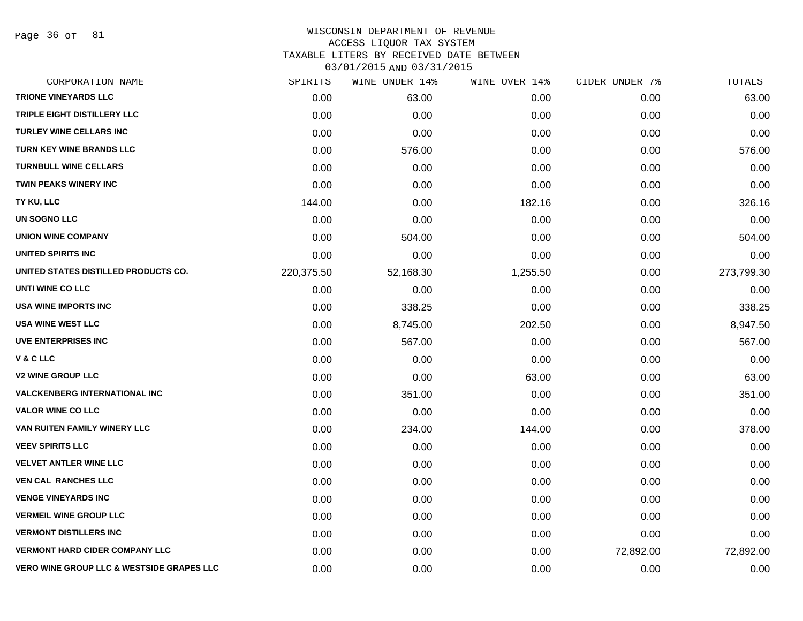Page 36 of 81

#### WISCONSIN DEPARTMENT OF REVENUE ACCESS LIQUOR TAX SYSTEM TAXABLE LITERS BY RECEIVED DATE BETWEEN

| CORPORATION NAME                                     | SPIRITS    | WINE UNDER 14% | WINE OVER 14% | CIDER UNDER 7% | TOTALS     |
|------------------------------------------------------|------------|----------------|---------------|----------------|------------|
| <b>TRIONE VINEYARDS LLC</b>                          | 0.00       | 63.00          | 0.00          | 0.00           | 63.00      |
| TRIPLE EIGHT DISTILLERY LLC                          | 0.00       | 0.00           | 0.00          | 0.00           | 0.00       |
| <b>TURLEY WINE CELLARS INC</b>                       | 0.00       | 0.00           | 0.00          | 0.00           | 0.00       |
| <b>TURN KEY WINE BRANDS LLC</b>                      | 0.00       | 576.00         | 0.00          | 0.00           | 576.00     |
| <b>TURNBULL WINE CELLARS</b>                         | 0.00       | 0.00           | 0.00          | 0.00           | 0.00       |
| <b>TWIN PEAKS WINERY INC</b>                         | 0.00       | 0.00           | 0.00          | 0.00           | 0.00       |
| TY KU, LLC                                           | 144.00     | 0.00           | 182.16        | 0.00           | 326.16     |
| <b>UN SOGNO LLC</b>                                  | 0.00       | 0.00           | 0.00          | 0.00           | 0.00       |
| <b>UNION WINE COMPANY</b>                            | 0.00       | 504.00         | 0.00          | 0.00           | 504.00     |
| UNITED SPIRITS INC                                   | 0.00       | 0.00           | 0.00          | 0.00           | 0.00       |
| UNITED STATES DISTILLED PRODUCTS CO.                 | 220,375.50 | 52,168.30      | 1,255.50      | 0.00           | 273,799.30 |
| UNTI WINE CO LLC                                     | 0.00       | 0.00           | 0.00          | 0.00           | 0.00       |
| <b>USA WINE IMPORTS INC</b>                          | 0.00       | 338.25         | 0.00          | 0.00           | 338.25     |
| <b>USA WINE WEST LLC</b>                             | 0.00       | 8,745.00       | 202.50        | 0.00           | 8,947.50   |
| <b>UVE ENTERPRISES INC</b>                           | 0.00       | 567.00         | 0.00          | 0.00           | 567.00     |
| V & C LLC                                            | 0.00       | 0.00           | 0.00          | 0.00           | 0.00       |
| <b>V2 WINE GROUP LLC</b>                             | 0.00       | 0.00           | 63.00         | 0.00           | 63.00      |
| <b>VALCKENBERG INTERNATIONAL INC.</b>                | 0.00       | 351.00         | 0.00          | 0.00           | 351.00     |
| <b>VALOR WINE CO LLC</b>                             | 0.00       | 0.00           | 0.00          | 0.00           | 0.00       |
| VAN RUITEN FAMILY WINERY LLC                         | 0.00       | 234.00         | 144.00        | 0.00           | 378.00     |
| <b>VEEV SPIRITS LLC</b>                              | 0.00       | 0.00           | 0.00          | 0.00           | 0.00       |
| <b>VELVET ANTLER WINE LLC</b>                        | 0.00       | 0.00           | 0.00          | 0.00           | 0.00       |
| <b>VEN CAL RANCHES LLC</b>                           | 0.00       | 0.00           | 0.00          | 0.00           | 0.00       |
| <b>VENGE VINEYARDS INC</b>                           | 0.00       | 0.00           | 0.00          | 0.00           | 0.00       |
| <b>VERMEIL WINE GROUP LLC</b>                        | 0.00       | 0.00           | 0.00          | 0.00           | 0.00       |
| <b>VERMONT DISTILLERS INC</b>                        | 0.00       | 0.00           | 0.00          | 0.00           | 0.00       |
| <b>VERMONT HARD CIDER COMPANY LLC</b>                | 0.00       | 0.00           | 0.00          | 72,892.00      | 72,892.00  |
| <b>VERO WINE GROUP LLC &amp; WESTSIDE GRAPES LLC</b> | 0.00       | 0.00           | 0.00          | 0.00           | 0.00       |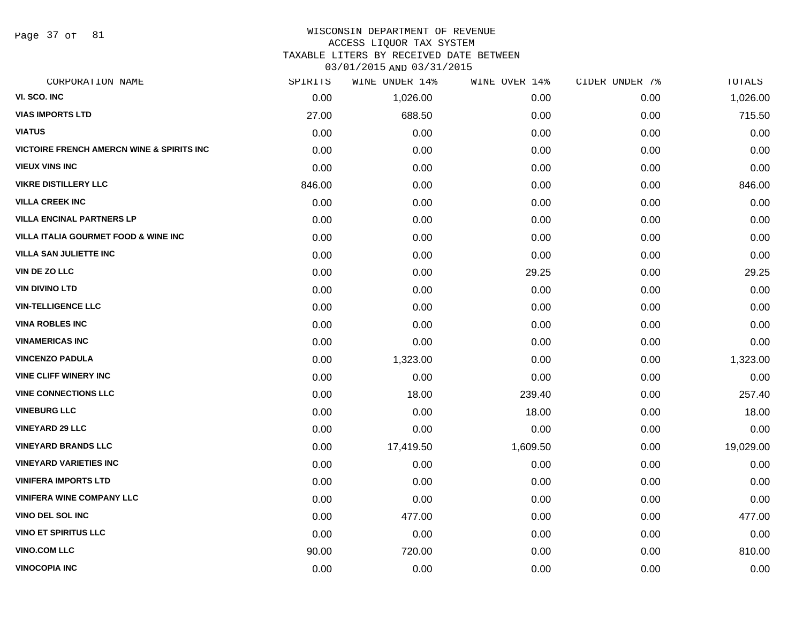Page 37 of 81

#### WISCONSIN DEPARTMENT OF REVENUE ACCESS LIQUOR TAX SYSTEM

TAXABLE LITERS BY RECEIVED DATE BETWEEN

| CORPORATION NAME                                     | SPIRITS | WINE UNDER 14% | WINE OVER 14% | CIDER UNDER 7% | TOTALS    |
|------------------------------------------------------|---------|----------------|---------------|----------------|-----------|
| VI. SCO. INC                                         | 0.00    | 1,026.00       | 0.00          | 0.00           | 1,026.00  |
| <b>VIAS IMPORTS LTD</b>                              | 27.00   | 688.50         | 0.00          | 0.00           | 715.50    |
| <b>VIATUS</b>                                        | 0.00    | 0.00           | 0.00          | 0.00           | 0.00      |
| <b>VICTOIRE FRENCH AMERCN WINE &amp; SPIRITS INC</b> | 0.00    | 0.00           | 0.00          | 0.00           | 0.00      |
| <b>VIEUX VINS INC</b>                                | 0.00    | 0.00           | 0.00          | 0.00           | 0.00      |
| <b>VIKRE DISTILLERY LLC</b>                          | 846.00  | 0.00           | 0.00          | 0.00           | 846.00    |
| <b>VILLA CREEK INC</b>                               | 0.00    | 0.00           | 0.00          | 0.00           | 0.00      |
| <b>VILLA ENCINAL PARTNERS LP</b>                     | 0.00    | 0.00           | 0.00          | 0.00           | 0.00      |
| VILLA ITALIA GOURMET FOOD & WINE INC                 | 0.00    | 0.00           | 0.00          | 0.00           | 0.00      |
| <b>VILLA SAN JULIETTE INC</b>                        | 0.00    | 0.00           | 0.00          | 0.00           | 0.00      |
| VIN DE ZO LLC                                        | 0.00    | 0.00           | 29.25         | 0.00           | 29.25     |
| <b>VIN DIVINO LTD</b>                                | 0.00    | 0.00           | 0.00          | 0.00           | 0.00      |
| <b>VIN-TELLIGENCE LLC</b>                            | 0.00    | 0.00           | 0.00          | 0.00           | 0.00      |
| <b>VINA ROBLES INC</b>                               | 0.00    | 0.00           | 0.00          | 0.00           | 0.00      |
| <b>VINAMERICAS INC</b>                               | 0.00    | 0.00           | 0.00          | 0.00           | 0.00      |
| <b>VINCENZO PADULA</b>                               | 0.00    | 1,323.00       | 0.00          | 0.00           | 1,323.00  |
| <b>VINE CLIFF WINERY INC</b>                         | 0.00    | 0.00           | 0.00          | 0.00           | 0.00      |
| <b>VINE CONNECTIONS LLC</b>                          | 0.00    | 18.00          | 239.40        | 0.00           | 257.40    |
| <b>VINEBURG LLC</b>                                  | 0.00    | 0.00           | 18.00         | 0.00           | 18.00     |
| <b>VINEYARD 29 LLC</b>                               | 0.00    | 0.00           | 0.00          | 0.00           | 0.00      |
| <b>VINEYARD BRANDS LLC</b>                           | 0.00    | 17,419.50      | 1,609.50      | 0.00           | 19,029.00 |
| <b>VINEYARD VARIETIES INC</b>                        | 0.00    | 0.00           | 0.00          | 0.00           | 0.00      |
| <b>VINIFERA IMPORTS LTD</b>                          | 0.00    | 0.00           | 0.00          | 0.00           | 0.00      |
| <b>VINIFERA WINE COMPANY LLC</b>                     | 0.00    | 0.00           | 0.00          | 0.00           | 0.00      |
| <b>VINO DEL SOL INC</b>                              | 0.00    | 477.00         | 0.00          | 0.00           | 477.00    |
| <b>VINO ET SPIRITUS LLC</b>                          | 0.00    | 0.00           | 0.00          | 0.00           | 0.00      |
| <b>VINO.COM LLC</b>                                  | 90.00   | 720.00         | 0.00          | 0.00           | 810.00    |
| <b>VINOCOPIA INC</b>                                 | 0.00    | 0.00           | 0.00          | 0.00           | 0.00      |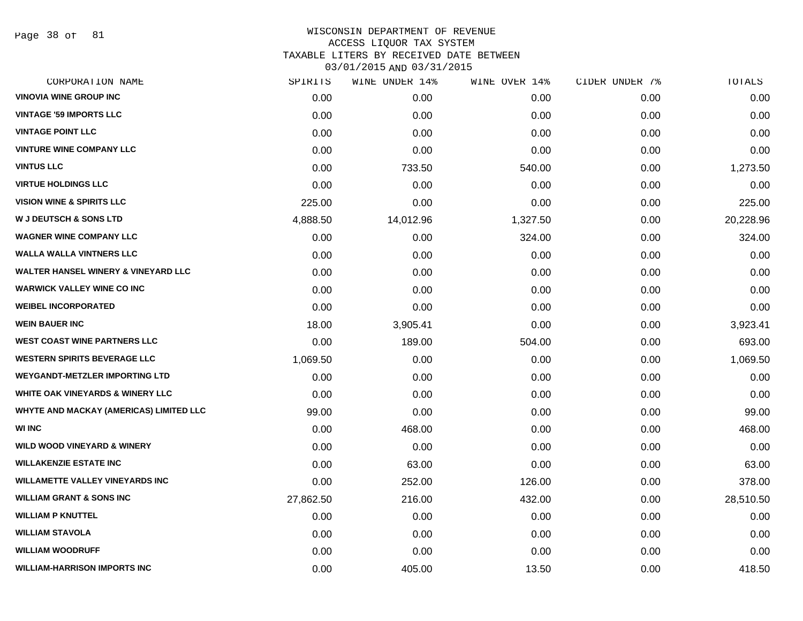Page 38 of 81

# WISCONSIN DEPARTMENT OF REVENUE ACCESS LIQUOR TAX SYSTEM TAXABLE LITERS BY RECEIVED DATE BETWEEN

| CORPORATION NAME                               | SPIRITS   | WINE UNDER 14% | WINE OVER 14% | CIDER UNDER 7% | TOTALS    |
|------------------------------------------------|-----------|----------------|---------------|----------------|-----------|
| <b>VINOVIA WINE GROUP INC</b>                  | 0.00      | 0.00           | 0.00          | 0.00           | 0.00      |
| <b>VINTAGE '59 IMPORTS LLC</b>                 | 0.00      | 0.00           | 0.00          | 0.00           | 0.00      |
| <b>VINTAGE POINT LLC</b>                       | 0.00      | 0.00           | 0.00          | 0.00           | 0.00      |
| <b>VINTURE WINE COMPANY LLC</b>                | 0.00      | 0.00           | 0.00          | 0.00           | 0.00      |
| <b>VINTUS LLC</b>                              | 0.00      | 733.50         | 540.00        | 0.00           | 1,273.50  |
| <b>VIRTUE HOLDINGS LLC</b>                     | 0.00      | 0.00           | 0.00          | 0.00           | 0.00      |
| <b>VISION WINE &amp; SPIRITS LLC</b>           | 225.00    | 0.00           | 0.00          | 0.00           | 225.00    |
| <b>W J DEUTSCH &amp; SONS LTD</b>              | 4,888.50  | 14,012.96      | 1,327.50      | 0.00           | 20,228.96 |
| <b>WAGNER WINE COMPANY LLC</b>                 | 0.00      | 0.00           | 324.00        | 0.00           | 324.00    |
| <b>WALLA WALLA VINTNERS LLC</b>                | 0.00      | 0.00           | 0.00          | 0.00           | 0.00      |
| <b>WALTER HANSEL WINERY &amp; VINEYARD LLC</b> | 0.00      | 0.00           | 0.00          | 0.00           | 0.00      |
| <b>WARWICK VALLEY WINE CO INC</b>              | 0.00      | 0.00           | 0.00          | 0.00           | 0.00      |
| <b>WEIBEL INCORPORATED</b>                     | 0.00      | 0.00           | 0.00          | 0.00           | 0.00      |
| <b>WEIN BAUER INC</b>                          | 18.00     | 3,905.41       | 0.00          | 0.00           | 3,923.41  |
| <b>WEST COAST WINE PARTNERS LLC</b>            | 0.00      | 189.00         | 504.00        | 0.00           | 693.00    |
| <b>WESTERN SPIRITS BEVERAGE LLC</b>            | 1,069.50  | 0.00           | 0.00          | 0.00           | 1,069.50  |
| <b>WEYGANDT-METZLER IMPORTING LTD</b>          | 0.00      | 0.00           | 0.00          | 0.00           | 0.00      |
| <b>WHITE OAK VINEYARDS &amp; WINERY LLC</b>    | 0.00      | 0.00           | 0.00          | 0.00           | 0.00      |
| WHYTE AND MACKAY (AMERICAS) LIMITED LLC        | 99.00     | 0.00           | 0.00          | 0.00           | 99.00     |
| <b>WI INC</b>                                  | 0.00      | 468.00         | 0.00          | 0.00           | 468.00    |
| <b>WILD WOOD VINEYARD &amp; WINERY</b>         | 0.00      | 0.00           | 0.00          | 0.00           | 0.00      |
| <b>WILLAKENZIE ESTATE INC</b>                  | 0.00      | 63.00          | 0.00          | 0.00           | 63.00     |
| <b>WILLAMETTE VALLEY VINEYARDS INC</b>         | 0.00      | 252.00         | 126.00        | 0.00           | 378.00    |
| <b>WILLIAM GRANT &amp; SONS INC</b>            | 27,862.50 | 216.00         | 432.00        | 0.00           | 28,510.50 |
| <b>WILLIAM P KNUTTEL</b>                       | 0.00      | 0.00           | 0.00          | 0.00           | 0.00      |
| <b>WILLIAM STAVOLA</b>                         | 0.00      | 0.00           | 0.00          | 0.00           | 0.00      |
| <b>WILLIAM WOODRUFF</b>                        | 0.00      | 0.00           | 0.00          | 0.00           | 0.00      |
| <b>WILLIAM-HARRISON IMPORTS INC</b>            | 0.00      | 405.00         | 13.50         | 0.00           | 418.50    |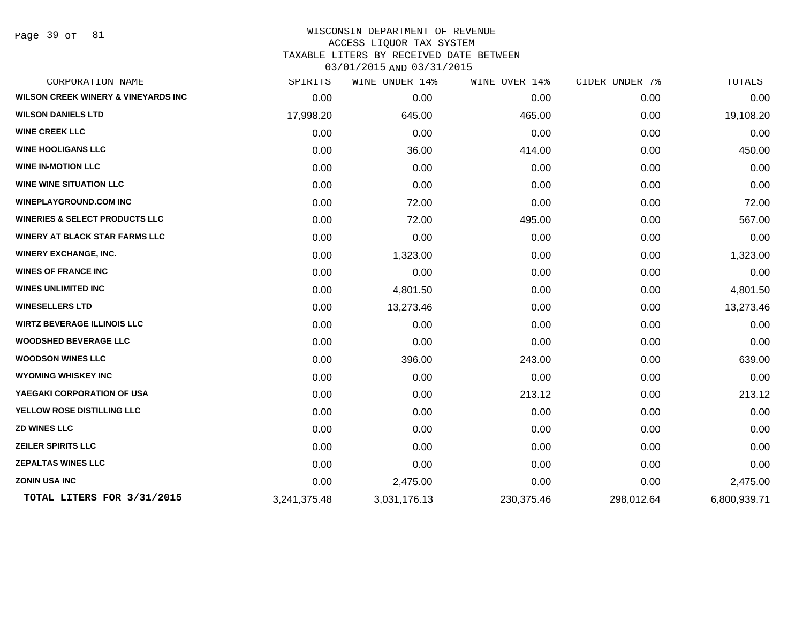Page 39 of 81

# WISCONSIN DEPARTMENT OF REVENUE ACCESS LIQUOR TAX SYSTEM TAXABLE LITERS BY RECEIVED DATE BETWEEN

| CORPORATION NAME                               | SPIRITS      | WINE UNDER 14% | WINE OVER 14% | CIDER UNDER 7% | TOTALS       |
|------------------------------------------------|--------------|----------------|---------------|----------------|--------------|
| <b>WILSON CREEK WINERY &amp; VINEYARDS INC</b> | 0.00         | 0.00           | 0.00          | 0.00           | 0.00         |
| <b>WILSON DANIELS LTD</b>                      | 17,998.20    | 645.00         | 465.00        | 0.00           | 19,108.20    |
| <b>WINE CREEK LLC</b>                          | 0.00         | 0.00           | 0.00          | 0.00           | 0.00         |
| <b>WINE HOOLIGANS LLC</b>                      | 0.00         | 36.00          | 414.00        | 0.00           | 450.00       |
| <b>WINE IN-MOTION LLC</b>                      | 0.00         | 0.00           | 0.00          | 0.00           | 0.00         |
| <b>WINE WINE SITUATION LLC</b>                 | 0.00         | 0.00           | 0.00          | 0.00           | 0.00         |
| <b>WINEPLAYGROUND.COM INC</b>                  | 0.00         | 72.00          | 0.00          | 0.00           | 72.00        |
| <b>WINERIES &amp; SELECT PRODUCTS LLC</b>      | 0.00         | 72.00          | 495.00        | 0.00           | 567.00       |
| <b>WINERY AT BLACK STAR FARMS LLC</b>          | 0.00         | 0.00           | 0.00          | 0.00           | 0.00         |
| <b>WINERY EXCHANGE, INC.</b>                   | 0.00         | 1,323.00       | 0.00          | 0.00           | 1,323.00     |
| <b>WINES OF FRANCE INC</b>                     | 0.00         | 0.00           | 0.00          | 0.00           | 0.00         |
| <b>WINES UNLIMITED INC</b>                     | 0.00         | 4,801.50       | 0.00          | 0.00           | 4,801.50     |
| <b>WINESELLERS LTD</b>                         | 0.00         | 13,273.46      | 0.00          | 0.00           | 13,273.46    |
| <b>WIRTZ BEVERAGE ILLINOIS LLC</b>             | 0.00         | 0.00           | 0.00          | 0.00           | 0.00         |
| <b>WOODSHED BEVERAGE LLC</b>                   | 0.00         | 0.00           | 0.00          | 0.00           | 0.00         |
| <b>WOODSON WINES LLC</b>                       | 0.00         | 396.00         | 243.00        | 0.00           | 639.00       |
| <b>WYOMING WHISKEY INC</b>                     | 0.00         | 0.00           | 0.00          | 0.00           | 0.00         |
| YAEGAKI CORPORATION OF USA                     | 0.00         | 0.00           | 213.12        | 0.00           | 213.12       |
| YELLOW ROSE DISTILLING LLC                     | 0.00         | 0.00           | 0.00          | 0.00           | 0.00         |
| <b>ZD WINES LLC</b>                            | 0.00         | 0.00           | 0.00          | 0.00           | 0.00         |
| <b>ZEILER SPIRITS LLC</b>                      | 0.00         | 0.00           | 0.00          | 0.00           | 0.00         |
| <b>ZEPALTAS WINES LLC</b>                      | 0.00         | 0.00           | 0.00          | 0.00           | 0.00         |
| <b>ZONIN USA INC</b>                           | 0.00         | 2,475.00       | 0.00          | 0.00           | 2,475.00     |
| TOTAL LITERS FOR 3/31/2015                     | 3,241,375.48 | 3,031,176.13   | 230,375.46    | 298,012.64     | 6,800,939.71 |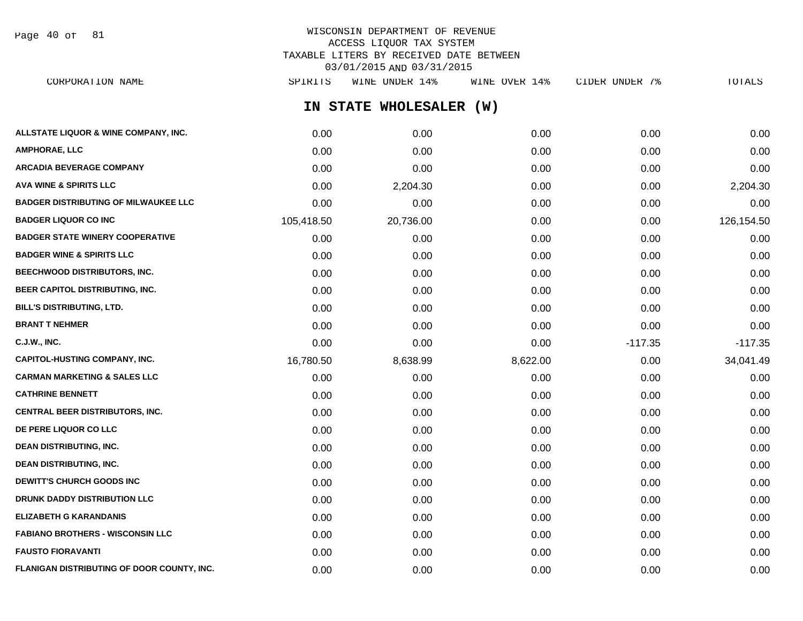Page 40 of 81

| CORPORATION NAME                            | SPIRITS    | WINE UNDER 14%          | WINE OVER 14% | CIDER UNDER 7% | TOTALS     |
|---------------------------------------------|------------|-------------------------|---------------|----------------|------------|
|                                             |            | IN STATE WHOLESALER (W) |               |                |            |
| ALLSTATE LIQUOR & WINE COMPANY, INC.        | 0.00       | 0.00                    | 0.00          | 0.00           | 0.00       |
| <b>AMPHORAE, LLC</b>                        | 0.00       | 0.00                    | 0.00          | 0.00           | 0.00       |
| <b>ARCADIA BEVERAGE COMPANY</b>             | 0.00       | 0.00                    | 0.00          | 0.00           | 0.00       |
| <b>AVA WINE &amp; SPIRITS LLC</b>           | 0.00       | 2,204.30                | 0.00          | 0.00           | 2,204.30   |
| <b>BADGER DISTRIBUTING OF MILWAUKEE LLC</b> | 0.00       | 0.00                    | 0.00          | 0.00           | 0.00       |
| <b>BADGER LIQUOR CO INC</b>                 | 105,418.50 | 20,736.00               | 0.00          | 0.00           | 126,154.50 |
| <b>BADGER STATE WINERY COOPERATIVE</b>      | 0.00       | 0.00                    | 0.00          | 0.00           | 0.00       |
| <b>BADGER WINE &amp; SPIRITS LLC</b>        | 0.00       | 0.00                    | 0.00          | 0.00           | 0.00       |
| <b>BEECHWOOD DISTRIBUTORS, INC.</b>         | 0.00       | 0.00                    | 0.00          | 0.00           | 0.00       |
| BEER CAPITOL DISTRIBUTING, INC.             | 0.00       | 0.00                    | 0.00          | 0.00           | 0.00       |
| <b>BILL'S DISTRIBUTING, LTD.</b>            | 0.00       | 0.00                    | 0.00          | 0.00           | 0.00       |
| <b>BRANT T NEHMER</b>                       | 0.00       | 0.00                    | 0.00          | 0.00           | 0.00       |
| <b>C.J.W., INC.</b>                         | 0.00       | 0.00                    | 0.00          | $-117.35$      | $-117.35$  |
| <b>CAPITOL-HUSTING COMPANY, INC.</b>        | 16,780.50  | 8,638.99                | 8,622.00      | 0.00           | 34,041.49  |
| <b>CARMAN MARKETING &amp; SALES LLC</b>     | 0.00       | 0.00                    | 0.00          | 0.00           | 0.00       |
| <b>CATHRINE BENNETT</b>                     | 0.00       | 0.00                    | 0.00          | 0.00           | 0.00       |
| <b>CENTRAL BEER DISTRIBUTORS, INC.</b>      | 0.00       | 0.00                    | 0.00          | 0.00           | 0.00       |
| DE PERE LIQUOR CO LLC                       | 0.00       | 0.00                    | 0.00          | 0.00           | 0.00       |
| <b>DEAN DISTRIBUTING, INC.</b>              | 0.00       | 0.00                    | 0.00          | 0.00           | 0.00       |
| <b>DEAN DISTRIBUTING, INC.</b>              | 0.00       | 0.00                    | 0.00          | 0.00           | 0.00       |
| <b>DEWITT'S CHURCH GOODS INC</b>            | 0.00       | 0.00                    | 0.00          | 0.00           | 0.00       |
| DRUNK DADDY DISTRIBUTION LLC                | 0.00       | 0.00                    | 0.00          | 0.00           | 0.00       |
| <b>ELIZABETH G KARANDANIS</b>               | 0.00       | 0.00                    | 0.00          | 0.00           | 0.00       |
| <b>FABIANO BROTHERS - WISCONSIN LLC</b>     | 0.00       | 0.00                    | 0.00          | 0.00           | 0.00       |
| <b>FAUSTO FIORAVANTI</b>                    | 0.00       | 0.00                    | 0.00          | 0.00           | 0.00       |
| FLANIGAN DISTRIBUTING OF DOOR COUNTY, INC.  | 0.00       | 0.00                    | 0.00          | 0.00           | 0.00       |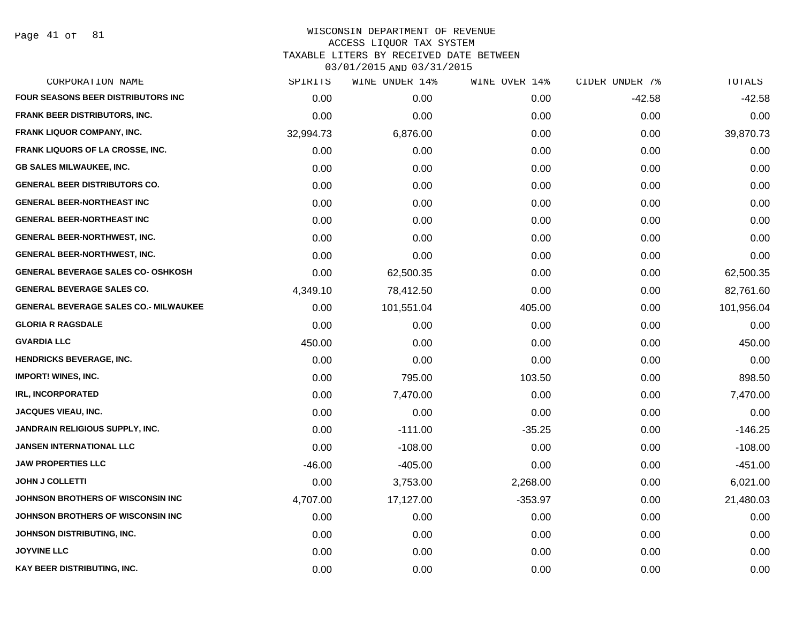Page 41 of 81

| CORPORATION NAME                             | SPIRITS   | WINE UNDER 14% | WINE OVER 14% | CIDER UNDER 7% | TOTALS     |
|----------------------------------------------|-----------|----------------|---------------|----------------|------------|
| <b>FOUR SEASONS BEER DISTRIBUTORS INC</b>    | 0.00      | 0.00           | 0.00          | $-42.58$       | $-42.58$   |
| <b>FRANK BEER DISTRIBUTORS, INC.</b>         | 0.00      | 0.00           | 0.00          | 0.00           | 0.00       |
| <b>FRANK LIQUOR COMPANY, INC.</b>            | 32,994.73 | 6,876.00       | 0.00          | 0.00           | 39,870.73  |
| <b>FRANK LIQUORS OF LA CROSSE, INC.</b>      | 0.00      | 0.00           | 0.00          | 0.00           | 0.00       |
| <b>GB SALES MILWAUKEE, INC.</b>              | 0.00      | 0.00           | 0.00          | 0.00           | 0.00       |
| <b>GENERAL BEER DISTRIBUTORS CO.</b>         | 0.00      | 0.00           | 0.00          | 0.00           | 0.00       |
| <b>GENERAL BEER-NORTHEAST INC</b>            | 0.00      | 0.00           | 0.00          | 0.00           | 0.00       |
| <b>GENERAL BEER-NORTHEAST INC</b>            | 0.00      | 0.00           | 0.00          | 0.00           | 0.00       |
| <b>GENERAL BEER-NORTHWEST, INC.</b>          | 0.00      | 0.00           | 0.00          | 0.00           | 0.00       |
| <b>GENERAL BEER-NORTHWEST, INC.</b>          | 0.00      | 0.00           | 0.00          | 0.00           | 0.00       |
| <b>GENERAL BEVERAGE SALES CO- OSHKOSH</b>    | 0.00      | 62,500.35      | 0.00          | 0.00           | 62,500.35  |
| <b>GENERAL BEVERAGE SALES CO.</b>            | 4,349.10  | 78,412.50      | 0.00          | 0.00           | 82,761.60  |
| <b>GENERAL BEVERAGE SALES CO.- MILWAUKEE</b> | 0.00      | 101,551.04     | 405.00        | 0.00           | 101,956.04 |
| <b>GLORIA R RAGSDALE</b>                     | 0.00      | 0.00           | 0.00          | 0.00           | 0.00       |
| <b>GVARDIA LLC</b>                           | 450.00    | 0.00           | 0.00          | 0.00           | 450.00     |
| <b>HENDRICKS BEVERAGE, INC.</b>              | 0.00      | 0.00           | 0.00          | 0.00           | 0.00       |
| <b>IMPORT! WINES, INC.</b>                   | 0.00      | 795.00         | 103.50        | 0.00           | 898.50     |
| <b>IRL, INCORPORATED</b>                     | 0.00      | 7,470.00       | 0.00          | 0.00           | 7,470.00   |
| <b>JACQUES VIEAU, INC.</b>                   | 0.00      | 0.00           | 0.00          | 0.00           | 0.00       |
| <b>JANDRAIN RELIGIOUS SUPPLY, INC.</b>       | 0.00      | $-111.00$      | $-35.25$      | 0.00           | $-146.25$  |
| <b>JANSEN INTERNATIONAL LLC</b>              | 0.00      | $-108.00$      | 0.00          | 0.00           | $-108.00$  |
| <b>JAW PROPERTIES LLC</b>                    | $-46.00$  | $-405.00$      | 0.00          | 0.00           | $-451.00$  |
| <b>JOHN J COLLETTI</b>                       | 0.00      | 3,753.00       | 2,268.00      | 0.00           | 6,021.00   |
| JOHNSON BROTHERS OF WISCONSIN INC            | 4,707.00  | 17,127.00      | $-353.97$     | 0.00           | 21,480.03  |
| JOHNSON BROTHERS OF WISCONSIN INC            | 0.00      | 0.00           | 0.00          | 0.00           | 0.00       |
| JOHNSON DISTRIBUTING, INC.                   | 0.00      | 0.00           | 0.00          | 0.00           | 0.00       |
| <b>JOYVINE LLC</b>                           | 0.00      | 0.00           | 0.00          | 0.00           | 0.00       |
| KAY BEER DISTRIBUTING, INC.                  | 0.00      | 0.00           | 0.00          | 0.00           | 0.00       |
|                                              |           |                |               |                |            |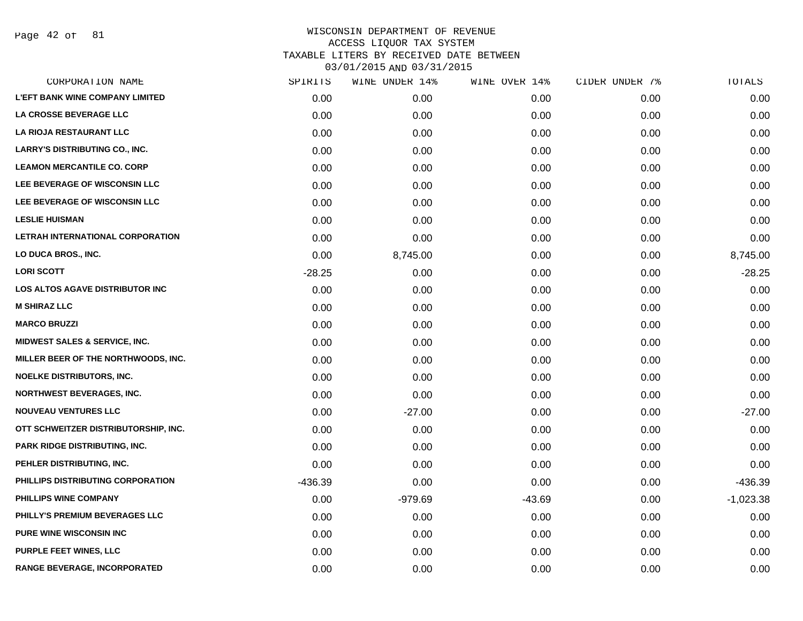Page 42 of 81

|           | WINE UNDER 14% |          |               | TOTALS         |
|-----------|----------------|----------|---------------|----------------|
| 0.00      | 0.00           | 0.00     | 0.00          | 0.00           |
| 0.00      | 0.00           | 0.00     | 0.00          | 0.00           |
| 0.00      | 0.00           | 0.00     | 0.00          | 0.00           |
| 0.00      | 0.00           | 0.00     | 0.00          | 0.00           |
| 0.00      | 0.00           | 0.00     | 0.00          | 0.00           |
| 0.00      | 0.00           | 0.00     | 0.00          | 0.00           |
| 0.00      | 0.00           | 0.00     | 0.00          | 0.00           |
| 0.00      | 0.00           | 0.00     | 0.00          | 0.00           |
| 0.00      | 0.00           | 0.00     | 0.00          | 0.00           |
| 0.00      | 8,745.00       | 0.00     | 0.00          | 8,745.00       |
| $-28.25$  | 0.00           | 0.00     | 0.00          | $-28.25$       |
| 0.00      | 0.00           | 0.00     | 0.00          | 0.00           |
| 0.00      | 0.00           | 0.00     | 0.00          | 0.00           |
| 0.00      | 0.00           | 0.00     | 0.00          | 0.00           |
| 0.00      | 0.00           | 0.00     | 0.00          | 0.00           |
| 0.00      | 0.00           | 0.00     | 0.00          | 0.00           |
| 0.00      | 0.00           | 0.00     | 0.00          | 0.00           |
| 0.00      | 0.00           | 0.00     | 0.00          | 0.00           |
| 0.00      | $-27.00$       | 0.00     | 0.00          | $-27.00$       |
| 0.00      | 0.00           | 0.00     | 0.00          | 0.00           |
| 0.00      | 0.00           | 0.00     | 0.00          | 0.00           |
| 0.00      | 0.00           | 0.00     | 0.00          | 0.00           |
| $-436.39$ | 0.00           | 0.00     | 0.00          | $-436.39$      |
| 0.00      | $-979.69$      | $-43.69$ | 0.00          | $-1,023.38$    |
| 0.00      | 0.00           | 0.00     | 0.00          | 0.00           |
| 0.00      | 0.00           | 0.00     | 0.00          | 0.00           |
| 0.00      | 0.00           | 0.00     | 0.00          | 0.00           |
| 0.00      | 0.00           | 0.00     | 0.00          | 0.00           |
|           | SPIRITS        |          | WINE OVER 14% | CIDER UNDER 7% |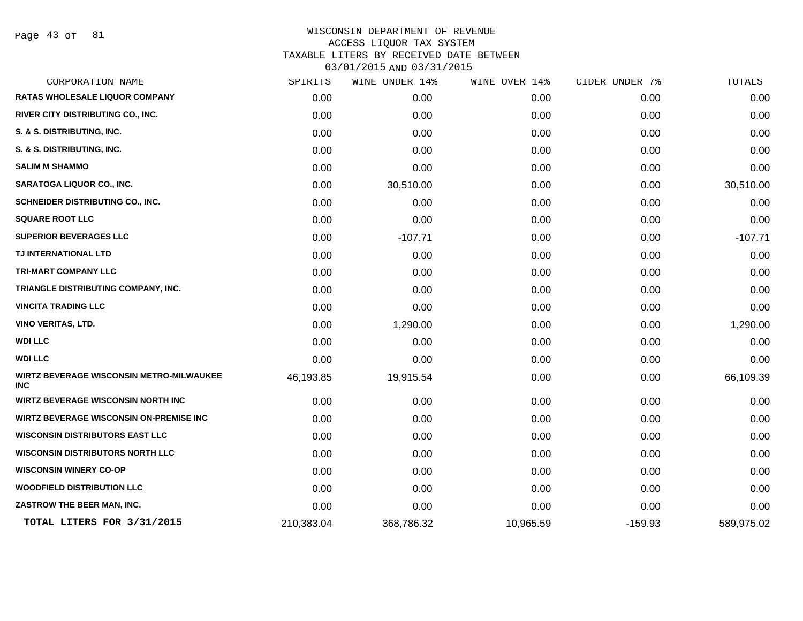Page 43 of 81

| CORPORATION NAME                                       | SPIRITS    | WINE UNDER 14% | WINE OVER 14% | CIDER UNDER 7% | TOTALS     |
|--------------------------------------------------------|------------|----------------|---------------|----------------|------------|
| <b>RATAS WHOLESALE LIQUOR COMPANY</b>                  | 0.00       | 0.00           | 0.00          | 0.00           | 0.00       |
| RIVER CITY DISTRIBUTING CO., INC.                      | 0.00       | 0.00           | 0.00          | 0.00           | 0.00       |
| S. & S. DISTRIBUTING, INC.                             | 0.00       | 0.00           | 0.00          | 0.00           | 0.00       |
| S. & S. DISTRIBUTING, INC.                             | 0.00       | 0.00           | 0.00          | 0.00           | 0.00       |
| <b>SALIM M SHAMMO</b>                                  | 0.00       | 0.00           | 0.00          | 0.00           | 0.00       |
| <b>SARATOGA LIQUOR CO., INC.</b>                       | 0.00       | 30,510.00      | 0.00          | 0.00           | 30,510.00  |
| SCHNEIDER DISTRIBUTING CO., INC.                       | 0.00       | 0.00           | 0.00          | 0.00           | 0.00       |
| <b>SQUARE ROOT LLC</b>                                 | 0.00       | 0.00           | 0.00          | 0.00           | 0.00       |
| <b>SUPERIOR BEVERAGES LLC</b>                          | 0.00       | $-107.71$      | 0.00          | 0.00           | $-107.71$  |
| TJ INTERNATIONAL LTD                                   | 0.00       | 0.00           | 0.00          | 0.00           | 0.00       |
| <b>TRI-MART COMPANY LLC</b>                            | 0.00       | 0.00           | 0.00          | 0.00           | 0.00       |
| TRIANGLE DISTRIBUTING COMPANY, INC.                    | 0.00       | 0.00           | 0.00          | 0.00           | 0.00       |
| <b>VINCITA TRADING LLC</b>                             | 0.00       | 0.00           | 0.00          | 0.00           | 0.00       |
| <b>VINO VERITAS, LTD.</b>                              | 0.00       | 1,290.00       | 0.00          | 0.00           | 1,290.00   |
| <b>WDI LLC</b>                                         | 0.00       | 0.00           | 0.00          | 0.00           | 0.00       |
| <b>WDI LLC</b>                                         | 0.00       | 0.00           | 0.00          | 0.00           | 0.00       |
| WIRTZ BEVERAGE WISCONSIN METRO-MILWAUKEE<br><b>INC</b> | 46,193.85  | 19,915.54      | 0.00          | 0.00           | 66,109.39  |
| <b>WIRTZ BEVERAGE WISCONSIN NORTH INC</b>              | 0.00       | 0.00           | 0.00          | 0.00           | 0.00       |
| <b>WIRTZ BEVERAGE WISCONSIN ON-PREMISE INC</b>         | 0.00       | 0.00           | 0.00          | 0.00           | 0.00       |
| <b>WISCONSIN DISTRIBUTORS EAST LLC</b>                 | 0.00       | 0.00           | 0.00          | 0.00           | 0.00       |
| <b>WISCONSIN DISTRIBUTORS NORTH LLC</b>                | 0.00       | 0.00           | 0.00          | 0.00           | 0.00       |
| <b>WISCONSIN WINERY CO-OP</b>                          | 0.00       | 0.00           | 0.00          | 0.00           | 0.00       |
| <b>WOODFIELD DISTRIBUTION LLC</b>                      | 0.00       | 0.00           | 0.00          | 0.00           | 0.00       |
| ZASTROW THE BEER MAN, INC.                             | 0.00       | 0.00           | 0.00          | 0.00           | 0.00       |
| TOTAL LITERS FOR 3/31/2015                             | 210,383.04 | 368,786.32     | 10,965.59     | $-159.93$      | 589,975.02 |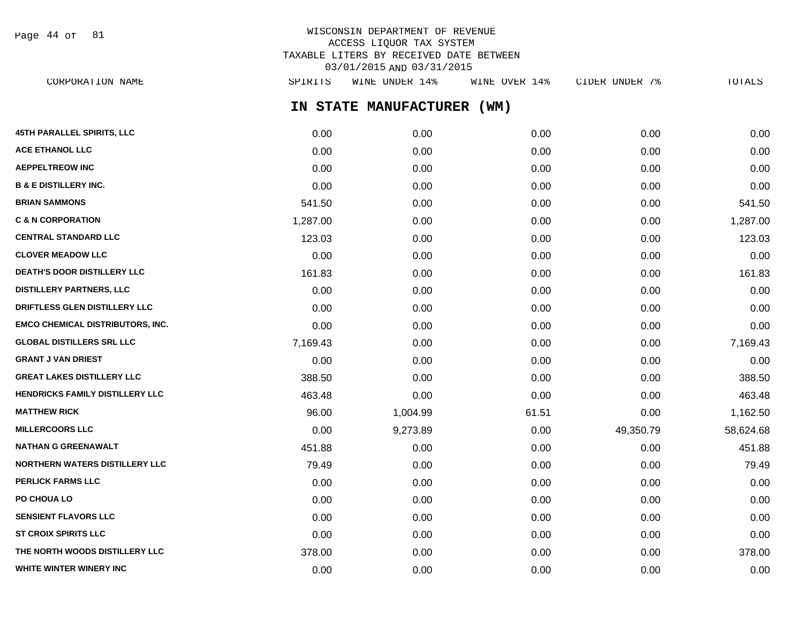WISCONSIN DEPARTMENT OF REVENUE ACCESS LIQUOR TAX SYSTEM TAXABLE LITERS BY RECEIVED DATE BETWEEN Page 44 of 81

**IN STATE MANUFACTURER (WM)** 03/01/2015 AND 03/31/2015 CORPORATION NAME SPIRITS WINE UNDER 14% WINE OVER 14% CIDER UNDER 7% TOTALS

| 45TH PARALLEL SPIRITS, LLC              | 0.00     | 0.00     | 0.00  | 0.00      | 0.00      |
|-----------------------------------------|----------|----------|-------|-----------|-----------|
| <b>ACE ETHANOL LLC</b>                  | 0.00     | 0.00     | 0.00  | 0.00      | 0.00      |
| <b>AEPPELTREOW INC</b>                  | 0.00     | 0.00     | 0.00  | 0.00      | 0.00      |
| <b>B &amp; E DISTILLERY INC.</b>        | 0.00     | 0.00     | 0.00  | 0.00      | 0.00      |
| <b>BRIAN SAMMONS</b>                    | 541.50   | 0.00     | 0.00  | 0.00      | 541.50    |
| <b>C &amp; N CORPORATION</b>            | 1,287.00 | 0.00     | 0.00  | 0.00      | 1,287.00  |
| <b>CENTRAL STANDARD LLC</b>             | 123.03   | 0.00     | 0.00  | 0.00      | 123.03    |
| <b>CLOVER MEADOW LLC</b>                | 0.00     | 0.00     | 0.00  | 0.00      | 0.00      |
| <b>DEATH'S DOOR DISTILLERY LLC</b>      | 161.83   | 0.00     | 0.00  | 0.00      | 161.83    |
| <b>DISTILLERY PARTNERS, LLC</b>         | 0.00     | 0.00     | 0.00  | 0.00      | 0.00      |
| DRIFTLESS GLEN DISTILLERY LLC           | 0.00     | 0.00     | 0.00  | 0.00      | 0.00      |
| <b>EMCO CHEMICAL DISTRIBUTORS, INC.</b> | 0.00     | 0.00     | 0.00  | 0.00      | 0.00      |
| <b>GLOBAL DISTILLERS SRL LLC</b>        | 7,169.43 | 0.00     | 0.00  | 0.00      | 7,169.43  |
| <b>GRANT J VAN DRIEST</b>               | 0.00     | 0.00     | 0.00  | 0.00      | 0.00      |
| <b>GREAT LAKES DISTILLERY LLC</b>       | 388.50   | 0.00     | 0.00  | 0.00      | 388.50    |
| HENDRICKS FAMILY DISTILLERY LLC         | 463.48   | 0.00     | 0.00  | 0.00      | 463.48    |
| <b>MATTHEW RICK</b>                     | 96.00    | 1,004.99 | 61.51 | 0.00      | 1,162.50  |
| <b>MILLERCOORS LLC</b>                  | 0.00     | 9,273.89 | 0.00  | 49,350.79 | 58,624.68 |
| <b>NATHAN G GREENAWALT</b>              | 451.88   | 0.00     | 0.00  | 0.00      | 451.88    |
| <b>NORTHERN WATERS DISTILLERY LLC</b>   | 79.49    | 0.00     | 0.00  | 0.00      | 79.49     |
| <b>PERLICK FARMS LLC</b>                | 0.00     | 0.00     | 0.00  | 0.00      | 0.00      |
| PO CHOUA LO                             | 0.00     | 0.00     | 0.00  | 0.00      | 0.00      |
| <b>SENSIENT FLAVORS LLC</b>             | 0.00     | 0.00     | 0.00  | 0.00      | 0.00      |
| <b>ST CROIX SPIRITS LLC</b>             | 0.00     | 0.00     | 0.00  | 0.00      | 0.00      |
| THE NORTH WOODS DISTILLERY LLC          | 378.00   | 0.00     | 0.00  | 0.00      | 378.00    |
| WHITE WINTER WINERY INC                 | 0.00     | 0.00     | 0.00  | 0.00      | 0.00      |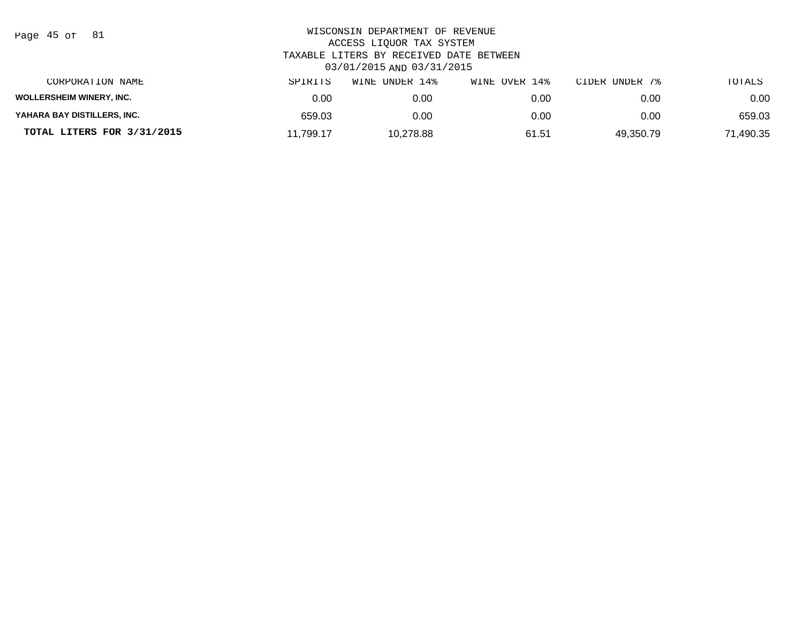| Page | : 45 of |  | 81 |
|------|---------|--|----|
|------|---------|--|----|

| CORPORATION NAME                | SPIRITS   | UNDER 14%<br>WINE | WINE OVER 14% | CIDER UNDER 7% | TOTALS    |
|---------------------------------|-----------|-------------------|---------------|----------------|-----------|
| <b>WOLLERSHEIM WINERY, INC.</b> | 0.00      | 0.00              | 0.00          | 0.00           | 0.00      |
| YAHARA BAY DISTILLERS, INC.     | 659.03    | 0.00              | 0.00          | 0.00           | 659.03    |
| TOTAL LITERS FOR 3/31/2015      | 11,799.17 | 10.278.88         | 61.51         | 49.350.79      | 71,490.35 |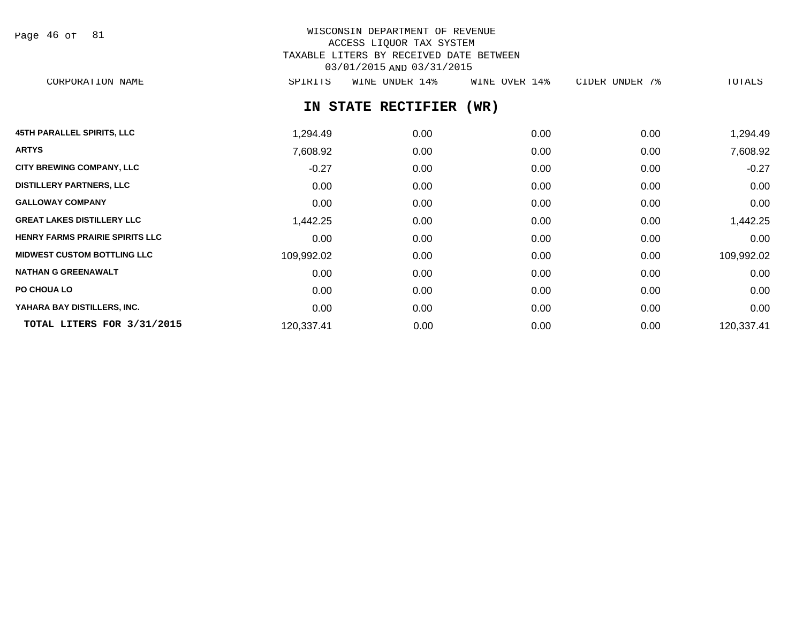Page 46 of 81

# WISCONSIN DEPARTMENT OF REVENUE ACCESS LIQUOR TAX SYSTEM TAXABLE LITERS BY RECEIVED DATE BETWEEN 03/01/2015 AND 03/31/2015

CORPORATION NAME SPIRITS WINE UNDER 14% WINE OVER 14% CIDER UNDER 7% TOTALS

# **IN STATE RECTIFIER (WR)**

| <b>45TH PARALLEL SPIRITS, LLC</b>      | 1,294.49   | 0.00 | 0.00 | 0.00 | 1,294.49   |
|----------------------------------------|------------|------|------|------|------------|
| <b>ARTYS</b>                           | 7,608.92   | 0.00 | 0.00 | 0.00 | 7,608.92   |
| <b>CITY BREWING COMPANY, LLC</b>       | $-0.27$    | 0.00 | 0.00 | 0.00 | $-0.27$    |
| <b>DISTILLERY PARTNERS, LLC</b>        | 0.00       | 0.00 | 0.00 | 0.00 | 0.00       |
| <b>GALLOWAY COMPANY</b>                | 0.00       | 0.00 | 0.00 | 0.00 | 0.00       |
| <b>GREAT LAKES DISTILLERY LLC</b>      | 1,442.25   | 0.00 | 0.00 | 0.00 | 1,442.25   |
| <b>HENRY FARMS PRAIRIE SPIRITS LLC</b> | 0.00       | 0.00 | 0.00 | 0.00 | 0.00       |
| <b>MIDWEST CUSTOM BOTTLING LLC</b>     | 109,992.02 | 0.00 | 0.00 | 0.00 | 109,992.02 |
| <b>NATHAN G GREENAWALT</b>             | 0.00       | 0.00 | 0.00 | 0.00 | 0.00       |
| PO CHOUA LO                            | 0.00       | 0.00 | 0.00 | 0.00 | 0.00       |
| YAHARA BAY DISTILLERS, INC.            | 0.00       | 0.00 | 0.00 | 0.00 | 0.00       |
| TOTAL LITERS FOR 3/31/2015             | 120,337.41 | 0.00 | 0.00 | 0.00 | 120,337.41 |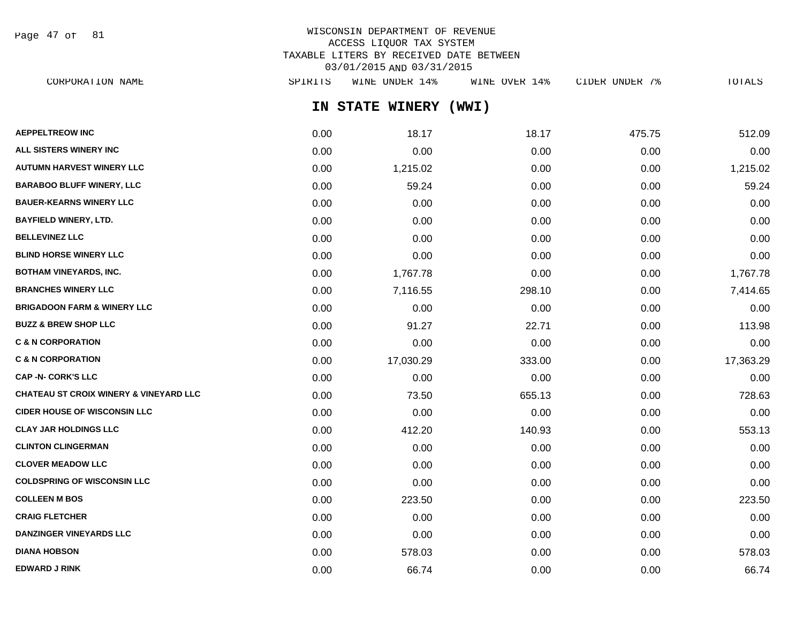Page 47 of 81

# WISCONSIN DEPARTMENT OF REVENUE ACCESS LIQUOR TAX SYSTEM TAXABLE LITERS BY RECEIVED DATE BETWEEN 03/01/2015 AND 03/31/2015

| CORPORATION NAME                                  | SPIRITS | WINE UNDER 14%  | WINE OVER 14% | CIDER UNDER 7% | TOTALS    |
|---------------------------------------------------|---------|-----------------|---------------|----------------|-----------|
|                                                   |         | IN STATE WINERY | (WWI)         |                |           |
| <b>AEPPELTREOW INC</b>                            | 0.00    | 18.17           | 18.17         | 475.75         | 512.09    |
| ALL SISTERS WINERY INC                            | 0.00    | 0.00            | 0.00          | 0.00           | 0.00      |
| <b>AUTUMN HARVEST WINERY LLC</b>                  | 0.00    | 1,215.02        | 0.00          | 0.00           | 1,215.02  |
| <b>BARABOO BLUFF WINERY, LLC</b>                  | 0.00    | 59.24           | 0.00          | 0.00           | 59.24     |
| <b>BAUER-KEARNS WINERY LLC</b>                    | 0.00    | 0.00            | 0.00          | 0.00           | 0.00      |
| <b>BAYFIELD WINERY, LTD.</b>                      | 0.00    | 0.00            | 0.00          | 0.00           | 0.00      |
| <b>BELLEVINEZ LLC</b>                             | 0.00    | 0.00            | 0.00          | 0.00           | 0.00      |
| <b>BLIND HORSE WINERY LLC</b>                     | 0.00    | 0.00            | 0.00          | 0.00           | 0.00      |
| <b>BOTHAM VINEYARDS, INC.</b>                     | 0.00    | 1,767.78        | 0.00          | 0.00           | 1,767.78  |
| <b>BRANCHES WINERY LLC</b>                        | 0.00    | 7,116.55        | 298.10        | 0.00           | 7,414.65  |
| <b>BRIGADOON FARM &amp; WINERY LLC</b>            | 0.00    | 0.00            | 0.00          | 0.00           | 0.00      |
| <b>BUZZ &amp; BREW SHOP LLC</b>                   | 0.00    | 91.27           | 22.71         | 0.00           | 113.98    |
| <b>C &amp; N CORPORATION</b>                      | 0.00    | 0.00            | 0.00          | 0.00           | 0.00      |
| <b>C &amp; N CORPORATION</b>                      | 0.00    | 17,030.29       | 333.00        | 0.00           | 17,363.29 |
| CAP -N- CORK'S LLC                                | 0.00    | 0.00            | 0.00          | 0.00           | 0.00      |
| <b>CHATEAU ST CROIX WINERY &amp; VINEYARD LLC</b> | 0.00    | 73.50           | 655.13        | 0.00           | 728.63    |
| <b>CIDER HOUSE OF WISCONSIN LLC</b>               | 0.00    | 0.00            | 0.00          | 0.00           | 0.00      |
| <b>CLAY JAR HOLDINGS LLC</b>                      | 0.00    | 412.20          | 140.93        | 0.00           | 553.13    |
| <b>CLINTON CLINGERMAN</b>                         | 0.00    | 0.00            | 0.00          | 0.00           | 0.00      |
| <b>CLOVER MEADOW LLC</b>                          | 0.00    | 0.00            | 0.00          | 0.00           | 0.00      |
| <b>COLDSPRING OF WISCONSIN LLC</b>                | 0.00    | 0.00            | 0.00          | 0.00           | 0.00      |
| <b>COLLEEN M BOS</b>                              | 0.00    | 223.50          | 0.00          | 0.00           | 223.50    |
| <b>CRAIG FLETCHER</b>                             | 0.00    | 0.00            | 0.00          | 0.00           | 0.00      |
| <b>DANZINGER VINEYARDS LLC</b>                    | 0.00    | 0.00            | 0.00          | 0.00           | 0.00      |
| <b>DIANA HOBSON</b>                               | 0.00    | 578.03          | 0.00          | 0.00           | 578.03    |
|                                                   |         |                 |               |                |           |

**EDWARD J RINK** 0.00 66.74 0.00 0.00 66.74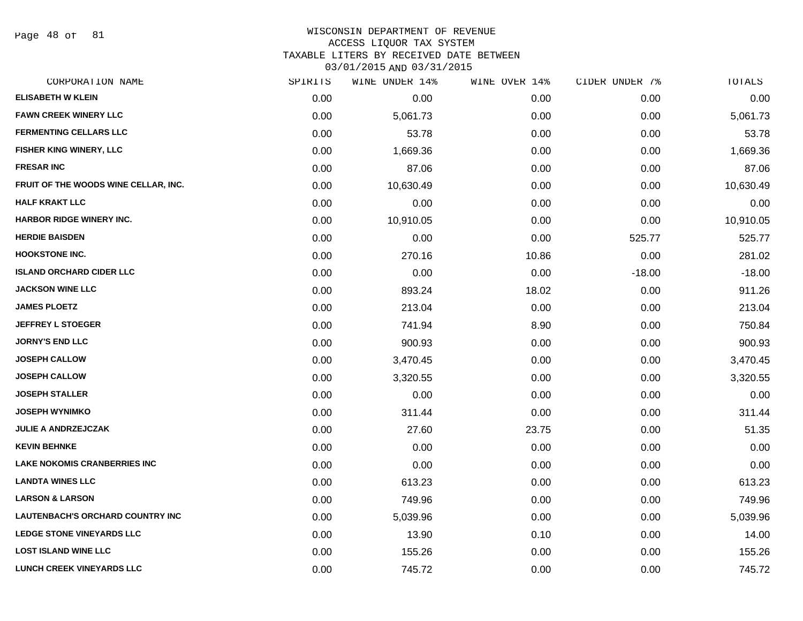Page 48 of 81

# WISCONSIN DEPARTMENT OF REVENUE

#### ACCESS LIQUOR TAX SYSTEM

TAXABLE LITERS BY RECEIVED DATE BETWEEN

| CORPORATION NAME                        | SPIRITS | WINE UNDER 14% | WINE OVER 14% | CIDER UNDER 7% | TOTALS    |
|-----------------------------------------|---------|----------------|---------------|----------------|-----------|
| <b>ELISABETH W KLEIN</b>                | 0.00    | 0.00           | 0.00          | 0.00           | 0.00      |
| <b>FAWN CREEK WINERY LLC</b>            | 0.00    | 5,061.73       | 0.00          | 0.00           | 5,061.73  |
| <b>FERMENTING CELLARS LLC</b>           | 0.00    | 53.78          | 0.00          | 0.00           | 53.78     |
| <b>FISHER KING WINERY, LLC</b>          | 0.00    | 1,669.36       | 0.00          | 0.00           | 1,669.36  |
| <b>FRESAR INC</b>                       | 0.00    | 87.06          | 0.00          | 0.00           | 87.06     |
| FRUIT OF THE WOODS WINE CELLAR, INC.    | 0.00    | 10,630.49      | 0.00          | 0.00           | 10,630.49 |
| <b>HALF KRAKT LLC</b>                   | 0.00    | 0.00           | 0.00          | 0.00           | 0.00      |
| <b>HARBOR RIDGE WINERY INC.</b>         | 0.00    | 10,910.05      | 0.00          | 0.00           | 10,910.05 |
| <b>HERDIE BAISDEN</b>                   | 0.00    | 0.00           | 0.00          | 525.77         | 525.77    |
| <b>HOOKSTONE INC.</b>                   | 0.00    | 270.16         | 10.86         | 0.00           | 281.02    |
| <b>ISLAND ORCHARD CIDER LLC</b>         | 0.00    | 0.00           | 0.00          | $-18.00$       | $-18.00$  |
| <b>JACKSON WINE LLC</b>                 | 0.00    | 893.24         | 18.02         | 0.00           | 911.26    |
| <b>JAMES PLOETZ</b>                     | 0.00    | 213.04         | 0.00          | 0.00           | 213.04    |
| <b>JEFFREY L STOEGER</b>                | 0.00    | 741.94         | 8.90          | 0.00           | 750.84    |
| <b>JORNY'S END LLC</b>                  | 0.00    | 900.93         | 0.00          | 0.00           | 900.93    |
| <b>JOSEPH CALLOW</b>                    | 0.00    | 3,470.45       | 0.00          | 0.00           | 3,470.45  |
| <b>JOSEPH CALLOW</b>                    | 0.00    | 3,320.55       | 0.00          | 0.00           | 3,320.55  |
| <b>JOSEPH STALLER</b>                   | 0.00    | 0.00           | 0.00          | 0.00           | 0.00      |
| <b>JOSEPH WYNIMKO</b>                   | 0.00    | 311.44         | 0.00          | 0.00           | 311.44    |
| <b>JULIE A ANDRZEJCZAK</b>              | 0.00    | 27.60          | 23.75         | 0.00           | 51.35     |
| <b>KEVIN BEHNKE</b>                     | 0.00    | 0.00           | 0.00          | 0.00           | 0.00      |
| <b>LAKE NOKOMIS CRANBERRIES INC</b>     | 0.00    | 0.00           | 0.00          | 0.00           | 0.00      |
| <b>LANDTA WINES LLC</b>                 | 0.00    | 613.23         | 0.00          | 0.00           | 613.23    |
| <b>LARSON &amp; LARSON</b>              | 0.00    | 749.96         | 0.00          | 0.00           | 749.96    |
| <b>LAUTENBACH'S ORCHARD COUNTRY INC</b> | 0.00    | 5,039.96       | 0.00          | 0.00           | 5,039.96  |
| <b>LEDGE STONE VINEYARDS LLC</b>        | 0.00    | 13.90          | 0.10          | 0.00           | 14.00     |
| <b>LOST ISLAND WINE LLC</b>             | 0.00    | 155.26         | 0.00          | 0.00           | 155.26    |
| <b>LUNCH CREEK VINEYARDS LLC</b>        | 0.00    | 745.72         | 0.00          | 0.00           | 745.72    |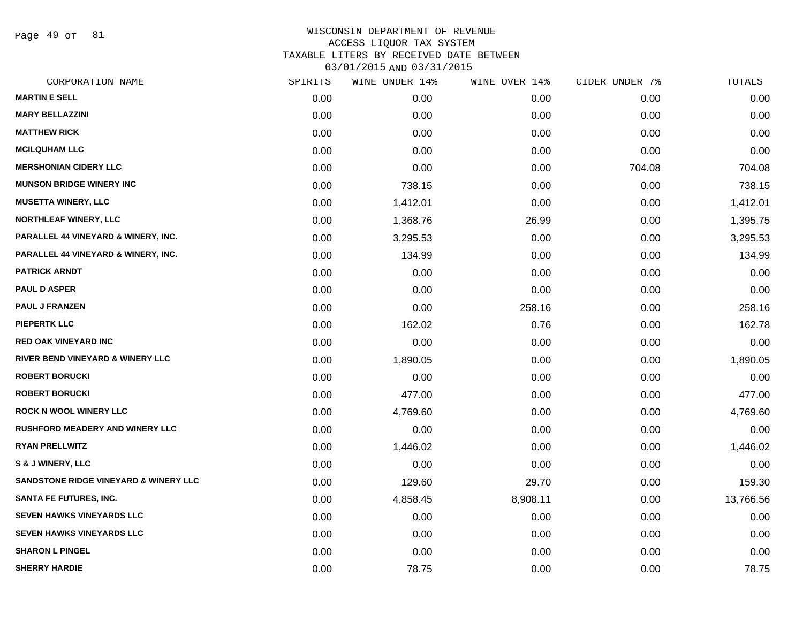Page 49 of 81

| CORPORATION NAME                            | SPIRITS | WINE UNDER 14% | WINE OVER 14% | CIDER UNDER 7% | TOTALS    |
|---------------------------------------------|---------|----------------|---------------|----------------|-----------|
| <b>MARTIN E SELL</b>                        | 0.00    | 0.00           | 0.00          | 0.00           | 0.00      |
| <b>MARY BELLAZZINI</b>                      | 0.00    | 0.00           | 0.00          | 0.00           | 0.00      |
| <b>MATTHEW RICK</b>                         | 0.00    | 0.00           | 0.00          | 0.00           | 0.00      |
| <b>MCILQUHAM LLC</b>                        | 0.00    | 0.00           | 0.00          | 0.00           | 0.00      |
| <b>MERSHONIAN CIDERY LLC</b>                | 0.00    | 0.00           | 0.00          | 704.08         | 704.08    |
| <b>MUNSON BRIDGE WINERY INC</b>             | 0.00    | 738.15         | 0.00          | 0.00           | 738.15    |
| <b>MUSETTA WINERY, LLC</b>                  | 0.00    | 1,412.01       | 0.00          | 0.00           | 1,412.01  |
| <b>NORTHLEAF WINERY, LLC</b>                | 0.00    | 1,368.76       | 26.99         | 0.00           | 1,395.75  |
| PARALLEL 44 VINEYARD & WINERY, INC.         | 0.00    | 3,295.53       | 0.00          | 0.00           | 3,295.53  |
| PARALLEL 44 VINEYARD & WINERY, INC.         | 0.00    | 134.99         | 0.00          | 0.00           | 134.99    |
| <b>PATRICK ARNDT</b>                        | 0.00    | 0.00           | 0.00          | 0.00           | 0.00      |
| <b>PAUL D ASPER</b>                         | 0.00    | 0.00           | 0.00          | 0.00           | 0.00      |
| <b>PAUL J FRANZEN</b>                       | 0.00    | 0.00           | 258.16        | 0.00           | 258.16    |
| <b>PIEPERTK LLC</b>                         | 0.00    | 162.02         | 0.76          | 0.00           | 162.78    |
| <b>RED OAK VINEYARD INC</b>                 | 0.00    | 0.00           | 0.00          | 0.00           | 0.00      |
| <b>RIVER BEND VINEYARD &amp; WINERY LLC</b> | 0.00    | 1,890.05       | 0.00          | 0.00           | 1,890.05  |
| <b>ROBERT BORUCKI</b>                       | 0.00    | 0.00           | 0.00          | 0.00           | 0.00      |
| <b>ROBERT BORUCKI</b>                       | 0.00    | 477.00         | 0.00          | 0.00           | 477.00    |
| <b>ROCK N WOOL WINERY LLC</b>               | 0.00    | 4,769.60       | 0.00          | 0.00           | 4,769.60  |
| RUSHFORD MEADERY AND WINERY LLC             | 0.00    | 0.00           | 0.00          | 0.00           | 0.00      |
| <b>RYAN PRELLWITZ</b>                       | 0.00    | 1,446.02       | 0.00          | 0.00           | 1,446.02  |
| <b>S &amp; J WINERY, LLC</b>                | 0.00    | 0.00           | 0.00          | 0.00           | 0.00      |
| SANDSTONE RIDGE VINEYARD & WINERY LLC       | 0.00    | 129.60         | 29.70         | 0.00           | 159.30    |
| <b>SANTA FE FUTURES, INC.</b>               | 0.00    | 4,858.45       | 8,908.11      | 0.00           | 13,766.56 |
| <b>SEVEN HAWKS VINEYARDS LLC</b>            | 0.00    | 0.00           | 0.00          | 0.00           | 0.00      |
| SEVEN HAWKS VINEYARDS LLC                   | 0.00    | 0.00           | 0.00          | 0.00           | 0.00      |
| <b>SHARON L PINGEL</b>                      | 0.00    | 0.00           | 0.00          | 0.00           | 0.00      |
| <b>SHERRY HARDIE</b>                        | 0.00    | 78.75          | 0.00          | 0.00           | 78.75     |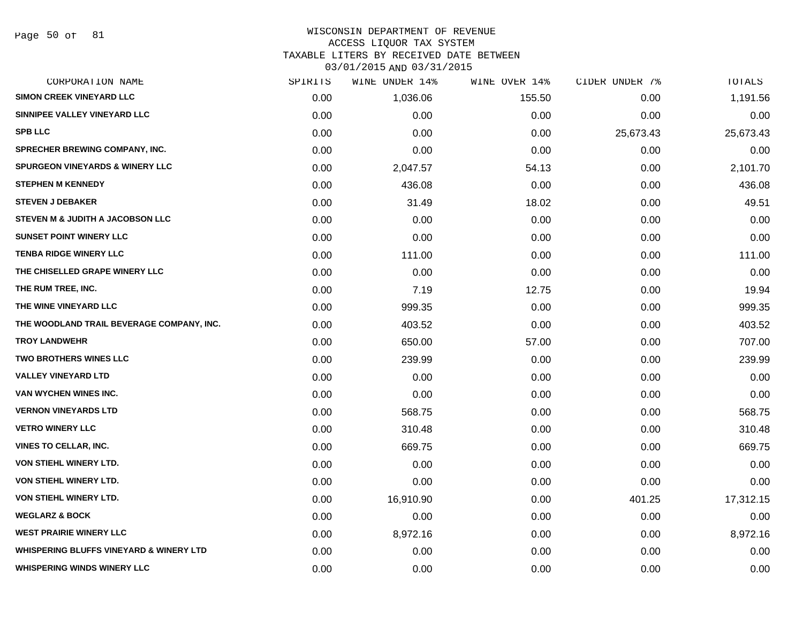# WISCONSIN DEPARTMENT OF REVENUE

# ACCESS LIQUOR TAX SYSTEM

TAXABLE LITERS BY RECEIVED DATE BETWEEN

| CORPORATION NAME                                   | SPIRITS | WINE UNDER 14% | WINE OVER 14% | CIDER UNDER 7% | TOTALS    |
|----------------------------------------------------|---------|----------------|---------------|----------------|-----------|
| <b>SIMON CREEK VINEYARD LLC</b>                    | 0.00    | 1,036.06       | 155.50        | 0.00           | 1,191.56  |
| SINNIPEE VALLEY VINEYARD LLC                       | 0.00    | 0.00           | 0.00          | 0.00           | 0.00      |
| <b>SPB LLC</b>                                     | 0.00    | 0.00           | 0.00          | 25,673.43      | 25,673.43 |
| <b>SPRECHER BREWING COMPANY, INC.</b>              | 0.00    | 0.00           | 0.00          | 0.00           | 0.00      |
| <b>SPURGEON VINEYARDS &amp; WINERY LLC</b>         | 0.00    | 2,047.57       | 54.13         | 0.00           | 2,101.70  |
| <b>STEPHEN M KENNEDY</b>                           | 0.00    | 436.08         | 0.00          | 0.00           | 436.08    |
| <b>STEVEN J DEBAKER</b>                            | 0.00    | 31.49          | 18.02         | 0.00           | 49.51     |
| STEVEN M & JUDITH A JACOBSON LLC                   | 0.00    | 0.00           | 0.00          | 0.00           | 0.00      |
| <b>SUNSET POINT WINERY LLC</b>                     | 0.00    | 0.00           | 0.00          | 0.00           | 0.00      |
| <b>TENBA RIDGE WINERY LLC</b>                      | 0.00    | 111.00         | 0.00          | 0.00           | 111.00    |
| THE CHISELLED GRAPE WINERY LLC                     | 0.00    | 0.00           | 0.00          | 0.00           | 0.00      |
| THE RUM TREE, INC.                                 | 0.00    | 7.19           | 12.75         | 0.00           | 19.94     |
| THE WINE VINEYARD LLC                              | 0.00    | 999.35         | 0.00          | 0.00           | 999.35    |
| THE WOODLAND TRAIL BEVERAGE COMPANY, INC.          | 0.00    | 403.52         | 0.00          | 0.00           | 403.52    |
| <b>TROY LANDWEHR</b>                               | 0.00    | 650.00         | 57.00         | 0.00           | 707.00    |
| TWO BROTHERS WINES LLC                             | 0.00    | 239.99         | 0.00          | 0.00           | 239.99    |
| <b>VALLEY VINEYARD LTD</b>                         | 0.00    | 0.00           | 0.00          | 0.00           | 0.00      |
| <b>VAN WYCHEN WINES INC.</b>                       | 0.00    | 0.00           | 0.00          | 0.00           | 0.00      |
| <b>VERNON VINEYARDS LTD</b>                        | 0.00    | 568.75         | 0.00          | 0.00           | 568.75    |
| <b>VETRO WINERY LLC</b>                            | 0.00    | 310.48         | 0.00          | 0.00           | 310.48    |
| VINES TO CELLAR, INC.                              | 0.00    | 669.75         | 0.00          | 0.00           | 669.75    |
| VON STIEHL WINERY LTD.                             | 0.00    | 0.00           | 0.00          | 0.00           | 0.00      |
| VON STIEHL WINERY LTD.                             | 0.00    | 0.00           | 0.00          | 0.00           | 0.00      |
| VON STIEHL WINERY LTD.                             | 0.00    | 16,910.90      | 0.00          | 401.25         | 17,312.15 |
| <b>WEGLARZ &amp; BOCK</b>                          | 0.00    | 0.00           | 0.00          | 0.00           | 0.00      |
| <b>WEST PRAIRIE WINERY LLC</b>                     | 0.00    | 8,972.16       | 0.00          | 0.00           | 8,972.16  |
| <b>WHISPERING BLUFFS VINEYARD &amp; WINERY LTD</b> | 0.00    | 0.00           | 0.00          | 0.00           | 0.00      |
| <b>WHISPERING WINDS WINERY LLC</b>                 | 0.00    | 0.00           | 0.00          | 0.00           | 0.00      |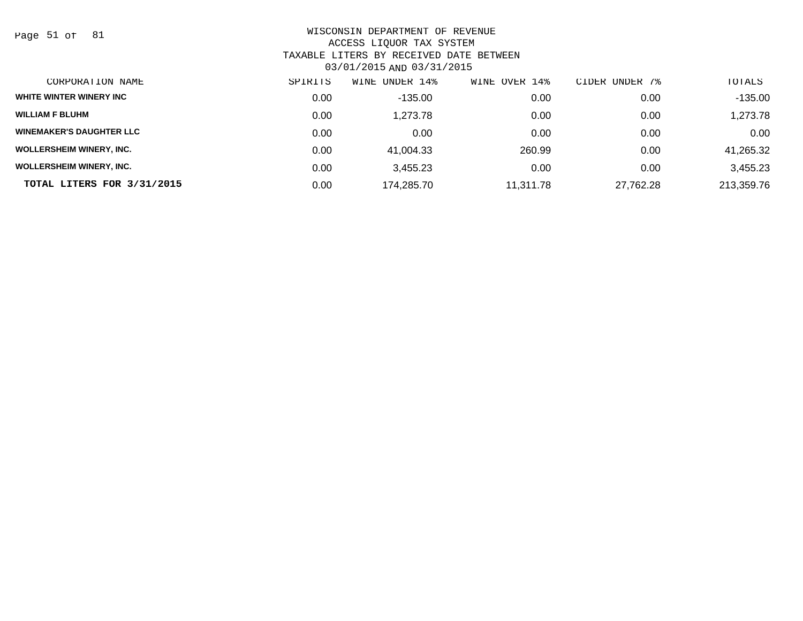Page 51 of 81

| CORPORATION NAME                | SPIRITS | UNDER 14%<br>WINE | WINE OVER 14% | CIDER UNDER 7% | TOTALS     |
|---------------------------------|---------|-------------------|---------------|----------------|------------|
| WHITE WINTER WINERY INC         | 0.00    | -135.00           | 0.00          | 0.00           | $-135.00$  |
| <b>WILLIAM F BLUHM</b>          | 0.00    | 1.273.78          | 0.00          | 0.00           | 1,273.78   |
| <b>WINEMAKER'S DAUGHTER LLC</b> | 0.00    | 0.00              | 0.00          | 0.00           | 0.00       |
| <b>WOLLERSHEIM WINERY, INC.</b> | 0.00    | 41.004.33         | 260.99        | 0.00           | 41,265.32  |
| <b>WOLLERSHEIM WINERY, INC.</b> | 0.00    | 3.455.23          | 0.00          | 0.00           | 3,455.23   |
| TOTAL LITERS FOR 3/31/2015      | 0.00    | 174.285.70        | 11.311.78     | 27,762.28      | 213,359.76 |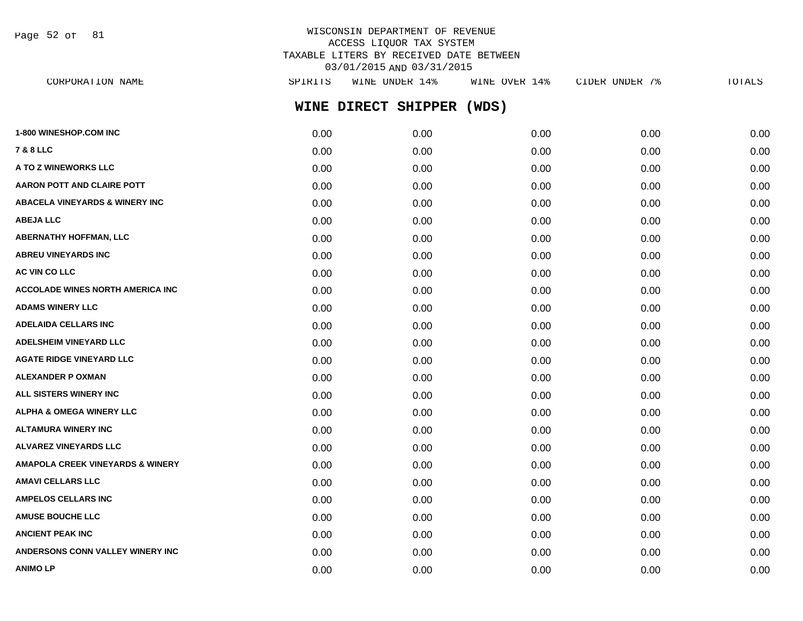Page 52 of 81

# WISCONSIN DEPARTMENT OF REVENUE ACCESS LIQUOR TAX SYSTEM TAXABLE LITERS BY RECEIVED DATE BETWEEN 03/01/2015 AND 03/31/2015

| CORPORATION NAME                            | SPIRITS | WINE UNDER 14%      | WINE OVER 14% | CIDER UNDER 7% | TOTALS |
|---------------------------------------------|---------|---------------------|---------------|----------------|--------|
|                                             |         | WINE DIRECT SHIPPER | (WDS)         |                |        |
| 1-800 WINESHOP.COM INC                      | 0.00    | 0.00                | 0.00          | 0.00           | 0.00   |
| <b>7 &amp; 8 LLC</b>                        | 0.00    | 0.00                | 0.00          | 0.00           | 0.00   |
| A TO Z WINEWORKS LLC                        | 0.00    | 0.00                | 0.00          | 0.00           | 0.00   |
| <b>AARON POTT AND CLAIRE POTT</b>           | 0.00    | 0.00                | 0.00          | 0.00           | 0.00   |
| <b>ABACELA VINEYARDS &amp; WINERY INC</b>   | 0.00    | 0.00                | 0.00          | 0.00           | 0.00   |
| <b>ABEJA LLC</b>                            | 0.00    | 0.00                | 0.00          | 0.00           | 0.00   |
| <b>ABERNATHY HOFFMAN, LLC</b>               | 0.00    | 0.00                | 0.00          | 0.00           | 0.00   |
| <b>ABREU VINEYARDS INC</b>                  | 0.00    | 0.00                | 0.00          | 0.00           | 0.00   |
| AC VIN CO LLC                               | 0.00    | 0.00                | 0.00          | 0.00           | 0.00   |
| <b>ACCOLADE WINES NORTH AMERICA INC</b>     | 0.00    | 0.00                | 0.00          | 0.00           | 0.00   |
| <b>ADAMS WINERY LLC</b>                     | 0.00    | 0.00                | 0.00          | 0.00           | 0.00   |
| <b>ADELAIDA CELLARS INC</b>                 | 0.00    | 0.00                | 0.00          | 0.00           | 0.00   |
| <b>ADELSHEIM VINEYARD LLC</b>               | 0.00    | 0.00                | 0.00          | 0.00           | 0.00   |
| <b>AGATE RIDGE VINEYARD LLC</b>             | 0.00    | 0.00                | 0.00          | 0.00           | 0.00   |
| <b>ALEXANDER P OXMAN</b>                    | 0.00    | 0.00                | 0.00          | 0.00           | 0.00   |
| ALL SISTERS WINERY INC                      | 0.00    | 0.00                | 0.00          | 0.00           | 0.00   |
| <b>ALPHA &amp; OMEGA WINERY LLC</b>         | 0.00    | 0.00                | 0.00          | 0.00           | 0.00   |
| <b>ALTAMURA WINERY INC</b>                  | 0.00    | 0.00                | 0.00          | 0.00           | 0.00   |
| <b>ALVAREZ VINEYARDS LLC</b>                | 0.00    | 0.00                | 0.00          | 0.00           | 0.00   |
| <b>AMAPOLA CREEK VINEYARDS &amp; WINERY</b> | 0.00    | 0.00                | 0.00          | 0.00           | 0.00   |
| <b>AMAVI CELLARS LLC</b>                    | 0.00    | 0.00                | 0.00          | 0.00           | 0.00   |
| <b>AMPELOS CELLARS INC</b>                  | 0.00    | 0.00                | 0.00          | 0.00           | 0.00   |
| <b>AMUSE BOUCHE LLC</b>                     | 0.00    | 0.00                | 0.00          | 0.00           | 0.00   |
| <b>ANCIENT PEAK INC</b>                     | 0.00    | 0.00                | 0.00          | 0.00           | 0.00   |
| ANDERSONS CONN VALLEY WINERY INC            | 0.00    | 0.00                | 0.00          | 0.00           | 0.00   |

**ANIMO LP** 0.00 0.00 0.00 0.00 0.00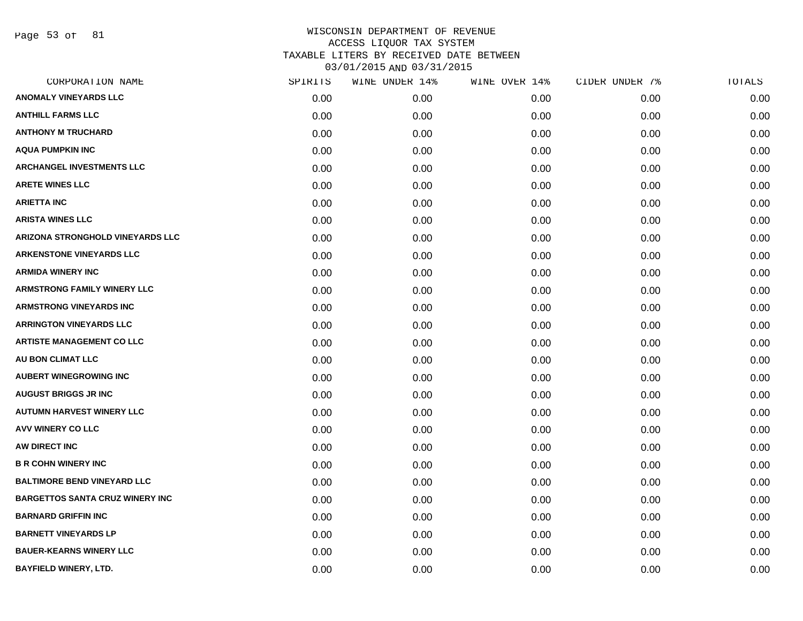Page 53 of 81

| CORPORATION NAME                       | SPIRITS | WINE UNDER 14% | WINE OVER 14% | CIDER UNDER 7% | TOTALS |
|----------------------------------------|---------|----------------|---------------|----------------|--------|
| <b>ANOMALY VINEYARDS LLC</b>           | 0.00    | 0.00           | 0.00          | 0.00           | 0.00   |
| <b>ANTHILL FARMS LLC</b>               | 0.00    | 0.00           | 0.00          | 0.00           | 0.00   |
| <b>ANTHONY M TRUCHARD</b>              | 0.00    | 0.00           | 0.00          | 0.00           | 0.00   |
| <b>AQUA PUMPKIN INC</b>                | 0.00    | 0.00           | 0.00          | 0.00           | 0.00   |
| <b>ARCHANGEL INVESTMENTS LLC</b>       | 0.00    | 0.00           | 0.00          | 0.00           | 0.00   |
| <b>ARETE WINES LLC</b>                 | 0.00    | 0.00           | 0.00          | 0.00           | 0.00   |
| <b>ARIETTA INC</b>                     | 0.00    | 0.00           | 0.00          | 0.00           | 0.00   |
| <b>ARISTA WINES LLC</b>                | 0.00    | 0.00           | 0.00          | 0.00           | 0.00   |
| ARIZONA STRONGHOLD VINEYARDS LLC       | 0.00    | 0.00           | 0.00          | 0.00           | 0.00   |
| <b>ARKENSTONE VINEYARDS LLC</b>        | 0.00    | 0.00           | 0.00          | 0.00           | 0.00   |
| <b>ARMIDA WINERY INC</b>               | 0.00    | 0.00           | 0.00          | 0.00           | 0.00   |
| <b>ARMSTRONG FAMILY WINERY LLC</b>     | 0.00    | 0.00           | 0.00          | 0.00           | 0.00   |
| <b>ARMSTRONG VINEYARDS INC</b>         | 0.00    | 0.00           | 0.00          | 0.00           | 0.00   |
| <b>ARRINGTON VINEYARDS LLC</b>         | 0.00    | 0.00           | 0.00          | 0.00           | 0.00   |
| <b>ARTISTE MANAGEMENT CO LLC</b>       | 0.00    | 0.00           | 0.00          | 0.00           | 0.00   |
| AU BON CLIMAT LLC                      | 0.00    | 0.00           | 0.00          | 0.00           | 0.00   |
| <b>AUBERT WINEGROWING INC</b>          | 0.00    | 0.00           | 0.00          | 0.00           | 0.00   |
| <b>AUGUST BRIGGS JR INC</b>            | 0.00    | 0.00           | 0.00          | 0.00           | 0.00   |
| <b>AUTUMN HARVEST WINERY LLC</b>       | 0.00    | 0.00           | 0.00          | 0.00           | 0.00   |
| <b>AVV WINERY CO LLC</b>               | 0.00    | 0.00           | 0.00          | 0.00           | 0.00   |
| AW DIRECT INC                          | 0.00    | 0.00           | 0.00          | 0.00           | 0.00   |
| <b>B R COHN WINERY INC</b>             | 0.00    | 0.00           | 0.00          | 0.00           | 0.00   |
| <b>BALTIMORE BEND VINEYARD LLC</b>     | 0.00    | 0.00           | 0.00          | 0.00           | 0.00   |
| <b>BARGETTOS SANTA CRUZ WINERY INC</b> | 0.00    | 0.00           | 0.00          | 0.00           | 0.00   |
| <b>BARNARD GRIFFIN INC</b>             | 0.00    | 0.00           | 0.00          | 0.00           | 0.00   |
| <b>BARNETT VINEYARDS LP</b>            | 0.00    | 0.00           | 0.00          | 0.00           | 0.00   |
| <b>BAUER-KEARNS WINERY LLC</b>         | 0.00    | 0.00           | 0.00          | 0.00           | 0.00   |
| <b>BAYFIELD WINERY, LTD.</b>           | 0.00    | 0.00           | 0.00          | 0.00           | 0.00   |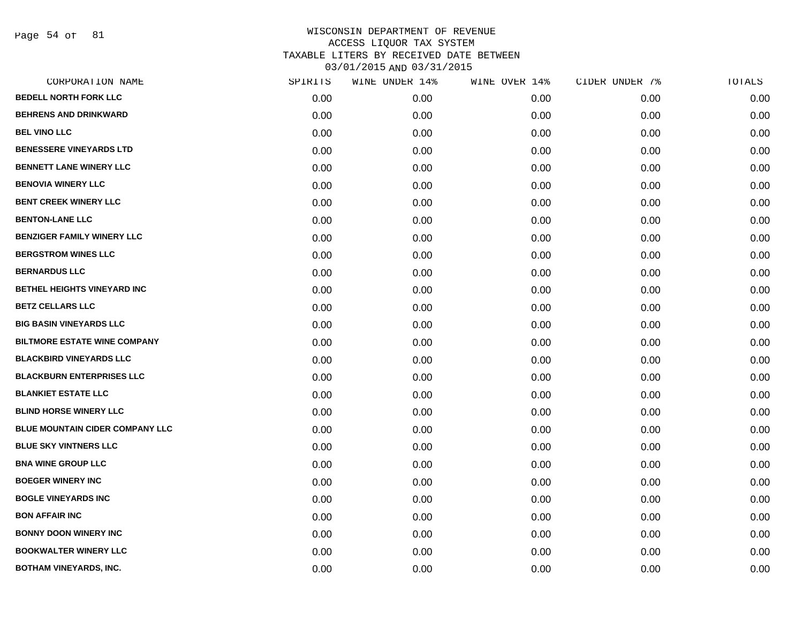Page 54 of 81

| CORPORATION NAME                    | SPIRITS | WINE UNDER 14% | WINE OVER 14% | CIDER UNDER 7% | TOTALS |
|-------------------------------------|---------|----------------|---------------|----------------|--------|
| <b>BEDELL NORTH FORK LLC</b>        | 0.00    | 0.00           | 0.00          | 0.00           | 0.00   |
| <b>BEHRENS AND DRINKWARD</b>        | 0.00    | 0.00           | 0.00          | 0.00           | 0.00   |
| <b>BEL VINO LLC</b>                 | 0.00    | 0.00           | 0.00          | 0.00           | 0.00   |
| <b>BENESSERE VINEYARDS LTD</b>      | 0.00    | 0.00           | 0.00          | 0.00           | 0.00   |
| <b>BENNETT LANE WINERY LLC</b>      | 0.00    | 0.00           | 0.00          | 0.00           | 0.00   |
| <b>BENOVIA WINERY LLC</b>           | 0.00    | 0.00           | 0.00          | 0.00           | 0.00   |
| <b>BENT CREEK WINERY LLC</b>        | 0.00    | 0.00           | 0.00          | 0.00           | 0.00   |
| <b>BENTON-LANE LLC</b>              | 0.00    | 0.00           | 0.00          | 0.00           | 0.00   |
| <b>BENZIGER FAMILY WINERY LLC</b>   | 0.00    | 0.00           | 0.00          | 0.00           | 0.00   |
| <b>BERGSTROM WINES LLC</b>          | 0.00    | 0.00           | 0.00          | 0.00           | 0.00   |
| <b>BERNARDUS LLC</b>                | 0.00    | 0.00           | 0.00          | 0.00           | 0.00   |
| BETHEL HEIGHTS VINEYARD INC         | 0.00    | 0.00           | 0.00          | 0.00           | 0.00   |
| <b>BETZ CELLARS LLC</b>             | 0.00    | 0.00           | 0.00          | 0.00           | 0.00   |
| <b>BIG BASIN VINEYARDS LLC</b>      | 0.00    | 0.00           | 0.00          | 0.00           | 0.00   |
| <b>BILTMORE ESTATE WINE COMPANY</b> | 0.00    | 0.00           | 0.00          | 0.00           | 0.00   |
| <b>BLACKBIRD VINEYARDS LLC</b>      | 0.00    | 0.00           | 0.00          | 0.00           | 0.00   |
| <b>BLACKBURN ENTERPRISES LLC</b>    | 0.00    | 0.00           | 0.00          | 0.00           | 0.00   |
| <b>BLANKIET ESTATE LLC</b>          | 0.00    | 0.00           | 0.00          | 0.00           | 0.00   |
| <b>BLIND HORSE WINERY LLC</b>       | 0.00    | 0.00           | 0.00          | 0.00           | 0.00   |
| BLUE MOUNTAIN CIDER COMPANY LLC     | 0.00    | 0.00           | 0.00          | 0.00           | 0.00   |
| <b>BLUE SKY VINTNERS LLC</b>        | 0.00    | 0.00           | 0.00          | 0.00           | 0.00   |
| <b>BNA WINE GROUP LLC</b>           | 0.00    | 0.00           | 0.00          | 0.00           | 0.00   |
| <b>BOEGER WINERY INC</b>            | 0.00    | 0.00           | 0.00          | 0.00           | 0.00   |
| <b>BOGLE VINEYARDS INC</b>          | 0.00    | 0.00           | 0.00          | 0.00           | 0.00   |
| <b>BON AFFAIR INC</b>               | 0.00    | 0.00           | 0.00          | 0.00           | 0.00   |
| <b>BONNY DOON WINERY INC</b>        | 0.00    | 0.00           | 0.00          | 0.00           | 0.00   |
| <b>BOOKWALTER WINERY LLC</b>        | 0.00    | 0.00           | 0.00          | 0.00           | 0.00   |
| <b>BOTHAM VINEYARDS, INC.</b>       | 0.00    | 0.00           | 0.00          | 0.00           | 0.00   |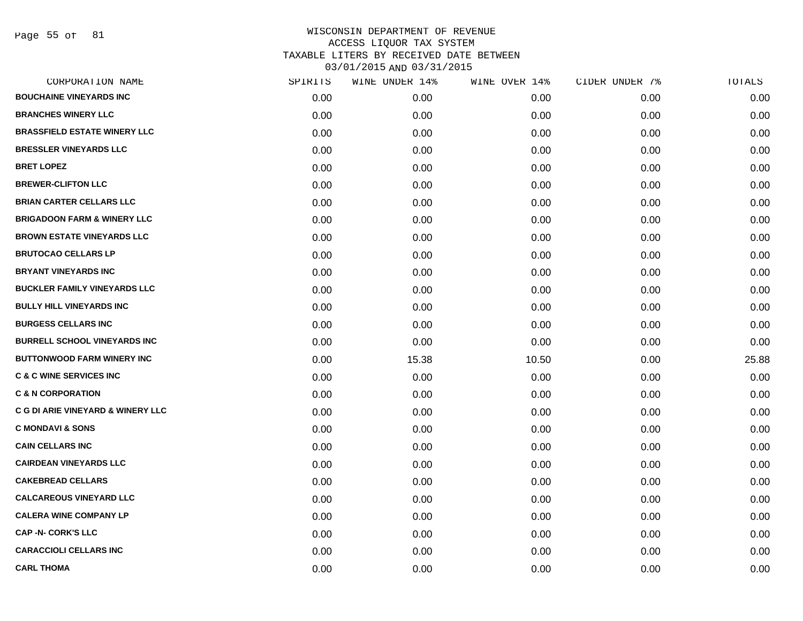Page 55 of 81

| CORPORATION NAME                             | SPIRITS | WINE UNDER 14% | WINE OVER 14% | CIDER UNDER 7% | TOTALS |
|----------------------------------------------|---------|----------------|---------------|----------------|--------|
| <b>BOUCHAINE VINEYARDS INC</b>               | 0.00    | 0.00           | 0.00          | 0.00           | 0.00   |
| <b>BRANCHES WINERY LLC</b>                   | 0.00    | 0.00           | 0.00          | 0.00           | 0.00   |
| <b>BRASSFIELD ESTATE WINERY LLC</b>          | 0.00    | 0.00           | 0.00          | 0.00           | 0.00   |
| <b>BRESSLER VINEYARDS LLC</b>                | 0.00    | 0.00           | 0.00          | 0.00           | 0.00   |
| <b>BRET LOPEZ</b>                            | 0.00    | 0.00           | 0.00          | 0.00           | 0.00   |
| <b>BREWER-CLIFTON LLC</b>                    | 0.00    | 0.00           | 0.00          | 0.00           | 0.00   |
| <b>BRIAN CARTER CELLARS LLC</b>              | 0.00    | 0.00           | 0.00          | 0.00           | 0.00   |
| <b>BRIGADOON FARM &amp; WINERY LLC</b>       | 0.00    | 0.00           | 0.00          | 0.00           | 0.00   |
| <b>BROWN ESTATE VINEYARDS LLC</b>            | 0.00    | 0.00           | 0.00          | 0.00           | 0.00   |
| <b>BRUTOCAO CELLARS LP</b>                   | 0.00    | 0.00           | 0.00          | 0.00           | 0.00   |
| <b>BRYANT VINEYARDS INC</b>                  | 0.00    | 0.00           | 0.00          | 0.00           | 0.00   |
| <b>BUCKLER FAMILY VINEYARDS LLC</b>          | 0.00    | 0.00           | 0.00          | 0.00           | 0.00   |
| <b>BULLY HILL VINEYARDS INC</b>              | 0.00    | 0.00           | 0.00          | 0.00           | 0.00   |
| <b>BURGESS CELLARS INC</b>                   | 0.00    | 0.00           | 0.00          | 0.00           | 0.00   |
| <b>BURRELL SCHOOL VINEYARDS INC</b>          | 0.00    | 0.00           | 0.00          | 0.00           | 0.00   |
| <b>BUTTONWOOD FARM WINERY INC</b>            | 0.00    | 15.38          | 10.50         | 0.00           | 25.88  |
| <b>C &amp; C WINE SERVICES INC</b>           | 0.00    | 0.00           | 0.00          | 0.00           | 0.00   |
| <b>C &amp; N CORPORATION</b>                 | 0.00    | 0.00           | 0.00          | 0.00           | 0.00   |
| <b>C G DI ARIE VINEYARD &amp; WINERY LLC</b> | 0.00    | 0.00           | 0.00          | 0.00           | 0.00   |
| <b>C MONDAVI &amp; SONS</b>                  | 0.00    | 0.00           | 0.00          | 0.00           | 0.00   |
| <b>CAIN CELLARS INC</b>                      | 0.00    | 0.00           | 0.00          | 0.00           | 0.00   |
| <b>CAIRDEAN VINEYARDS LLC</b>                | 0.00    | 0.00           | 0.00          | 0.00           | 0.00   |
| <b>CAKEBREAD CELLARS</b>                     | 0.00    | 0.00           | 0.00          | 0.00           | 0.00   |
| <b>CALCAREOUS VINEYARD LLC</b>               | 0.00    | 0.00           | 0.00          | 0.00           | 0.00   |
| <b>CALERA WINE COMPANY LP</b>                | 0.00    | 0.00           | 0.00          | 0.00           | 0.00   |
| <b>CAP -N- CORK'S LLC</b>                    | 0.00    | 0.00           | 0.00          | 0.00           | 0.00   |
| <b>CARACCIOLI CELLARS INC</b>                | 0.00    | 0.00           | 0.00          | 0.00           | 0.00   |
| <b>CARL THOMA</b>                            | 0.00    | 0.00           | 0.00          | 0.00           | 0.00   |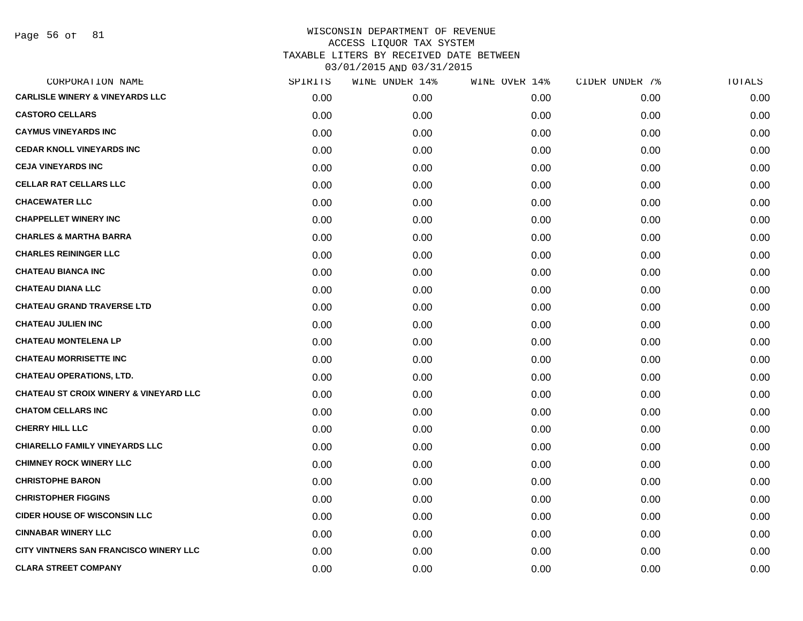Page 56 of 81

| SPIRITS | WINE UNDER 14% | WINE OVER 14% | CIDER UNDER 7% | TOTALS |
|---------|----------------|---------------|----------------|--------|
| 0.00    | 0.00           | 0.00          | 0.00           | 0.00   |
| 0.00    | 0.00           | 0.00          | 0.00           | 0.00   |
| 0.00    | 0.00           | 0.00          | 0.00           | 0.00   |
| 0.00    | 0.00           | 0.00          | 0.00           | 0.00   |
| 0.00    | 0.00           | 0.00          | 0.00           | 0.00   |
| 0.00    | 0.00           | 0.00          | 0.00           | 0.00   |
| 0.00    | 0.00           | 0.00          | 0.00           | 0.00   |
| 0.00    | 0.00           | 0.00          | 0.00           | 0.00   |
| 0.00    | 0.00           | 0.00          | 0.00           | 0.00   |
| 0.00    | 0.00           | 0.00          | 0.00           | 0.00   |
| 0.00    | 0.00           | 0.00          | 0.00           | 0.00   |
| 0.00    | 0.00           | 0.00          | 0.00           | 0.00   |
| 0.00    | 0.00           | 0.00          | 0.00           | 0.00   |
| 0.00    | 0.00           | 0.00          | 0.00           | 0.00   |
| 0.00    | 0.00           | 0.00          | 0.00           | 0.00   |
| 0.00    | 0.00           | 0.00          | 0.00           | 0.00   |
| 0.00    | 0.00           | 0.00          | 0.00           | 0.00   |
| 0.00    | 0.00           | 0.00          | 0.00           | 0.00   |
| 0.00    | 0.00           | 0.00          | 0.00           | 0.00   |
| 0.00    | 0.00           | 0.00          | 0.00           | 0.00   |
| 0.00    | 0.00           | 0.00          | 0.00           | 0.00   |
| 0.00    | 0.00           | 0.00          | 0.00           | 0.00   |
| 0.00    | 0.00           | 0.00          | 0.00           | 0.00   |
| 0.00    | 0.00           | 0.00          | 0.00           | 0.00   |
| 0.00    | 0.00           | 0.00          | 0.00           | 0.00   |
| 0.00    | 0.00           | 0.00          | 0.00           | 0.00   |
| 0.00    | 0.00           | 0.00          | 0.00           | 0.00   |
| 0.00    | 0.00           | 0.00          | 0.00           | 0.00   |
|         |                |               |                |        |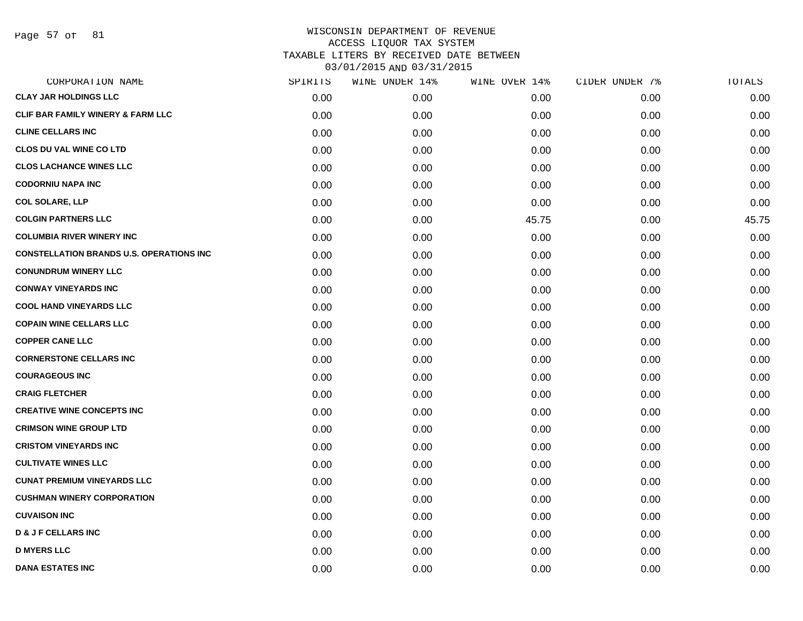Page 57 of 81

| CORPORATION NAME                                | SPIRITS | WINE UNDER 14% | WINE OVER 14% | CIDER UNDER 7% | TOTALS |
|-------------------------------------------------|---------|----------------|---------------|----------------|--------|
| <b>CLAY JAR HOLDINGS LLC</b>                    | 0.00    | 0.00           | 0.00          | 0.00           | 0.00   |
| CLIF BAR FAMILY WINERY & FARM LLC               | 0.00    | 0.00           | 0.00          | 0.00           | 0.00   |
| <b>CLINE CELLARS INC</b>                        | 0.00    | 0.00           | 0.00          | 0.00           | 0.00   |
| <b>CLOS DU VAL WINE CO LTD</b>                  | 0.00    | 0.00           | 0.00          | 0.00           | 0.00   |
| <b>CLOS LACHANCE WINES LLC</b>                  | 0.00    | 0.00           | 0.00          | 0.00           | 0.00   |
| <b>CODORNIU NAPA INC</b>                        | 0.00    | 0.00           | 0.00          | 0.00           | 0.00   |
| <b>COL SOLARE, LLP</b>                          | 0.00    | 0.00           | 0.00          | 0.00           | 0.00   |
| <b>COLGIN PARTNERS LLC</b>                      | 0.00    | 0.00           | 45.75         | 0.00           | 45.75  |
| <b>COLUMBIA RIVER WINERY INC</b>                | 0.00    | 0.00           | 0.00          | 0.00           | 0.00   |
| <b>CONSTELLATION BRANDS U.S. OPERATIONS INC</b> | 0.00    | 0.00           | 0.00          | 0.00           | 0.00   |
| <b>CONUNDRUM WINERY LLC</b>                     | 0.00    | 0.00           | 0.00          | 0.00           | 0.00   |
| <b>CONWAY VINEYARDS INC</b>                     | 0.00    | 0.00           | 0.00          | 0.00           | 0.00   |
| <b>COOL HAND VINEYARDS LLC</b>                  | 0.00    | 0.00           | 0.00          | 0.00           | 0.00   |
| <b>COPAIN WINE CELLARS LLC</b>                  | 0.00    | 0.00           | 0.00          | 0.00           | 0.00   |
| <b>COPPER CANE LLC</b>                          | 0.00    | 0.00           | 0.00          | 0.00           | 0.00   |
| <b>CORNERSTONE CELLARS INC</b>                  | 0.00    | 0.00           | 0.00          | 0.00           | 0.00   |
| <b>COURAGEOUS INC</b>                           | 0.00    | 0.00           | 0.00          | 0.00           | 0.00   |
| <b>CRAIG FLETCHER</b>                           | 0.00    | 0.00           | 0.00          | 0.00           | 0.00   |
| <b>CREATIVE WINE CONCEPTS INC</b>               | 0.00    | 0.00           | 0.00          | 0.00           | 0.00   |
| <b>CRIMSON WINE GROUP LTD</b>                   | 0.00    | 0.00           | 0.00          | 0.00           | 0.00   |
| <b>CRISTOM VINEYARDS INC</b>                    | 0.00    | 0.00           | 0.00          | 0.00           | 0.00   |
| <b>CULTIVATE WINES LLC</b>                      | 0.00    | 0.00           | 0.00          | 0.00           | 0.00   |
| <b>CUNAT PREMIUM VINEYARDS LLC</b>              | 0.00    | 0.00           | 0.00          | 0.00           | 0.00   |
| <b>CUSHMAN WINERY CORPORATION</b>               | 0.00    | 0.00           | 0.00          | 0.00           | 0.00   |
| <b>CUVAISON INC</b>                             | 0.00    | 0.00           | 0.00          | 0.00           | 0.00   |
| <b>D &amp; J F CELLARS INC</b>                  | 0.00    | 0.00           | 0.00          | 0.00           | 0.00   |
| <b>D MYERS LLC</b>                              | 0.00    | 0.00           | 0.00          | 0.00           | 0.00   |
| <b>DANA ESTATES INC</b>                         | 0.00    | 0.00           | 0.00          | 0.00           | 0.00   |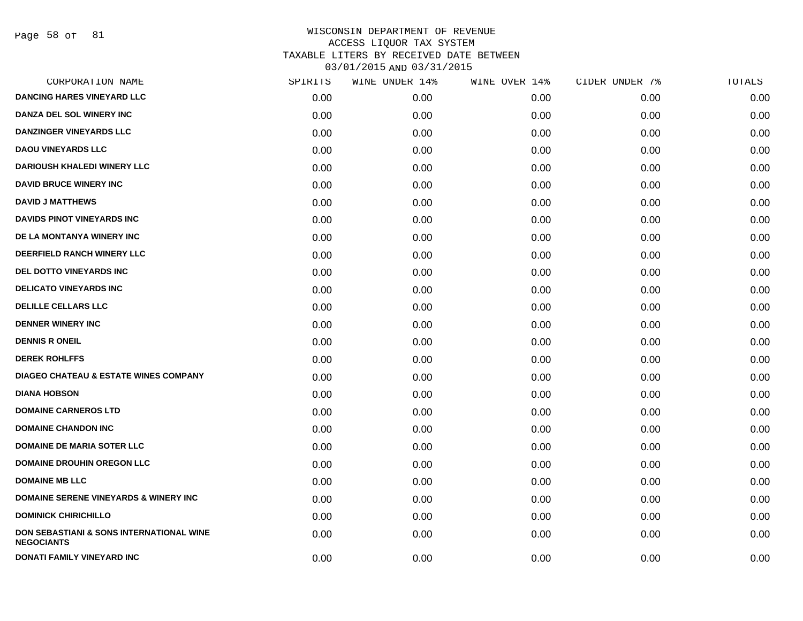Page 58 of 81

| CORPORATION NAME                                              | SPIRITS | WINE UNDER 14% | WINE OVER 14% | CIDER UNDER 7% | TOTALS |
|---------------------------------------------------------------|---------|----------------|---------------|----------------|--------|
| <b>DANCING HARES VINEYARD LLC</b>                             | 0.00    | 0.00           | 0.00          | 0.00           | 0.00   |
| DANZA DEL SOL WINERY INC                                      | 0.00    | 0.00           | 0.00          | 0.00           | 0.00   |
| <b>DANZINGER VINEYARDS LLC</b>                                | 0.00    | 0.00           | 0.00          | 0.00           | 0.00   |
| <b>DAOU VINEYARDS LLC</b>                                     | 0.00    | 0.00           | 0.00          | 0.00           | 0.00   |
| <b>DARIOUSH KHALEDI WINERY LLC</b>                            | 0.00    | 0.00           | 0.00          | 0.00           | 0.00   |
| <b>DAVID BRUCE WINERY INC</b>                                 | 0.00    | 0.00           | 0.00          | 0.00           | 0.00   |
| <b>DAVID J MATTHEWS</b>                                       | 0.00    | 0.00           | 0.00          | 0.00           | 0.00   |
| <b>DAVIDS PINOT VINEYARDS INC</b>                             | 0.00    | 0.00           | 0.00          | 0.00           | 0.00   |
| DE LA MONTANYA WINERY INC                                     | 0.00    | 0.00           | 0.00          | 0.00           | 0.00   |
| <b>DEERFIELD RANCH WINERY LLC</b>                             | 0.00    | 0.00           | 0.00          | 0.00           | 0.00   |
| <b>DEL DOTTO VINEYARDS INC</b>                                | 0.00    | 0.00           | 0.00          | 0.00           | 0.00   |
| <b>DELICATO VINEYARDS INC</b>                                 | 0.00    | 0.00           | 0.00          | 0.00           | 0.00   |
| <b>DELILLE CELLARS LLC</b>                                    | 0.00    | 0.00           | 0.00          | 0.00           | 0.00   |
| <b>DENNER WINERY INC</b>                                      | 0.00    | 0.00           | 0.00          | 0.00           | 0.00   |
| <b>DENNIS R ONEIL</b>                                         | 0.00    | 0.00           | 0.00          | 0.00           | 0.00   |
| <b>DEREK ROHLFFS</b>                                          | 0.00    | 0.00           | 0.00          | 0.00           | 0.00   |
| <b>DIAGEO CHATEAU &amp; ESTATE WINES COMPANY</b>              | 0.00    | 0.00           | 0.00          | 0.00           | 0.00   |
| <b>DIANA HOBSON</b>                                           | 0.00    | 0.00           | 0.00          | 0.00           | 0.00   |
| <b>DOMAINE CARNEROS LTD</b>                                   | 0.00    | 0.00           | 0.00          | 0.00           | 0.00   |
| <b>DOMAINE CHANDON INC</b>                                    | 0.00    | 0.00           | 0.00          | 0.00           | 0.00   |
| <b>DOMAINE DE MARIA SOTER LLC</b>                             | 0.00    | 0.00           | 0.00          | 0.00           | 0.00   |
| <b>DOMAINE DROUHIN OREGON LLC</b>                             | 0.00    | 0.00           | 0.00          | 0.00           | 0.00   |
| <b>DOMAINE MB LLC</b>                                         | 0.00    | 0.00           | 0.00          | 0.00           | 0.00   |
| <b>DOMAINE SERENE VINEYARDS &amp; WINERY INC</b>              | 0.00    | 0.00           | 0.00          | 0.00           | 0.00   |
| <b>DOMINICK CHIRICHILLO</b>                                   | 0.00    | 0.00           | 0.00          | 0.00           | 0.00   |
| DON SEBASTIANI & SONS INTERNATIONAL WINE<br><b>NEGOCIANTS</b> | 0.00    | 0.00           | 0.00          | 0.00           | 0.00   |
| DONATI FAMILY VINEYARD INC                                    | 0.00    | 0.00           | 0.00          | 0.00           | 0.00   |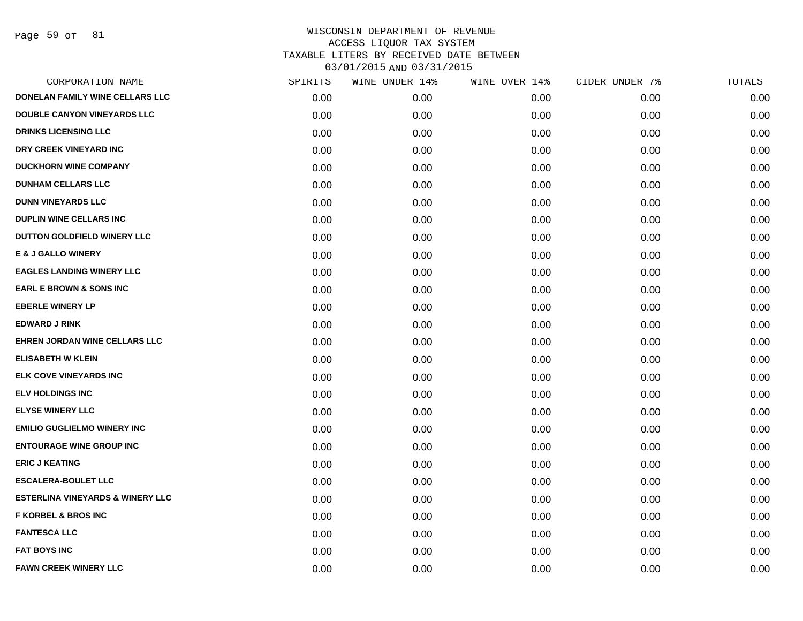Page 59 of 81

| CORPORATION NAME                            | SPIRITS | WINE UNDER 14% | WINE OVER 14% | CIDER UNDER 7% | TOTALS |
|---------------------------------------------|---------|----------------|---------------|----------------|--------|
| DONELAN FAMILY WINE CELLARS LLC             | 0.00    | 0.00           | 0.00          | 0.00           | 0.00   |
| <b>DOUBLE CANYON VINEYARDS LLC</b>          | 0.00    | 0.00           | 0.00          | 0.00           | 0.00   |
| <b>DRINKS LICENSING LLC</b>                 | 0.00    | 0.00           | 0.00          | 0.00           | 0.00   |
| DRY CREEK VINEYARD INC                      | 0.00    | 0.00           | 0.00          | 0.00           | 0.00   |
| <b>DUCKHORN WINE COMPANY</b>                | 0.00    | 0.00           | 0.00          | 0.00           | 0.00   |
| <b>DUNHAM CELLARS LLC</b>                   | 0.00    | 0.00           | 0.00          | 0.00           | 0.00   |
| <b>DUNN VINEYARDS LLC</b>                   | 0.00    | 0.00           | 0.00          | 0.00           | 0.00   |
| DUPLIN WINE CELLARS INC                     | 0.00    | 0.00           | 0.00          | 0.00           | 0.00   |
| DUTTON GOLDFIELD WINERY LLC                 | 0.00    | 0.00           | 0.00          | 0.00           | 0.00   |
| <b>E &amp; J GALLO WINERY</b>               | 0.00    | 0.00           | 0.00          | 0.00           | 0.00   |
| <b>EAGLES LANDING WINERY LLC</b>            | 0.00    | 0.00           | 0.00          | 0.00           | 0.00   |
| <b>EARL E BROWN &amp; SONS INC</b>          | 0.00    | 0.00           | 0.00          | 0.00           | 0.00   |
| <b>EBERLE WINERY LP</b>                     | 0.00    | 0.00           | 0.00          | 0.00           | 0.00   |
| <b>EDWARD J RINK</b>                        | 0.00    | 0.00           | 0.00          | 0.00           | 0.00   |
| <b>EHREN JORDAN WINE CELLARS LLC</b>        | 0.00    | 0.00           | 0.00          | 0.00           | 0.00   |
| <b>ELISABETH W KLEIN</b>                    | 0.00    | 0.00           | 0.00          | 0.00           | 0.00   |
| <b>ELK COVE VINEYARDS INC</b>               | 0.00    | 0.00           | 0.00          | 0.00           | 0.00   |
| <b>ELV HOLDINGS INC</b>                     | 0.00    | 0.00           | 0.00          | 0.00           | 0.00   |
| <b>ELYSE WINERY LLC</b>                     | 0.00    | 0.00           | 0.00          | 0.00           | 0.00   |
| <b>EMILIO GUGLIELMO WINERY INC.</b>         | 0.00    | 0.00           | 0.00          | 0.00           | 0.00   |
| <b>ENTOURAGE WINE GROUP INC</b>             | 0.00    | 0.00           | 0.00          | 0.00           | 0.00   |
| <b>ERIC J KEATING</b>                       | 0.00    | 0.00           | 0.00          | 0.00           | 0.00   |
| <b>ESCALERA-BOULET LLC</b>                  | 0.00    | 0.00           | 0.00          | 0.00           | 0.00   |
| <b>ESTERLINA VINEYARDS &amp; WINERY LLC</b> | 0.00    | 0.00           | 0.00          | 0.00           | 0.00   |
| <b>F KORBEL &amp; BROS INC</b>              | 0.00    | 0.00           | 0.00          | 0.00           | 0.00   |
| <b>FANTESCA LLC</b>                         | 0.00    | 0.00           | 0.00          | 0.00           | 0.00   |
| <b>FAT BOYS INC</b>                         | 0.00    | 0.00           | 0.00          | 0.00           | 0.00   |
| <b>FAWN CREEK WINERY LLC</b>                | 0.00    | 0.00           | 0.00          | 0.00           | 0.00   |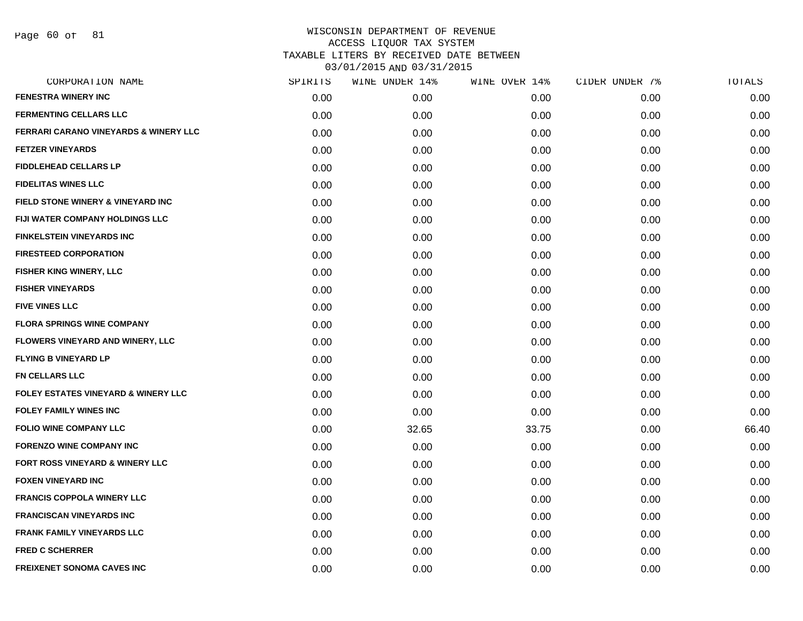Page 60 of 81

| CORPORATION NAME                                 | SPIRITS | WINE UNDER 14% | WINE OVER 14% | CIDER UNDER 7% | TOTALS |
|--------------------------------------------------|---------|----------------|---------------|----------------|--------|
| <b>FENESTRA WINERY INC</b>                       | 0.00    | 0.00           | 0.00          | 0.00           | 0.00   |
| <b>FERMENTING CELLARS LLC</b>                    | 0.00    | 0.00           | 0.00          | 0.00           | 0.00   |
| <b>FERRARI CARANO VINEYARDS &amp; WINERY LLC</b> | 0.00    | 0.00           | 0.00          | 0.00           | 0.00   |
| <b>FETZER VINEYARDS</b>                          | 0.00    | 0.00           | 0.00          | 0.00           | 0.00   |
| <b>FIDDLEHEAD CELLARS LP</b>                     | 0.00    | 0.00           | 0.00          | 0.00           | 0.00   |
| <b>FIDELITAS WINES LLC</b>                       | 0.00    | 0.00           | 0.00          | 0.00           | 0.00   |
| <b>FIELD STONE WINERY &amp; VINEYARD INC</b>     | 0.00    | 0.00           | 0.00          | 0.00           | 0.00   |
| <b>FIJI WATER COMPANY HOLDINGS LLC</b>           | 0.00    | 0.00           | 0.00          | 0.00           | 0.00   |
| <b>FINKELSTEIN VINEYARDS INC</b>                 | 0.00    | 0.00           | 0.00          | 0.00           | 0.00   |
| <b>FIRESTEED CORPORATION</b>                     | 0.00    | 0.00           | 0.00          | 0.00           | 0.00   |
| <b>FISHER KING WINERY, LLC</b>                   | 0.00    | 0.00           | 0.00          | 0.00           | 0.00   |
| <b>FISHER VINEYARDS</b>                          | 0.00    | 0.00           | 0.00          | 0.00           | 0.00   |
| <b>FIVE VINES LLC</b>                            | 0.00    | 0.00           | 0.00          | 0.00           | 0.00   |
| <b>FLORA SPRINGS WINE COMPANY</b>                | 0.00    | 0.00           | 0.00          | 0.00           | 0.00   |
| <b>FLOWERS VINEYARD AND WINERY, LLC</b>          | 0.00    | 0.00           | 0.00          | 0.00           | 0.00   |
| <b>FLYING B VINEYARD LP</b>                      | 0.00    | 0.00           | 0.00          | 0.00           | 0.00   |
| <b>FN CELLARS LLC</b>                            | 0.00    | 0.00           | 0.00          | 0.00           | 0.00   |
| <b>FOLEY ESTATES VINEYARD &amp; WINERY LLC</b>   | 0.00    | 0.00           | 0.00          | 0.00           | 0.00   |
| <b>FOLEY FAMILY WINES INC</b>                    | 0.00    | 0.00           | 0.00          | 0.00           | 0.00   |
| <b>FOLIO WINE COMPANY LLC</b>                    | 0.00    | 32.65          | 33.75         | 0.00           | 66.40  |
| <b>FORENZO WINE COMPANY INC</b>                  | 0.00    | 0.00           | 0.00          | 0.00           | 0.00   |
| <b>FORT ROSS VINEYARD &amp; WINERY LLC</b>       | 0.00    | 0.00           | 0.00          | 0.00           | 0.00   |
| <b>FOXEN VINEYARD INC</b>                        | 0.00    | 0.00           | 0.00          | 0.00           | 0.00   |
| <b>FRANCIS COPPOLA WINERY LLC</b>                | 0.00    | 0.00           | 0.00          | 0.00           | 0.00   |
| <b>FRANCISCAN VINEYARDS INC</b>                  | 0.00    | 0.00           | 0.00          | 0.00           | 0.00   |
| <b>FRANK FAMILY VINEYARDS LLC</b>                | 0.00    | 0.00           | 0.00          | 0.00           | 0.00   |
| <b>FRED C SCHERRER</b>                           | 0.00    | 0.00           | 0.00          | 0.00           | 0.00   |
| <b>FREIXENET SONOMA CAVES INC</b>                | 0.00    | 0.00           | 0.00          | 0.00           | 0.00   |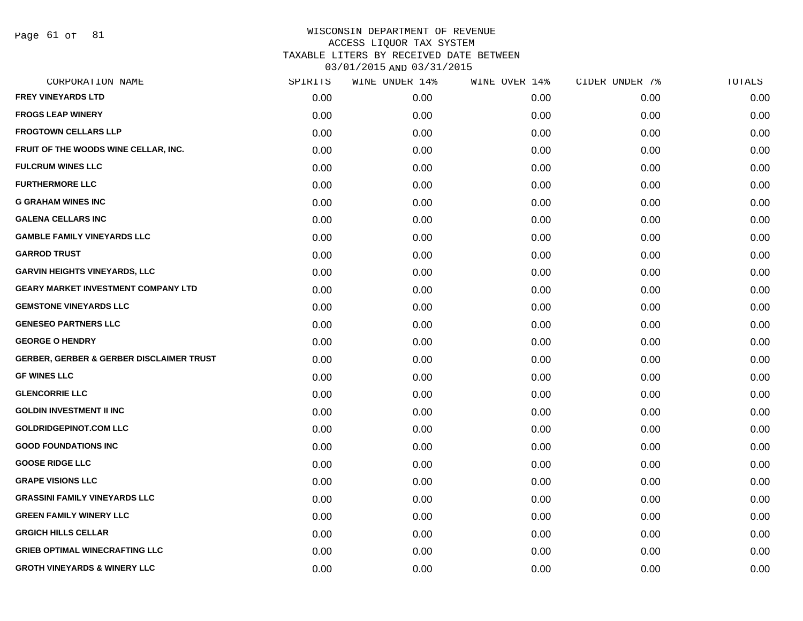Page 61 of 81

| CORPORATION NAME                                    | SPIRITS | WINE UNDER 14% | WINE OVER 14% | CIDER UNDER 7% | TOTALS |
|-----------------------------------------------------|---------|----------------|---------------|----------------|--------|
| <b>FREY VINEYARDS LTD</b>                           | 0.00    | 0.00           | 0.00          | 0.00           | 0.00   |
| <b>FROGS LEAP WINERY</b>                            | 0.00    | 0.00           | 0.00          | 0.00           | 0.00   |
| <b>FROGTOWN CELLARS LLP</b>                         | 0.00    | 0.00           | 0.00          | 0.00           | 0.00   |
| FRUIT OF THE WOODS WINE CELLAR, INC.                | 0.00    | 0.00           | 0.00          | 0.00           | 0.00   |
| <b>FULCRUM WINES LLC</b>                            | 0.00    | 0.00           | 0.00          | 0.00           | 0.00   |
| <b>FURTHERMORE LLC</b>                              | 0.00    | 0.00           | 0.00          | 0.00           | 0.00   |
| <b>G GRAHAM WINES INC</b>                           | 0.00    | 0.00           | 0.00          | 0.00           | 0.00   |
| <b>GALENA CELLARS INC</b>                           | 0.00    | 0.00           | 0.00          | 0.00           | 0.00   |
| <b>GAMBLE FAMILY VINEYARDS LLC</b>                  | 0.00    | 0.00           | 0.00          | 0.00           | 0.00   |
| <b>GARROD TRUST</b>                                 | 0.00    | 0.00           | 0.00          | 0.00           | 0.00   |
| <b>GARVIN HEIGHTS VINEYARDS, LLC</b>                | 0.00    | 0.00           | 0.00          | 0.00           | 0.00   |
| <b>GEARY MARKET INVESTMENT COMPANY LTD</b>          | 0.00    | 0.00           | 0.00          | 0.00           | 0.00   |
| <b>GEMSTONE VINEYARDS LLC</b>                       | 0.00    | 0.00           | 0.00          | 0.00           | 0.00   |
| <b>GENESEO PARTNERS LLC</b>                         | 0.00    | 0.00           | 0.00          | 0.00           | 0.00   |
| <b>GEORGE O HENDRY</b>                              | 0.00    | 0.00           | 0.00          | 0.00           | 0.00   |
| <b>GERBER, GERBER &amp; GERBER DISCLAIMER TRUST</b> | 0.00    | 0.00           | 0.00          | 0.00           | 0.00   |
| <b>GF WINES LLC</b>                                 | 0.00    | 0.00           | 0.00          | 0.00           | 0.00   |
| <b>GLENCORRIE LLC</b>                               | 0.00    | 0.00           | 0.00          | 0.00           | 0.00   |
| <b>GOLDIN INVESTMENT II INC</b>                     | 0.00    | 0.00           | 0.00          | 0.00           | 0.00   |
| <b>GOLDRIDGEPINOT.COM LLC</b>                       | 0.00    | 0.00           | 0.00          | 0.00           | 0.00   |
| <b>GOOD FOUNDATIONS INC</b>                         | 0.00    | 0.00           | 0.00          | 0.00           | 0.00   |
| <b>GOOSE RIDGE LLC</b>                              | 0.00    | 0.00           | 0.00          | 0.00           | 0.00   |
| <b>GRAPE VISIONS LLC</b>                            | 0.00    | 0.00           | 0.00          | 0.00           | 0.00   |
| <b>GRASSINI FAMILY VINEYARDS LLC</b>                | 0.00    | 0.00           | 0.00          | 0.00           | 0.00   |
| <b>GREEN FAMILY WINERY LLC</b>                      | 0.00    | 0.00           | 0.00          | 0.00           | 0.00   |
| <b>GRGICH HILLS CELLAR</b>                          | 0.00    | 0.00           | 0.00          | 0.00           | 0.00   |
| <b>GRIEB OPTIMAL WINECRAFTING LLC</b>               | 0.00    | 0.00           | 0.00          | 0.00           | 0.00   |
| <b>GROTH VINEYARDS &amp; WINERY LLC</b>             | 0.00    | 0.00           | 0.00          | 0.00           | 0.00   |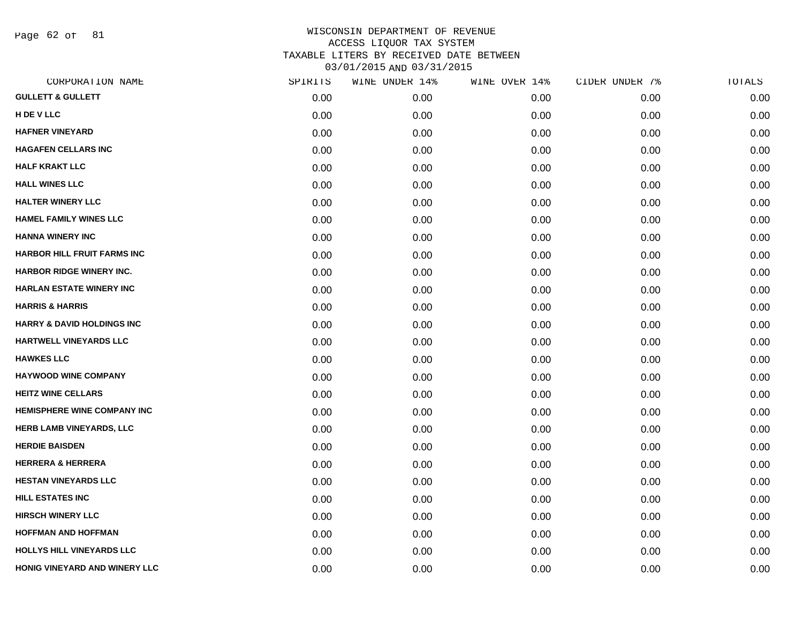Page 62 of 81

| CORPORATION NAME                      | SPIRITS | WINE UNDER 14% | WINE OVER 14% | CIDER UNDER 7% | TOTALS |
|---------------------------------------|---------|----------------|---------------|----------------|--------|
| <b>GULLETT &amp; GULLETT</b>          | 0.00    | 0.00           | 0.00          | 0.00           | 0.00   |
| H DE V LLC                            | 0.00    | 0.00           | 0.00          | 0.00           | 0.00   |
| <b>HAFNER VINEYARD</b>                | 0.00    | 0.00           | 0.00          | 0.00           | 0.00   |
| <b>HAGAFEN CELLARS INC</b>            | 0.00    | 0.00           | 0.00          | 0.00           | 0.00   |
| <b>HALF KRAKT LLC</b>                 | 0.00    | 0.00           | 0.00          | 0.00           | 0.00   |
| <b>HALL WINES LLC</b>                 | 0.00    | 0.00           | 0.00          | 0.00           | 0.00   |
| <b>HALTER WINERY LLC</b>              | 0.00    | 0.00           | 0.00          | 0.00           | 0.00   |
| <b>HAMEL FAMILY WINES LLC</b>         | 0.00    | 0.00           | 0.00          | 0.00           | 0.00   |
| <b>HANNA WINERY INC</b>               | 0.00    | 0.00           | 0.00          | 0.00           | 0.00   |
| <b>HARBOR HILL FRUIT FARMS INC</b>    | 0.00    | 0.00           | 0.00          | 0.00           | 0.00   |
| HARBOR RIDGE WINERY INC.              | 0.00    | 0.00           | 0.00          | 0.00           | 0.00   |
| <b>HARLAN ESTATE WINERY INC</b>       | 0.00    | 0.00           | 0.00          | 0.00           | 0.00   |
| <b>HARRIS &amp; HARRIS</b>            | 0.00    | 0.00           | 0.00          | 0.00           | 0.00   |
| <b>HARRY &amp; DAVID HOLDINGS INC</b> | 0.00    | 0.00           | 0.00          | 0.00           | 0.00   |
| HARTWELL VINEYARDS LLC                | 0.00    | 0.00           | 0.00          | 0.00           | 0.00   |
| <b>HAWKES LLC</b>                     | 0.00    | 0.00           | 0.00          | 0.00           | 0.00   |
| <b>HAYWOOD WINE COMPANY</b>           | 0.00    | 0.00           | 0.00          | 0.00           | 0.00   |
| <b>HEITZ WINE CELLARS</b>             | 0.00    | 0.00           | 0.00          | 0.00           | 0.00   |
| <b>HEMISPHERE WINE COMPANY INC</b>    | 0.00    | 0.00           | 0.00          | 0.00           | 0.00   |
| HERB LAMB VINEYARDS, LLC              | 0.00    | 0.00           | 0.00          | 0.00           | 0.00   |
| <b>HERDIE BAISDEN</b>                 | 0.00    | 0.00           | 0.00          | 0.00           | 0.00   |
| <b>HERRERA &amp; HERRERA</b>          | 0.00    | 0.00           | 0.00          | 0.00           | 0.00   |
| <b>HESTAN VINEYARDS LLC</b>           | 0.00    | 0.00           | 0.00          | 0.00           | 0.00   |
| <b>HILL ESTATES INC</b>               | 0.00    | 0.00           | 0.00          | 0.00           | 0.00   |
| <b>HIRSCH WINERY LLC</b>              | 0.00    | 0.00           | 0.00          | 0.00           | 0.00   |
| <b>HOFFMAN AND HOFFMAN</b>            | 0.00    | 0.00           | 0.00          | 0.00           | 0.00   |
| <b>HOLLYS HILL VINEYARDS LLC</b>      | 0.00    | 0.00           | 0.00          | 0.00           | 0.00   |
| HONIG VINEYARD AND WINERY LLC         | 0.00    | 0.00           | 0.00          | 0.00           | 0.00   |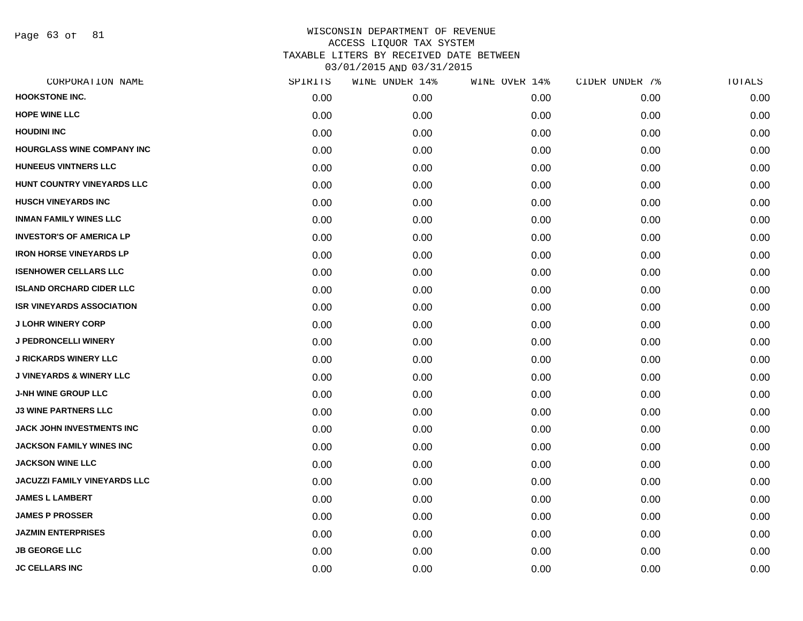Page 63 of 81

| CORPORATION NAME                    | SPIRITS | WINE UNDER 14% | WINE OVER 14% | CIDER UNDER 7% | TOTALS |
|-------------------------------------|---------|----------------|---------------|----------------|--------|
| <b>HOOKSTONE INC.</b>               | 0.00    | 0.00           | 0.00          | 0.00           | 0.00   |
| <b>HOPE WINE LLC</b>                | 0.00    | 0.00           | 0.00          | 0.00           | 0.00   |
| <b>HOUDINI INC</b>                  | 0.00    | 0.00           | 0.00          | 0.00           | 0.00   |
| <b>HOURGLASS WINE COMPANY INC</b>   | 0.00    | 0.00           | 0.00          | 0.00           | 0.00   |
| <b>HUNEEUS VINTNERS LLC</b>         | 0.00    | 0.00           | 0.00          | 0.00           | 0.00   |
| HUNT COUNTRY VINEYARDS LLC          | 0.00    | 0.00           | 0.00          | 0.00           | 0.00   |
| <b>HUSCH VINEYARDS INC</b>          | 0.00    | 0.00           | 0.00          | 0.00           | 0.00   |
| <b>INMAN FAMILY WINES LLC</b>       | 0.00    | 0.00           | 0.00          | 0.00           | 0.00   |
| <b>INVESTOR'S OF AMERICA LP</b>     | 0.00    | 0.00           | 0.00          | 0.00           | 0.00   |
| <b>IRON HORSE VINEYARDS LP</b>      | 0.00    | 0.00           | 0.00          | 0.00           | 0.00   |
| <b>ISENHOWER CELLARS LLC</b>        | 0.00    | 0.00           | 0.00          | 0.00           | 0.00   |
| <b>ISLAND ORCHARD CIDER LLC</b>     | 0.00    | 0.00           | 0.00          | 0.00           | 0.00   |
| <b>ISR VINEYARDS ASSOCIATION</b>    | 0.00    | 0.00           | 0.00          | 0.00           | 0.00   |
| <b>J LOHR WINERY CORP</b>           | 0.00    | 0.00           | 0.00          | 0.00           | 0.00   |
| <b>J PEDRONCELLI WINERY</b>         | 0.00    | 0.00           | 0.00          | 0.00           | 0.00   |
| <b>J RICKARDS WINERY LLC</b>        | 0.00    | 0.00           | 0.00          | 0.00           | 0.00   |
| <b>J VINEYARDS &amp; WINERY LLC</b> | 0.00    | 0.00           | 0.00          | 0.00           | 0.00   |
| <b>J-NH WINE GROUP LLC</b>          | 0.00    | 0.00           | 0.00          | 0.00           | 0.00   |
| <b>J3 WINE PARTNERS LLC</b>         | 0.00    | 0.00           | 0.00          | 0.00           | 0.00   |
| JACK JOHN INVESTMENTS INC           | 0.00    | 0.00           | 0.00          | 0.00           | 0.00   |
| <b>JACKSON FAMILY WINES INC</b>     | 0.00    | 0.00           | 0.00          | 0.00           | 0.00   |
| <b>JACKSON WINE LLC</b>             | 0.00    | 0.00           | 0.00          | 0.00           | 0.00   |
| <b>JACUZZI FAMILY VINEYARDS LLC</b> | 0.00    | 0.00           | 0.00          | 0.00           | 0.00   |
| <b>JAMES L LAMBERT</b>              | 0.00    | 0.00           | 0.00          | 0.00           | 0.00   |
| <b>JAMES P PROSSER</b>              | 0.00    | 0.00           | 0.00          | 0.00           | 0.00   |
| <b>JAZMIN ENTERPRISES</b>           | 0.00    | 0.00           | 0.00          | 0.00           | 0.00   |
| <b>JB GEORGE LLC</b>                | 0.00    | 0.00           | 0.00          | 0.00           | 0.00   |
| <b>JC CELLARS INC</b>               | 0.00    | 0.00           | 0.00          | 0.00           | 0.00   |
|                                     |         |                |               |                |        |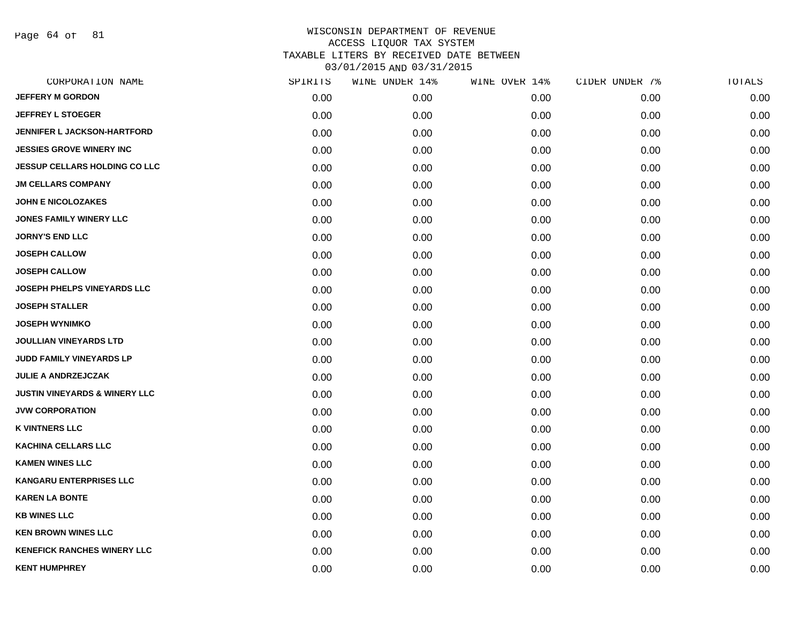Page 64 of 81

| CORPORATION NAME                         | SPIRITS | WINE UNDER 14% | WINE OVER 14% | CIDER UNDER 7% | TOTALS |
|------------------------------------------|---------|----------------|---------------|----------------|--------|
| <b>JEFFERY M GORDON</b>                  | 0.00    | 0.00           | 0.00          | 0.00           | 0.00   |
| <b>JEFFREY L STOEGER</b>                 | 0.00    | 0.00           | 0.00          | 0.00           | 0.00   |
| <b>JENNIFER L JACKSON-HARTFORD</b>       | 0.00    | 0.00           | 0.00          | 0.00           | 0.00   |
| <b>JESSIES GROVE WINERY INC</b>          | 0.00    | 0.00           | 0.00          | 0.00           | 0.00   |
| <b>JESSUP CELLARS HOLDING CO LLC</b>     | 0.00    | 0.00           | 0.00          | 0.00           | 0.00   |
| <b>JM CELLARS COMPANY</b>                | 0.00    | 0.00           | 0.00          | 0.00           | 0.00   |
| <b>JOHN E NICOLOZAKES</b>                | 0.00    | 0.00           | 0.00          | 0.00           | 0.00   |
| <b>JONES FAMILY WINERY LLC</b>           | 0.00    | 0.00           | 0.00          | 0.00           | 0.00   |
| <b>JORNY'S END LLC</b>                   | 0.00    | 0.00           | 0.00          | 0.00           | 0.00   |
| <b>JOSEPH CALLOW</b>                     | 0.00    | 0.00           | 0.00          | 0.00           | 0.00   |
| <b>JOSEPH CALLOW</b>                     | 0.00    | 0.00           | 0.00          | 0.00           | 0.00   |
| <b>JOSEPH PHELPS VINEYARDS LLC</b>       | 0.00    | 0.00           | 0.00          | 0.00           | 0.00   |
| <b>JOSEPH STALLER</b>                    | 0.00    | 0.00           | 0.00          | 0.00           | 0.00   |
| <b>JOSEPH WYNIMKO</b>                    | 0.00    | 0.00           | 0.00          | 0.00           | 0.00   |
| <b>JOULLIAN VINEYARDS LTD</b>            | 0.00    | 0.00           | 0.00          | 0.00           | 0.00   |
| JUDD FAMILY VINEYARDS LP                 | 0.00    | 0.00           | 0.00          | 0.00           | 0.00   |
| <b>JULIE A ANDRZEJCZAK</b>               | 0.00    | 0.00           | 0.00          | 0.00           | 0.00   |
| <b>JUSTIN VINEYARDS &amp; WINERY LLC</b> | 0.00    | 0.00           | 0.00          | 0.00           | 0.00   |
| <b>JVW CORPORATION</b>                   | 0.00    | 0.00           | 0.00          | 0.00           | 0.00   |
| <b>K VINTNERS LLC</b>                    | 0.00    | 0.00           | 0.00          | 0.00           | 0.00   |
| <b>KACHINA CELLARS LLC</b>               | 0.00    | 0.00           | 0.00          | 0.00           | 0.00   |
| <b>KAMEN WINES LLC</b>                   | 0.00    | 0.00           | 0.00          | 0.00           | 0.00   |
| <b>KANGARU ENTERPRISES LLC</b>           | 0.00    | 0.00           | 0.00          | 0.00           | 0.00   |
| <b>KAREN LA BONTE</b>                    | 0.00    | 0.00           | 0.00          | 0.00           | 0.00   |
| <b>KB WINES LLC</b>                      | 0.00    | 0.00           | 0.00          | 0.00           | 0.00   |
| <b>KEN BROWN WINES LLC</b>               | 0.00    | 0.00           | 0.00          | 0.00           | 0.00   |
| <b>KENEFICK RANCHES WINERY LLC</b>       | 0.00    | 0.00           | 0.00          | 0.00           | 0.00   |
| <b>KENT HUMPHREY</b>                     | 0.00    | 0.00           | 0.00          | 0.00           | 0.00   |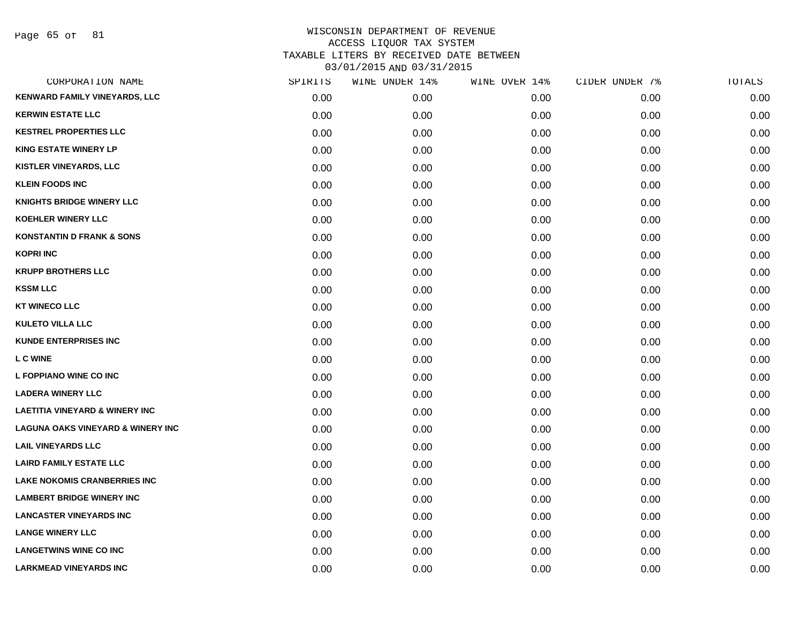Page 65 of 81

| CORPORATION NAME                             | SPIRITS | WINE UNDER 14% | WINE OVER 14% | CIDER UNDER 7% | TOTALS |
|----------------------------------------------|---------|----------------|---------------|----------------|--------|
| <b>KENWARD FAMILY VINEYARDS, LLC</b>         | 0.00    | 0.00           | 0.00          | 0.00           | 0.00   |
| <b>KERWIN ESTATE LLC</b>                     | 0.00    | 0.00           | 0.00          | 0.00           | 0.00   |
| <b>KESTREL PROPERTIES LLC</b>                | 0.00    | 0.00           | 0.00          | 0.00           | 0.00   |
| <b>KING ESTATE WINERY LP</b>                 | 0.00    | 0.00           | 0.00          | 0.00           | 0.00   |
| <b>KISTLER VINEYARDS, LLC</b>                | 0.00    | 0.00           | 0.00          | 0.00           | 0.00   |
| <b>KLEIN FOODS INC</b>                       | 0.00    | 0.00           | 0.00          | 0.00           | 0.00   |
| <b>KNIGHTS BRIDGE WINERY LLC</b>             | 0.00    | 0.00           | 0.00          | 0.00           | 0.00   |
| <b>KOEHLER WINERY LLC</b>                    | 0.00    | 0.00           | 0.00          | 0.00           | 0.00   |
| <b>KONSTANTIN D FRANK &amp; SONS</b>         | 0.00    | 0.00           | 0.00          | 0.00           | 0.00   |
| <b>KOPRI INC</b>                             | 0.00    | 0.00           | 0.00          | 0.00           | 0.00   |
| <b>KRUPP BROTHERS LLC</b>                    | 0.00    | 0.00           | 0.00          | 0.00           | 0.00   |
| <b>KSSM LLC</b>                              | 0.00    | 0.00           | 0.00          | 0.00           | 0.00   |
| <b>KT WINECO LLC</b>                         | 0.00    | 0.00           | 0.00          | 0.00           | 0.00   |
| <b>KULETO VILLA LLC</b>                      | 0.00    | 0.00           | 0.00          | 0.00           | 0.00   |
| <b>KUNDE ENTERPRISES INC</b>                 | 0.00    | 0.00           | 0.00          | 0.00           | 0.00   |
| <b>L C WINE</b>                              | 0.00    | 0.00           | 0.00          | 0.00           | 0.00   |
| L FOPPIANO WINE CO INC                       | 0.00    | 0.00           | 0.00          | 0.00           | 0.00   |
| <b>LADERA WINERY LLC</b>                     | 0.00    | 0.00           | 0.00          | 0.00           | 0.00   |
| <b>LAETITIA VINEYARD &amp; WINERY INC</b>    | 0.00    | 0.00           | 0.00          | 0.00           | 0.00   |
| <b>LAGUNA OAKS VINEYARD &amp; WINERY INC</b> | 0.00    | 0.00           | 0.00          | 0.00           | 0.00   |
| <b>LAIL VINEYARDS LLC</b>                    | 0.00    | 0.00           | 0.00          | 0.00           | 0.00   |
| <b>LAIRD FAMILY ESTATE LLC</b>               | 0.00    | 0.00           | 0.00          | 0.00           | 0.00   |
| <b>LAKE NOKOMIS CRANBERRIES INC</b>          | 0.00    | 0.00           | 0.00          | 0.00           | 0.00   |
| <b>LAMBERT BRIDGE WINERY INC</b>             | 0.00    | 0.00           | 0.00          | 0.00           | 0.00   |
| <b>LANCASTER VINEYARDS INC</b>               | 0.00    | 0.00           | 0.00          | 0.00           | 0.00   |
| <b>LANGE WINERY LLC</b>                      | 0.00    | 0.00           | 0.00          | 0.00           | 0.00   |
| <b>LANGETWINS WINE CO INC</b>                | 0.00    | 0.00           | 0.00          | 0.00           | 0.00   |
| <b>LARKMEAD VINEYARDS INC</b>                | 0.00    | 0.00           | 0.00          | 0.00           | 0.00   |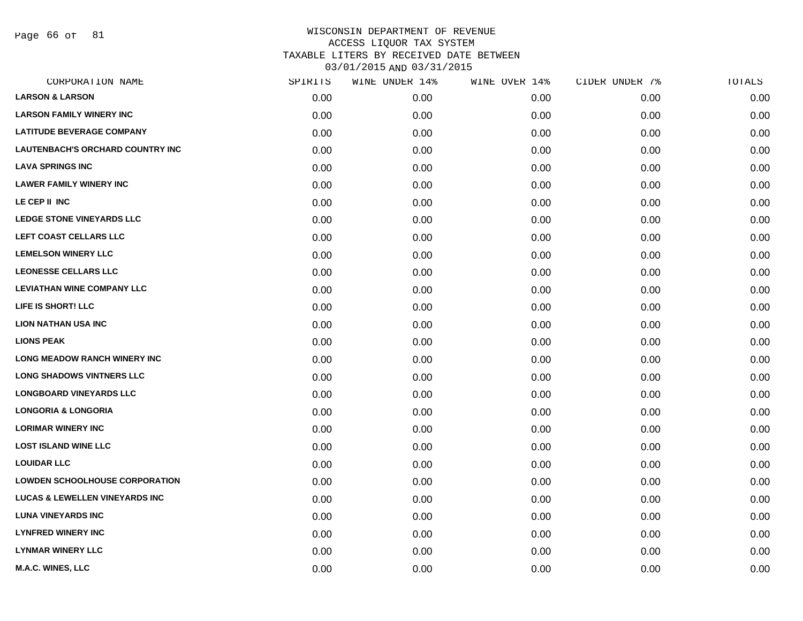Page 66 of 81

| CORPORATION NAME                          | SPIRITS | WINE UNDER 14% | WINE OVER 14% | CIDER UNDER 7% | TOTALS |
|-------------------------------------------|---------|----------------|---------------|----------------|--------|
| <b>LARSON &amp; LARSON</b>                | 0.00    | 0.00           | 0.00          | 0.00           | 0.00   |
| <b>LARSON FAMILY WINERY INC</b>           | 0.00    | 0.00           | 0.00          | 0.00           | 0.00   |
| <b>LATITUDE BEVERAGE COMPANY</b>          | 0.00    | 0.00           | 0.00          | 0.00           | 0.00   |
| <b>LAUTENBACH'S ORCHARD COUNTRY INC</b>   | 0.00    | 0.00           | 0.00          | 0.00           | 0.00   |
| <b>LAVA SPRINGS INC</b>                   | 0.00    | 0.00           | 0.00          | 0.00           | 0.00   |
| <b>LAWER FAMILY WINERY INC</b>            | 0.00    | 0.00           | 0.00          | 0.00           | 0.00   |
| LE CEP II INC                             | 0.00    | 0.00           | 0.00          | 0.00           | 0.00   |
| <b>LEDGE STONE VINEYARDS LLC</b>          | 0.00    | 0.00           | 0.00          | 0.00           | 0.00   |
| LEFT COAST CELLARS LLC                    | 0.00    | 0.00           | 0.00          | 0.00           | 0.00   |
| <b>LEMELSON WINERY LLC</b>                | 0.00    | 0.00           | 0.00          | 0.00           | 0.00   |
| <b>LEONESSE CELLARS LLC</b>               | 0.00    | 0.00           | 0.00          | 0.00           | 0.00   |
| <b>LEVIATHAN WINE COMPANY LLC</b>         | 0.00    | 0.00           | 0.00          | 0.00           | 0.00   |
| LIFE IS SHORT! LLC                        | 0.00    | 0.00           | 0.00          | 0.00           | 0.00   |
| <b>LION NATHAN USA INC</b>                | 0.00    | 0.00           | 0.00          | 0.00           | 0.00   |
| <b>LIONS PEAK</b>                         | 0.00    | 0.00           | 0.00          | 0.00           | 0.00   |
| <b>LONG MEADOW RANCH WINERY INC</b>       | 0.00    | 0.00           | 0.00          | 0.00           | 0.00   |
| <b>LONG SHADOWS VINTNERS LLC</b>          | 0.00    | 0.00           | 0.00          | 0.00           | 0.00   |
| <b>LONGBOARD VINEYARDS LLC</b>            | 0.00    | 0.00           | 0.00          | 0.00           | 0.00   |
| <b>LONGORIA &amp; LONGORIA</b>            | 0.00    | 0.00           | 0.00          | 0.00           | 0.00   |
| <b>LORIMAR WINERY INC</b>                 | 0.00    | 0.00           | 0.00          | 0.00           | 0.00   |
| <b>LOST ISLAND WINE LLC</b>               | 0.00    | 0.00           | 0.00          | 0.00           | 0.00   |
| <b>LOUIDAR LLC</b>                        | 0.00    | 0.00           | 0.00          | 0.00           | 0.00   |
| <b>LOWDEN SCHOOLHOUSE CORPORATION</b>     | 0.00    | 0.00           | 0.00          | 0.00           | 0.00   |
| <b>LUCAS &amp; LEWELLEN VINEYARDS INC</b> | 0.00    | 0.00           | 0.00          | 0.00           | 0.00   |
| <b>LUNA VINEYARDS INC</b>                 | 0.00    | 0.00           | 0.00          | 0.00           | 0.00   |
| <b>LYNFRED WINERY INC</b>                 | 0.00    | 0.00           | 0.00          | 0.00           | 0.00   |
| <b>LYNMAR WINERY LLC</b>                  | 0.00    | 0.00           | 0.00          | 0.00           | 0.00   |
| M.A.C. WINES, LLC                         | 0.00    | 0.00           | 0.00          | 0.00           | 0.00   |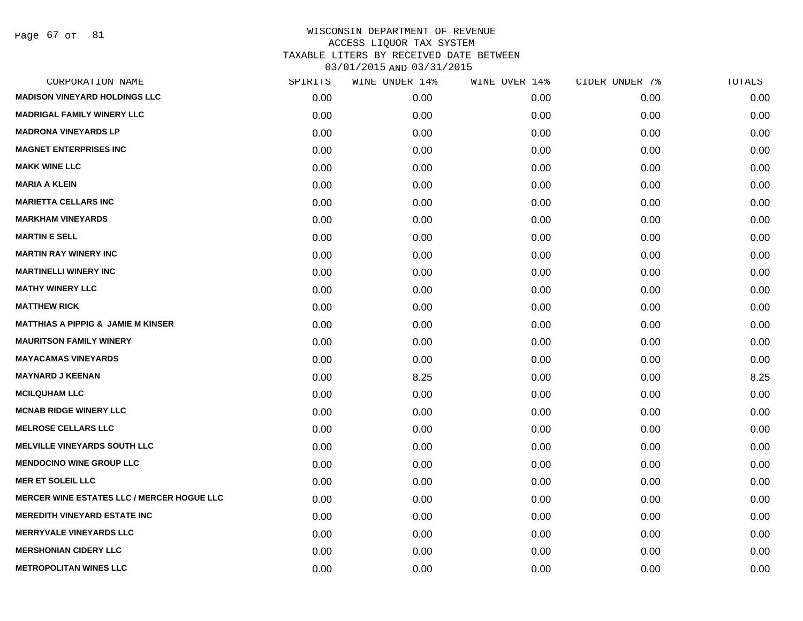Page 67 of 81

| CORPORATION NAME                                  | SPIRITS | WINE UNDER 14% | WINE OVER 14% | CIDER UNDER 7% | TOTALS |
|---------------------------------------------------|---------|----------------|---------------|----------------|--------|
| <b>MADISON VINEYARD HOLDINGS LLC</b>              | 0.00    | 0.00           | 0.00          | 0.00           | 0.00   |
| <b>MADRIGAL FAMILY WINERY LLC</b>                 | 0.00    | 0.00           | 0.00          | 0.00           | 0.00   |
| <b>MADRONA VINEYARDS LP</b>                       | 0.00    | 0.00           | 0.00          | 0.00           | 0.00   |
| <b>MAGNET ENTERPRISES INC</b>                     | 0.00    | 0.00           | 0.00          | 0.00           | 0.00   |
| <b>MAKK WINE LLC</b>                              | 0.00    | 0.00           | 0.00          | 0.00           | 0.00   |
| <b>MARIA A KLEIN</b>                              | 0.00    | 0.00           | 0.00          | 0.00           | 0.00   |
| <b>MARIETTA CELLARS INC</b>                       | 0.00    | 0.00           | 0.00          | 0.00           | 0.00   |
| <b>MARKHAM VINEYARDS</b>                          | 0.00    | 0.00           | 0.00          | 0.00           | 0.00   |
| <b>MARTIN E SELL</b>                              | 0.00    | 0.00           | 0.00          | 0.00           | 0.00   |
| <b>MARTIN RAY WINERY INC</b>                      | 0.00    | 0.00           | 0.00          | 0.00           | 0.00   |
| <b>MARTINELLI WINERY INC</b>                      | 0.00    | 0.00           | 0.00          | 0.00           | 0.00   |
| <b>MATHY WINERY LLC</b>                           | 0.00    | 0.00           | 0.00          | 0.00           | 0.00   |
| <b>MATTHEW RICK</b>                               | 0.00    | 0.00           | 0.00          | 0.00           | 0.00   |
| <b>MATTHIAS A PIPPIG &amp; JAMIE M KINSER</b>     | 0.00    | 0.00           | 0.00          | 0.00           | 0.00   |
| <b>MAURITSON FAMILY WINERY</b>                    | 0.00    | 0.00           | 0.00          | 0.00           | 0.00   |
| <b>MAYACAMAS VINEYARDS</b>                        | 0.00    | 0.00           | 0.00          | 0.00           | 0.00   |
| <b>MAYNARD J KEENAN</b>                           | 0.00    | 8.25           | 0.00          | 0.00           | 8.25   |
| <b>MCILQUHAM LLC</b>                              | 0.00    | 0.00           | 0.00          | 0.00           | 0.00   |
| <b>MCNAB RIDGE WINERY LLC</b>                     | 0.00    | 0.00           | 0.00          | 0.00           | 0.00   |
| <b>MELROSE CELLARS LLC</b>                        | 0.00    | 0.00           | 0.00          | 0.00           | 0.00   |
| <b>MELVILLE VINEYARDS SOUTH LLC</b>               | 0.00    | 0.00           | 0.00          | 0.00           | 0.00   |
| <b>MENDOCINO WINE GROUP LLC</b>                   | 0.00    | 0.00           | 0.00          | 0.00           | 0.00   |
| <b>MER ET SOLEIL LLC</b>                          | 0.00    | 0.00           | 0.00          | 0.00           | 0.00   |
| <b>MERCER WINE ESTATES LLC / MERCER HOGUE LLC</b> | 0.00    | 0.00           | 0.00          | 0.00           | 0.00   |
| <b>MEREDITH VINEYARD ESTATE INC</b>               | 0.00    | 0.00           | 0.00          | 0.00           | 0.00   |
| <b>MERRYVALE VINEYARDS LLC</b>                    | 0.00    | 0.00           | 0.00          | 0.00           | 0.00   |
| <b>MERSHONIAN CIDERY LLC</b>                      | 0.00    | 0.00           | 0.00          | 0.00           | 0.00   |
| <b>METROPOLITAN WINES LLC</b>                     | 0.00    | 0.00           | 0.00          | 0.00           | 0.00   |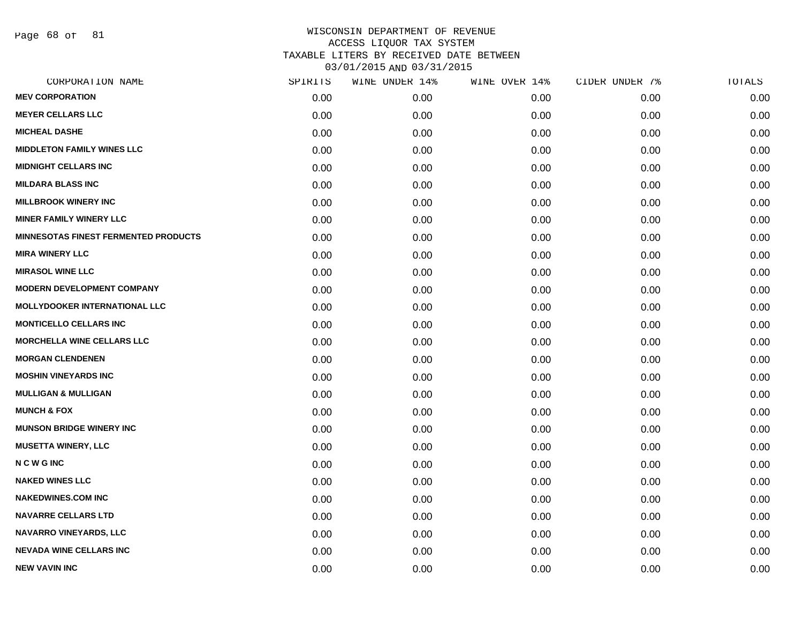Page 68 of 81

| SPIRITS | WINE UNDER 14% | WINE OVER 14% | CIDER UNDER 7% | TOTALS |
|---------|----------------|---------------|----------------|--------|
| 0.00    | 0.00           | 0.00          | 0.00           | 0.00   |
| 0.00    | 0.00           | 0.00          | 0.00           | 0.00   |
| 0.00    | 0.00           | 0.00          | 0.00           | 0.00   |
| 0.00    | 0.00           | 0.00          | 0.00           | 0.00   |
| 0.00    | 0.00           | 0.00          | 0.00           | 0.00   |
| 0.00    | 0.00           | 0.00          | 0.00           | 0.00   |
| 0.00    | 0.00           | 0.00          | 0.00           | 0.00   |
| 0.00    | 0.00           | 0.00          | 0.00           | 0.00   |
| 0.00    | 0.00           | 0.00          | 0.00           | 0.00   |
| 0.00    | 0.00           | 0.00          | 0.00           | 0.00   |
| 0.00    | 0.00           | 0.00          | 0.00           | 0.00   |
| 0.00    | 0.00           | 0.00          | 0.00           | 0.00   |
| 0.00    | 0.00           | 0.00          | 0.00           | 0.00   |
| 0.00    | 0.00           | 0.00          | 0.00           | 0.00   |
| 0.00    | 0.00           | 0.00          | 0.00           | 0.00   |
| 0.00    | 0.00           | 0.00          | 0.00           | 0.00   |
| 0.00    | 0.00           | 0.00          | 0.00           | 0.00   |
| 0.00    | 0.00           | 0.00          | 0.00           | 0.00   |
| 0.00    | 0.00           | 0.00          | 0.00           | 0.00   |
| 0.00    | 0.00           | 0.00          | 0.00           | 0.00   |
| 0.00    | 0.00           | 0.00          | 0.00           | 0.00   |
| 0.00    | 0.00           | 0.00          | 0.00           | 0.00   |
| 0.00    | 0.00           | 0.00          | 0.00           | 0.00   |
| 0.00    | 0.00           | 0.00          | 0.00           | 0.00   |
| 0.00    | 0.00           | 0.00          | 0.00           | 0.00   |
| 0.00    | 0.00           | 0.00          | 0.00           | 0.00   |
| 0.00    | 0.00           | 0.00          | 0.00           | 0.00   |
| 0.00    | 0.00           | 0.00          | 0.00           | 0.00   |
|         |                |               |                |        |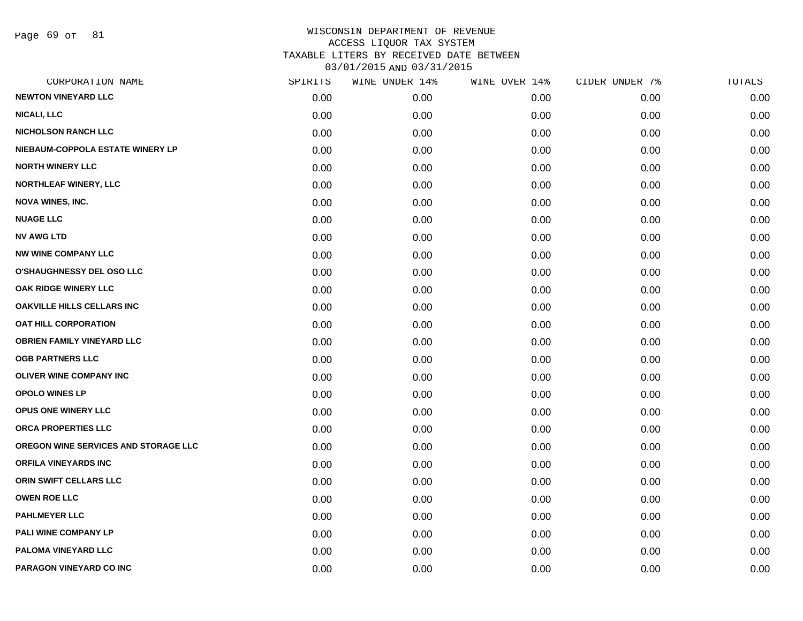Page 69 of 81

| CORPORATION NAME                     | SPIRITS | WINE UNDER 14% | WINE OVER 14% | CIDER UNDER 7% | TOTALS |
|--------------------------------------|---------|----------------|---------------|----------------|--------|
| <b>NEWTON VINEYARD LLC</b>           | 0.00    | 0.00           | 0.00          | 0.00           | 0.00   |
| <b>NICALI, LLC</b>                   | 0.00    | 0.00           | 0.00          | 0.00           | 0.00   |
| <b>NICHOLSON RANCH LLC</b>           | 0.00    | 0.00           | 0.00          | 0.00           | 0.00   |
| NIEBAUM-COPPOLA ESTATE WINERY LP     | 0.00    | 0.00           | 0.00          | 0.00           | 0.00   |
| <b>NORTH WINERY LLC</b>              | 0.00    | 0.00           | 0.00          | 0.00           | 0.00   |
| NORTHLEAF WINERY, LLC                | 0.00    | 0.00           | 0.00          | 0.00           | 0.00   |
| <b>NOVA WINES, INC.</b>              | 0.00    | 0.00           | 0.00          | 0.00           | 0.00   |
| <b>NUAGE LLC</b>                     | 0.00    | 0.00           | 0.00          | 0.00           | 0.00   |
| <b>NV AWG LTD</b>                    | 0.00    | 0.00           | 0.00          | 0.00           | 0.00   |
| <b>NW WINE COMPANY LLC</b>           | 0.00    | 0.00           | 0.00          | 0.00           | 0.00   |
| <b>O'SHAUGHNESSY DEL OSO LLC</b>     | 0.00    | 0.00           | 0.00          | 0.00           | 0.00   |
| OAK RIDGE WINERY LLC                 | 0.00    | 0.00           | 0.00          | 0.00           | 0.00   |
| <b>OAKVILLE HILLS CELLARS INC</b>    | 0.00    | 0.00           | 0.00          | 0.00           | 0.00   |
| OAT HILL CORPORATION                 | 0.00    | 0.00           | 0.00          | 0.00           | 0.00   |
| <b>OBRIEN FAMILY VINEYARD LLC</b>    | 0.00    | 0.00           | 0.00          | 0.00           | 0.00   |
| <b>OGB PARTNERS LLC</b>              | 0.00    | 0.00           | 0.00          | 0.00           | 0.00   |
| <b>OLIVER WINE COMPANY INC</b>       | 0.00    | 0.00           | 0.00          | 0.00           | 0.00   |
| <b>OPOLO WINES LP</b>                | 0.00    | 0.00           | 0.00          | 0.00           | 0.00   |
| OPUS ONE WINERY LLC                  | 0.00    | 0.00           | 0.00          | 0.00           | 0.00   |
| ORCA PROPERTIES LLC                  | 0.00    | 0.00           | 0.00          | 0.00           | 0.00   |
| OREGON WINE SERVICES AND STORAGE LLC | 0.00    | 0.00           | 0.00          | 0.00           | 0.00   |
| <b>ORFILA VINEYARDS INC</b>          | 0.00    | 0.00           | 0.00          | 0.00           | 0.00   |
| ORIN SWIFT CELLARS LLC               | 0.00    | 0.00           | 0.00          | 0.00           | 0.00   |
| <b>OWEN ROE LLC</b>                  | 0.00    | 0.00           | 0.00          | 0.00           | 0.00   |
| <b>PAHLMEYER LLC</b>                 | 0.00    | 0.00           | 0.00          | 0.00           | 0.00   |
| PALI WINE COMPANY LP                 | 0.00    | 0.00           | 0.00          | 0.00           | 0.00   |
| PALOMA VINEYARD LLC                  | 0.00    | 0.00           | 0.00          | 0.00           | 0.00   |
| PARAGON VINEYARD CO INC              | 0.00    | 0.00           | 0.00          | 0.00           | 0.00   |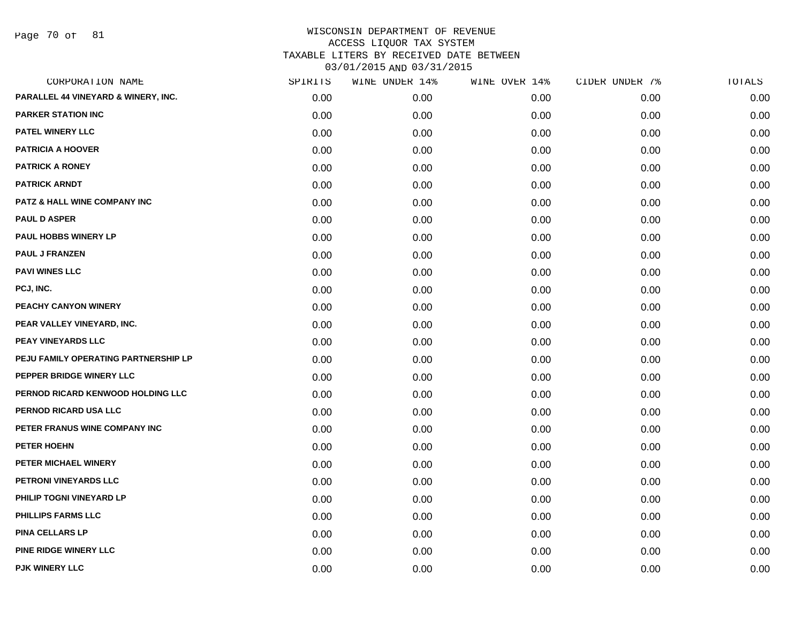Page 70 of 81

| CORPORATION NAME                     | SPIRITS | WINE UNDER 14% | WINE OVER 14% | CIDER UNDER 7% | TOTALS |
|--------------------------------------|---------|----------------|---------------|----------------|--------|
| PARALLEL 44 VINEYARD & WINERY, INC.  | 0.00    | 0.00           | 0.00          | 0.00           | 0.00   |
| <b>PARKER STATION INC</b>            | 0.00    | 0.00           | 0.00          | 0.00           | 0.00   |
| PATEL WINERY LLC                     | 0.00    | 0.00           | 0.00          | 0.00           | 0.00   |
| <b>PATRICIA A HOOVER</b>             | 0.00    | 0.00           | 0.00          | 0.00           | 0.00   |
| <b>PATRICK A RONEY</b>               | 0.00    | 0.00           | 0.00          | 0.00           | 0.00   |
| <b>PATRICK ARNDT</b>                 | 0.00    | 0.00           | 0.00          | 0.00           | 0.00   |
| PATZ & HALL WINE COMPANY INC         | 0.00    | 0.00           | 0.00          | 0.00           | 0.00   |
| <b>PAUL D ASPER</b>                  | 0.00    | 0.00           | 0.00          | 0.00           | 0.00   |
| <b>PAUL HOBBS WINERY LP</b>          | 0.00    | 0.00           | 0.00          | 0.00           | 0.00   |
| <b>PAUL J FRANZEN</b>                | 0.00    | 0.00           | 0.00          | 0.00           | 0.00   |
| <b>PAVI WINES LLC</b>                | 0.00    | 0.00           | 0.00          | 0.00           | 0.00   |
| PCJ, INC.                            | 0.00    | 0.00           | 0.00          | 0.00           | 0.00   |
| PEACHY CANYON WINERY                 | 0.00    | 0.00           | 0.00          | 0.00           | 0.00   |
| PEAR VALLEY VINEYARD, INC.           | 0.00    | 0.00           | 0.00          | 0.00           | 0.00   |
| PEAY VINEYARDS LLC                   | 0.00    | 0.00           | 0.00          | 0.00           | 0.00   |
| PEJU FAMILY OPERATING PARTNERSHIP LP | 0.00    | 0.00           | 0.00          | 0.00           | 0.00   |
| PEPPER BRIDGE WINERY LLC             | 0.00    | 0.00           | 0.00          | 0.00           | 0.00   |
| PERNOD RICARD KENWOOD HOLDING LLC    | 0.00    | 0.00           | 0.00          | 0.00           | 0.00   |
| PERNOD RICARD USA LLC                | 0.00    | 0.00           | 0.00          | 0.00           | 0.00   |
| PETER FRANUS WINE COMPANY INC        | 0.00    | 0.00           | 0.00          | 0.00           | 0.00   |
| PETER HOEHN                          | 0.00    | 0.00           | 0.00          | 0.00           | 0.00   |
| PETER MICHAEL WINERY                 | 0.00    | 0.00           | 0.00          | 0.00           | 0.00   |
| PETRONI VINEYARDS LLC                | 0.00    | 0.00           | 0.00          | 0.00           | 0.00   |
| PHILIP TOGNI VINEYARD LP             | 0.00    | 0.00           | 0.00          | 0.00           | 0.00   |
| <b>PHILLIPS FARMS LLC</b>            | 0.00    | 0.00           | 0.00          | 0.00           | 0.00   |
| <b>PINA CELLARS LP</b>               | 0.00    | 0.00           | 0.00          | 0.00           | 0.00   |
| PINE RIDGE WINERY LLC                | 0.00    | 0.00           | 0.00          | 0.00           | 0.00   |
| <b>PJK WINERY LLC</b>                | 0.00    | 0.00           | 0.00          | 0.00           | 0.00   |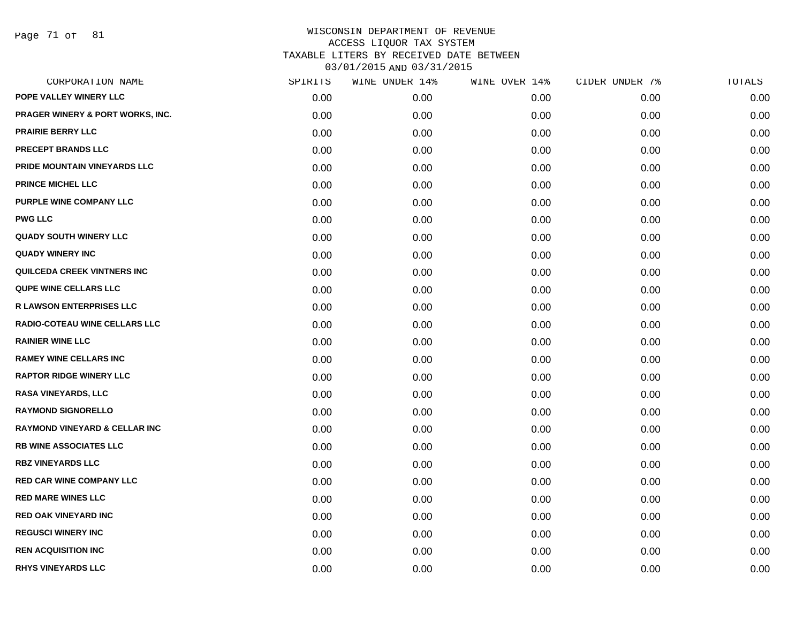Page 71 of 81

| CORPORATION NAME                         | SPIRITS | WINE UNDER 14% | WINE OVER 14% | CIDER UNDER 7% | TOTALS |
|------------------------------------------|---------|----------------|---------------|----------------|--------|
| POPE VALLEY WINERY LLC                   | 0.00    | 0.00           | 0.00          | 0.00           | 0.00   |
| PRAGER WINERY & PORT WORKS, INC.         | 0.00    | 0.00           | 0.00          | 0.00           | 0.00   |
| <b>PRAIRIE BERRY LLC</b>                 | 0.00    | 0.00           | 0.00          | 0.00           | 0.00   |
| PRECEPT BRANDS LLC                       | 0.00    | 0.00           | 0.00          | 0.00           | 0.00   |
| PRIDE MOUNTAIN VINEYARDS LLC             | 0.00    | 0.00           | 0.00          | 0.00           | 0.00   |
| <b>PRINCE MICHEL LLC</b>                 | 0.00    | 0.00           | 0.00          | 0.00           | 0.00   |
| PURPLE WINE COMPANY LLC                  | 0.00    | 0.00           | 0.00          | 0.00           | 0.00   |
| <b>PWG LLC</b>                           | 0.00    | 0.00           | 0.00          | 0.00           | 0.00   |
| <b>QUADY SOUTH WINERY LLC</b>            | 0.00    | 0.00           | 0.00          | 0.00           | 0.00   |
| <b>QUADY WINERY INC</b>                  | 0.00    | 0.00           | 0.00          | 0.00           | 0.00   |
| <b>QUILCEDA CREEK VINTNERS INC</b>       | 0.00    | 0.00           | 0.00          | 0.00           | 0.00   |
| <b>QUPE WINE CELLARS LLC</b>             | 0.00    | 0.00           | 0.00          | 0.00           | 0.00   |
| <b>R LAWSON ENTERPRISES LLC</b>          | 0.00    | 0.00           | 0.00          | 0.00           | 0.00   |
| RADIO-COTEAU WINE CELLARS LLC            | 0.00    | 0.00           | 0.00          | 0.00           | 0.00   |
| <b>RAINIER WINE LLC</b>                  | 0.00    | 0.00           | 0.00          | 0.00           | 0.00   |
| <b>RAMEY WINE CELLARS INC</b>            | 0.00    | 0.00           | 0.00          | 0.00           | 0.00   |
| <b>RAPTOR RIDGE WINERY LLC</b>           | 0.00    | 0.00           | 0.00          | 0.00           | 0.00   |
| <b>RASA VINEYARDS, LLC</b>               | 0.00    | 0.00           | 0.00          | 0.00           | 0.00   |
| <b>RAYMOND SIGNORELLO</b>                | 0.00    | 0.00           | 0.00          | 0.00           | 0.00   |
| <b>RAYMOND VINEYARD &amp; CELLAR INC</b> | 0.00    | 0.00           | 0.00          | 0.00           | 0.00   |
| <b>RB WINE ASSOCIATES LLC</b>            | 0.00    | 0.00           | 0.00          | 0.00           | 0.00   |
| <b>RBZ VINEYARDS LLC</b>                 | 0.00    | 0.00           | 0.00          | 0.00           | 0.00   |
| <b>RED CAR WINE COMPANY LLC</b>          | 0.00    | 0.00           | 0.00          | 0.00           | 0.00   |
| <b>RED MARE WINES LLC</b>                | 0.00    | 0.00           | 0.00          | 0.00           | 0.00   |
| <b>RED OAK VINEYARD INC</b>              | 0.00    | 0.00           | 0.00          | 0.00           | 0.00   |
| <b>REGUSCI WINERY INC</b>                | 0.00    | 0.00           | 0.00          | 0.00           | 0.00   |
| <b>REN ACQUISITION INC</b>               | 0.00    | 0.00           | 0.00          | 0.00           | 0.00   |
| <b>RHYS VINEYARDS LLC</b>                | 0.00    | 0.00           | 0.00          | 0.00           | 0.00   |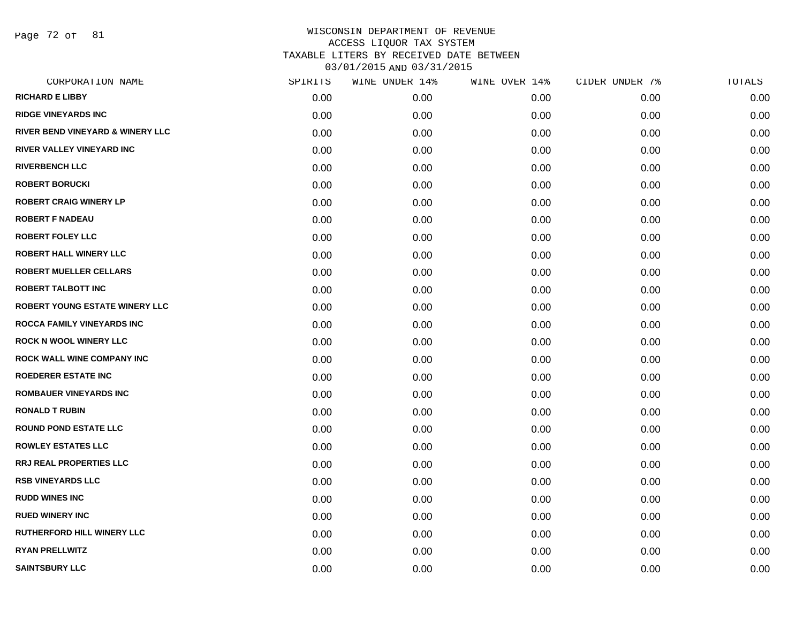Page 72 of 81

| CORPORATION NAME                      | SPIRITS | WINE UNDER 14% | WINE OVER 14% | CIDER UNDER 7% | TOTALS |
|---------------------------------------|---------|----------------|---------------|----------------|--------|
| <b>RICHARD E LIBBY</b>                | 0.00    | 0.00           | 0.00          | 0.00           | 0.00   |
| <b>RIDGE VINEYARDS INC</b>            | 0.00    | 0.00           | 0.00          | 0.00           | 0.00   |
| RIVER BEND VINEYARD & WINERY LLC      | 0.00    | 0.00           | 0.00          | 0.00           | 0.00   |
| <b>RIVER VALLEY VINEYARD INC</b>      | 0.00    | 0.00           | 0.00          | 0.00           | 0.00   |
| <b>RIVERBENCH LLC</b>                 | 0.00    | 0.00           | 0.00          | 0.00           | 0.00   |
| <b>ROBERT BORUCKI</b>                 | 0.00    | 0.00           | 0.00          | 0.00           | 0.00   |
| <b>ROBERT CRAIG WINERY LP</b>         | 0.00    | 0.00           | 0.00          | 0.00           | 0.00   |
| <b>ROBERT F NADEAU</b>                | 0.00    | 0.00           | 0.00          | 0.00           | 0.00   |
| <b>ROBERT FOLEY LLC</b>               | 0.00    | 0.00           | 0.00          | 0.00           | 0.00   |
| <b>ROBERT HALL WINERY LLC</b>         | 0.00    | 0.00           | 0.00          | 0.00           | 0.00   |
| <b>ROBERT MUELLER CELLARS</b>         | 0.00    | 0.00           | 0.00          | 0.00           | 0.00   |
| <b>ROBERT TALBOTT INC</b>             | 0.00    | 0.00           | 0.00          | 0.00           | 0.00   |
| <b>ROBERT YOUNG ESTATE WINERY LLC</b> | 0.00    | 0.00           | 0.00          | 0.00           | 0.00   |
| ROCCA FAMILY VINEYARDS INC            | 0.00    | 0.00           | 0.00          | 0.00           | 0.00   |
| <b>ROCK N WOOL WINERY LLC</b>         | 0.00    | 0.00           | 0.00          | 0.00           | 0.00   |
| <b>ROCK WALL WINE COMPANY INC</b>     | 0.00    | 0.00           | 0.00          | 0.00           | 0.00   |
| <b>ROEDERER ESTATE INC</b>            | 0.00    | 0.00           | 0.00          | 0.00           | 0.00   |
| <b>ROMBAUER VINEYARDS INC</b>         | 0.00    | 0.00           | 0.00          | 0.00           | 0.00   |
| <b>RONALD T RUBIN</b>                 | 0.00    | 0.00           | 0.00          | 0.00           | 0.00   |
| <b>ROUND POND ESTATE LLC</b>          | 0.00    | 0.00           | 0.00          | 0.00           | 0.00   |
| <b>ROWLEY ESTATES LLC</b>             | 0.00    | 0.00           | 0.00          | 0.00           | 0.00   |
| RRJ REAL PROPERTIES LLC               | 0.00    | 0.00           | 0.00          | 0.00           | 0.00   |
| <b>RSB VINEYARDS LLC</b>              | 0.00    | 0.00           | 0.00          | 0.00           | 0.00   |
| <b>RUDD WINES INC</b>                 | 0.00    | 0.00           | 0.00          | 0.00           | 0.00   |
| <b>RUED WINERY INC</b>                | 0.00    | 0.00           | 0.00          | 0.00           | 0.00   |
| <b>RUTHERFORD HILL WINERY LLC</b>     | 0.00    | 0.00           | 0.00          | 0.00           | 0.00   |
| <b>RYAN PRELLWITZ</b>                 | 0.00    | 0.00           | 0.00          | 0.00           | 0.00   |
| <b>SAINTSBURY LLC</b>                 | 0.00    | 0.00           | 0.00          | 0.00           | 0.00   |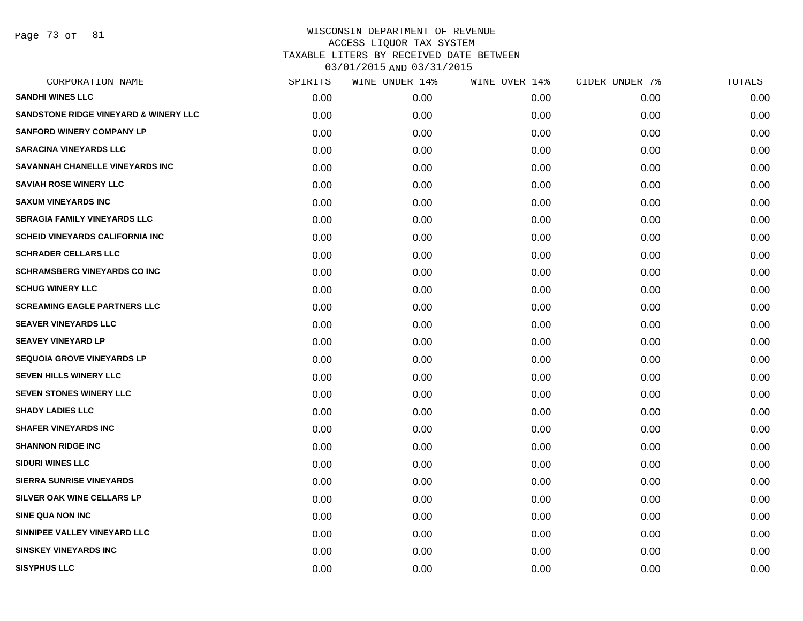Page 73 of 81

| SPIRITS | WINE UNDER 14% | WINE OVER 14% | CIDER UNDER 7% | TOTALS |
|---------|----------------|---------------|----------------|--------|
| 0.00    | 0.00           | 0.00          | 0.00           | 0.00   |
| 0.00    | 0.00           | 0.00          | 0.00           | 0.00   |
| 0.00    | 0.00           | 0.00          | 0.00           | 0.00   |
| 0.00    | 0.00           | 0.00          | 0.00           | 0.00   |
| 0.00    | 0.00           | 0.00          | 0.00           | 0.00   |
| 0.00    | 0.00           | 0.00          | 0.00           | 0.00   |
| 0.00    | 0.00           | 0.00          | 0.00           | 0.00   |
| 0.00    | 0.00           | 0.00          | 0.00           | 0.00   |
| 0.00    | 0.00           | 0.00          | 0.00           | 0.00   |
| 0.00    | 0.00           | 0.00          | 0.00           | 0.00   |
| 0.00    | 0.00           | 0.00          | 0.00           | 0.00   |
| 0.00    | 0.00           | 0.00          | 0.00           | 0.00   |
| 0.00    | 0.00           | 0.00          | 0.00           | 0.00   |
| 0.00    | 0.00           | 0.00          | 0.00           | 0.00   |
| 0.00    | 0.00           | 0.00          | 0.00           | 0.00   |
| 0.00    | 0.00           | 0.00          | 0.00           | 0.00   |
| 0.00    | 0.00           | 0.00          | 0.00           | 0.00   |
| 0.00    | 0.00           | 0.00          | 0.00           | 0.00   |
| 0.00    | 0.00           | 0.00          | 0.00           | 0.00   |
| 0.00    | 0.00           | 0.00          | 0.00           | 0.00   |
| 0.00    | 0.00           | 0.00          | 0.00           | 0.00   |
| 0.00    | 0.00           | 0.00          | 0.00           | 0.00   |
| 0.00    | 0.00           | 0.00          | 0.00           | 0.00   |
| 0.00    | 0.00           | 0.00          | 0.00           | 0.00   |
| 0.00    | 0.00           | 0.00          | 0.00           | 0.00   |
| 0.00    | 0.00           | 0.00          | 0.00           | 0.00   |
| 0.00    | 0.00           | 0.00          | 0.00           | 0.00   |
| 0.00    | 0.00           | 0.00          | 0.00           | 0.00   |
|         |                |               |                |        |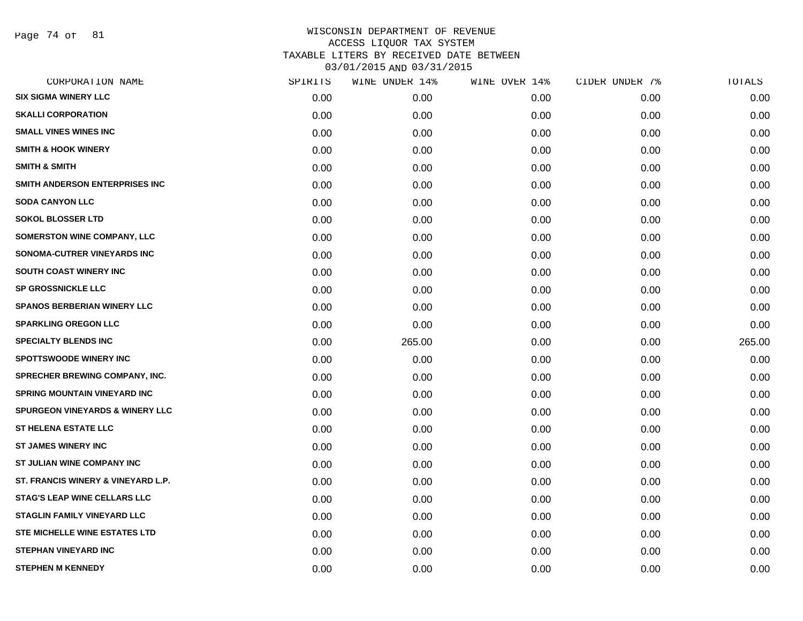Page 74 of 81

| CORPORATION NAME                           | SPIRITS | WINE UNDER 14% | WINE OVER 14% | CIDER UNDER 7% | TOTALS |
|--------------------------------------------|---------|----------------|---------------|----------------|--------|
| <b>SIX SIGMA WINERY LLC</b>                | 0.00    | 0.00           | 0.00          | 0.00           | 0.00   |
| <b>SKALLI CORPORATION</b>                  | 0.00    | 0.00           | 0.00          | 0.00           | 0.00   |
| <b>SMALL VINES WINES INC</b>               | 0.00    | 0.00           | 0.00          | 0.00           | 0.00   |
| <b>SMITH &amp; HOOK WINERY</b>             | 0.00    | 0.00           | 0.00          | 0.00           | 0.00   |
| <b>SMITH &amp; SMITH</b>                   | 0.00    | 0.00           | 0.00          | 0.00           | 0.00   |
| SMITH ANDERSON ENTERPRISES INC             | 0.00    | 0.00           | 0.00          | 0.00           | 0.00   |
| <b>SODA CANYON LLC</b>                     | 0.00    | 0.00           | 0.00          | 0.00           | 0.00   |
| <b>SOKOL BLOSSER LTD</b>                   | 0.00    | 0.00           | 0.00          | 0.00           | 0.00   |
| SOMERSTON WINE COMPANY, LLC                | 0.00    | 0.00           | 0.00          | 0.00           | 0.00   |
| SONOMA-CUTRER VINEYARDS INC                | 0.00    | 0.00           | 0.00          | 0.00           | 0.00   |
| <b>SOUTH COAST WINERY INC</b>              | 0.00    | 0.00           | 0.00          | 0.00           | 0.00   |
| <b>SP GROSSNICKLE LLC</b>                  | 0.00    | 0.00           | 0.00          | 0.00           | 0.00   |
| <b>SPANOS BERBERIAN WINERY LLC</b>         | 0.00    | 0.00           | 0.00          | 0.00           | 0.00   |
| <b>SPARKLING OREGON LLC</b>                | 0.00    | 0.00           | 0.00          | 0.00           | 0.00   |
| <b>SPECIALTY BLENDS INC</b>                | 0.00    | 265.00         | 0.00          | 0.00           | 265.00 |
| <b>SPOTTSWOODE WINERY INC</b>              | 0.00    | 0.00           | 0.00          | 0.00           | 0.00   |
| <b>SPRECHER BREWING COMPANY, INC.</b>      | 0.00    | 0.00           | 0.00          | 0.00           | 0.00   |
| <b>SPRING MOUNTAIN VINEYARD INC</b>        | 0.00    | 0.00           | 0.00          | 0.00           | 0.00   |
| <b>SPURGEON VINEYARDS &amp; WINERY LLC</b> | 0.00    | 0.00           | 0.00          | 0.00           | 0.00   |
| <b>ST HELENA ESTATE LLC</b>                | 0.00    | 0.00           | 0.00          | 0.00           | 0.00   |
| <b>ST JAMES WINERY INC</b>                 | 0.00    | 0.00           | 0.00          | 0.00           | 0.00   |
| ST JULIAN WINE COMPANY INC                 | 0.00    | 0.00           | 0.00          | 0.00           | 0.00   |
| ST. FRANCIS WINERY & VINEYARD L.P.         | 0.00    | 0.00           | 0.00          | 0.00           | 0.00   |
| <b>STAG'S LEAP WINE CELLARS LLC</b>        | 0.00    | 0.00           | 0.00          | 0.00           | 0.00   |
| <b>STAGLIN FAMILY VINEYARD LLC</b>         | 0.00    | 0.00           | 0.00          | 0.00           | 0.00   |
| STE MICHELLE WINE ESTATES LTD              | 0.00    | 0.00           | 0.00          | 0.00           | 0.00   |
| <b>STEPHAN VINEYARD INC</b>                | 0.00    | 0.00           | 0.00          | 0.00           | 0.00   |
| <b>STEPHEN M KENNEDY</b>                   | 0.00    | 0.00           | 0.00          | 0.00           | 0.00   |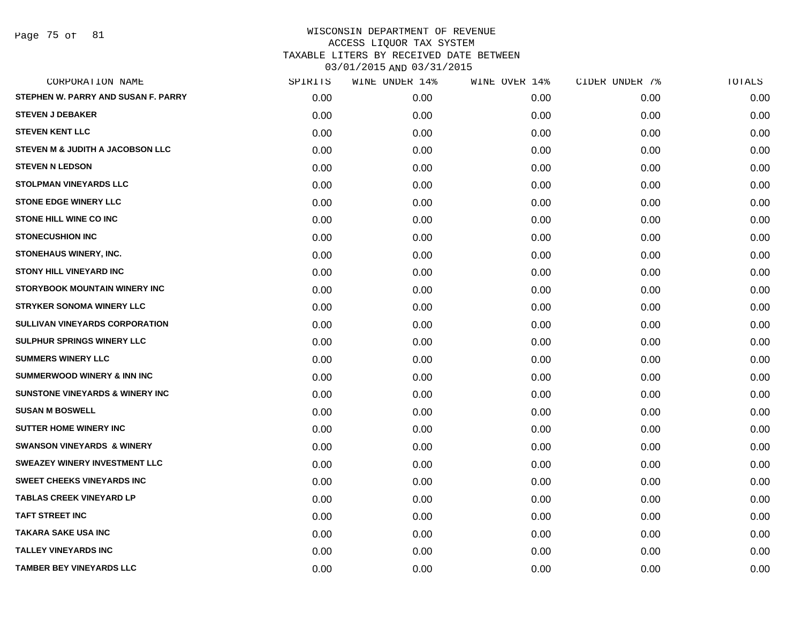Page 75 of 81

| CORPORATION NAME                           | SPIRITS | WINE UNDER 14% | WINE OVER 14% | CIDER UNDER 7% | TOTALS |
|--------------------------------------------|---------|----------------|---------------|----------------|--------|
| STEPHEN W. PARRY AND SUSAN F. PARRY        | 0.00    | 0.00           | 0.00          | 0.00           | 0.00   |
| <b>STEVEN J DEBAKER</b>                    | 0.00    | 0.00           | 0.00          | 0.00           | 0.00   |
| <b>STEVEN KENT LLC</b>                     | 0.00    | 0.00           | 0.00          | 0.00           | 0.00   |
| STEVEN M & JUDITH A JACOBSON LLC           | 0.00    | 0.00           | 0.00          | 0.00           | 0.00   |
| <b>STEVEN N LEDSON</b>                     | 0.00    | 0.00           | 0.00          | 0.00           | 0.00   |
| <b>STOLPMAN VINEYARDS LLC</b>              | 0.00    | 0.00           | 0.00          | 0.00           | 0.00   |
| <b>STONE EDGE WINERY LLC</b>               | 0.00    | 0.00           | 0.00          | 0.00           | 0.00   |
| <b>STONE HILL WINE CO INC</b>              | 0.00    | 0.00           | 0.00          | 0.00           | 0.00   |
| <b>STONECUSHION INC</b>                    | 0.00    | 0.00           | 0.00          | 0.00           | 0.00   |
| STONEHAUS WINERY, INC.                     | 0.00    | 0.00           | 0.00          | 0.00           | 0.00   |
| <b>STONY HILL VINEYARD INC</b>             | 0.00    | 0.00           | 0.00          | 0.00           | 0.00   |
| <b>STORYBOOK MOUNTAIN WINERY INC</b>       | 0.00    | 0.00           | 0.00          | 0.00           | 0.00   |
| <b>STRYKER SONOMA WINERY LLC</b>           | 0.00    | 0.00           | 0.00          | 0.00           | 0.00   |
| <b>SULLIVAN VINEYARDS CORPORATION</b>      | 0.00    | 0.00           | 0.00          | 0.00           | 0.00   |
| SULPHUR SPRINGS WINERY LLC                 | 0.00    | 0.00           | 0.00          | 0.00           | 0.00   |
| <b>SUMMERS WINERY LLC</b>                  | 0.00    | 0.00           | 0.00          | 0.00           | 0.00   |
| <b>SUMMERWOOD WINERY &amp; INN INC</b>     | 0.00    | 0.00           | 0.00          | 0.00           | 0.00   |
| <b>SUNSTONE VINEYARDS &amp; WINERY INC</b> | 0.00    | 0.00           | 0.00          | 0.00           | 0.00   |
| <b>SUSAN M BOSWELL</b>                     | 0.00    | 0.00           | 0.00          | 0.00           | 0.00   |
| <b>SUTTER HOME WINERY INC</b>              | 0.00    | 0.00           | 0.00          | 0.00           | 0.00   |
| <b>SWANSON VINEYARDS &amp; WINERY</b>      | 0.00    | 0.00           | 0.00          | 0.00           | 0.00   |
| SWEAZEY WINERY INVESTMENT LLC              | 0.00    | 0.00           | 0.00          | 0.00           | 0.00   |
| <b>SWEET CHEEKS VINEYARDS INC</b>          | 0.00    | 0.00           | 0.00          | 0.00           | 0.00   |
| <b>TABLAS CREEK VINEYARD LP</b>            | 0.00    | 0.00           | 0.00          | 0.00           | 0.00   |
| <b>TAFT STREET INC</b>                     | 0.00    | 0.00           | 0.00          | 0.00           | 0.00   |
| <b>TAKARA SAKE USA INC</b>                 | 0.00    | 0.00           | 0.00          | 0.00           | 0.00   |
| <b>TALLEY VINEYARDS INC</b>                | 0.00    | 0.00           | 0.00          | 0.00           | 0.00   |
| <b>TAMBER BEY VINEYARDS LLC</b>            | 0.00    | 0.00           | 0.00          | 0.00           | 0.00   |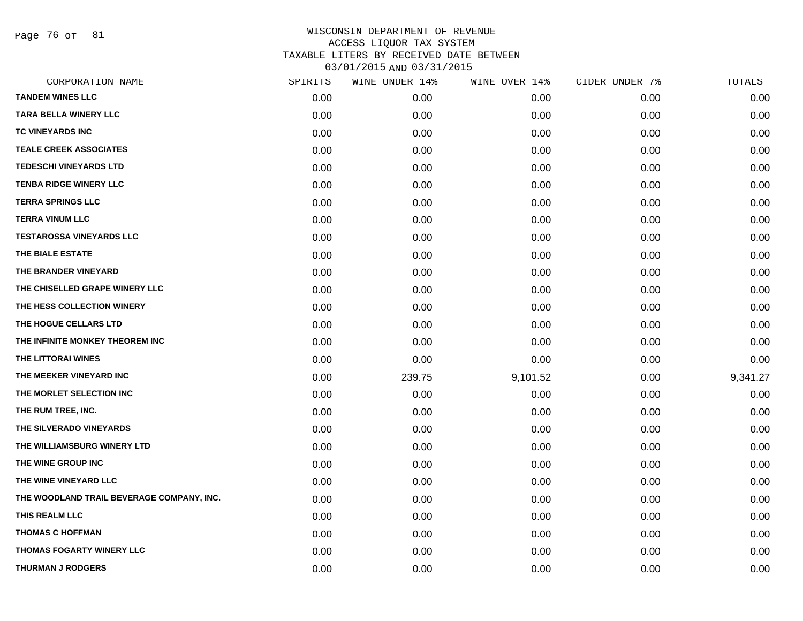Page 76 of 81

| CORPORATION NAME                          | SPIRITS | WINE UNDER 14% | WINE OVER 14% | CIDER UNDER 7% | TOTALS   |
|-------------------------------------------|---------|----------------|---------------|----------------|----------|
| <b>TANDEM WINES LLC</b>                   | 0.00    | 0.00           | 0.00          | 0.00           | 0.00     |
| <b>TARA BELLA WINERY LLC</b>              | 0.00    | 0.00           | 0.00          | 0.00           | 0.00     |
| TC VINEYARDS INC                          | 0.00    | 0.00           | 0.00          | 0.00           | 0.00     |
| <b>TEALE CREEK ASSOCIATES</b>             | 0.00    | 0.00           | 0.00          | 0.00           | 0.00     |
| <b>TEDESCHI VINEYARDS LTD</b>             | 0.00    | 0.00           | 0.00          | 0.00           | 0.00     |
| <b>TENBA RIDGE WINERY LLC</b>             | 0.00    | 0.00           | 0.00          | 0.00           | 0.00     |
| <b>TERRA SPRINGS LLC</b>                  | 0.00    | 0.00           | 0.00          | 0.00           | 0.00     |
| <b>TERRA VINUM LLC</b>                    | 0.00    | 0.00           | 0.00          | 0.00           | 0.00     |
| <b>TESTAROSSA VINEYARDS LLC</b>           | 0.00    | 0.00           | 0.00          | 0.00           | 0.00     |
| THE BIALE ESTATE                          | 0.00    | 0.00           | 0.00          | 0.00           | 0.00     |
| THE BRANDER VINEYARD                      | 0.00    | 0.00           | 0.00          | 0.00           | 0.00     |
| THE CHISELLED GRAPE WINERY LLC            | 0.00    | 0.00           | 0.00          | 0.00           | 0.00     |
| THE HESS COLLECTION WINERY                | 0.00    | 0.00           | 0.00          | 0.00           | 0.00     |
| THE HOGUE CELLARS LTD                     | 0.00    | 0.00           | 0.00          | 0.00           | 0.00     |
| THE INFINITE MONKEY THEOREM INC           | 0.00    | 0.00           | 0.00          | 0.00           | 0.00     |
| THE LITTORAI WINES                        | 0.00    | 0.00           | 0.00          | 0.00           | 0.00     |
| THE MEEKER VINEYARD INC                   | 0.00    | 239.75         | 9,101.52      | 0.00           | 9,341.27 |
| THE MORLET SELECTION INC                  | 0.00    | 0.00           | 0.00          | 0.00           | 0.00     |
| THE RUM TREE, INC.                        | 0.00    | 0.00           | 0.00          | 0.00           | 0.00     |
| THE SILVERADO VINEYARDS                   | 0.00    | 0.00           | 0.00          | 0.00           | 0.00     |
| THE WILLIAMSBURG WINERY LTD               | 0.00    | 0.00           | 0.00          | 0.00           | 0.00     |
| THE WINE GROUP INC                        | 0.00    | 0.00           | 0.00          | 0.00           | 0.00     |
| THE WINE VINEYARD LLC                     | 0.00    | 0.00           | 0.00          | 0.00           | 0.00     |
| THE WOODLAND TRAIL BEVERAGE COMPANY, INC. | 0.00    | 0.00           | 0.00          | 0.00           | 0.00     |
| THIS REALM LLC                            | 0.00    | 0.00           | 0.00          | 0.00           | 0.00     |
| <b>THOMAS C HOFFMAN</b>                   | 0.00    | 0.00           | 0.00          | 0.00           | 0.00     |
| <b>THOMAS FOGARTY WINERY LLC</b>          | 0.00    | 0.00           | 0.00          | 0.00           | 0.00     |
| <b>THURMAN J RODGERS</b>                  | 0.00    | 0.00           | 0.00          | 0.00           | 0.00     |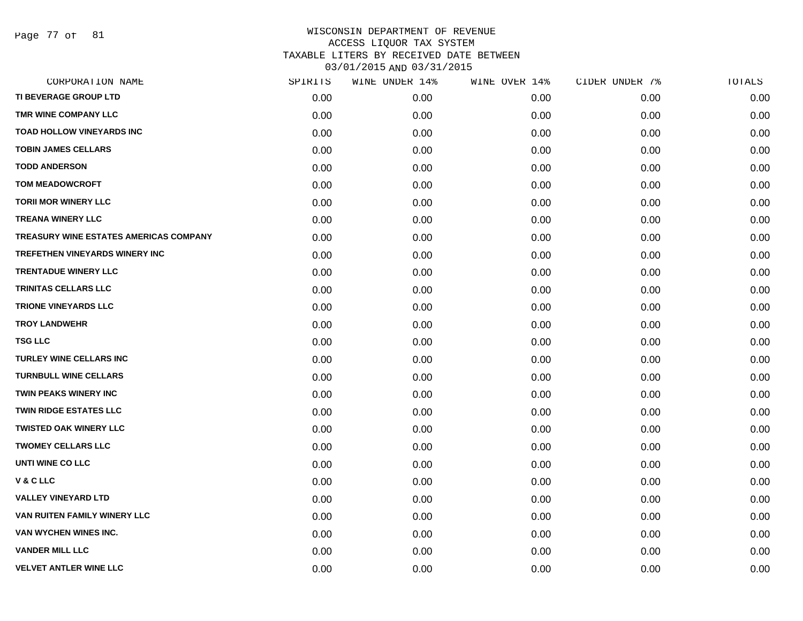Page 77 of 81

| CORPORATION NAME                       | SPIRITS | WINE UNDER 14% | WINE OVER 14% | CIDER UNDER 7% | TOTALS |
|----------------------------------------|---------|----------------|---------------|----------------|--------|
| TI BEVERAGE GROUP LTD                  | 0.00    | 0.00           | 0.00          | 0.00           | 0.00   |
| TMR WINE COMPANY LLC                   | 0.00    | 0.00           | 0.00          | 0.00           | 0.00   |
| <b>TOAD HOLLOW VINEYARDS INC</b>       | 0.00    | 0.00           | 0.00          | 0.00           | 0.00   |
| <b>TOBIN JAMES CELLARS</b>             | 0.00    | 0.00           | 0.00          | 0.00           | 0.00   |
| <b>TODD ANDERSON</b>                   | 0.00    | 0.00           | 0.00          | 0.00           | 0.00   |
| <b>TOM MEADOWCROFT</b>                 | 0.00    | 0.00           | 0.00          | 0.00           | 0.00   |
| <b>TORII MOR WINERY LLC</b>            | 0.00    | 0.00           | 0.00          | 0.00           | 0.00   |
| <b>TREANA WINERY LLC</b>               | 0.00    | 0.00           | 0.00          | 0.00           | 0.00   |
| TREASURY WINE ESTATES AMERICAS COMPANY | 0.00    | 0.00           | 0.00          | 0.00           | 0.00   |
| TREFETHEN VINEYARDS WINERY INC         | 0.00    | 0.00           | 0.00          | 0.00           | 0.00   |
| <b>TRENTADUE WINERY LLC</b>            | 0.00    | 0.00           | 0.00          | 0.00           | 0.00   |
| TRINITAS CELLARS LLC                   | 0.00    | 0.00           | 0.00          | 0.00           | 0.00   |
| <b>TRIONE VINEYARDS LLC</b>            | 0.00    | 0.00           | 0.00          | 0.00           | 0.00   |
| <b>TROY LANDWEHR</b>                   | 0.00    | 0.00           | 0.00          | 0.00           | 0.00   |
| <b>TSG LLC</b>                         | 0.00    | 0.00           | 0.00          | 0.00           | 0.00   |
| <b>TURLEY WINE CELLARS INC</b>         | 0.00    | 0.00           | 0.00          | 0.00           | 0.00   |
| <b>TURNBULL WINE CELLARS</b>           | 0.00    | 0.00           | 0.00          | 0.00           | 0.00   |
| <b>TWIN PEAKS WINERY INC</b>           | 0.00    | 0.00           | 0.00          | 0.00           | 0.00   |
| <b>TWIN RIDGE ESTATES LLC</b>          | 0.00    | 0.00           | 0.00          | 0.00           | 0.00   |
| <b>TWISTED OAK WINERY LLC</b>          | 0.00    | 0.00           | 0.00          | 0.00           | 0.00   |
| <b>TWOMEY CELLARS LLC</b>              | 0.00    | 0.00           | 0.00          | 0.00           | 0.00   |
| <b>UNTI WINE CO LLC</b>                | 0.00    | 0.00           | 0.00          | 0.00           | 0.00   |
| V&CLLC                                 | 0.00    | 0.00           | 0.00          | 0.00           | 0.00   |
| <b>VALLEY VINEYARD LTD</b>             | 0.00    | 0.00           | 0.00          | 0.00           | 0.00   |
| VAN RUITEN FAMILY WINERY LLC           | 0.00    | 0.00           | 0.00          | 0.00           | 0.00   |
| VAN WYCHEN WINES INC.                  | 0.00    | 0.00           | 0.00          | 0.00           | 0.00   |
| <b>VANDER MILL LLC</b>                 | 0.00    | 0.00           | 0.00          | 0.00           | 0.00   |
| <b>VELVET ANTLER WINE LLC</b>          | 0.00    | 0.00           | 0.00          | 0.00           | 0.00   |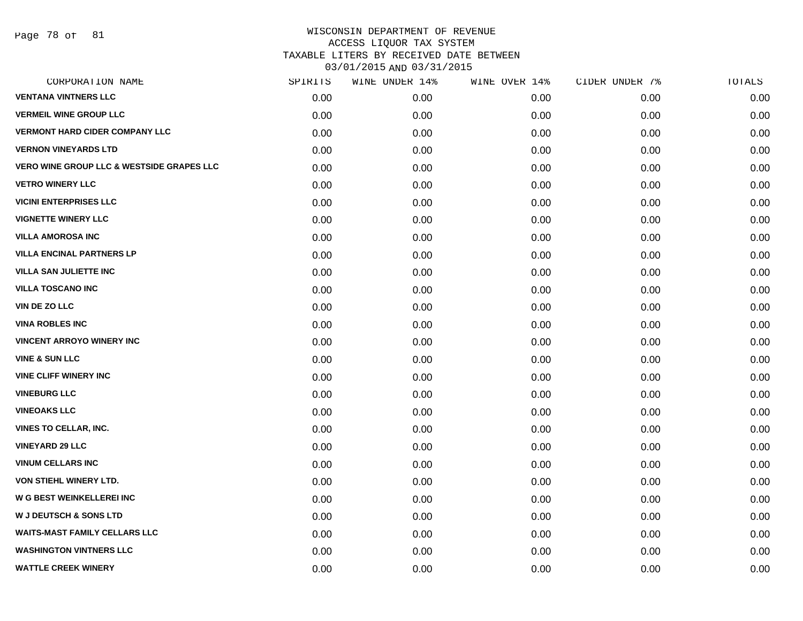Page 78 of 81

| CORPORATION NAME                                     | SPIRITS | WINE UNDER 14% | WINE OVER 14% | CIDER UNDER 7% | TOTALS |
|------------------------------------------------------|---------|----------------|---------------|----------------|--------|
| <b>VENTANA VINTNERS LLC</b>                          | 0.00    | 0.00           | 0.00          | 0.00           | 0.00   |
| <b>VERMEIL WINE GROUP LLC</b>                        | 0.00    | 0.00           | 0.00          | 0.00           | 0.00   |
| <b>VERMONT HARD CIDER COMPANY LLC</b>                | 0.00    | 0.00           | 0.00          | 0.00           | 0.00   |
| <b>VERNON VINEYARDS LTD</b>                          | 0.00    | 0.00           | 0.00          | 0.00           | 0.00   |
| <b>VERO WINE GROUP LLC &amp; WESTSIDE GRAPES LLC</b> | 0.00    | 0.00           | 0.00          | 0.00           | 0.00   |
| <b>VETRO WINERY LLC</b>                              | 0.00    | 0.00           | 0.00          | 0.00           | 0.00   |
| <b>VICINI ENTERPRISES LLC</b>                        | 0.00    | 0.00           | 0.00          | 0.00           | 0.00   |
| <b>VIGNETTE WINERY LLC</b>                           | 0.00    | 0.00           | 0.00          | 0.00           | 0.00   |
| <b>VILLA AMOROSA INC</b>                             | 0.00    | 0.00           | 0.00          | 0.00           | 0.00   |
| <b>VILLA ENCINAL PARTNERS LP</b>                     | 0.00    | 0.00           | 0.00          | 0.00           | 0.00   |
| <b>VILLA SAN JULIETTE INC</b>                        | 0.00    | 0.00           | 0.00          | 0.00           | 0.00   |
| <b>VILLA TOSCANO INC</b>                             | 0.00    | 0.00           | 0.00          | 0.00           | 0.00   |
| <b>VIN DE ZO LLC</b>                                 | 0.00    | 0.00           | 0.00          | 0.00           | 0.00   |
| <b>VINA ROBLES INC</b>                               | 0.00    | 0.00           | 0.00          | 0.00           | 0.00   |
| <b>VINCENT ARROYO WINERY INC</b>                     | 0.00    | 0.00           | 0.00          | 0.00           | 0.00   |
| <b>VINE &amp; SUN LLC</b>                            | 0.00    | 0.00           | 0.00          | 0.00           | 0.00   |
| <b>VINE CLIFF WINERY INC</b>                         | 0.00    | 0.00           | 0.00          | 0.00           | 0.00   |
| <b>VINEBURG LLC</b>                                  | 0.00    | 0.00           | 0.00          | 0.00           | 0.00   |
| <b>VINEOAKS LLC</b>                                  | 0.00    | 0.00           | 0.00          | 0.00           | 0.00   |
| <b>VINES TO CELLAR, INC.</b>                         | 0.00    | 0.00           | 0.00          | 0.00           | 0.00   |
| <b>VINEYARD 29 LLC</b>                               | 0.00    | 0.00           | 0.00          | 0.00           | 0.00   |
| <b>VINUM CELLARS INC</b>                             | 0.00    | 0.00           | 0.00          | 0.00           | 0.00   |
| VON STIEHL WINERY LTD.                               | 0.00    | 0.00           | 0.00          | 0.00           | 0.00   |
| <b>W G BEST WEINKELLEREI INC</b>                     | 0.00    | 0.00           | 0.00          | 0.00           | 0.00   |
| <b>W J DEUTSCH &amp; SONS LTD</b>                    | 0.00    | 0.00           | 0.00          | 0.00           | 0.00   |
| <b>WAITS-MAST FAMILY CELLARS LLC</b>                 | 0.00    | 0.00           | 0.00          | 0.00           | 0.00   |
| <b>WASHINGTON VINTNERS LLC</b>                       | 0.00    | 0.00           | 0.00          | 0.00           | 0.00   |
| <b>WATTLE CREEK WINERY</b>                           | 0.00    | 0.00           | 0.00          | 0.00           | 0.00   |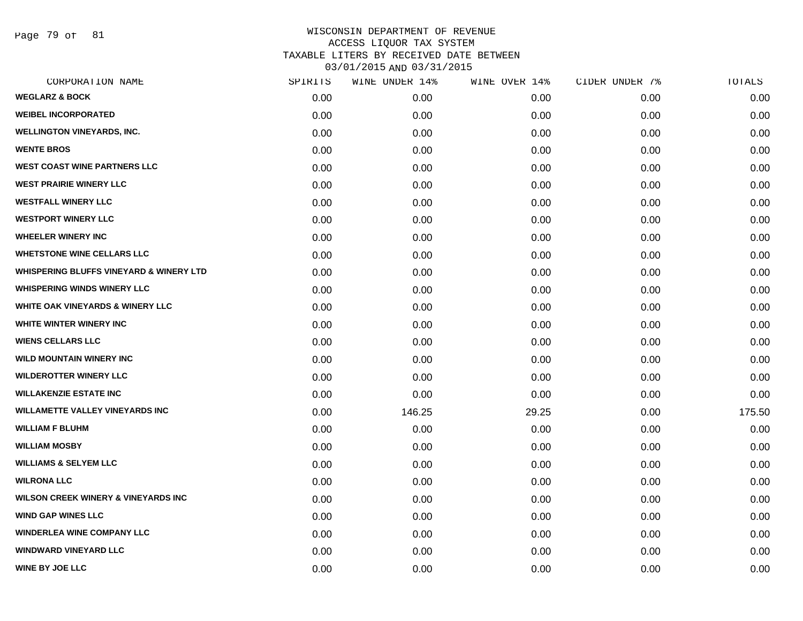Page 79 of 81

| CORPORATION NAME                                   | SPIRITS | WINE UNDER 14% | WINE OVER 14% | CIDER UNDER 7% | TOTALS |
|----------------------------------------------------|---------|----------------|---------------|----------------|--------|
| <b>WEGLARZ &amp; BOCK</b>                          | 0.00    | 0.00           | 0.00          | 0.00           | 0.00   |
| <b>WEIBEL INCORPORATED</b>                         | 0.00    | 0.00           | 0.00          | 0.00           | 0.00   |
| <b>WELLINGTON VINEYARDS, INC.</b>                  | 0.00    | 0.00           | 0.00          | 0.00           | 0.00   |
| <b>WENTE BROS</b>                                  | 0.00    | 0.00           | 0.00          | 0.00           | 0.00   |
| <b>WEST COAST WINE PARTNERS LLC</b>                | 0.00    | 0.00           | 0.00          | 0.00           | 0.00   |
| <b>WEST PRAIRIE WINERY LLC</b>                     | 0.00    | 0.00           | 0.00          | 0.00           | 0.00   |
| <b>WESTFALL WINERY LLC</b>                         | 0.00    | 0.00           | 0.00          | 0.00           | 0.00   |
| <b>WESTPORT WINERY LLC</b>                         | 0.00    | 0.00           | 0.00          | 0.00           | 0.00   |
| <b>WHEELER WINERY INC</b>                          | 0.00    | 0.00           | 0.00          | 0.00           | 0.00   |
| <b>WHETSTONE WINE CELLARS LLC</b>                  | 0.00    | 0.00           | 0.00          | 0.00           | 0.00   |
| <b>WHISPERING BLUFFS VINEYARD &amp; WINERY LTD</b> | 0.00    | 0.00           | 0.00          | 0.00           | 0.00   |
| <b>WHISPERING WINDS WINERY LLC</b>                 | 0.00    | 0.00           | 0.00          | 0.00           | 0.00   |
| <b>WHITE OAK VINEYARDS &amp; WINERY LLC</b>        | 0.00    | 0.00           | 0.00          | 0.00           | 0.00   |
| WHITE WINTER WINERY INC                            | 0.00    | 0.00           | 0.00          | 0.00           | 0.00   |
| <b>WIENS CELLARS LLC</b>                           | 0.00    | 0.00           | 0.00          | 0.00           | 0.00   |
| <b>WILD MOUNTAIN WINERY INC</b>                    | 0.00    | 0.00           | 0.00          | 0.00           | 0.00   |
| <b>WILDEROTTER WINERY LLC</b>                      | 0.00    | 0.00           | 0.00          | 0.00           | 0.00   |
| <b>WILLAKENZIE ESTATE INC</b>                      | 0.00    | 0.00           | 0.00          | 0.00           | 0.00   |
| <b>WILLAMETTE VALLEY VINEYARDS INC</b>             | 0.00    | 146.25         | 29.25         | 0.00           | 175.50 |
| <b>WILLIAM F BLUHM</b>                             | 0.00    | 0.00           | 0.00          | 0.00           | 0.00   |
| <b>WILLIAM MOSBY</b>                               | 0.00    | 0.00           | 0.00          | 0.00           | 0.00   |
| <b>WILLIAMS &amp; SELYEM LLC</b>                   | 0.00    | 0.00           | 0.00          | 0.00           | 0.00   |
| <b>WILRONA LLC</b>                                 | 0.00    | 0.00           | 0.00          | 0.00           | 0.00   |
| <b>WILSON CREEK WINERY &amp; VINEYARDS INC</b>     | 0.00    | 0.00           | 0.00          | 0.00           | 0.00   |
| <b>WIND GAP WINES LLC</b>                          | 0.00    | 0.00           | 0.00          | 0.00           | 0.00   |
| <b>WINDERLEA WINE COMPANY LLC</b>                  | 0.00    | 0.00           | 0.00          | 0.00           | 0.00   |
| <b>WINDWARD VINEYARD LLC</b>                       | 0.00    | 0.00           | 0.00          | 0.00           | 0.00   |
| <b>WINE BY JOE LLC</b>                             | 0.00    | 0.00           | 0.00          | 0.00           | 0.00   |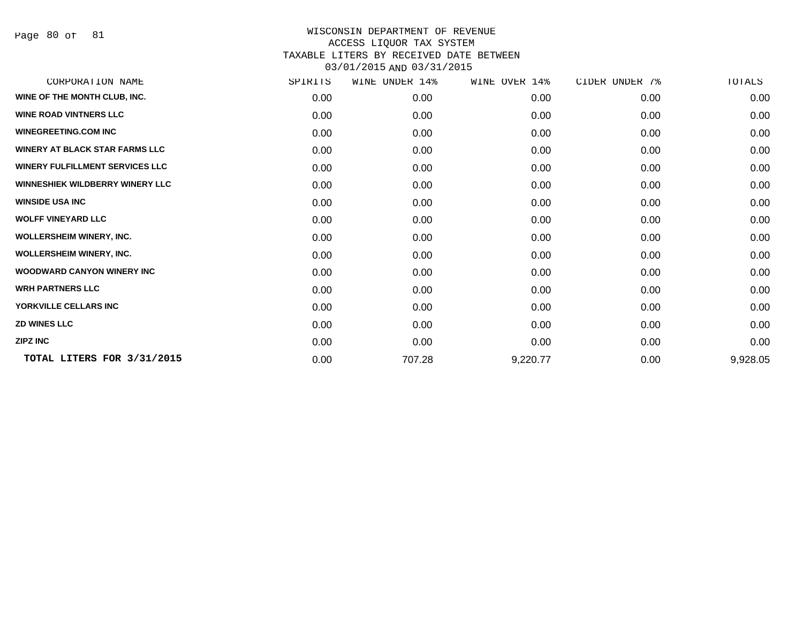Page 80 of 81

| CORPORATION NAME                       | SPIRITS | WINE UNDER 14% | WINE OVER 14% | CIDER UNDER 7% | TOTALS   |
|----------------------------------------|---------|----------------|---------------|----------------|----------|
| WINE OF THE MONTH CLUB, INC.           | 0.00    | 0.00           | 0.00          | 0.00           | 0.00     |
| <b>WINE ROAD VINTNERS LLC</b>          | 0.00    | 0.00           | 0.00          | 0.00           | 0.00     |
| <b>WINEGREETING.COM INC</b>            | 0.00    | 0.00           | 0.00          | 0.00           | 0.00     |
| <b>WINERY AT BLACK STAR FARMS LLC</b>  | 0.00    | 0.00           | 0.00          | 0.00           | 0.00     |
| <b>WINERY FULFILLMENT SERVICES LLC</b> | 0.00    | 0.00           | 0.00          | 0.00           | 0.00     |
| <b>WINNESHIEK WILDBERRY WINERY LLC</b> | 0.00    | 0.00           | 0.00          | 0.00           | 0.00     |
| <b>WINSIDE USA INC</b>                 | 0.00    | 0.00           | 0.00          | 0.00           | 0.00     |
| <b>WOLFF VINEYARD LLC</b>              | 0.00    | 0.00           | 0.00          | 0.00           | 0.00     |
| <b>WOLLERSHEIM WINERY, INC.</b>        | 0.00    | 0.00           | 0.00          | 0.00           | 0.00     |
| <b>WOLLERSHEIM WINERY, INC.</b>        | 0.00    | 0.00           | 0.00          | 0.00           | 0.00     |
| <b>WOODWARD CANYON WINERY INC</b>      | 0.00    | 0.00           | 0.00          | 0.00           | 0.00     |
| <b>WRH PARTNERS LLC</b>                | 0.00    | 0.00           | 0.00          | 0.00           | 0.00     |
| YORKVILLE CELLARS INC                  | 0.00    | 0.00           | 0.00          | 0.00           | 0.00     |
| <b>ZD WINES LLC</b>                    | 0.00    | 0.00           | 0.00          | 0.00           | 0.00     |
| <b>ZIPZ INC</b>                        | 0.00    | 0.00           | 0.00          | 0.00           | 0.00     |
| TOTAL LITERS FOR 3/31/2015             | 0.00    | 707.28         | 9,220.77      | 0.00           | 9,928.05 |